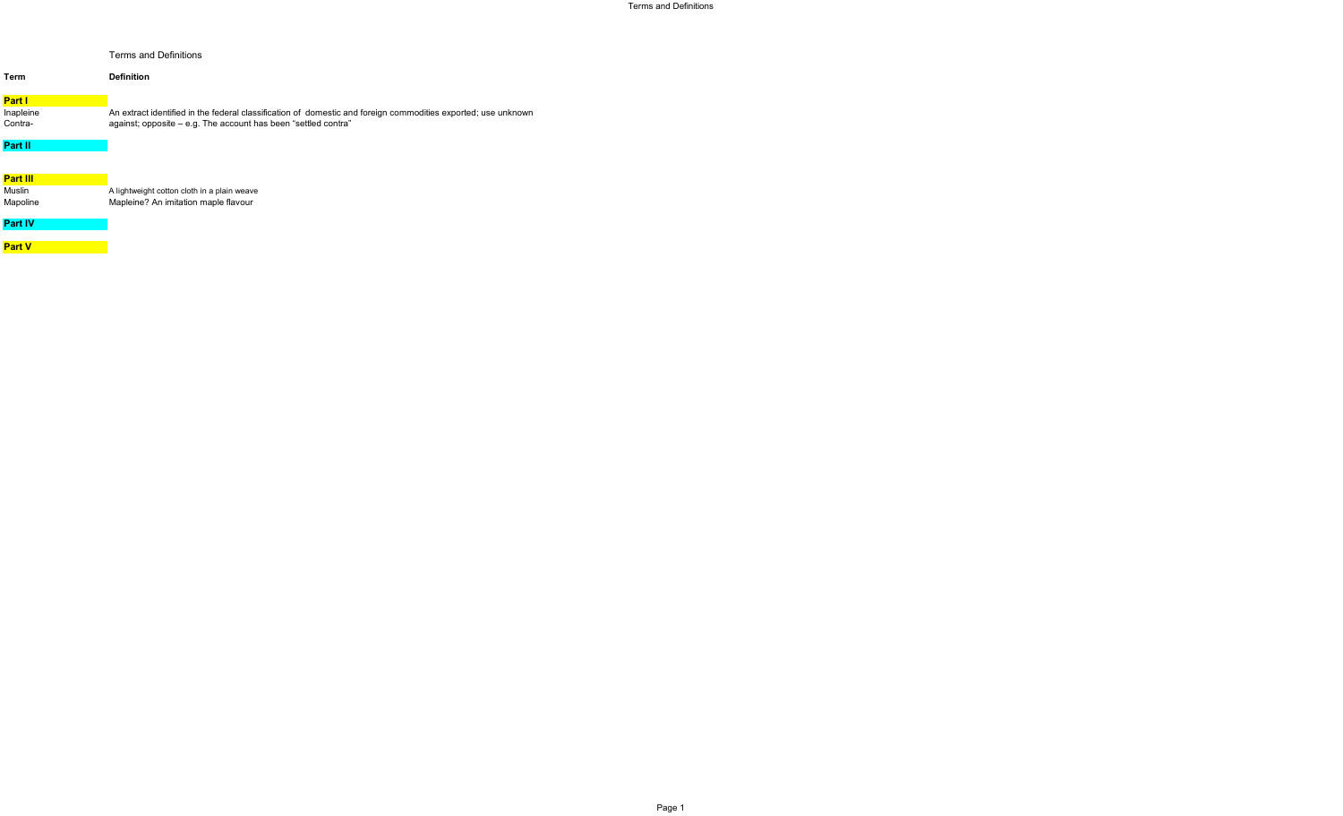Terms and Definitions

|                      | <b>Terms and Definitions</b>                                                                                                                                                    |
|----------------------|---------------------------------------------------------------------------------------------------------------------------------------------------------------------------------|
| Term                 | <b>Definition</b>                                                                                                                                                               |
| Part I               |                                                                                                                                                                                 |
| Inapleine<br>Contra- | An extract identified in the federal classification of domestic and foreign commodities exported; use unknown<br>against; opposite - e.g. The account has been "settled contra" |
| Part II              |                                                                                                                                                                                 |
|                      |                                                                                                                                                                                 |
| <b>Part III</b>      |                                                                                                                                                                                 |
| Muslin               | A lightweight cotton cloth in a plain weave                                                                                                                                     |
| Mapoline             | Mapleine? An imitation maple flavour                                                                                                                                            |
| Part IV              |                                                                                                                                                                                 |
| <b>Part V</b>        |                                                                                                                                                                                 |
|                      |                                                                                                                                                                                 |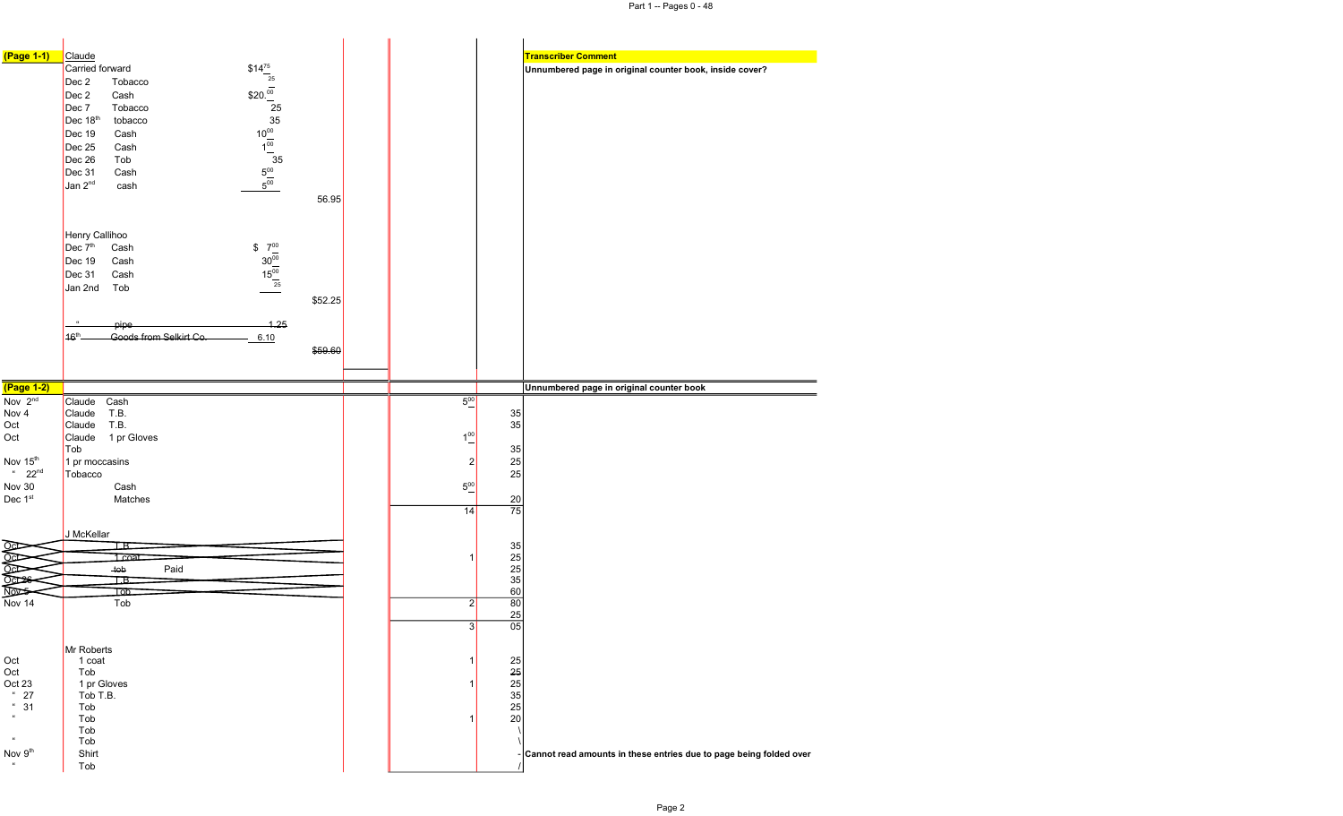### Part 1 -- Pages 0 - 48

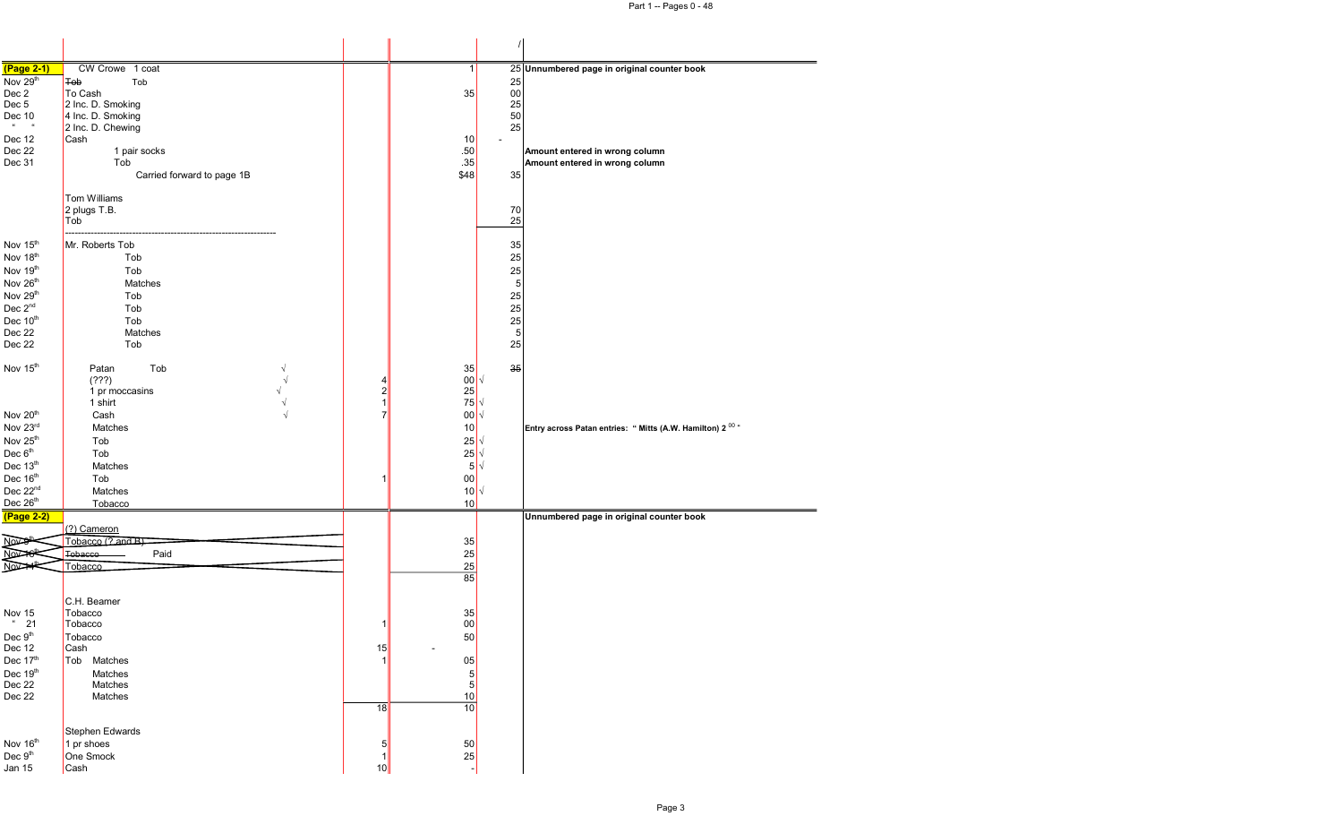# Part 1 -- Pages 0 - 48

| (Page 2-1)               | CW Crowe 1 coat            |           |                 |       | 1               | 25 Unnumbered page in original counter book                           |
|--------------------------|----------------------------|-----------|-----------------|-------|-----------------|-----------------------------------------------------------------------|
| Nov $29th$               | <b>Tob</b><br>Tob          |           |                 |       | 25              |                                                                       |
| Dec 2                    | To Cash                    |           |                 |       | $00\,$<br>35    |                                                                       |
| Dec 5                    | 2 Inc. D. Smoking          |           |                 |       | 25              |                                                                       |
| Dec 10                   | 4 Inc. D. Smoking          |           |                 |       | 50              |                                                                       |
| $\alpha$<br>$\mathbf{G}$ | 2 Inc. D. Chewing          |           |                 |       | 25              |                                                                       |
| Dec 12                   | Cash                       |           |                 |       | 10              |                                                                       |
| Dec 22                   | 1 pair socks               |           |                 | .50   |                 | Amount entered in wrong column                                        |
| Dec 31                   | Tob                        |           |                 | .35   |                 | Amount entered in wrong column                                        |
|                          | Carried forward to page 1B |           |                 | \$48] | 35              |                                                                       |
|                          | Tom Williams               |           |                 |       |                 |                                                                       |
|                          | 2 plugs T.B.               |           |                 |       | 70              |                                                                       |
|                          | Tob                        |           |                 |       | 25              |                                                                       |
|                          |                            |           |                 |       |                 |                                                                       |
| Nov 15 <sup>th</sup>     | Mr. Roberts Tob            |           |                 |       | 35              |                                                                       |
| Nov 18th                 | Tob                        |           |                 |       | 25              |                                                                       |
| Nov 19th                 | Tob                        |           |                 |       | 25              |                                                                       |
| Nov 26 <sup>th</sup>     | Matches                    |           |                 |       |                 | $\,$ 5 $\,$                                                           |
| Nov 29 <sup>th</sup>     | Tob                        |           |                 |       | 25              |                                                                       |
| Dec $2^{nd}$             | Tob                        |           |                 |       | 25              |                                                                       |
| Dec 10 <sup>th</sup>     | Tob                        |           |                 |       | 25              |                                                                       |
| Dec 22                   | Matches                    |           |                 |       | 5               |                                                                       |
| Dec 22                   | Tob                        |           |                 |       | 25              |                                                                       |
|                          |                            |           |                 |       |                 |                                                                       |
| Nov 15 <sup>th</sup>     | Tob<br>Patan               | $\sqrt{}$ |                 |       | 35<br>35        |                                                                       |
|                          | (?)?)                      |           | 4               |       | $00\sqrt{}$     |                                                                       |
|                          | 1 pr moccasins             | $\sqrt{}$ | $\mathbf{2}$    |       | 25              |                                                                       |
|                          | 1 shirt                    | $\sqrt{}$ | $\mathbf{1}$    |       | $75\sqrt{ }$    |                                                                       |
| Nov 20 <sup>th</sup>     | Cash                       |           | $\overline{7}$  |       | $00\sqrt{}$     |                                                                       |
| Nov 23rd                 | Matches                    |           |                 |       | 10              | Entry across Patan entries: " Mitts (A.W. Hamilton) 2 <sup>00</sup> " |
| Nov $25^{\text{th}}$     | Tob                        |           |                 |       | $25\sqrt{ }$    |                                                                       |
| Dec $6th$                | Tob                        |           |                 |       | $25\sqrt{ }$    |                                                                       |
| Dec 13th                 | Matches                    |           |                 |       | $5\sqrt{ }$     |                                                                       |
| Dec 16 <sup>th</sup>     | Tob                        |           |                 |       | 00              |                                                                       |
| Dec 22 <sup>nd</sup>     | Matches                    |           |                 |       | $10\sqrt{ }$    |                                                                       |
| Dec $26^{\text{th}}$     | Tobacco                    |           |                 |       | 10              |                                                                       |
| $(Page 2-2)$             |                            |           |                 |       |                 | Unnumbered page in original counter book                              |
|                          | (?) Cameron                |           |                 |       |                 |                                                                       |
| <b>Novem</b>             | Tobacco (? and B)          |           |                 |       | 35              |                                                                       |
| Nov 70 <sup>th</sup>     | Tobacco<br>Paid            |           |                 |       | 25              |                                                                       |
| Nov-74                   | Tobacco                    |           |                 |       | 25              |                                                                       |
|                          |                            |           |                 |       | 85              |                                                                       |
|                          | C.H. Beamer                |           |                 |       |                 |                                                                       |
| Nov 15                   | Tobacco                    |           |                 |       | 35              |                                                                       |
| 66<br>21                 | Tobacco                    |           | -1              |       | 00              |                                                                       |
| Dec $9th$                | Tobacco                    |           |                 |       | 50              |                                                                       |
| Dec 12                   | Cash                       |           | 15              |       |                 |                                                                       |
| Dec 17th                 | Tob Matches                |           | $\mathbf{1}$    |       | 05              |                                                                       |
| Dec 19th                 | Matches                    |           |                 |       | $\vert 5 \vert$ |                                                                       |
| Dec 22                   | Matches                    |           |                 |       | $\overline{5}$  |                                                                       |
| Dec 22                   | Matches                    |           |                 |       | 10              |                                                                       |
|                          |                            |           | 18              |       | $\overline{10}$ |                                                                       |
|                          | Stephen Edwards            |           |                 |       |                 |                                                                       |
| Nov 16 <sup>th</sup>     | 1 pr shoes                 |           | $5\overline{)}$ |       | 50              |                                                                       |
| Dec 9 <sup>th</sup>      | One Smock                  |           | $\mathbf{1}$    |       | 25              |                                                                       |
| <b>Jan 15</b>            | Cash                       |           | 10              |       |                 |                                                                       |
|                          |                            |           |                 |       |                 |                                                                       |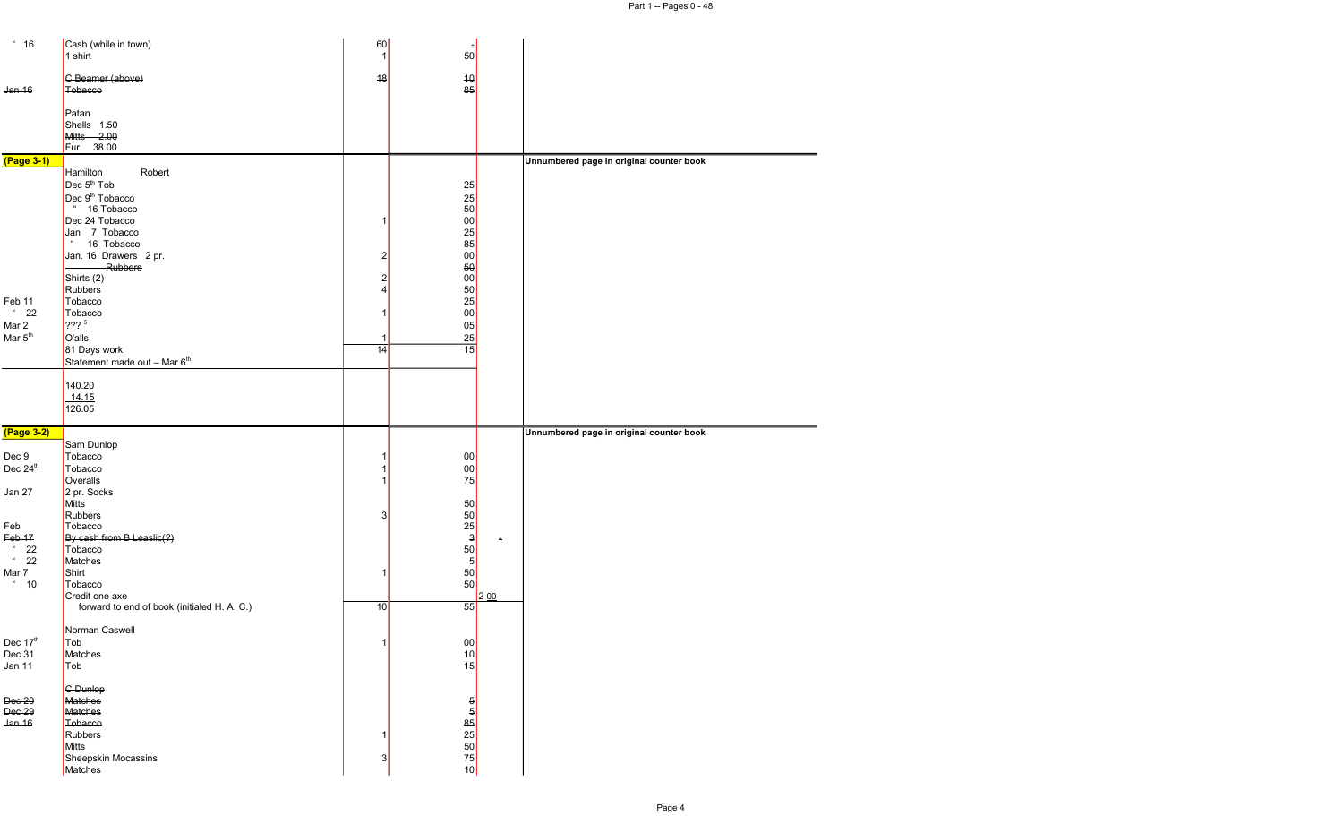| " 16                                                           | Cash (while in town)<br>1 shirt                                                                                                                                                                                                                                                                                 | 60                                                                           | 50                                                                                                     |                          |                                          |
|----------------------------------------------------------------|-----------------------------------------------------------------------------------------------------------------------------------------------------------------------------------------------------------------------------------------------------------------------------------------------------------------|------------------------------------------------------------------------------|--------------------------------------------------------------------------------------------------------|--------------------------|------------------------------------------|
| <del>Jan 16</del>                                              | C Beamer (above)<br><b>Tobacco</b>                                                                                                                                                                                                                                                                              | 48                                                                           | 40<br>85                                                                                               |                          |                                          |
|                                                                | Patan<br>Shells 1.50<br>Mitts 2.00<br>Fur 38.00                                                                                                                                                                                                                                                                 |                                                                              |                                                                                                        |                          |                                          |
| (Page 3-1)<br>Feb 11<br>$"$ 22<br>Mar 2<br>Mar 5 <sup>th</sup> | Hamilton<br>Robert<br>Dec 5 <sup>th</sup> Tob<br>Dec 9 <sup>th</sup> Tobacco<br>" 16 Tobacco<br>Dec 24 Tobacco<br>Jan 7 Tobacco<br>16 Tobacco<br>Jan. 16 Drawers 2 pr.<br>Rubbers<br>Shirts (2)<br>Rubbers<br>Tobacco<br>Tobacco<br>??? 5<br>O'alls<br>81 Days work<br>Statement made out - Mar 6 <sup>th</sup> | 1<br>$\mathbf{2}$<br>$\mathbf{2}$<br>$\overline{4}$<br>-1<br>$\overline{14}$ | 25<br>25<br>50<br>$00\,$<br>25<br>85<br>$00\,$<br>50<br>$00\,$<br>50<br>25<br>$00\,$<br>05<br>25<br>15 |                          | Unnumbered page in original counter book |
|                                                                | 140.20<br>14.15<br>126.05                                                                                                                                                                                                                                                                                       |                                                                              |                                                                                                        |                          |                                          |
| (Page 3-2)                                                     |                                                                                                                                                                                                                                                                                                                 |                                                                              |                                                                                                        |                          | Unnumbered page in original counter book |
| Dec 9<br>Dec 24 <sup>th</sup><br>Jan 27                        | Sam Dunlop<br>Tobacco<br>Tobacco<br>Overalls<br>2 pr. Socks<br>Mitts                                                                                                                                                                                                                                            | 1                                                                            | $00\,$<br>$00\,$<br>75<br>50                                                                           |                          |                                          |
| Feb<br>Feb 17<br>$"$ 22<br>" $22$                              | Rubbers<br>Tobacco<br>By cash from B Leaslic(?)<br>Tobacco<br>Matches                                                                                                                                                                                                                                           | 3                                                                            | 50<br>$\frac{25}{3}$<br>$\begin{bmatrix} 50 \\ 5 \end{bmatrix}$                                        | $\overline{\phantom{a}}$ |                                          |
| Mar 7<br>$"$ 10                                                | Shirt<br>Tobacco<br>Credit one axe<br>forward to end of book (initialed H. A. C.)                                                                                                                                                                                                                               | 1<br>10                                                                      | 50<br>50<br>55                                                                                         | 200                      |                                          |
| Dec 17th<br>Dec 31<br>Jan 11                                   | Norman Caswell<br>Tob<br>Matches<br>Tob                                                                                                                                                                                                                                                                         | $\mathbf 1$                                                                  | $00\,$<br>10<br>15                                                                                     |                          |                                          |
| <b>Dec 20</b><br><b>Dec 29</b><br>Jan <sub>16</sub>            | G-Dunlop<br>Matches<br>Matches<br><b>Tobacco</b><br>Rubbers<br>Mitts<br>Sheepskin Mocassins                                                                                                                                                                                                                     | -1<br> 3                                                                     | $\frac{5}{5}$<br>85<br>$\begin{array}{c} 25 \\ 50 \end{array}$<br>75<br>10                             |                          |                                          |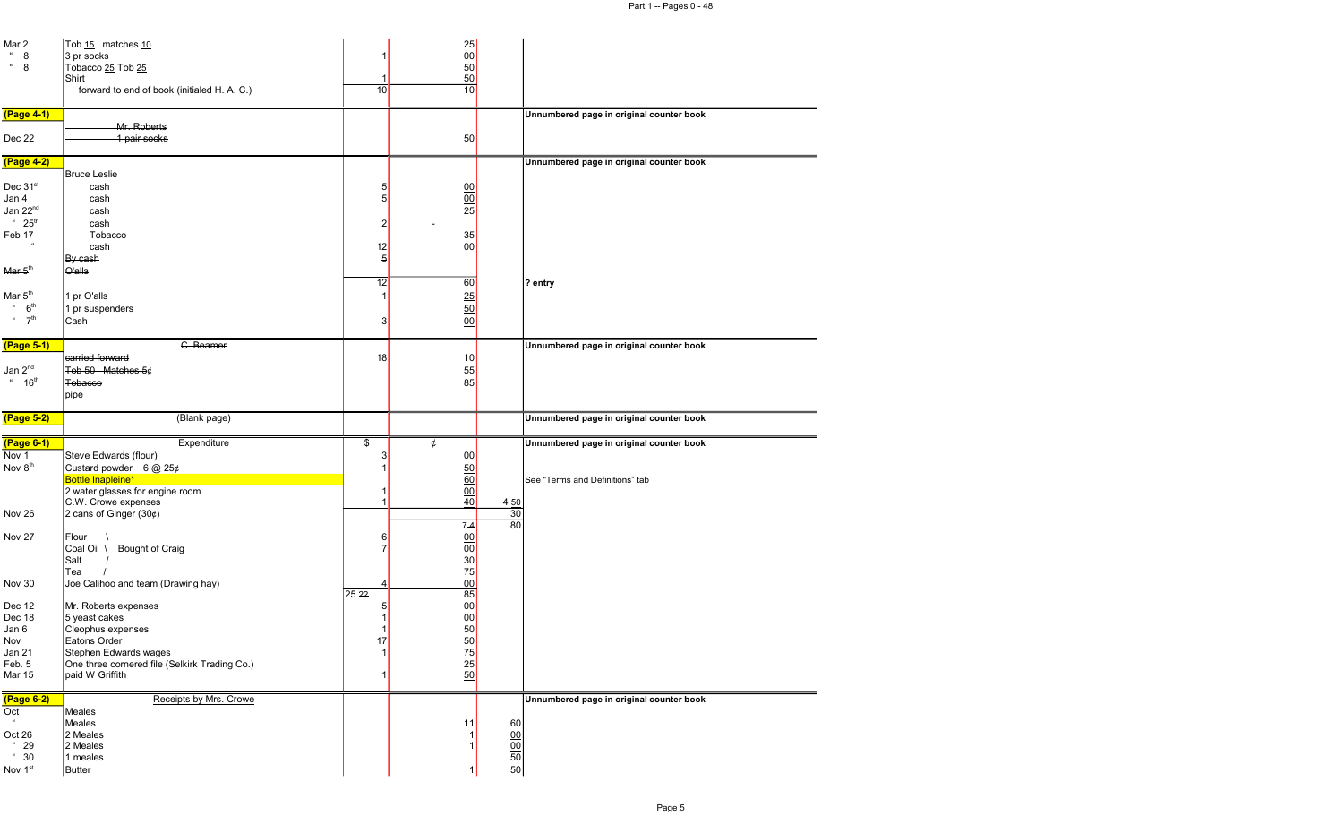| Mar 2                                          | Tob 15 matches 10                             |                       | 25                          |                       |                                          |
|------------------------------------------------|-----------------------------------------------|-----------------------|-----------------------------|-----------------------|------------------------------------------|
| 8                                              | 3 pr socks                                    |                       | 00                          |                       |                                          |
| $\alpha$<br>8                                  | Tobacco 25 Tob 25                             |                       | 50                          |                       |                                          |
|                                                | Shirt                                         |                       | 50                          |                       |                                          |
|                                                | forward to end of book (initialed H. A. C.)   | 10                    | 10                          |                       |                                          |
|                                                |                                               |                       |                             |                       |                                          |
| (Page 4-1)                                     |                                               |                       |                             |                       | Unnumbered page in original counter book |
|                                                | Mr. Roberts                                   |                       |                             |                       |                                          |
| Dec 22                                         | 1 pair socks                                  |                       | 50                          |                       |                                          |
|                                                |                                               |                       |                             |                       |                                          |
| (Page 4-2)                                     |                                               |                       |                             |                       | Unnumbered page in original counter book |
|                                                | <b>Bruce Leslie</b>                           |                       |                             |                       |                                          |
| Dec 31 <sup>st</sup>                           | cash                                          | $5\vert$              | 00                          |                       |                                          |
| Jan 4                                          | cash                                          | $5\vert$              | 00                          |                       |                                          |
| Jan 22nd                                       | cash                                          |                       | 25                          |                       |                                          |
| $25^{\text{th}}$<br>$\mathfrak{c}\mathfrak{c}$ | cash                                          | $\overline{2}$        |                             |                       |                                          |
| Feb 17                                         | Tobacco                                       |                       | 35                          |                       |                                          |
|                                                | cash                                          | 12                    | 00                          |                       |                                          |
|                                                | By cash                                       | 5                     |                             |                       |                                          |
| Mar 5 <sup>th</sup>                            | O'alls                                        |                       |                             |                       |                                          |
|                                                |                                               | 12                    | 60                          |                       | ? entry                                  |
| Mar 5 <sup>th</sup>                            | 1 pr O'alls                                   | 1                     |                             |                       |                                          |
| $\epsilon\epsilon$<br>6 <sup>th</sup>          | 1 pr suspenders                               |                       | $\frac{25}{50}$             |                       |                                          |
| $4$ $7th$                                      | Cash                                          |                       |                             |                       |                                          |
|                                                |                                               | 3                     | 00                          |                       |                                          |
|                                                | C. Beamer                                     |                       |                             |                       | Unnumbered page in original counter book |
| (Page 5-1)                                     | carried forward                               | 18                    | $10$                        |                       |                                          |
| Jan $2^{nd}$                                   | Tob 50 Matches 5¢                             |                       |                             |                       |                                          |
|                                                |                                               |                       | 55                          |                       |                                          |
| " 16 <sup>th</sup>                             | <b>Tobacco</b>                                |                       | 85                          |                       |                                          |
|                                                | pipe                                          |                       |                             |                       |                                          |
|                                                |                                               |                       |                             |                       |                                          |
|                                                |                                               |                       |                             |                       |                                          |
| (Page 5-2)                                     | (Blank page)                                  |                       |                             |                       | Unnumbered page in original counter book |
|                                                |                                               |                       |                             |                       |                                          |
| (Page 6-1)                                     | Expenditure                                   | $\boldsymbol{\theta}$ | ¢                           |                       | Unnumbered page in original counter book |
| Nov 1                                          | Steve Edwards (flour)                         | 3                     | 00                          |                       |                                          |
| Nov 8 <sup>th</sup>                            | Custard powder $6@25¢$                        |                       | 50                          |                       |                                          |
|                                                | Bottle Inapleine*                             |                       |                             |                       | See "Terms and Definitions" tab          |
|                                                | 2 water glasses for engine room               | 1                     |                             |                       |                                          |
|                                                | C.W. Crowe expenses                           | 1                     | $\frac{60}{\underline{00}}$ | 4 50                  |                                          |
| Nov 26                                         | 2 cans of Ginger $(30¢)$                      |                       |                             | 30                    |                                          |
|                                                |                                               |                       | $7-4$                       | 80                    |                                          |
| Nov 27                                         | Flour<br>$\sqrt{2}$                           | 6                     | 00                          |                       |                                          |
|                                                | Coal Oil \<br><b>Bought of Craig</b>          | $\overline{7}$        |                             |                       |                                          |
|                                                | Salt<br>Tea                                   |                       | $\frac{00}{30}$             |                       |                                          |
|                                                |                                               | 4                     | 75                          |                       |                                          |
| <b>Nov 30</b>                                  | Joe Calihoo and team (Drawing hay)            | 25 22                 | 00<br>85                    |                       |                                          |
| Dec 12                                         | Mr. Roberts expenses                          | 5 <sup>1</sup>        | 00                          |                       |                                          |
| Dec 18                                         | 5 yeast cakes                                 | 1                     | 00                          |                       |                                          |
| Jan 6                                          |                                               |                       | 50                          |                       |                                          |
| Nov                                            | Cleophus expenses<br>Eatons Order             | 17                    | 50                          |                       |                                          |
| Jan 21                                         | Stephen Edwards wages                         | 1                     |                             |                       |                                          |
| Feb. 5                                         | One three cornered file (Selkirk Trading Co.) |                       |                             |                       |                                          |
| Mar 15                                         | paid W Griffith                               | 1                     | $\frac{75}{25}$             |                       |                                          |
|                                                |                                               |                       |                             |                       |                                          |
| (Page 6-2)                                     | Receipts by Mrs. Crowe                        |                       |                             |                       | Unnumbered page in original counter book |
| Oct                                            | Meales                                        |                       |                             |                       |                                          |
| $\alpha$                                       | Meales                                        |                       | 11                          | 60                    |                                          |
| Oct 26                                         | 2 Meales                                      |                       |                             |                       |                                          |
| $\mathfrak{c}\mathfrak{c}$<br>29               | 2 Meales                                      |                       |                             |                       |                                          |
| " $30$<br>Nov 1st                              | 1 meales<br><b>Butter</b>                     |                       |                             | $\frac{00}{00}$<br>50 |                                          |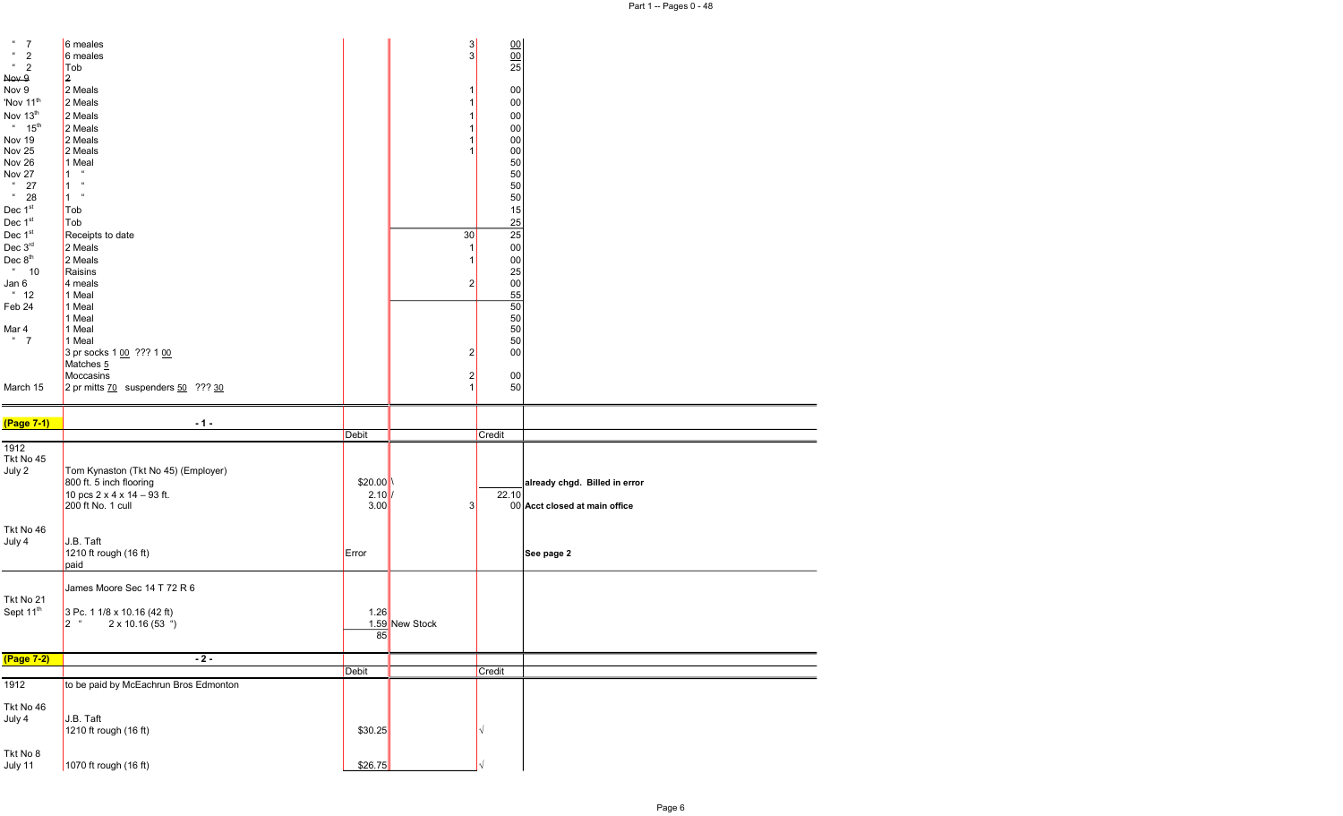| $\mathfrak{c}\mathfrak{c}$<br>$\overline{7}$  | 6 meales                               |         | 3 <sup>2</sup> | $\frac{00}{00}$ $\frac{0}{25}$ |                               |
|-----------------------------------------------|----------------------------------------|---------|----------------|--------------------------------|-------------------------------|
| $\alpha$<br>$\overline{2}$                    | 6 meales                               |         | $\overline{3}$ |                                |                               |
| $\boldsymbol{\mathfrak{c}}$<br>$\overline{2}$ | Tob                                    |         |                |                                |                               |
| Nov 9                                         | 2                                      |         |                |                                |                               |
| Nov 9                                         | 2 Meals                                |         |                | 00                             |                               |
| 'Nov 11 <sup>th</sup>                         | 2 Meals                                |         |                | $00\,$                         |                               |
| Nov 13th                                      | 2 Meals                                |         |                | $00\,$                         |                               |
| 15 <sup>th</sup><br>$\boldsymbol{\mu}$        | 2 Meals                                |         |                | ${\bf 00}$                     |                               |
| Nov 19                                        | 2 Meals                                |         |                | 00                             |                               |
| Nov 25                                        | 2 Meals                                |         |                | $00\,$                         |                               |
| Nov 26                                        | 1 Meal                                 |         |                | 50                             |                               |
| Nov 27                                        | 1 <sup>u</sup>                         |         |                | 50                             |                               |
| $\epsilon$<br>27                              | 1 <sup>u</sup>                         |         |                | 50                             |                               |
| $\boldsymbol{\mu}$<br>28                      | 1 <sup>u</sup>                         |         |                | 50                             |                               |
| Dec 1st                                       | Tob                                    |         |                | 15                             |                               |
| Dec 1st                                       | Tob                                    |         |                | 25                             |                               |
| Dec 1 <sup>st</sup>                           | Receipts to date                       |         | 30             | 25                             |                               |
| Dec 3rd                                       | 2 Meals                                |         |                | ${\bf 00}$                     |                               |
| Dec 8 <sup>th</sup>                           | 2 Meals                                |         |                | ${\bf 00}$                     |                               |
| 10<br>$\,$ $\,$ $\,$ $\,$                     | Raisins                                |         |                | 25                             |                               |
| Jan 6                                         | 4 meals                                |         | $\overline{2}$ | 00                             |                               |
| " 12                                          | 1 Meal                                 |         |                | 55                             |                               |
| Feb 24                                        | 1 Meal                                 |         |                | 50                             |                               |
|                                               | 1 Meal                                 |         |                | 50                             |                               |
|                                               | 1 Meal                                 |         |                | 50                             |                               |
| Mar 4<br>" 7                                  | 1 Meal                                 |         |                | 50                             |                               |
|                                               | 3 pr socks 1 00 ??? 1 00               |         | $\overline{2}$ | $00\,$                         |                               |
|                                               | Matches 5                              |         |                |                                |                               |
|                                               | Moccasins                              |         | $\mathbf{2}$   | $00\,$                         |                               |
| March 15                                      | 2 pr mitts 70 suspenders 50 ??? 30     |         | 1              | 50                             |                               |
|                                               |                                        |         |                |                                |                               |
|                                               |                                        |         |                |                                |                               |
|                                               |                                        |         |                |                                |                               |
| (Page 7-1)                                    | $-1-$                                  |         |                |                                |                               |
|                                               |                                        | Debit   |                | Credit                         |                               |
| 1912                                          |                                        |         |                |                                |                               |
| Tkt No 45                                     |                                        |         |                |                                |                               |
| July 2                                        | Tom Kynaston (Tkt No 45) (Employer)    |         |                |                                |                               |
|                                               | 800 ft. 5 inch flooring                | \$20.00 |                |                                | already chgd. Billed in error |
|                                               | 10 pcs $2 \times 4 \times 14 - 93$ ft. | 2.10    |                | 22.10                          |                               |
|                                               | 200 ft No. 1 cull                      | 3.00    | 3              |                                | 00 Acct closed at main office |
|                                               |                                        |         |                |                                |                               |
| Tkt No 46                                     |                                        |         |                |                                |                               |
| July 4                                        | J.B. Taft                              |         |                |                                |                               |
|                                               | 1210 ft rough (16 ft)                  | Error   |                |                                | See page 2                    |
|                                               | paid                                   |         |                |                                |                               |
|                                               | James Moore Sec 14 T 72 R 6            |         |                |                                |                               |
| Tkt No 21                                     |                                        |         |                |                                |                               |
|                                               |                                        |         |                |                                |                               |
| Sept 11 <sup>th</sup>                         | 3 Pc. 1 1/8 x 10.16 (42 ft)            | 1.26    |                |                                |                               |
|                                               | $ 2$ "<br>2 x 10.16 (53 ")             | 85      | 1.59 New Stock |                                |                               |
|                                               |                                        |         |                |                                |                               |
| (Page 7-2)                                    | $-2-$                                  |         |                |                                |                               |
|                                               |                                        | Debit   |                | Credit                         |                               |
| 1912                                          | to be paid by McEachrun Bros Edmonton  |         |                |                                |                               |
|                                               |                                        |         |                |                                |                               |
|                                               |                                        |         |                |                                |                               |
| Tkt No 46<br>July 4                           | J.B. Taft                              |         |                |                                |                               |
|                                               | 1210 ft rough (16 ft)                  | \$30.25 |                | √                              |                               |
|                                               |                                        |         |                |                                |                               |
| Tkt No 8<br>July 11                           | 1070 ft rough $(16 ft)$                | \$26.75 |                |                                |                               |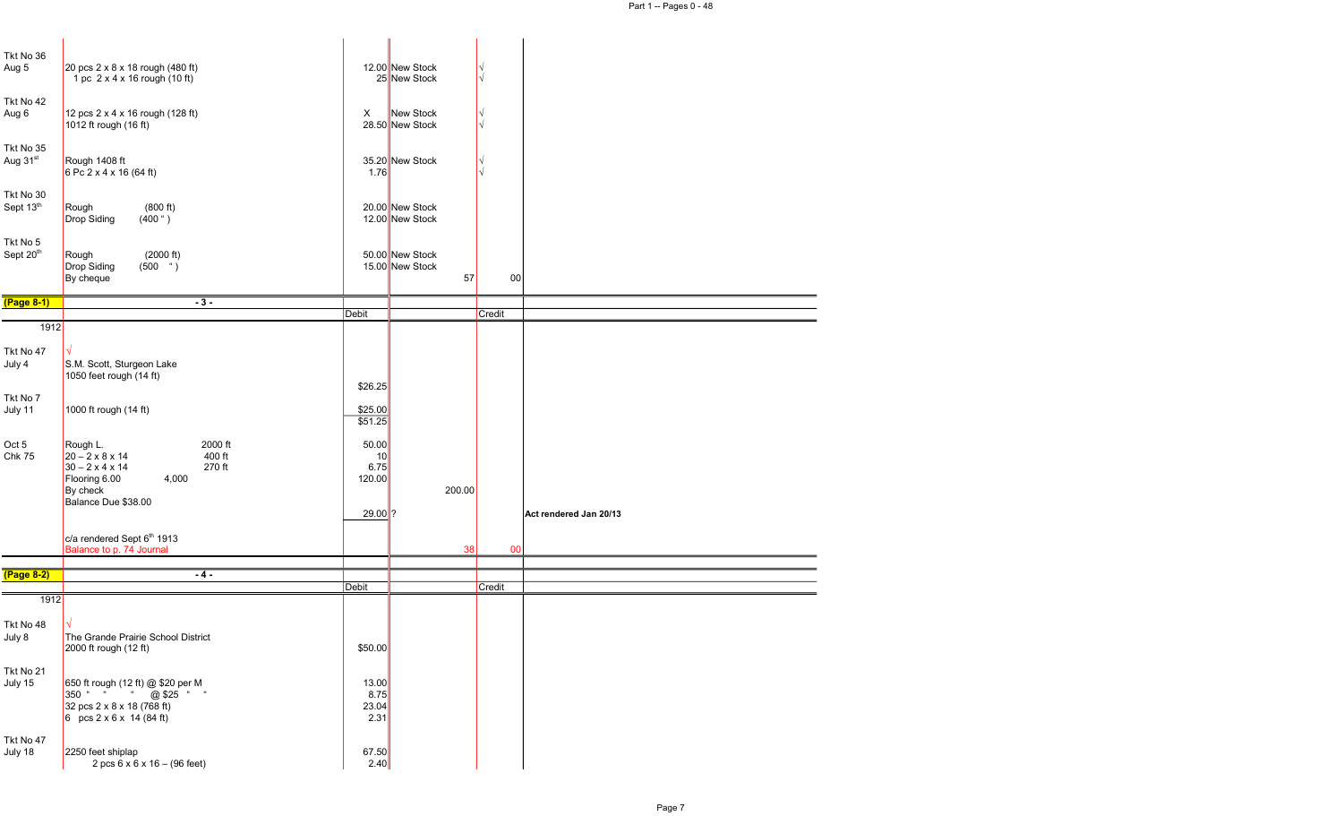## Part 1 -- Pages 0 - 48

| Tkt No 36             |                                                                                |               |                              |           |                        |
|-----------------------|--------------------------------------------------------------------------------|---------------|------------------------------|-----------|------------------------|
| Aug 5                 | 20 pcs 2 x 8 x 18 rough (480 ft)                                               |               | 12.00 New Stock              |           |                        |
|                       | 1 pc 2 x 4 x 16 rough (10 ft)                                                  |               | 25 New Stock                 | $\sqrt{}$ |                        |
| Tkt No 42             |                                                                                |               |                              |           |                        |
| Aug 6                 | 12 pcs 2 x 4 x 16 rough (128 ft)<br>1012 ft rough (16 ft)                      | X             | New Stock<br>28.50 New Stock |           |                        |
|                       |                                                                                |               |                              |           |                        |
| Tkt No 35<br>Aug 31st | Rough 1408 ft                                                                  |               | 35.20 New Stock              |           |                        |
|                       | 6 Pc 2 x 4 x 16 (64 ft)                                                        | 1.76          |                              |           |                        |
| Tkt No 30             |                                                                                |               |                              |           |                        |
| Sept 13 <sup>th</sup> | (800 ft)<br>Rough                                                              |               | 20.00 New Stock              |           |                        |
|                       | $(400$ ")<br>Drop Siding                                                       |               | 12.00 New Stock              |           |                        |
| Tkt No 5              |                                                                                |               |                              |           |                        |
| Sept 20 <sup>th</sup> | Rough<br>(2000 ft)                                                             |               | 50.00 New Stock              |           |                        |
|                       | Drop Siding<br>$(500$ ")<br>By cheque                                          |               | 15.00 New Stock<br>57        | 00        |                        |
|                       |                                                                                |               |                              |           |                        |
| (Page 8-1)            | $-3-$                                                                          | <b>Debit</b>  |                              | Credit    |                        |
| 1912                  |                                                                                |               |                              |           |                        |
| Tkt No 47             |                                                                                |               |                              |           |                        |
| July 4                | S.M. Scott, Sturgeon Lake                                                      |               |                              |           |                        |
|                       | 1050 feet rough (14 ft)                                                        |               |                              |           |                        |
| Tkt No 7              |                                                                                | \$26.25       |                              |           |                        |
| July 11               | 1000 ft rough (14 ft)                                                          | \$25.00       |                              |           |                        |
|                       |                                                                                | \$51.25       |                              |           |                        |
| Oct 5                 | Rough L.<br>2000 ft                                                            | 50.00         |                              |           |                        |
| <b>Chk 75</b>         | $20 - 2 \times 8 \times 14$<br>400 ft<br>$30 - 2 \times 4 \times 14$<br>270 ft | 10<br>6.75    |                              |           |                        |
|                       | Flooring 6.00<br>4,000                                                         | 120.00        |                              |           |                        |
|                       | By check<br>Balance Due \$38.00                                                |               | 200.00                       |           |                        |
|                       |                                                                                | $29.00$ ?     |                              |           | Act rendered Jan 20/13 |
|                       | c/a rendered Sept 6th 1913                                                     |               |                              |           |                        |
|                       | Balance to p. 74 Journal                                                       |               | 38                           | 00        |                        |
|                       | $-4-$                                                                          |               |                              |           |                        |
| (Page 8-2)            |                                                                                | Debit         |                              | Credit    |                        |
| 1912                  |                                                                                |               |                              |           |                        |
| Tkt No 48             |                                                                                |               |                              |           |                        |
| July 8                | The Grande Prairie School District                                             |               |                              |           |                        |
|                       | 2000 ft rough (12 ft)                                                          | \$50.00       |                              |           |                        |
| Tkt No 21             |                                                                                |               |                              |           |                        |
| July 15               | 650 ft rough (12 ft) @ \$20 per M<br>350 " " @ \$25 " "                        | 13.00<br>8.75 |                              |           |                        |
|                       | 32 pcs 2 x 8 x 18 (768 ft)                                                     | 23.04         |                              |           |                        |
|                       | 6 $pcs 2 \times 6 \times 14 (84 ft)$                                           | 2.31          |                              |           |                        |
| Tkt No 47             |                                                                                |               |                              |           |                        |
| July 18               | 2250 feet shiplap                                                              | 67.50         |                              |           |                        |
|                       | $2 pcs 6 x 6 x 16 - (96 feet)$                                                 | 2.40          |                              |           |                        |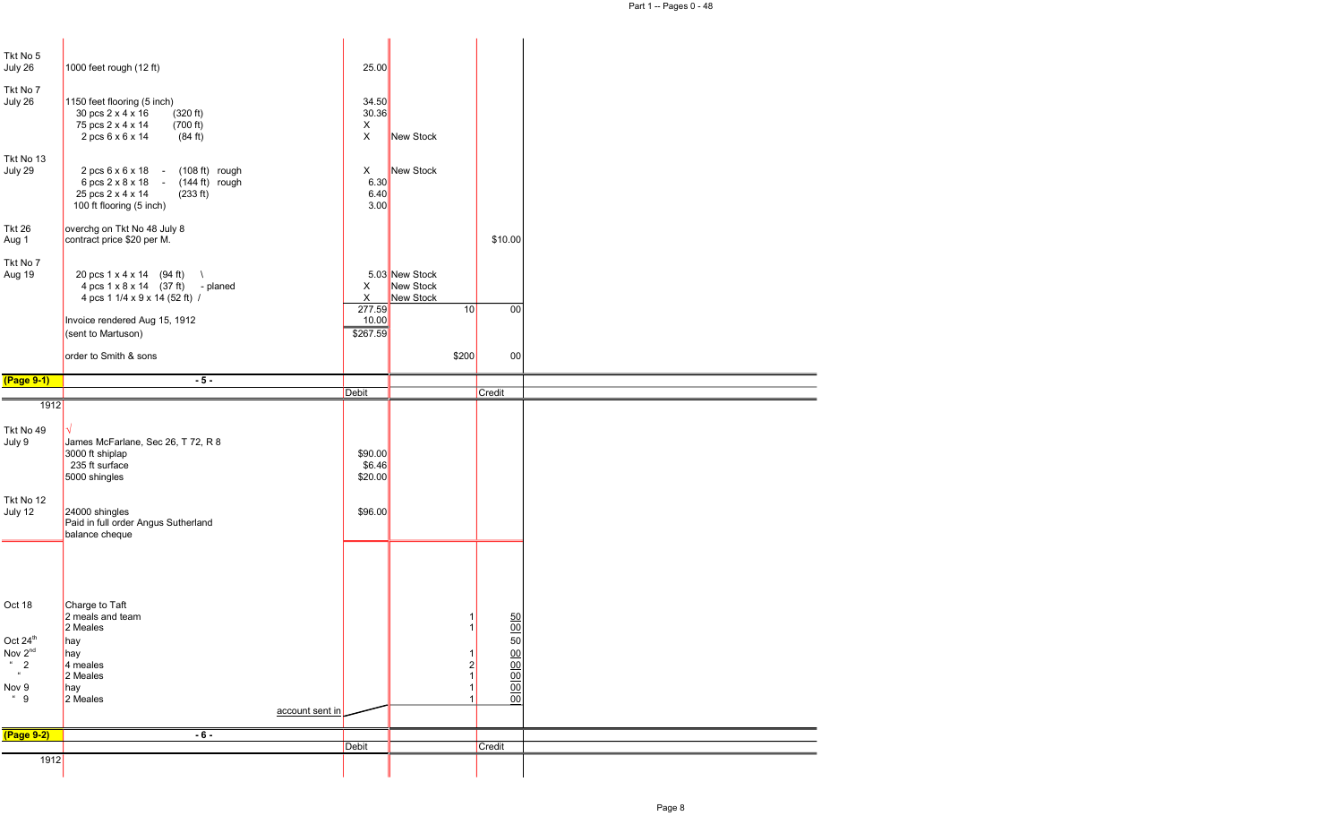| Tkt No 5<br>July 26<br>Tkt No 7 |                                                              |                       |                |       |                 |  |
|---------------------------------|--------------------------------------------------------------|-----------------------|----------------|-------|-----------------|--|
|                                 |                                                              |                       |                |       |                 |  |
|                                 | 1000 feet rough (12 ft)                                      | 25.00                 |                |       |                 |  |
| July 26                         | 1150 feet flooring (5 inch)                                  | 34.50                 |                |       |                 |  |
|                                 | 30 pcs 2 x 4 x 16<br>(320 ft)                                | 30.36                 |                |       |                 |  |
|                                 | 75 pcs 2 x 4 x 14<br>(700 ft)<br>2 pcs 6 x 6 x 14<br>(84 ft) | X<br>X                | New Stock      |       |                 |  |
|                                 |                                                              |                       |                |       |                 |  |
| Tkt No 13<br>July 29            | $(108 ft)$ rough<br>$2 pcs 6 x 6 x 18 -$                     | $\mathsf X$           | New Stock      |       |                 |  |
|                                 | 6 pcs 2 x 8 x 18 - (144 ft) rough                            | 6.30                  |                |       |                 |  |
|                                 | 25 pcs 2 x 4 x 14<br>(233 ft)                                | 6.40                  |                |       |                 |  |
|                                 | 100 ft flooring (5 inch)                                     | 3.00                  |                |       |                 |  |
| <b>Tkt 26</b>                   | overchg on Tkt No 48 July 8<br>contract price \$20 per M.    |                       |                |       | \$10.00         |  |
| Aug 1                           |                                                              |                       |                |       |                 |  |
| Tkt No 7<br>Aug 19              | 20 pcs 1 x 4 x 14 (94 ft)<br>$\lambda$                       |                       | 5.03 New Stock |       |                 |  |
|                                 | 4 pcs 1 x 8 x 14 (37 ft) - planed                            | Х                     | New Stock      |       |                 |  |
|                                 | 4 pcs 1 1/4 x 9 x 14 (52 ft) /                               | $\mathsf X$<br>277.59 | New Stock      | 10    | 00              |  |
|                                 | Invoice rendered Aug 15, 1912                                | 10.00                 |                |       |                 |  |
|                                 | (sent to Martuson)                                           | \$267.59              |                |       |                 |  |
|                                 | order to Smith & sons                                        |                       |                | \$200 | 00              |  |
| (Page 9-1)                      | $-5-$                                                        |                       |                |       |                 |  |
|                                 |                                                              | Debit                 |                |       | Credit          |  |
| 1912                            |                                                              |                       |                |       |                 |  |
| Tkt No 49                       |                                                              |                       |                |       |                 |  |
| July 9                          | James McFarlane, Sec 26, T 72, R 8                           |                       |                |       |                 |  |
|                                 | 3000 ft shiplap<br>235 ft surface                            | \$90.00<br>\$6.46     |                |       |                 |  |
|                                 | 5000 shingles                                                | \$20.00               |                |       |                 |  |
| Tkt No 12                       |                                                              |                       |                |       |                 |  |
| July 12                         | 24000 shingles                                               | \$96.00               |                |       |                 |  |
|                                 | Paid in full order Angus Sutherland                          |                       |                |       |                 |  |
|                                 | balance cheque                                               |                       |                |       |                 |  |
|                                 |                                                              |                       |                |       |                 |  |
|                                 |                                                              |                       |                |       |                 |  |
|                                 |                                                              |                       |                |       |                 |  |
|                                 | Charge to Taft                                               |                       |                |       | $\frac{50}{00}$ |  |
| Oct 18                          | 2 meals and team                                             |                       |                |       |                 |  |
|                                 | 2 Meales                                                     |                       |                |       |                 |  |
| Oct 24 <sup>th</sup>            | hay                                                          |                       |                |       | $50\,$          |  |
| Nov $2^{\rm nd}$<br>" 2         | hay<br>4 meales                                              |                       |                |       | 00              |  |
| $\alpha$                        | 2 Meales                                                     |                       |                |       |                 |  |
| Nov 9<br>" 9                    | hay<br>2 Meales                                              |                       |                |       | 8888            |  |
|                                 | account sent in                                              |                       |                |       |                 |  |
| (Page 9-2)                      | $-6-$                                                        | Debit                 |                |       | Credit          |  |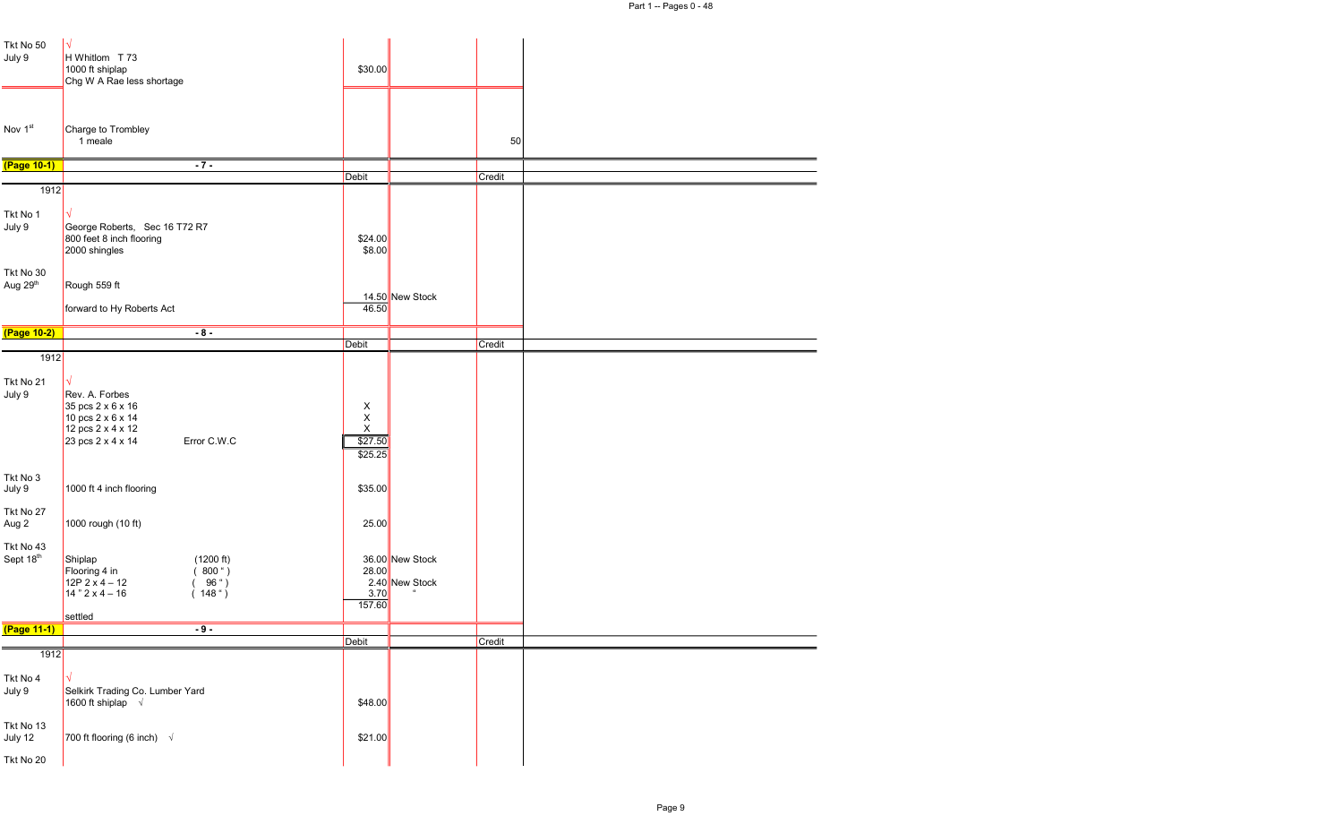| Tkt No 50<br>July 9    | $\overline{\vee}$<br>H Whitlom T 73<br>1000 ft shiplap                                                                  | \$30.00                                               |                                   |        |  |
|------------------------|-------------------------------------------------------------------------------------------------------------------------|-------------------------------------------------------|-----------------------------------|--------|--|
|                        | Chg W A Rae less shortage                                                                                               |                                                       |                                   |        |  |
| Nov 1st                | Charge to Trombley<br>1 meale                                                                                           |                                                       |                                   | 50     |  |
| (Page 10-1)            | $-7-$                                                                                                                   |                                                       |                                   |        |  |
|                        |                                                                                                                         | Debit                                                 |                                   | Credit |  |
| 1912                   |                                                                                                                         |                                                       |                                   |        |  |
| Tkt No 1<br>July 9     | George Roberts, Sec 16 T72 R7<br>800 feet 8 inch flooring<br>2000 shingles                                              | \$24.00<br>\$8.00                                     |                                   |        |  |
| Tkt No 30<br>Aug 29th  | Rough 559 ft<br>forward to Hy Roberts Act                                                                               | 46.50                                                 | 14.50 New Stock                   |        |  |
| (Page 10-2)            | $-8-$                                                                                                                   |                                                       |                                   |        |  |
|                        |                                                                                                                         | <b>Debit</b>                                          |                                   | Credit |  |
| 1912                   |                                                                                                                         |                                                       |                                   |        |  |
| Tkt No 21<br>July 9    | Rev. A. Forbes<br>35 pcs 2 x 6 x 16<br>10 pcs 2 x 6 x 14<br>12 pcs 2 x 4 x 12<br>23 pcs 2 x 4 x 14<br>Error C.W.C       | X<br>$\mathsf X$<br>$\mathsf X$<br>\$27.50<br>\$25.25 |                                   |        |  |
| Tkt No 3<br>July 9     | 1000 ft 4 inch flooring                                                                                                 | \$35.00                                               |                                   |        |  |
| Tkt No 27<br>Aug 2     | 1000 rough (10 ft)                                                                                                      | 25.00                                                 |                                   |        |  |
| Tkt No 43<br>Sept 18th | Shiplap<br>(1200 ft)<br>Flooring 4 in<br>800 ")<br>$12P 2 x 4 - 12$<br>96 ")<br>$14"$ 2 x 4 - 16<br>(148 <sup>u</sup> ) | 28.00<br>3.70<br>157.60                               | 36.00 New Stock<br>2.40 New Stock |        |  |
|                        | settled                                                                                                                 |                                                       |                                   |        |  |
| (Page 11-1)            | - 9 -                                                                                                                   | <b>Debit</b>                                          |                                   | Credit |  |
| 1912                   |                                                                                                                         |                                                       |                                   |        |  |
| Tkt No 4<br>July 9     | Selkirk Trading Co. Lumber Yard<br>1600 ft shiplap $\sqrt{ }$                                                           | \$48.00                                               |                                   |        |  |
| Tkt No 13<br>July 12   | 700 ft flooring (6 inch) $\sqrt{ }$                                                                                     | \$21.00                                               |                                   |        |  |
| Tkt No 20              |                                                                                                                         |                                                       |                                   |        |  |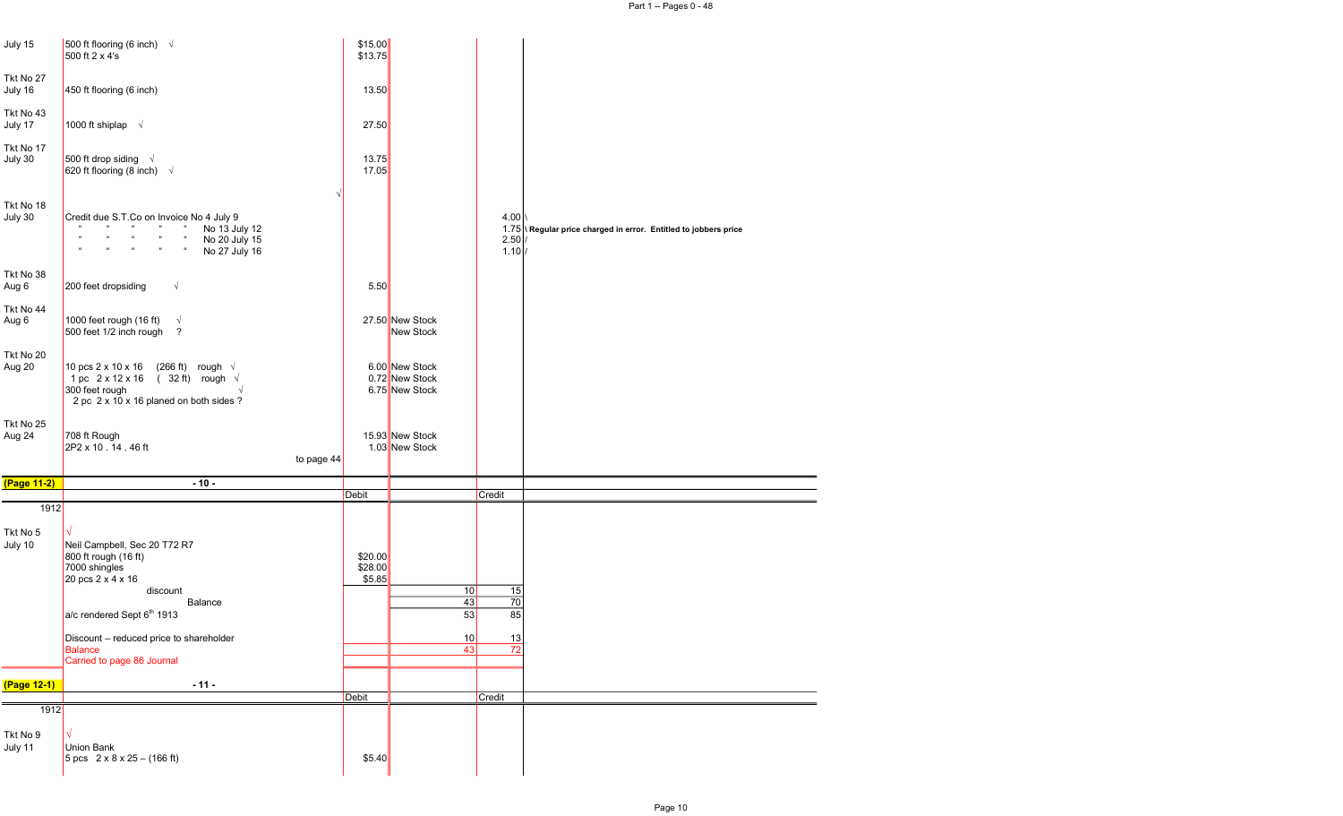| July 15              | 500 ft flooring (6 inch) $\sqrt{ }$<br>500 ft 2 x 4's                                                                                                                                                  | \$15.00<br>\$13.75           |                                                    |                                   |                                                                   |
|----------------------|--------------------------------------------------------------------------------------------------------------------------------------------------------------------------------------------------------|------------------------------|----------------------------------------------------|-----------------------------------|-------------------------------------------------------------------|
| Tkt No 27<br>July 16 | 450 ft flooring (6 inch)                                                                                                                                                                               | 13.50                        |                                                    |                                   |                                                                   |
| Tkt No 43<br>July 17 | 1000 ft shiplap $\sqrt{ }$                                                                                                                                                                             | 27.50                        |                                                    |                                   |                                                                   |
| Tkt No 17<br>July 30 | 500 ft drop siding $\sqrt{ }$<br>620 ft flooring (8 inch) $\sqrt{ }$                                                                                                                                   | 13.75<br>17.05               |                                                    |                                   |                                                                   |
| Tkt No 18<br>July 30 | V<br>Credit due S.T.Co on Invoice No 4 July 9<br>$\mathfrak{c}\mathfrak{c}$<br>No 13 July 12<br>$\alpha$<br>$\mathfrak{c}\mathfrak{c}$<br>No 20 July 15<br>$\alpha$<br>$\mathfrak{g}$<br>No 27 July 16 |                              |                                                    | $4.00$ $\sqrt{ }$<br>2.50<br>1.10 | 1.75  \ Regular price charged in error. Entitled to jobbers price |
| Tkt No 38<br>Aug 6   | 200 feet dropsiding<br>$\sqrt{ }$                                                                                                                                                                      | 5.50                         |                                                    |                                   |                                                                   |
| Tkt No 44<br>Aug 6   | 1000 feet rough (16 ft)<br>$\sqrt{ }$<br>500 feet 1/2 inch rough ?                                                                                                                                     |                              | 27.50 New Stock<br>New Stock                       |                                   |                                                                   |
| Tkt No 20<br>Aug 20  | 10 pcs 2 x 10 x 16<br>(266 ft)<br>rough $\sqrt{ }$<br>1 pc 2 x 12 x 16<br>(32 ft) rough $\sqrt{ }$<br>300 feet rough<br>2 pc 2 x 10 x 16 planed on both sides ?                                        |                              | 6.00 New Stock<br>0.72 New Stock<br>6.75 New Stock |                                   |                                                                   |
| Tkt No 25<br>Aug 24  | 708 ft Rough<br>2P2 x 10 . 14 . 46 ft<br>to page 44                                                                                                                                                    |                              | 15.93 New Stock<br>1.03 New Stock                  |                                   |                                                                   |
| (Page 11-2)          | $-10 -$                                                                                                                                                                                                |                              |                                                    |                                   |                                                                   |
| 1912                 |                                                                                                                                                                                                        | Debit                        |                                                    | Credit                            |                                                                   |
| Tkt No 5<br>July 10  | Neil Campbell, Sec 20 T72 R7<br>800 ft rough (16 ft)<br>7000 shingles<br>20 pcs 2 x 4 x 16<br>discount                                                                                                 | \$20.00<br>\$28.00<br>\$5.85 | 10                                                 | 15                                |                                                                   |
|                      | Balance                                                                                                                                                                                                |                              | 43                                                 | $\overline{70}$                   |                                                                   |
|                      | a/c rendered Sept 6th 1913                                                                                                                                                                             |                              | 53                                                 | 85                                |                                                                   |
|                      | Discount - reduced price to shareholder                                                                                                                                                                |                              | 10                                                 | 13                                |                                                                   |
|                      | Balance<br>Carried to page 86 Journal                                                                                                                                                                  |                              | 43                                                 | 72                                |                                                                   |
| (Page 12-1)          | $-11 -$                                                                                                                                                                                                |                              |                                                    |                                   |                                                                   |
|                      |                                                                                                                                                                                                        | <b>Debit</b>                 |                                                    | Credit                            |                                                                   |
| 1912                 |                                                                                                                                                                                                        |                              |                                                    |                                   |                                                                   |
|                      |                                                                                                                                                                                                        |                              |                                                    |                                   |                                                                   |
| Tkt No 9<br>July 11  | Union Bank                                                                                                                                                                                             |                              |                                                    |                                   |                                                                   |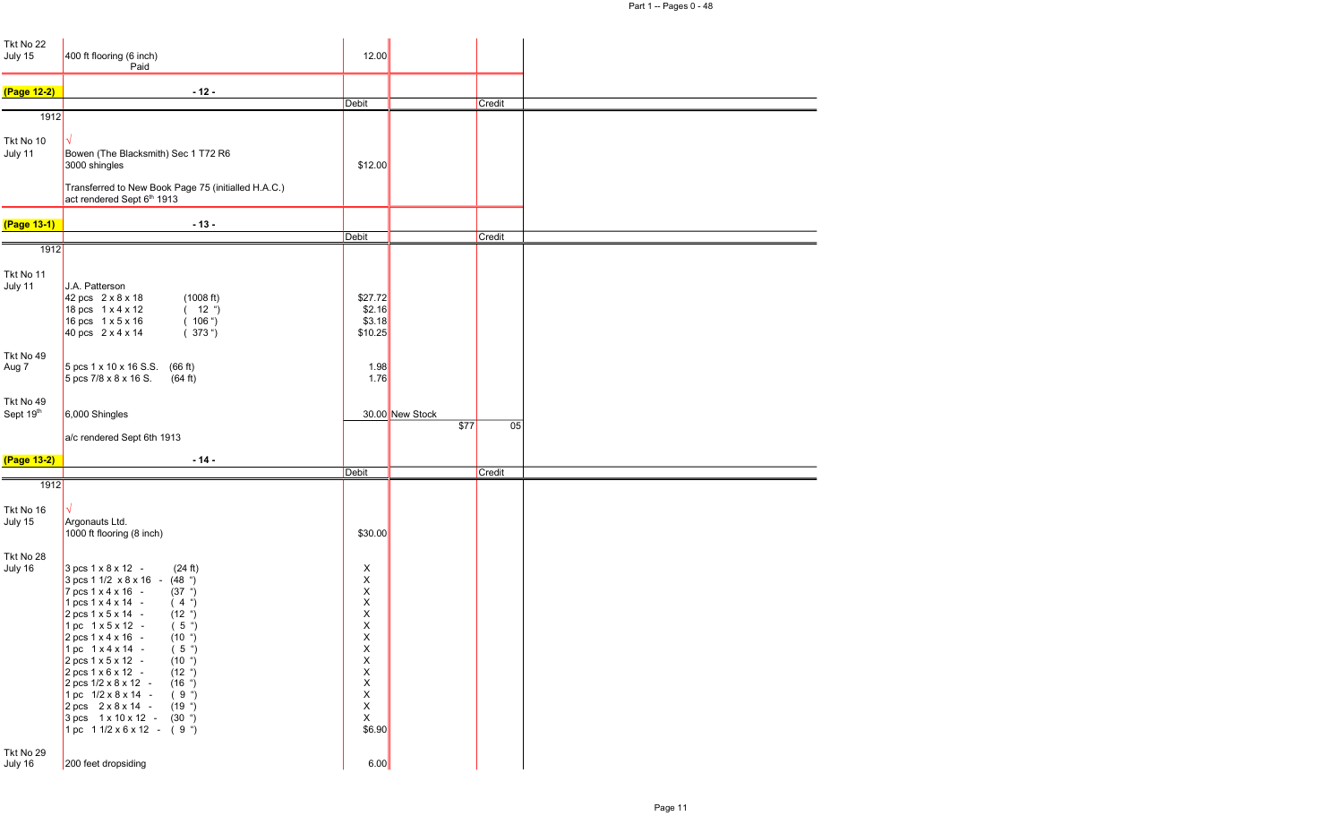| Tkt No 22              |                                                                                                                                                                                                                                                                                                                                                                                                                                                                                                                                                                                                                                         |                                                                              |                 |        |  |
|------------------------|-----------------------------------------------------------------------------------------------------------------------------------------------------------------------------------------------------------------------------------------------------------------------------------------------------------------------------------------------------------------------------------------------------------------------------------------------------------------------------------------------------------------------------------------------------------------------------------------------------------------------------------------|------------------------------------------------------------------------------|-----------------|--------|--|
| July 15                | 400 ft flooring (6 inch)<br>Paid                                                                                                                                                                                                                                                                                                                                                                                                                                                                                                                                                                                                        | 12.00                                                                        |                 |        |  |
| (Page 12-2)            | $-12-$                                                                                                                                                                                                                                                                                                                                                                                                                                                                                                                                                                                                                                  |                                                                              |                 |        |  |
| 1912                   |                                                                                                                                                                                                                                                                                                                                                                                                                                                                                                                                                                                                                                         | Debit                                                                        |                 | Credit |  |
|                        |                                                                                                                                                                                                                                                                                                                                                                                                                                                                                                                                                                                                                                         |                                                                              |                 |        |  |
| Tkt No 10<br>July 11   | Bowen (The Blacksmith) Sec 1 T72 R6<br>3000 shingles                                                                                                                                                                                                                                                                                                                                                                                                                                                                                                                                                                                    | \$12.00                                                                      |                 |        |  |
|                        | Transferred to New Book Page 75 (initialled H.A.C.)<br>act rendered Sept 6th 1913                                                                                                                                                                                                                                                                                                                                                                                                                                                                                                                                                       |                                                                              |                 |        |  |
|                        |                                                                                                                                                                                                                                                                                                                                                                                                                                                                                                                                                                                                                                         |                                                                              |                 |        |  |
| (Page 13-1)            | $-13-$                                                                                                                                                                                                                                                                                                                                                                                                                                                                                                                                                                                                                                  | Debit                                                                        |                 | Credit |  |
| 1912                   |                                                                                                                                                                                                                                                                                                                                                                                                                                                                                                                                                                                                                                         |                                                                              |                 |        |  |
| Tkt No 11<br>July 11   | J.A. Patterson<br>42 pcs 2 x 8 x 18<br>(1008 ft)<br>18 pcs 1 x 4 x 12<br>$12$ ")<br>16 pcs 1 x 5 x 16<br>$106$ ")<br>40 pcs $2 \times 4 \times 14$<br>$373°$ )                                                                                                                                                                                                                                                                                                                                                                                                                                                                          | \$27.72<br>\$2.16<br>\$3.18<br>\$10.25                                       |                 |        |  |
| Tkt No 49<br>Aug 7     | $5$ pcs 1 x 10 x 16 S.S. (66 ft)<br>5 pcs 7/8 x 8 x 16 S.<br>(64 ft)                                                                                                                                                                                                                                                                                                                                                                                                                                                                                                                                                                    | 1.98<br>1.76                                                                 |                 |        |  |
| Tkt No 49<br>Sept 19th | 6,000 Shingles                                                                                                                                                                                                                                                                                                                                                                                                                                                                                                                                                                                                                          |                                                                              | 30.00 New Stock |        |  |
|                        | a/c rendered Sept 6th 1913                                                                                                                                                                                                                                                                                                                                                                                                                                                                                                                                                                                                              |                                                                              | \$77            | 05     |  |
| (Page 13-2)            | $-14-$                                                                                                                                                                                                                                                                                                                                                                                                                                                                                                                                                                                                                                  |                                                                              |                 |        |  |
|                        |                                                                                                                                                                                                                                                                                                                                                                                                                                                                                                                                                                                                                                         | Debit                                                                        |                 | Credit |  |
| 1912                   |                                                                                                                                                                                                                                                                                                                                                                                                                                                                                                                                                                                                                                         |                                                                              |                 |        |  |
| Tkt No 16<br>July 15   | Argonauts Ltd.<br>1000 ft flooring (8 inch)                                                                                                                                                                                                                                                                                                                                                                                                                                                                                                                                                                                             | \$30.00                                                                      |                 |        |  |
| Tkt No 28<br>July 16   | 3 pcs 1 x 8 x 12 -<br>(24 ft)<br>$3$ pcs 1 1/2 $\times$ 8 $\times$ 16 - (48 ")<br>$7$ pcs $1 \times 4 \times 16$ -<br>(37 <sup>''</sup> )<br>1 pcs $1 \times 4 \times 14$ -<br>(4")<br>$2 pcs 1 x 5 x 14 -$<br>$(12)^{n}$<br>$1pc$ 1 x 5 x 12 -<br>(5")<br>2 pcs 1 x 4 x 16 -<br>(10 <sup>11</sup> )<br>$1pc$ 1 x 4 x 14 -<br>(5 <sup>''</sup> )<br>2 pcs 1 x 5 x 12 -<br>(10 <sup>''</sup> )<br>2 pcs 1 x 6 x 12 -<br>$(12)^{n}$<br>2 pcs 1/2 x 8 x 12 -<br>(16 <sup>4</sup> )<br>$1pc$ 1/2 x 8 x 14 -<br>(9")<br>$2 pcs$ $2 x 8 x 14 -$<br>$(19)^{n}$<br>3 pcs 1 x 10 x 12 -<br>$(30)^{n}$<br>1 pc $11/2 \times 6 \times 12$ - $(9n)$ | X<br>X<br>X<br>X<br>X<br>X<br>X<br>X<br>X<br>X<br>X<br>X<br>X<br>X<br>\$6.90 |                 |        |  |
| Tkt No 29<br>July 16   | 200 feet dropsiding                                                                                                                                                                                                                                                                                                                                                                                                                                                                                                                                                                                                                     | 6.00                                                                         |                 |        |  |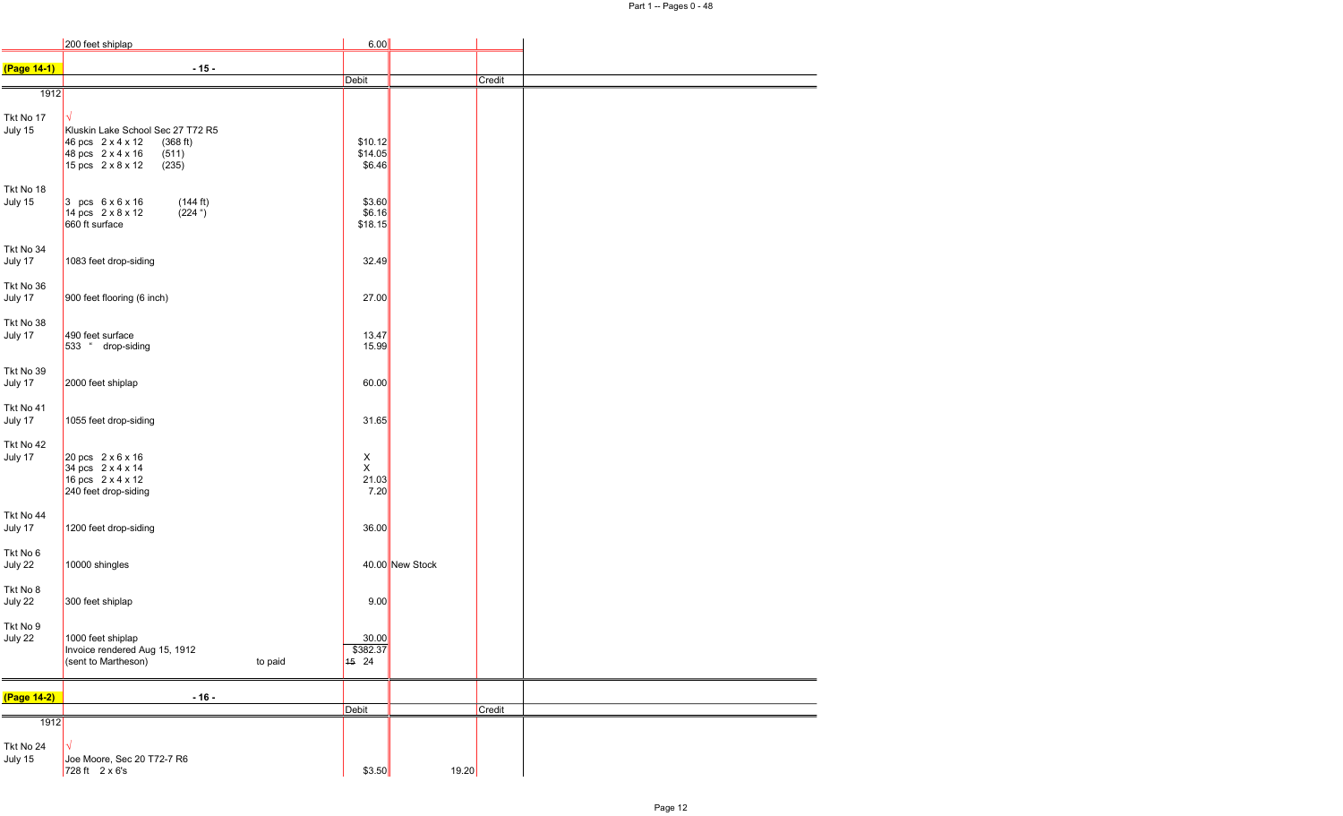|                      | 200 feet shiplap                                                                                                               | 6.00                              |                 |        |  |
|----------------------|--------------------------------------------------------------------------------------------------------------------------------|-----------------------------------|-----------------|--------|--|
| (Page 14-1)          | $-15-$                                                                                                                         |                                   |                 |        |  |
|                      |                                                                                                                                | Debit                             |                 | Credit |  |
| 1912                 |                                                                                                                                |                                   |                 |        |  |
| Tkt No 17<br>July 15 | Kluskin Lake School Sec 27 T72 R5<br>46 pcs 2 x 4 x 12<br>(368 ft)<br>48 pcs 2 x 4 x 16<br>(511)<br>15 pcs 2 x 8 x 12<br>(235) | \$10.12<br>\$14.05<br>\$6.46      |                 |        |  |
| Tkt No 18<br>July 15 | $3$ pcs $6 \times 6 \times 16$<br>(144 ft)<br>14 pcs 2 x 8 x 12<br>(224 <sup>''</sup> )<br>660 ft surface                      | \$3.60<br>\$6.16<br>\$18.15       |                 |        |  |
| Tkt No 34<br>July 17 | 1083 feet drop-siding                                                                                                          | 32.49                             |                 |        |  |
| Tkt No 36<br>July 17 | 900 feet flooring (6 inch)                                                                                                     | 27.00                             |                 |        |  |
| Tkt No 38<br>July 17 | 490 feet surface<br>533 " drop-siding                                                                                          | 13.47<br>15.99                    |                 |        |  |
| Tkt No 39<br>July 17 | 2000 feet shiplap                                                                                                              | 60.00                             |                 |        |  |
| Tkt No 41<br>July 17 | 1055 feet drop-siding                                                                                                          | 31.65                             |                 |        |  |
| Tkt No 42<br>July 17 | 20 pcs 2 x 6 x 16<br>34 pcs 2 x 4 x 14<br>16 pcs 2 x 4 x 12<br>240 feet drop-siding                                            | $\mathsf X$<br>X<br>21.03<br>7.20 |                 |        |  |
| Tkt No 44<br>July 17 | 1200 feet drop-siding                                                                                                          | 36.00                             |                 |        |  |
| Tkt No 6<br>July 22  | 10000 shingles                                                                                                                 |                                   | 40.00 New Stock |        |  |
| Tkt No 8<br>July 22  | 300 feet shiplap                                                                                                               | 9.00                              |                 |        |  |
| Tkt No 9<br>July 22  | 1000 feet shiplap<br>Invoice rendered Aug 15, 1912<br>(sent to Martheson)<br>to paid                                           | 30.00<br>\$382.37<br>45 24        |                 |        |  |
| (Page 14-2)          | $-16 -$                                                                                                                        |                                   |                 |        |  |
| 1912                 |                                                                                                                                | Debit                             |                 | Credit |  |
| Tkt No 24<br>July 15 | Joe Moore, Sec 20 T72-7 R6<br>728 ft $2 \times 6$ 's                                                                           | \$3.50                            | 19.20           |        |  |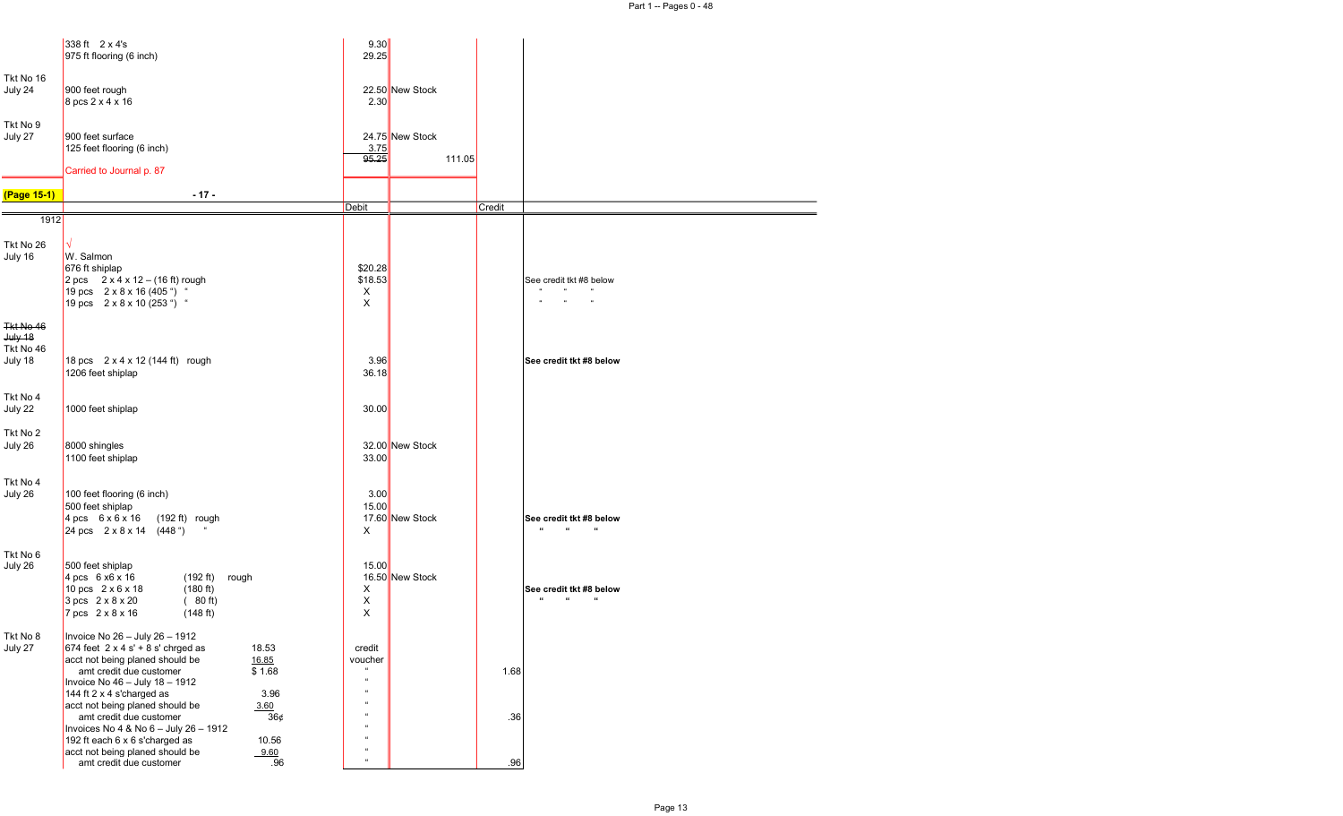|                                              | 338 ft 2 x 4's<br>975 ft flooring (6 inch)                                                                                                                                                                                                                                                                                                                                                                                                                                | 9.30<br>29.25                                                                                         |                 |             |                                                                                             |
|----------------------------------------------|---------------------------------------------------------------------------------------------------------------------------------------------------------------------------------------------------------------------------------------------------------------------------------------------------------------------------------------------------------------------------------------------------------------------------------------------------------------------------|-------------------------------------------------------------------------------------------------------|-----------------|-------------|---------------------------------------------------------------------------------------------|
| Tkt No 16<br>July 24                         | 900 feet rough<br>8 pcs 2 x 4 x 16                                                                                                                                                                                                                                                                                                                                                                                                                                        | 2.30                                                                                                  | 22.50 New Stock |             |                                                                                             |
| Tkt No 9<br>July 27                          | 900 feet surface<br>125 feet flooring (6 inch)                                                                                                                                                                                                                                                                                                                                                                                                                            | 3.75                                                                                                  | 24.75 New Stock |             |                                                                                             |
|                                              | Carried to Journal p. 87                                                                                                                                                                                                                                                                                                                                                                                                                                                  | 95.25                                                                                                 | 111.05          |             |                                                                                             |
| (Page 15-1)                                  | $-17 -$                                                                                                                                                                                                                                                                                                                                                                                                                                                                   |                                                                                                       |                 |             |                                                                                             |
| 1912                                         |                                                                                                                                                                                                                                                                                                                                                                                                                                                                           | Debit                                                                                                 |                 | Credit      |                                                                                             |
| Tkt No 26<br>July 16                         | W. Salmon<br>676 ft shiplap<br>2 pcs $2 \times 4 \times 12 - (16 \text{ ft})$ rough<br>19 pcs $2 \times 8 \times 16 (405)$ "<br>19 pcs $2 \times 8 \times 10 (253^\circ)$ "                                                                                                                                                                                                                                                                                               | \$20.28<br>\$18.53<br>X<br>X                                                                          |                 |             | See credit tkt #8 below<br>$\alpha$<br>$\alpha$                                             |
| Tkt No 46<br>July 18<br>Tkt No 46<br>July 18 | 18 pcs 2 x 4 x 12 (144 ft) rough<br>1206 feet shiplap                                                                                                                                                                                                                                                                                                                                                                                                                     | 3.96<br>36.18                                                                                         |                 |             | See credit tkt #8 below                                                                     |
| Tkt No 4<br>July 22                          | 1000 feet shiplap                                                                                                                                                                                                                                                                                                                                                                                                                                                         | 30.00                                                                                                 |                 |             |                                                                                             |
| Tkt No 2<br>July 26                          | 8000 shingles<br>1100 feet shiplap                                                                                                                                                                                                                                                                                                                                                                                                                                        | 33.00                                                                                                 | 32.00 New Stock |             |                                                                                             |
| Tkt No 4<br>July 26                          | 100 feet flooring (6 inch)<br>500 feet shiplap<br>$4 pcs$ 6 x 6 x 16<br>(192 ft) rough<br>$24 pcs$ $2 \times 8 \times 14$ $(448^\circ)$                                                                                                                                                                                                                                                                                                                                   | 3.00<br>15.00<br>X                                                                                    | 17.60 New Stock |             | See credit tkt #8 below<br>$\epsilon\epsilon$<br>$\mathbf{G}$<br>$\mathfrak{c}\mathfrak{c}$ |
| Tkt No 6<br>July 26                          | 500 feet shiplap<br>$4 pcs \t 6 x 6 x 16$<br>(192 ft)<br>rough<br>10 pcs $2 \times 6 \times 18$<br>(180 ft)<br>$3 pcs$ $2 \times 8 \times 20$<br>(80 ft)<br>$7 pcs$ 2 x 8 x 16<br>(148 ft)                                                                                                                                                                                                                                                                                | 15.00<br>X<br>X<br>X                                                                                  | 16.50 New Stock |             | See credit tkt #8 below<br>$\alpha$<br>$\epsilon\epsilon$<br>66                             |
| Tkt No 8<br>July 27                          | Invoice No $26 -$ July $26 - 1912$<br>18.53<br>674 feet $2 \times 4$ s' + 8 s' chrged as<br>acct not being planed should be<br>16.85<br>amt credit due customer<br>\$1.68<br>Invoice No $46 -$ July $18 - 1912$<br>3.96<br>144 ft 2 x 4 s'charged as<br>acct not being planed should be<br>3.60<br>amt credit due customer<br>36¢<br>Invoices No 4 & No $6 -$ July 26 - 1912<br>192 ft each $6 \times 6$ s'charged as<br>10.56<br>acct not being planed should be<br>9.60 | credit<br>voucher<br>$\mathfrak{c}$<br>$\mathfrak{a}$<br>$\mathfrak{c}$<br>$\mathfrak{c}$<br>$\alpha$ |                 | 1.68<br>.36 |                                                                                             |
|                                              | amt credit due customer<br>.96                                                                                                                                                                                                                                                                                                                                                                                                                                            | $\mathfrak{c}\mathfrak{c}$                                                                            |                 | .96         |                                                                                             |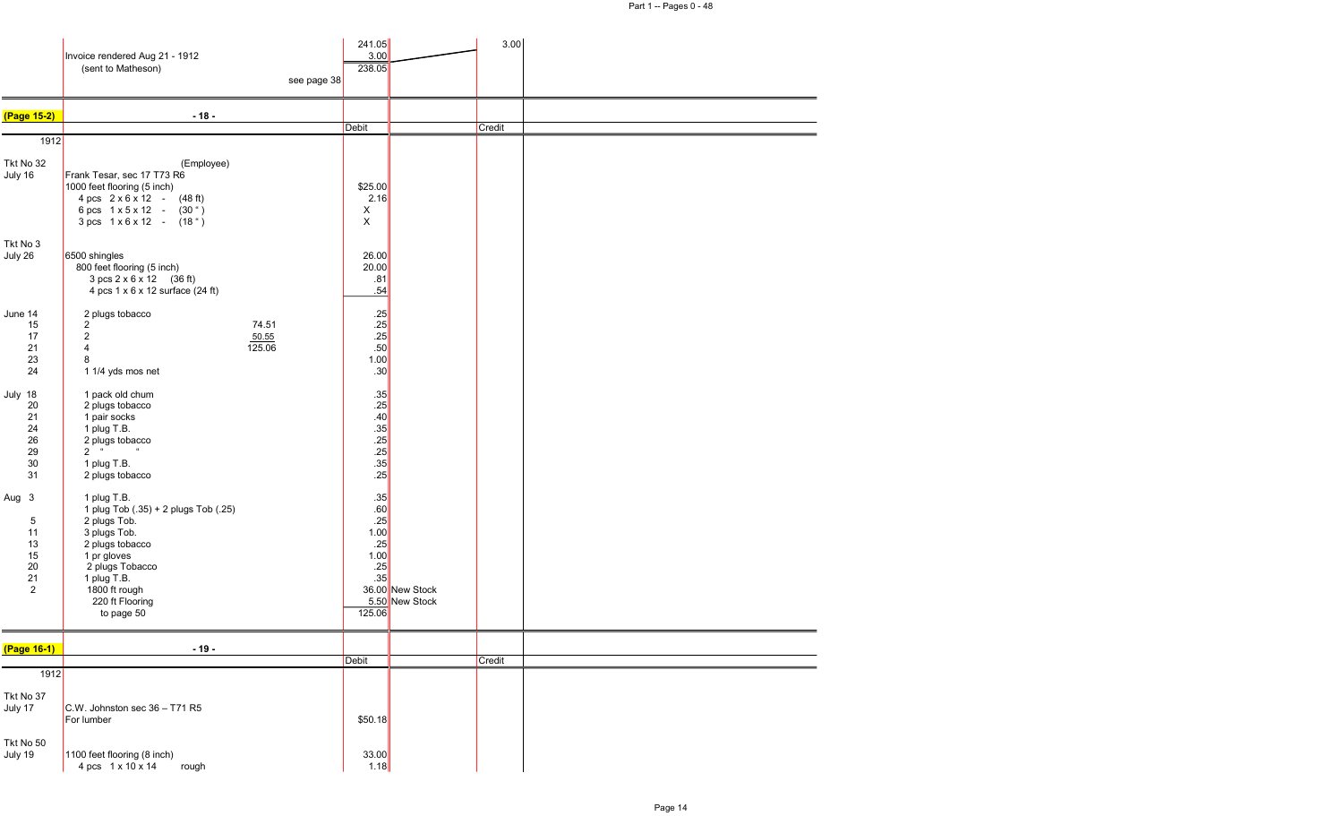|                                                            | Invoice rendered Aug 21 - 1912<br>(sent to Matheson)                                                                                                                                                      | see page 38              | 241.05<br>3.00<br>238.05                                         |                                   | 3.00   |  |
|------------------------------------------------------------|-----------------------------------------------------------------------------------------------------------------------------------------------------------------------------------------------------------|--------------------------|------------------------------------------------------------------|-----------------------------------|--------|--|
| (Page 15-2)                                                | $-18 -$                                                                                                                                                                                                   |                          |                                                                  |                                   |        |  |
| 1912                                                       |                                                                                                                                                                                                           |                          | Debit                                                            |                                   | Credit |  |
| Tkt No 32<br>July 16                                       | (Employee)<br>Frank Tesar, sec 17 T73 R6<br>1000 feet flooring (5 inch)<br>4 pcs $2 \times 6 \times 12$ - (48 ft)<br>6 pcs 1 x 5 x 12 - (30 ")<br>$3 pcs$ $1 \times 6 \times 12$ - $(18o)$                |                          | \$25.00<br>2.16<br>X<br>X                                        |                                   |        |  |
| Tkt No 3<br>July 26                                        | 6500 shingles<br>800 feet flooring (5 inch)<br>3 pcs 2 x 6 x 12 (36 ft)<br>4 pcs 1 x 6 x 12 surface (24 ft)                                                                                               |                          | 26.00<br>20.00<br>.81<br>.54                                     |                                   |        |  |
| June 14<br>15<br>17<br>21<br>23<br>24                      | 2 plugs tobacco<br>$\overline{c}$<br>$\mathbf 2$<br>4<br>8<br>1 1/4 yds mos net                                                                                                                           | 74.51<br>50.55<br>125.06 | .25<br>.25<br>.25<br>.50<br>1.00<br>.30                          |                                   |        |  |
| July 18<br>20<br>21<br>24<br>26<br>29<br>30<br>31          | 1 pack old chum<br>2 plugs tobacco<br>1 pair socks<br>1 plug T.B.<br>2 plugs tobacco<br>$2^{\cdot}$ "<br>1 plug T.B.<br>2 plugs tobacco                                                                   |                          | .35<br>.25<br>.40<br>.35<br>.25<br>.25<br>.35<br>.25             |                                   |        |  |
| Aug 3<br>5<br>11<br>13<br>15<br>20<br>21<br>$\overline{2}$ | 1 plug T.B.<br>1 plug Tob (.35) + 2 plugs Tob (.25)<br>2 plugs Tob.<br>3 plugs Tob.<br>2 plugs tobacco<br>1 pr gloves<br>2 plugs Tobacco<br>1 plug T.B.<br>1800 ft rough<br>220 ft Flooring<br>to page 50 |                          | .35<br>.60<br>.25<br>1.00<br>.25<br>1.00<br>.25<br>.35<br>125.06 | 36.00 New Stock<br>5.50 New Stock |        |  |
| (Page 16-1)                                                | $-19-$                                                                                                                                                                                                    |                          |                                                                  |                                   |        |  |
| 1912                                                       |                                                                                                                                                                                                           |                          | <b>Debit</b>                                                     |                                   | Credit |  |
| Tkt No 37<br>July 17                                       | C.W. Johnston sec 36 - T71 R5<br>For lumber                                                                                                                                                               |                          | \$50.18                                                          |                                   |        |  |
| Tkt No 50<br>July 19                                       | 1100 feet flooring (8 inch)<br>4 pcs 1 x 10 x 14<br>rough                                                                                                                                                 |                          | 33.00<br>1.18                                                    |                                   |        |  |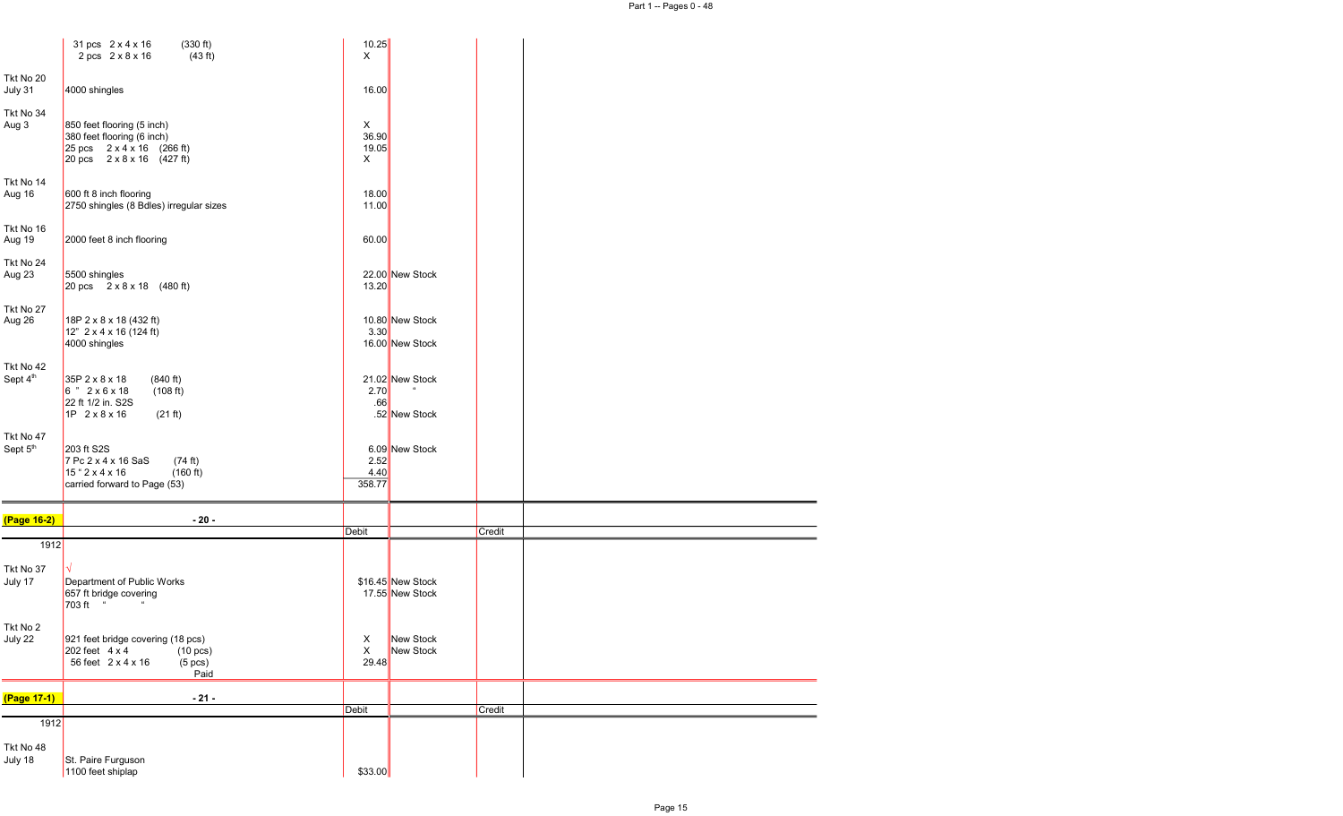|                                   | 31 pcs 2 x 4 x 16<br>(330 ft)<br>$(43 \text{ ft})$<br>2 pcs 2 x 8 x 16                                                                         | 10.25<br>X                          |                                      |        |  |
|-----------------------------------|------------------------------------------------------------------------------------------------------------------------------------------------|-------------------------------------|--------------------------------------|--------|--|
| Tkt No 20<br>July 31              | 4000 shingles                                                                                                                                  | 16.00                               |                                      |        |  |
| Tkt No 34<br>Aug 3                | 850 feet flooring (5 inch)<br>380 feet flooring (6 inch)<br>25 pcs $2 \times 4 \times 16$ (266 ft)<br>$20 pcs$ $2 \times 8 \times 16$ (427 ft) | $\mathsf{X}$<br>36.90<br>19.05<br>X |                                      |        |  |
| Tkt No 14<br>Aug 16               | 600 ft 8 inch flooring<br>2750 shingles (8 Bdles) irregular sizes                                                                              | 18.00<br>11.00                      |                                      |        |  |
| Tkt No 16<br>Aug 19               | 2000 feet 8 inch flooring                                                                                                                      | 60.00                               |                                      |        |  |
| Tkt No 24<br>Aug 23               | 5500 shingles<br>20 pcs $2 \times 8 \times 18$ (480 ft)                                                                                        | 13.20                               | 22.00 New Stock                      |        |  |
| Tkt No 27<br>Aug 26               | 18P 2 x 8 x 18 (432 ft)<br>12" 2 x 4 x 16 (124 ft)<br>4000 shingles                                                                            | 3.30                                | 10.80 New Stock<br>16.00 New Stock   |        |  |
| Tkt No 42<br>Sept 4 <sup>th</sup> | 35P 2 x 8 x 18<br>(840 ft)<br>$6''$ 2 x 6 x 18<br>(108 ft)<br>22 ft 1/2 in. S2S<br>$1P$ 2 x 8 x 16<br>(21 ft)                                  | 2.70<br>.66                         | 21.02 New Stock<br>.52 New Stock     |        |  |
| Tkt No 47<br>Sept 5 <sup>th</sup> | 203 ft S2S<br>7 Pc 2 x 4 x 16 SaS<br>(74 ft)<br>15 " 2 x 4 x 16<br>(160 ft)<br>carried forward to Page (53)                                    | 2.52<br>4.40<br>358.77              | 6.09 New Stock                       |        |  |
| (Page 16-2)                       | $-20-$                                                                                                                                         |                                     |                                      |        |  |
| 1912                              |                                                                                                                                                | Debit                               |                                      | Credit |  |
| Tkt No 37<br>July 17              | Department of Public Works<br>657 ft bridge covering<br>$703 ft$ "                                                                             |                                     | \$16.45 New Stock<br>17.55 New Stock |        |  |
| Tkt No 2<br>July 22               | 921 feet bridge covering (18 pcs)<br>202 feet $4 \times 4$<br>(10~pcs)<br>56 feet 2 x 4 x 16<br>(5 <sub>pcs</sub> )<br>Paid                    | X<br>X<br>29.48                     | New Stock<br>New Stock               |        |  |
| (Page 17-1)                       | $-21 -$                                                                                                                                        |                                     |                                      |        |  |
| 1912                              |                                                                                                                                                | Debit                               |                                      | Credit |  |
| Tkt No 48<br>July 18              | St. Paire Furguson<br>1100 feet shiplap                                                                                                        | \$33.00                             |                                      |        |  |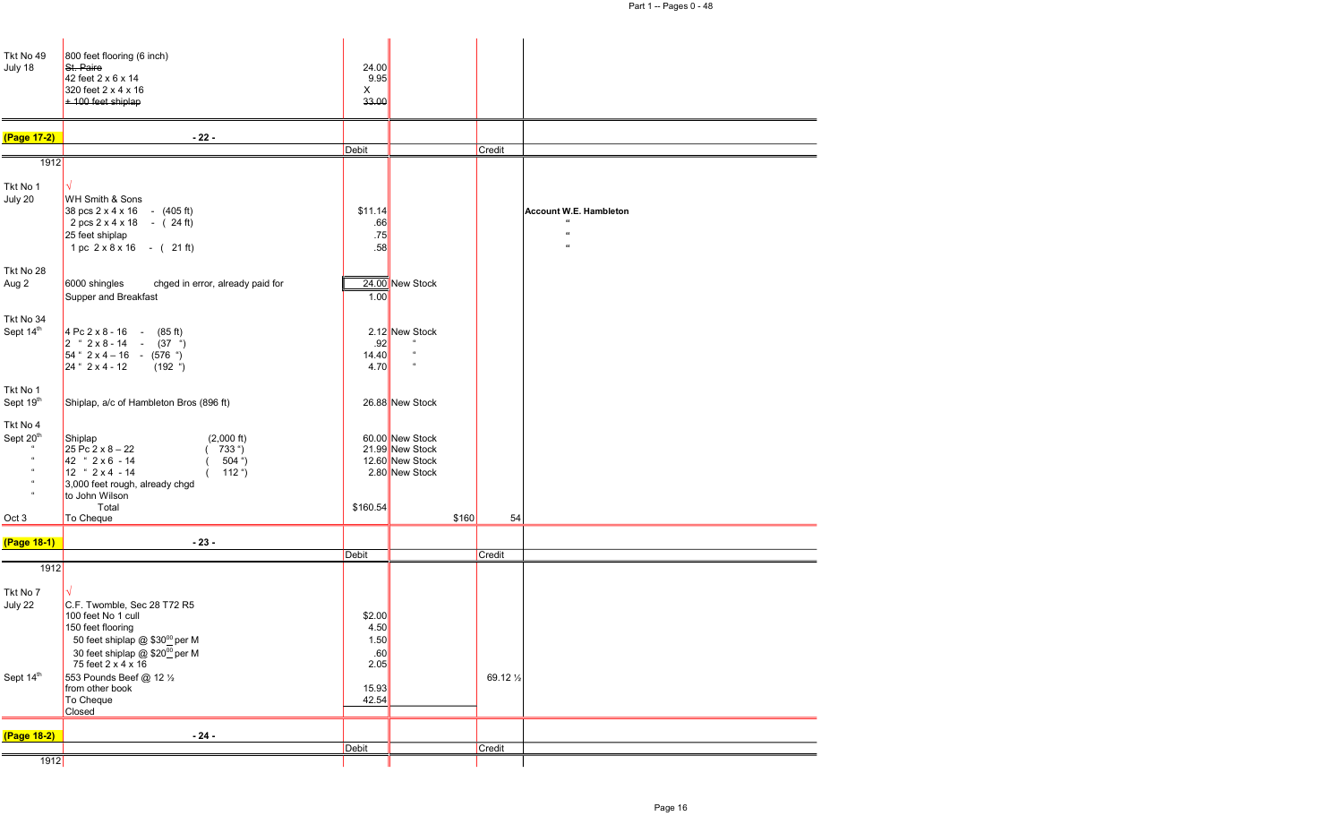| Tkt No 49<br>July 18                                                               | 800 feet flooring (6 inch)<br>St. Paire<br>42 feet 2 x 6 x 14<br>320 feet 2 x 4 x 16<br>+ 100 feet shiplap                                                                                                                                              | 24.00<br>9.95<br>X<br>33.00                    |                                                                                  |           |                                                                                           |
|------------------------------------------------------------------------------------|---------------------------------------------------------------------------------------------------------------------------------------------------------------------------------------------------------------------------------------------------------|------------------------------------------------|----------------------------------------------------------------------------------|-----------|-------------------------------------------------------------------------------------------|
| (Page 17-2)                                                                        | $-22-$                                                                                                                                                                                                                                                  |                                                |                                                                                  |           |                                                                                           |
|                                                                                    |                                                                                                                                                                                                                                                         | Debit                                          |                                                                                  | Credit    |                                                                                           |
| 1912<br>Tkt No 1<br>July 20                                                        | WH Smith & Sons<br>38 pcs $2 \times 4 \times 16$ - (405 ft)<br>2 pcs 2 x 4 x 18 - (24 ft)<br>25 feet shiplap<br>1 pc $2 \times 8 \times 16$ - (21 ft)                                                                                                   | \$11.14<br>.66<br>.75<br>.58                   |                                                                                  |           | <b>Account W.E. Hambleton</b><br>$\epsilon$<br>$\mathfrak{c}\mathfrak{c}$<br>$\mathbf{f}$ |
| Tkt No 28<br>Aug 2                                                                 | 6000 shingles<br>chged in error, already paid for<br>Supper and Breakfast                                                                                                                                                                               | 1.00                                           | 24.00 New Stock                                                                  |           |                                                                                           |
| Tkt No 34<br>Sept 14th                                                             | $4 \text{ Pc} 2 \times 8 - 16$ - (85 ft)<br>$2$ " $2 \times 8 - 14$ - $(37$ ")<br>$\begin{bmatrix} 54 & 2 \times 4 & -16 & - (576) \end{bmatrix}$<br>$24$ " $2 \times 4 - 12$<br>$(192)^{n}$                                                            | .92<br>14.40<br>4.70                           | 2.12 New Stock<br>$\alpha$                                                       |           |                                                                                           |
| Tkt No 1<br>Sept 19th                                                              | Shiplap, a/c of Hambleton Bros (896 ft)                                                                                                                                                                                                                 |                                                | 26.88 New Stock                                                                  |           |                                                                                           |
| Tkt No 4<br>Sept 20 <sup>th</sup><br>$\epsilon\epsilon$<br>$\mathfrak{a}$<br>Oct 3 | Shiplap<br>$(2,000 \text{ ft})$<br>$25$ Pc $2 \times 8 - 22$<br>$733°$ )<br>$42$ " $2 \times 6 - 14$<br>$504$ ")<br>$12$ " $2 \times 4$ - 14<br>112 <sup>11</sup><br>$\left($<br>3,000 feet rough, already chgd<br>to John Wilson<br>Total<br>To Cheque | \$160.54                                       | 60.00 New Stock<br>21.99 New Stock<br>12.60 New Stock<br>2.80 New Stock<br>\$160 | 54        |                                                                                           |
|                                                                                    |                                                                                                                                                                                                                                                         |                                                |                                                                                  |           |                                                                                           |
| (Page 18-1)                                                                        | $-23-$                                                                                                                                                                                                                                                  |                                                |                                                                                  |           |                                                                                           |
|                                                                                    |                                                                                                                                                                                                                                                         | <b>Debit</b>                                   |                                                                                  | Credit    |                                                                                           |
| 1912<br>Tkt No 7<br>July 22<br>Sept 14th                                           | C.F. Twomble, Sec 28 T72 R5<br>100 feet No 1 cull<br>150 feet flooring<br>50 feet shiplap @ \$30 <sup>00</sup> per M<br>30 feet shiplap @ \$20 <sup>00</sup> per M<br>75 feet 2 x 4 x 16<br>553 Pounds Beef @ 12 1/2<br>from other book                 | \$2.00<br>4.50<br>1.50<br>.60<br>2.05<br>15.93 |                                                                                  | 69.12 1/2 |                                                                                           |
|                                                                                    | To Cheque<br>Closed                                                                                                                                                                                                                                     | 42.54                                          |                                                                                  |           |                                                                                           |
|                                                                                    |                                                                                                                                                                                                                                                         |                                                |                                                                                  |           |                                                                                           |
| (Page 18-2)                                                                        | $-24-$                                                                                                                                                                                                                                                  |                                                |                                                                                  |           |                                                                                           |
|                                                                                    |                                                                                                                                                                                                                                                         | Debit                                          |                                                                                  | Credit    |                                                                                           |
| 1912                                                                               |                                                                                                                                                                                                                                                         |                                                |                                                                                  |           |                                                                                           |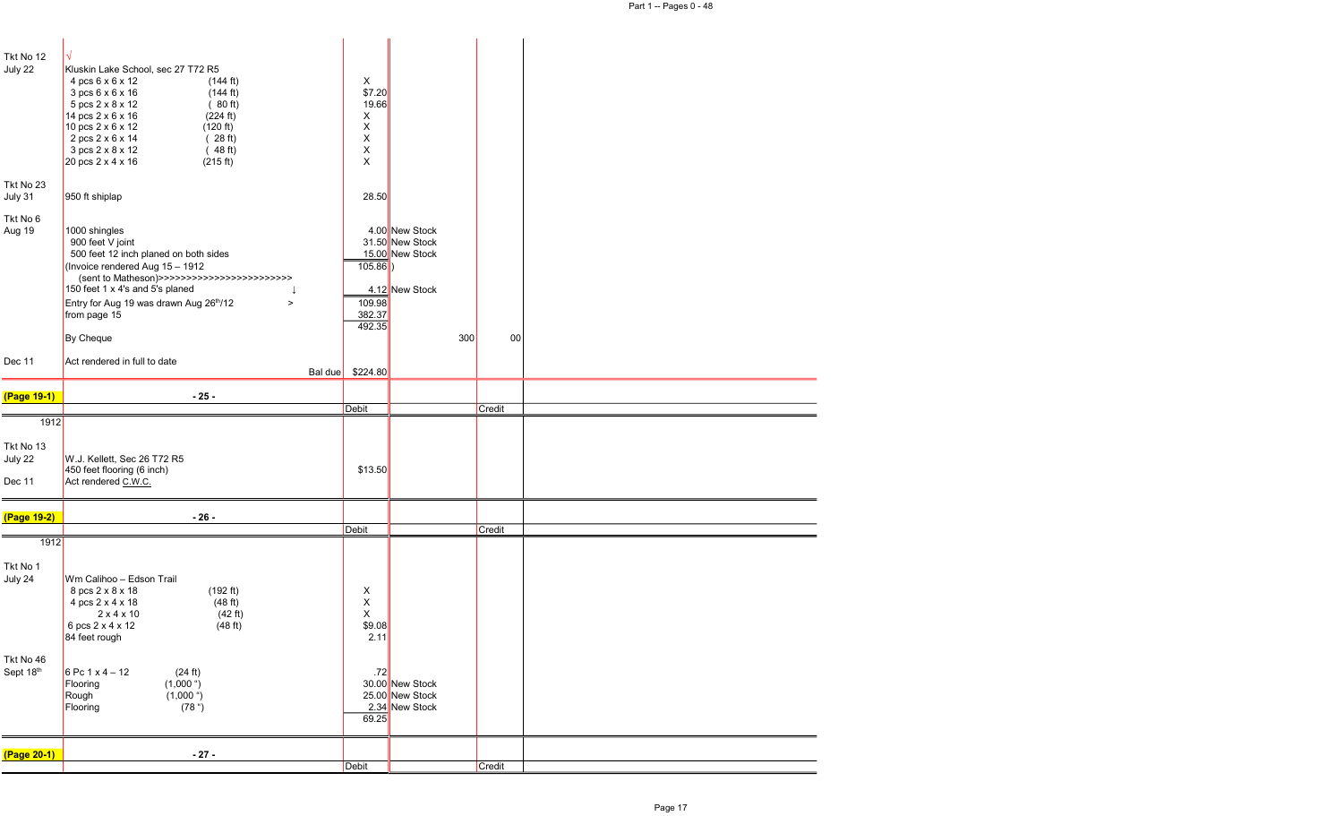| Tkt No 12<br>July 22               | Kluskin Lake School, sec 27 T72 R5<br>4 pcs 6 x 6 x 12<br>(144 ft)<br>3 pcs 6 x 6 x 16<br>(144 ft)<br>5 pcs 2 x 8 x 12<br>80 ft)<br>14 pcs 2 x 6 x 16<br>(224 ft)<br>10 pcs 2 x 6 x 12<br>(120 ft)<br>2 pcs 2 x 6 x 14<br>28 ft)<br>48 ft)<br>3 pcs 2 x 8 x 12<br>20 pcs 2 x 4 x 16<br>(215 ft)                  | X<br>\$7.20<br>19.66<br>X<br>X<br>X<br>X<br>X |                                                                               |        |  |
|------------------------------------|------------------------------------------------------------------------------------------------------------------------------------------------------------------------------------------------------------------------------------------------------------------------------------------------------------------|-----------------------------------------------|-------------------------------------------------------------------------------|--------|--|
| Tkt No 23<br>July 31               | 950 ft shiplap                                                                                                                                                                                                                                                                                                   | 28.50                                         |                                                                               |        |  |
| Tkt No 6<br>Aug 19<br>Dec 11       | 1000 shingles<br>900 feet V joint<br>500 feet 12 inch planed on both sides<br>(Invoice rendered Aug 15 - 1912<br>(sent to Matheson)>>>>>>>>>>>>>>>>>>>>>>>>><br>150 feet 1 x 4's and 5's planed<br>Entry for Aug 19 was drawn Aug 26th/12<br>$\, >$<br>from page 15<br>By Cheque<br>Act rendered in full to date | 105.86)<br>109.98<br>382.37<br>492.35         | 4.00 New Stock<br>31.50 New Stock<br>15.00 New Stock<br>4.12 New Stock<br>300 | 00     |  |
|                                    |                                                                                                                                                                                                                                                                                                                  | Bal due \$224.80                              |                                                                               |        |  |
| (Page 19-1)                        | $-25-$                                                                                                                                                                                                                                                                                                           |                                               |                                                                               |        |  |
| 1912                               |                                                                                                                                                                                                                                                                                                                  | Debit                                         |                                                                               | Credit |  |
| Tkt No 13<br>July 22<br>Dec 11     | W.J. Kellett, Sec 26 T72 R5<br>450 feet flooring (6 inch)<br>Act rendered C.W.C.                                                                                                                                                                                                                                 | \$13.50                                       |                                                                               |        |  |
| (Page 19-2)                        | $-26-$                                                                                                                                                                                                                                                                                                           |                                               |                                                                               |        |  |
| 1912                               |                                                                                                                                                                                                                                                                                                                  | Debit                                         |                                                                               | Credit |  |
| Tkt No 1<br>July 24                | Wm Calihoo - Edson Trail<br>8 pcs 2 x 8 x 18<br>(192 ft)                                                                                                                                                                                                                                                         | X                                             |                                                                               |        |  |
| Tkt No 46<br>Sept 18 <sup>th</sup> | 4 pcs 2 x 4 x 18<br>(48 ft)<br>$2 \times 4 \times 10$<br>(42 ft)<br>6 pcs 2 x 4 x 12<br>(48 ft)<br>84 feet rough<br>6 Pc $1 \times 4 - 12$<br>(24 ft)<br>Flooring                                                                                                                                                | X<br>X<br>\$9.08<br>2.11<br>.72               |                                                                               |        |  |
| (Page 20-1)                        | (1,000)<br>Rough<br>(1,000)<br>Flooring<br>(78 <sup>th</sup> )<br>$-27-$                                                                                                                                                                                                                                         | 69.25                                         | 30.00 New Stock<br>25.00 New Stock<br>2.34 New Stock                          |        |  |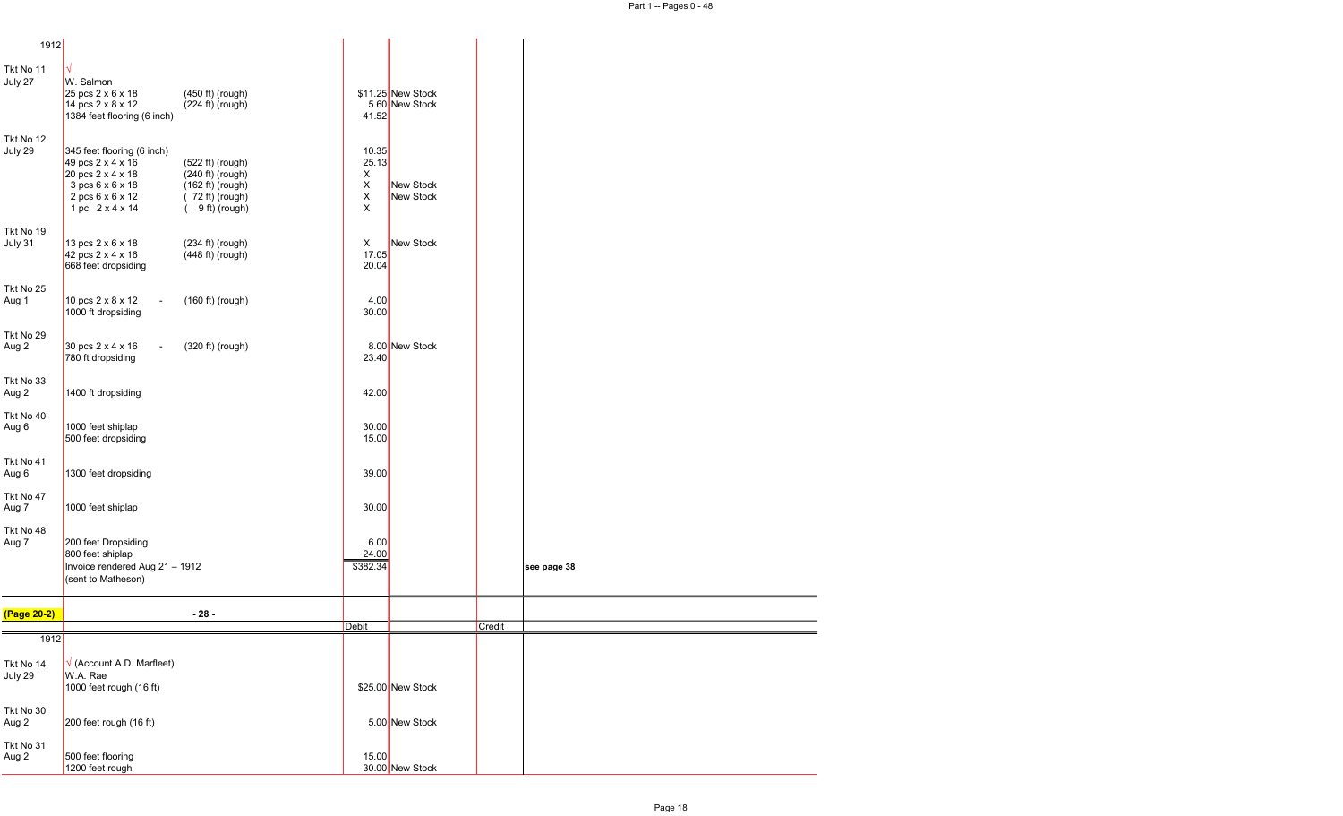| 1912                 |                                                                                                                                 |                                                                                                |                                    |                                     |        |             |
|----------------------|---------------------------------------------------------------------------------------------------------------------------------|------------------------------------------------------------------------------------------------|------------------------------------|-------------------------------------|--------|-------------|
| Tkt No 11<br>July 27 | W. Salmon<br>25 pcs 2 x 6 x 18<br>14 pcs 2 x 8 x 12<br>1384 feet flooring (6 inch)                                              | (450 ft) (rough)<br>(224 ft) (rough)                                                           | 41.52                              | \$11.25 New Stock<br>5.60 New Stock |        |             |
| Tkt No 12<br>July 29 | 345 feet flooring (6 inch)<br>49 pcs 2 x 4 x 16<br>20 pcs 2 x 4 x 18<br>3 pcs 6 x 6 x 18<br>2 pcs 6 x 6 x 12<br>1 pc 2 x 4 x 14 | (522 ft) (rough)<br>(240 ft) (rough)<br>(162 ft) (rough)<br>$(72 ft)$ (rough)<br>9 ft) (rough) | 10.35<br>25.13<br>X<br>X<br>X<br>X | New Stock<br>New Stock              |        |             |
| Tkt No 19<br>July 31 | 13 pcs 2 x 6 x 18<br>42 pcs 2 x 4 x 16<br>668 feet dropsiding                                                                   | (234 ft) (rough)<br>(448 ft) (rough)                                                           | X<br>17.05<br>20.04                | New Stock                           |        |             |
| Tkt No 25<br>Aug 1   | 10 pcs 2 x 8 x 12<br>1000 ft dropsiding                                                                                         | $(160 ft)$ (rough)                                                                             | 4.00<br>30.00                      |                                     |        |             |
| Tkt No 29<br>Aug 2   | 30 pcs 2 x 4 x 16<br>$\blacksquare$<br>780 ft dropsiding                                                                        | (320 ft) (rough)                                                                               | 23.40                              | 8.00 New Stock                      |        |             |
| Tkt No 33<br>Aug 2   | 1400 ft dropsiding                                                                                                              |                                                                                                | 42.00                              |                                     |        |             |
| Tkt No 40<br>Aug 6   | 1000 feet shiplap<br>500 feet dropsiding                                                                                        |                                                                                                | 30.00<br>15.00                     |                                     |        |             |
| Tkt No 41<br>Aug 6   | 1300 feet dropsiding                                                                                                            |                                                                                                | 39.00                              |                                     |        |             |
| Tkt No 47<br>Aug 7   | 1000 feet shiplap                                                                                                               |                                                                                                | 30.00                              |                                     |        |             |
| Tkt No 48<br>Aug 7   | 200 feet Dropsiding<br>800 feet shiplap<br>Invoice rendered Aug 21 - 1912<br>(sent to Matheson)                                 |                                                                                                | 6.00<br>24.00<br>\$382.34          |                                     |        | see page 38 |
| (Page 20-2)          |                                                                                                                                 | $-28-$                                                                                         |                                    |                                     |        |             |
| 1912                 |                                                                                                                                 |                                                                                                | Debit                              |                                     | Credit |             |
|                      |                                                                                                                                 |                                                                                                |                                    |                                     |        |             |
| Tkt No 14<br>July 29 | $\sqrt{}$ (Account A.D. Marfleet)<br>W.A. Rae<br>1000 feet rough (16 ft)                                                        |                                                                                                |                                    | \$25.00 New Stock                   |        |             |
| Tkt No 30<br>Aug 2   | 200 feet rough (16 ft)                                                                                                          |                                                                                                |                                    | 5.00 New Stock                      |        |             |
| Tkt No 31<br>Aug 2   | 500 feet flooring<br>1200 feet rough                                                                                            |                                                                                                | 15.00                              | 30.00 New Stock                     |        |             |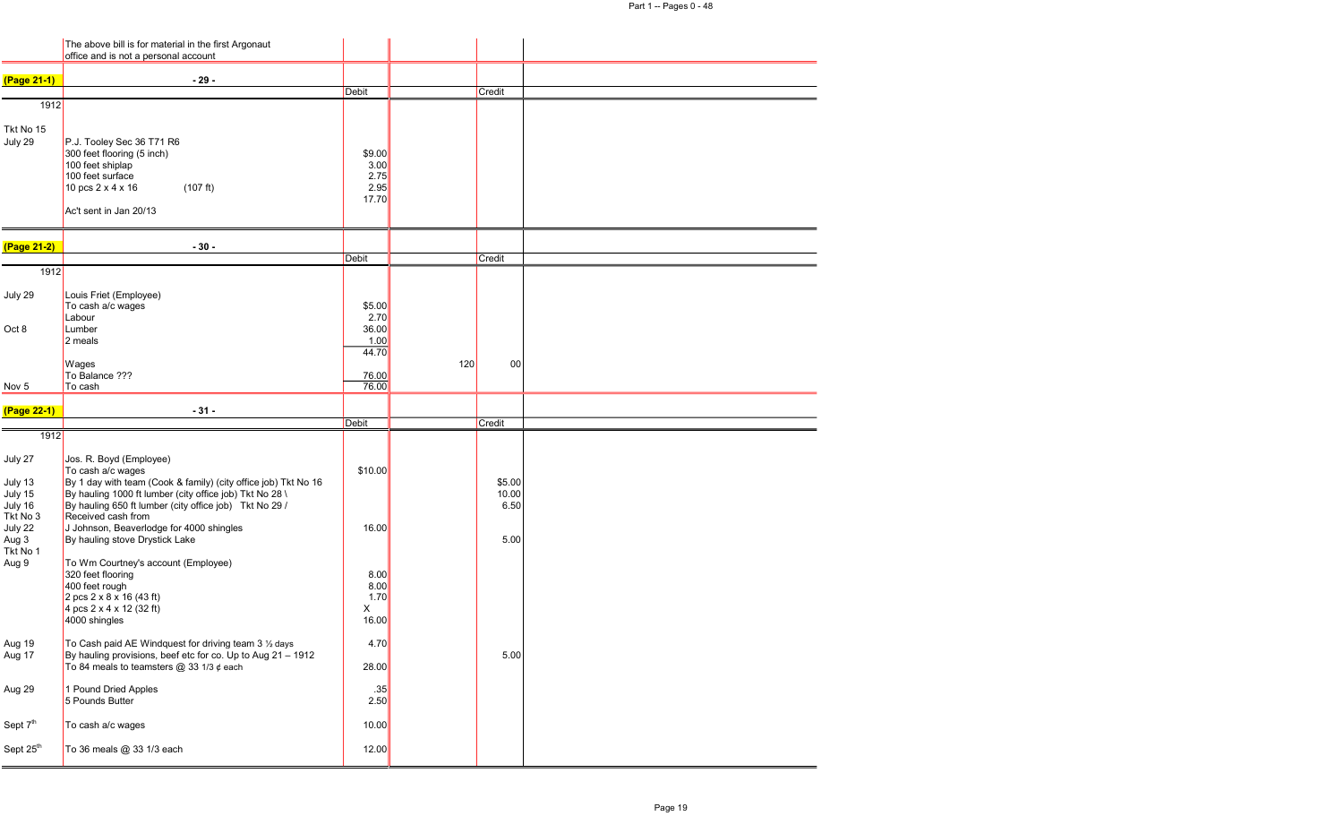|                                                                                                       | The above bill is for material in the first Argonaut<br>office and is not a personal account                                                                                                                                                                                                                                                                                   |                                            |     |                                 |  |
|-------------------------------------------------------------------------------------------------------|--------------------------------------------------------------------------------------------------------------------------------------------------------------------------------------------------------------------------------------------------------------------------------------------------------------------------------------------------------------------------------|--------------------------------------------|-----|---------------------------------|--|
| (Page 21-1)                                                                                           | $-29-$                                                                                                                                                                                                                                                                                                                                                                         |                                            |     |                                 |  |
|                                                                                                       |                                                                                                                                                                                                                                                                                                                                                                                | <b>Debit</b>                               |     | Credit                          |  |
| 1912<br>Tkt No 15<br>July 29                                                                          | P.J. Tooley Sec 36 T71 R6<br>300 feet flooring (5 inch)<br>100 feet shiplap<br>100 feet surface<br>(107 ft)<br>10 pcs 2 x 4 x 16<br>Ac't sent in Jan 20/13                                                                                                                                                                                                                     | \$9.00<br>3.00<br>2.75<br>2.95<br>17.70    |     |                                 |  |
| (Page 21-2)                                                                                           | $-30-$                                                                                                                                                                                                                                                                                                                                                                         |                                            |     |                                 |  |
| 1912                                                                                                  |                                                                                                                                                                                                                                                                                                                                                                                | Debit                                      |     | Credit                          |  |
| July 29<br>Oct 8                                                                                      | Louis Friet (Employee)<br>To cash a/c wages<br>Labour<br>Lumber<br>2 meals                                                                                                                                                                                                                                                                                                     | \$5.00<br>2.70<br>36.00<br>1.00            |     |                                 |  |
| Nov 5                                                                                                 | Wages<br>To Balance ???<br>To cash                                                                                                                                                                                                                                                                                                                                             | 44.70<br>76.00<br>76.00                    | 120 | 00                              |  |
|                                                                                                       |                                                                                                                                                                                                                                                                                                                                                                                |                                            |     |                                 |  |
| (Page 22-1)                                                                                           | $-31-$                                                                                                                                                                                                                                                                                                                                                                         |                                            |     |                                 |  |
|                                                                                                       |                                                                                                                                                                                                                                                                                                                                                                                | Debit                                      |     | Credit                          |  |
| 1912<br>July 27<br>July 13<br>July 15<br>July 16<br>Tkt No 3<br>July 22<br>Aug 3<br>Tkt No 1<br>Aug 9 | Jos. R. Boyd (Employee)<br>To cash a/c wages<br>By 1 day with team (Cook & family) (city office job) Tkt No 16<br>By hauling 1000 ft lumber (city office job) Tkt No 28 \<br>By hauling 650 ft lumber (city office job) Tkt No 29 /<br>Received cash from<br>J Johnson, Beaverlodge for 4000 shingles<br>By hauling stove Drystick Lake<br>To Wm Courtney's account (Employee) | \$10.00<br>16.00                           |     | \$5.00<br>10.00<br>6.50<br>5.00 |  |
| Aug 19<br>Aug 17                                                                                      | 320 feet flooring<br>400 feet rough<br>2 pcs $2 \times 8 \times 16$ (43 ft)<br>4 pcs $2 \times 4 \times 12$ (32 ft)<br>4000 shingles<br>To Cash paid AE Windquest for driving team 3 1/2 days<br>By hauling provisions, beef etc for co. Up to Aug 21 - 1912                                                                                                                   | 8.00<br>8.00<br>1.70<br>X<br>16.00<br>4.70 |     | 5.00                            |  |
| Aug 29                                                                                                | To 84 meals to teamsters $@331/3$ ¢ each<br>1 Pound Dried Apples<br>5 Pounds Butter                                                                                                                                                                                                                                                                                            | 28.00<br>.35<br>2.50                       |     |                                 |  |
| Sept 7 <sup>th</sup>                                                                                  | To cash a/c wages                                                                                                                                                                                                                                                                                                                                                              | 10.00                                      |     |                                 |  |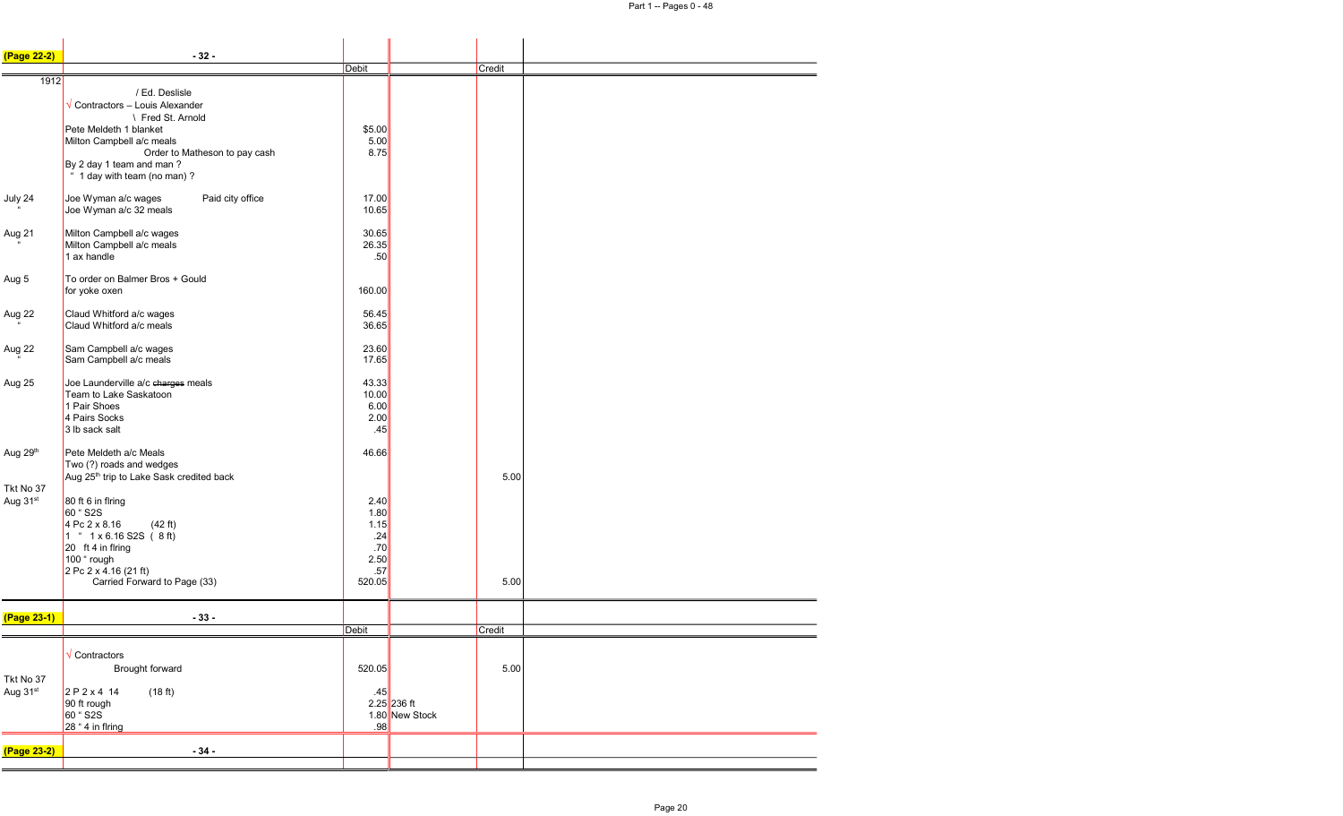| (Page 22-2)          | $-32-$                                                   |              |                |        |  |
|----------------------|----------------------------------------------------------|--------------|----------------|--------|--|
| 1912                 |                                                          | Debit        |                | Credit |  |
|                      | / Ed. Deslisle                                           |              |                |        |  |
|                      | $\sqrt{\ }$ Contractors - Louis Alexander                |              |                |        |  |
|                      | ∖ Fred St. Arnold<br>Pete Meldeth 1 blanket              | \$5.00       |                |        |  |
|                      | Milton Campbell a/c meals                                | 5.00         |                |        |  |
|                      | Order to Matheson to pay cash                            | 8.75         |                |        |  |
|                      | By 2 day 1 team and man?<br>" 1 day with team (no man) ? |              |                |        |  |
| July 24              | Joe Wyman a/c wages<br>Paid city office                  | 17.00        |                |        |  |
|                      | Joe Wyman a/c 32 meals                                   | 10.65        |                |        |  |
|                      |                                                          |              |                |        |  |
| Aug 21               | Milton Campbell a/c wages<br>Milton Campbell a/c meals   | 30.65        |                |        |  |
|                      | 1 ax handle                                              | 26.35<br>.50 |                |        |  |
|                      |                                                          |              |                |        |  |
| Aug 5                | To order on Balmer Bros + Gould                          |              |                |        |  |
|                      | for yoke oxen                                            | 160.00       |                |        |  |
|                      | Claud Whitford a/c wages                                 | 56.45        |                |        |  |
| Aug 22               | Claud Whitford a/c meals                                 | 36.65        |                |        |  |
|                      |                                                          |              |                |        |  |
| Aug 22               | Sam Campbell a/c wages                                   | 23.60        |                |        |  |
|                      | Sam Campbell a/c meals                                   | 17.65        |                |        |  |
| Aug 25               | Joe Launderville a/c charges meals                       | 43.33        |                |        |  |
|                      | Team to Lake Saskatoon                                   | 10.00        |                |        |  |
|                      | 1 Pair Shoes                                             | 6.00         |                |        |  |
|                      | 4 Pairs Socks                                            | 2.00         |                |        |  |
|                      | 3 lb sack salt                                           | .45          |                |        |  |
| Aug 29 <sup>th</sup> | Pete Meldeth a/c Meals                                   | 46.66        |                |        |  |
|                      | Two (?) roads and wedges                                 |              |                |        |  |
|                      | Aug 25 <sup>th</sup> trip to Lake Sask credited back     |              |                | 5.00   |  |
| Tkt No 37            |                                                          |              |                |        |  |
| Aug 31st             | 80 ft 6 in flring                                        | 2.40         |                |        |  |
|                      | 60 " S2S<br>4 Pc 2 x 8.16                                | 1.80<br>1.15 |                |        |  |
|                      | (42 ft)<br>$1$ " $1 \times 6.16$ S2S (8 ft)              | .24          |                |        |  |
|                      | 20 ft 4 in flring                                        | .70          |                |        |  |
|                      | 100 " rough                                              | 2.50         |                |        |  |
|                      | 2 Pc 2 x 4.16 (21 ft)                                    | .57          |                |        |  |
|                      | Carried Forward to Page (33)                             | 520.05       |                | 5.00   |  |
|                      |                                                          |              |                |        |  |
| (Page 23-1)          | $-33-$                                                   |              |                |        |  |
|                      |                                                          | Debit        |                | Credit |  |
|                      | $\sqrt{\phantom{a}}$ Contractors                         |              |                |        |  |
|                      | <b>Brought forward</b>                                   | 520.05       |                | 5.00   |  |
| Tkt No 37            |                                                          |              |                |        |  |
| Aug 31st             | 2P2x414<br>(18 ft)                                       | .45          |                |        |  |
|                      | 90 ft rough                                              |              | $2.25$ 236 ft  |        |  |
|                      | 60 " S2S                                                 |              | 1.80 New Stock |        |  |
|                      | $28$ " 4 in firing                                       | .98          |                |        |  |
| (Page 23-2)          | $-34-$                                                   |              |                |        |  |
|                      |                                                          |              |                |        |  |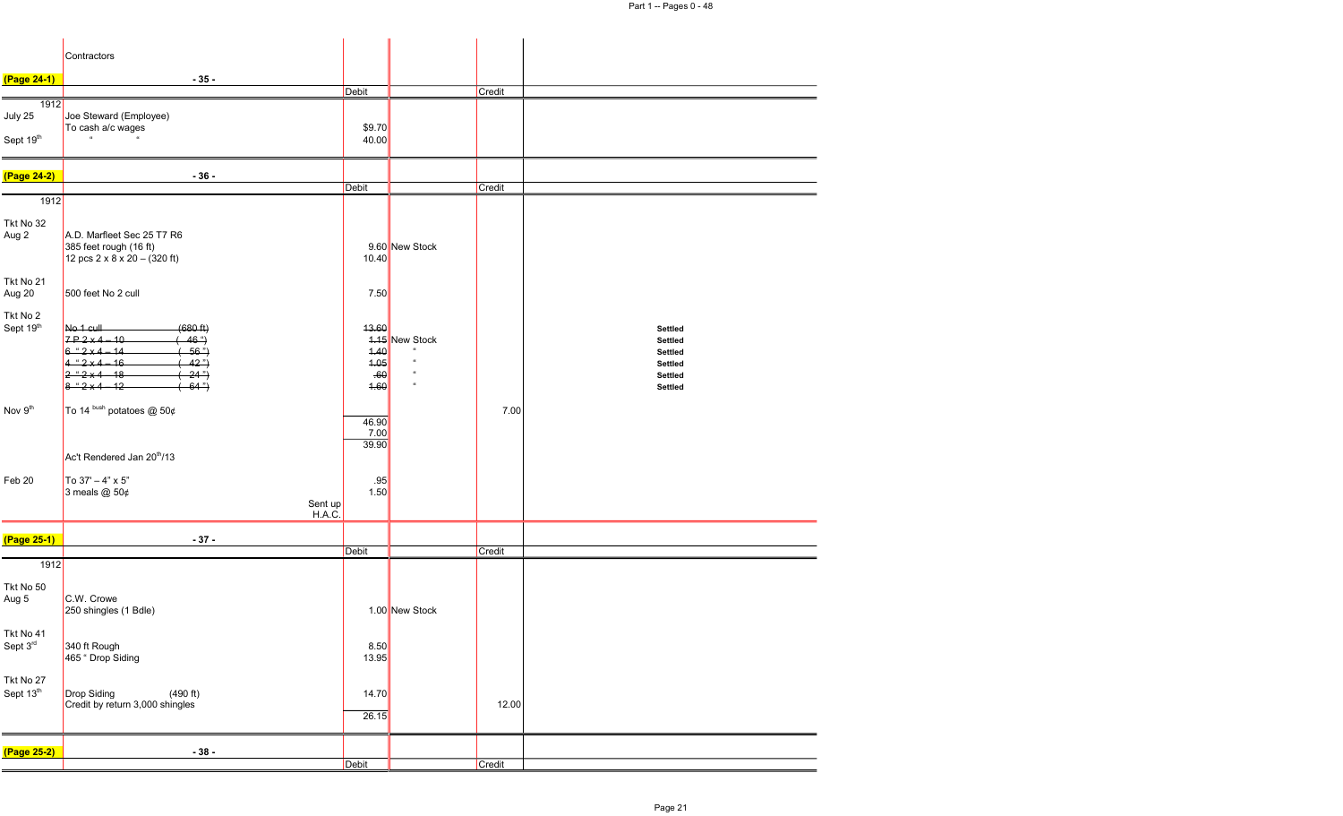|                      | Contractors                                                 |                    |                |        |                    |
|----------------------|-------------------------------------------------------------|--------------------|----------------|--------|--------------------|
| (Page 24-1)          | $-35 -$                                                     |                    |                |        |                    |
|                      |                                                             | Debit              |                | Credit |                    |
| 1912<br>July 25      | Joe Steward (Employee)                                      |                    |                |        |                    |
| Sept 19th            | To cash a/c wages<br>$\alpha$                               | \$9.70<br>40.00    |                |        |                    |
|                      |                                                             |                    |                |        |                    |
| (Page 24-2)          | $-36 -$                                                     | Debit              |                | Credit |                    |
| 1912                 |                                                             |                    |                |        |                    |
| Tkt No 32            |                                                             |                    |                |        |                    |
| Aug 2                | A.D. Marfleet Sec 25 T7 R6                                  |                    |                |        |                    |
|                      | 385 feet rough (16 ft)                                      |                    | 9.60 New Stock |        |                    |
|                      | 12 pcs $2 \times 8 \times 20 - (320 \text{ ft})$            | 10.40              |                |        |                    |
| Tkt No 21            |                                                             |                    |                |        |                    |
| Aug 20               | 500 feet No 2 cull                                          | 7.50               |                |        |                    |
| Tkt No 2             |                                                             |                    |                |        |                    |
| Sept 19th            | (680 ft)<br>No 1 cull                                       | 43.60              |                |        | Settled            |
|                      | $7P2x4 - 10$<br>$-46$ "                                     |                    | 1.15 New Stock |        | Settled            |
|                      | $6 \tcdot 2 \times 4 - 14$<br>$(+56")$<br>$4*2x4-16$<br>42" | 4.40<br>4.05       | $\epsilon$     |        | Settled            |
|                      | $2$ "2 x 4 - 18<br>$-24$ "                                  | $-60$              |                |        | Settled<br>Settled |
|                      | $8 "2x4-12$<br>64"                                          | 4.60               |                |        | Settled            |
| Nov 9 <sup>th</sup>  | To 14 bush potatoes @ 50¢                                   |                    |                | 7.00   |                    |
|                      |                                                             | 46.90              |                |        |                    |
|                      |                                                             | 7.00               |                |        |                    |
|                      |                                                             | $\frac{1}{39.90}$  |                |        |                    |
|                      | Ac't Rendered Jan 20th/13                                   |                    |                |        |                    |
| Feb 20               | To $37' - 4'' \times 5''$                                   | .95                |                |        |                    |
|                      | 3 meals $@$ 50 $¢$                                          | 1.50               |                |        |                    |
|                      | Sent up<br>H.A.C.                                           |                    |                |        |                    |
|                      |                                                             |                    |                |        |                    |
| (Page 25-1)          | $-37 -$                                                     | Debit              |                | Credit |                    |
| 1912                 |                                                             |                    |                |        |                    |
| Tkt No 50            |                                                             |                    |                |        |                    |
| Aug 5                | C.W. Crowe                                                  |                    |                |        |                    |
|                      | 250 shingles (1 Bdle)                                       |                    | 1.00 New Stock |        |                    |
| Tkt No 41            |                                                             |                    |                |        |                    |
| Sept $3^{\text{rd}}$ | 340 ft Rough                                                | 8.50               |                |        |                    |
|                      | 465 " Drop Siding                                           | 13.95              |                |        |                    |
|                      |                                                             |                    |                |        |                    |
| Tkt No 27            |                                                             |                    |                |        |                    |
| Sept 13th            | Drop Siding<br>(490 ft)<br>Credit by return 3,000 shingles  | 14.70              |                | 12.00  |                    |
|                      |                                                             | $\overline{26.15}$ |                |        |                    |
|                      |                                                             |                    |                |        |                    |
| (Page 25-2)          | $-38-$                                                      |                    |                |        |                    |
|                      |                                                             | Debit              |                | Credit |                    |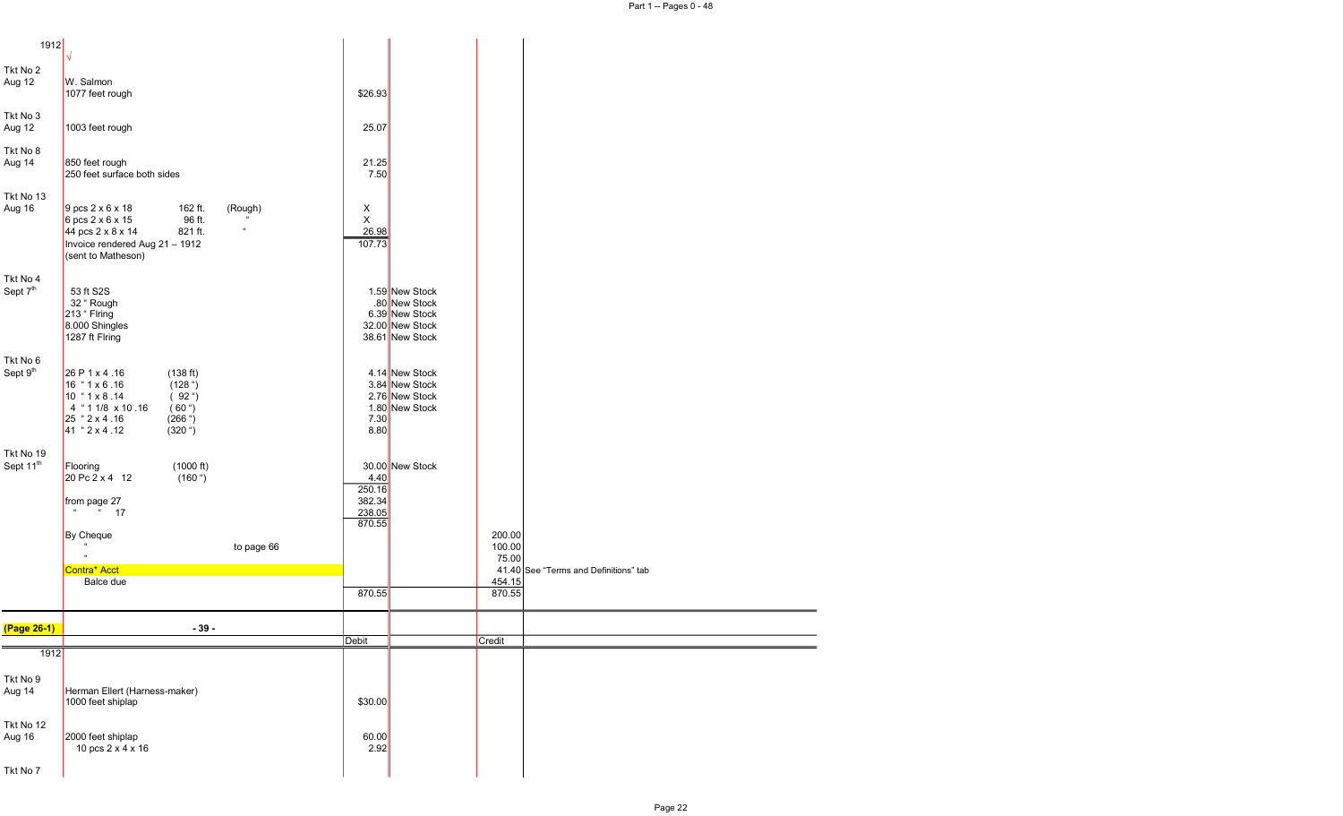| 1912                             |                                                                                                  |                  |                                   |                  |                                       |
|----------------------------------|--------------------------------------------------------------------------------------------------|------------------|-----------------------------------|------------------|---------------------------------------|
| Tkt No 2                         |                                                                                                  |                  |                                   |                  |                                       |
| Aug 12                           | W. Salmon                                                                                        |                  |                                   |                  |                                       |
|                                  | 1077 feet rough                                                                                  | \$26.93          |                                   |                  |                                       |
| Tkt No 3<br>Aug 12               | 1003 feet rough                                                                                  | 25.07            |                                   |                  |                                       |
|                                  |                                                                                                  |                  |                                   |                  |                                       |
| Tkt No 8<br>Aug 14               | 850 feet rough                                                                                   | 21.25            |                                   |                  |                                       |
|                                  | 250 feet surface both sides                                                                      | 7.50             |                                   |                  |                                       |
| Tkt No 13                        |                                                                                                  |                  |                                   |                  |                                       |
| Aug 16                           | 162 ft.<br>$9$ pcs $2 \times 6 \times 18$<br>(Rough)<br>$6$ pcs $2 \times 6 \times 15$<br>96 ft. | X<br>X           |                                   |                  |                                       |
|                                  | œ<br>44 pcs 2 x 8 x 14<br>821 ft.                                                                | 26.98            |                                   |                  |                                       |
|                                  | Invoice rendered Aug 21 - 1912<br>(sent to Matheson)                                             | 107.73           |                                   |                  |                                       |
|                                  |                                                                                                  |                  |                                   |                  |                                       |
| Tkt No 4<br>Sept 7 <sup>th</sup> | 53 ft S2S                                                                                        |                  | 1.59 New Stock                    |                  |                                       |
|                                  | 32 " Rough                                                                                       |                  | .80 New Stock                     |                  |                                       |
|                                  | 213 " Flring<br>8.000 Shingles                                                                   |                  | 6.39 New Stock<br>32.00 New Stock |                  |                                       |
|                                  | 1287 ft Flring                                                                                   |                  | 38.61 New Stock                   |                  |                                       |
| Tkt No 6                         |                                                                                                  |                  |                                   |                  |                                       |
| Sept $9^{\text{th}}$             | 26 P 1 x 4 .16<br>(138 ft)                                                                       |                  | 4.14 New Stock                    |                  |                                       |
|                                  | 16 "1 x 6.16<br>(128 <sup>11</sup> )<br>10 " 1 x 8 .14<br>(92 <sup>u</sup> )                     |                  | 3.84 New Stock<br>2.76 New Stock  |                  |                                       |
|                                  | 4 " 1 1/8 x 10 .16<br>(60")                                                                      |                  | 1.80 New Stock                    |                  |                                       |
|                                  | $25$ " $2 \times 4$ .16<br>(266 <sup>''</sup> )<br>41 "2 x 4 .12<br>(320 <sup>o</sup> )          | 7.30<br>8.80     |                                   |                  |                                       |
|                                  |                                                                                                  |                  |                                   |                  |                                       |
| Tkt No 19<br>Sept 11th           | (1000 ft)<br>Flooring                                                                            |                  | 30.00 New Stock                   |                  |                                       |
|                                  | 20 Pc 2 x 4 12<br>(160 <sup>''</sup> )                                                           | 4.40             |                                   |                  |                                       |
|                                  | from page 27                                                                                     | 250.16<br>382.34 |                                   |                  |                                       |
|                                  | $\frac{6}{17}$<br>$\alpha$                                                                       | 238.05           |                                   |                  |                                       |
|                                  | By Cheque                                                                                        | 870.55           |                                   | 200.00           |                                       |
|                                  | to page 66<br>$\alpha$                                                                           |                  |                                   | 100.00<br>75.00  |                                       |
|                                  | Contra* Acct                                                                                     |                  |                                   |                  | 41.40 See "Terms and Definitions" tab |
|                                  | Balce due                                                                                        | 870.55           |                                   | 454.15<br>870.55 |                                       |
|                                  |                                                                                                  |                  |                                   |                  |                                       |
| (Page 26-1)                      | $-39-$                                                                                           |                  |                                   |                  |                                       |
| 1912                             |                                                                                                  | Debit            |                                   | Credit           |                                       |
|                                  |                                                                                                  |                  |                                   |                  |                                       |
| Tkt No 9<br>Aug 14               | Herman Ellert (Harness-maker)                                                                    |                  |                                   |                  |                                       |
|                                  | 1000 feet shiplap                                                                                | \$30.00          |                                   |                  |                                       |
| Tkt No 12                        |                                                                                                  |                  |                                   |                  |                                       |
| Aug 16                           | 2000 feet shiplap                                                                                | 60.00            |                                   |                  |                                       |
|                                  | 10 pcs 2 x 4 x 16                                                                                | 2.92             |                                   |                  |                                       |
| Tkt No 7                         |                                                                                                  |                  |                                   |                  |                                       |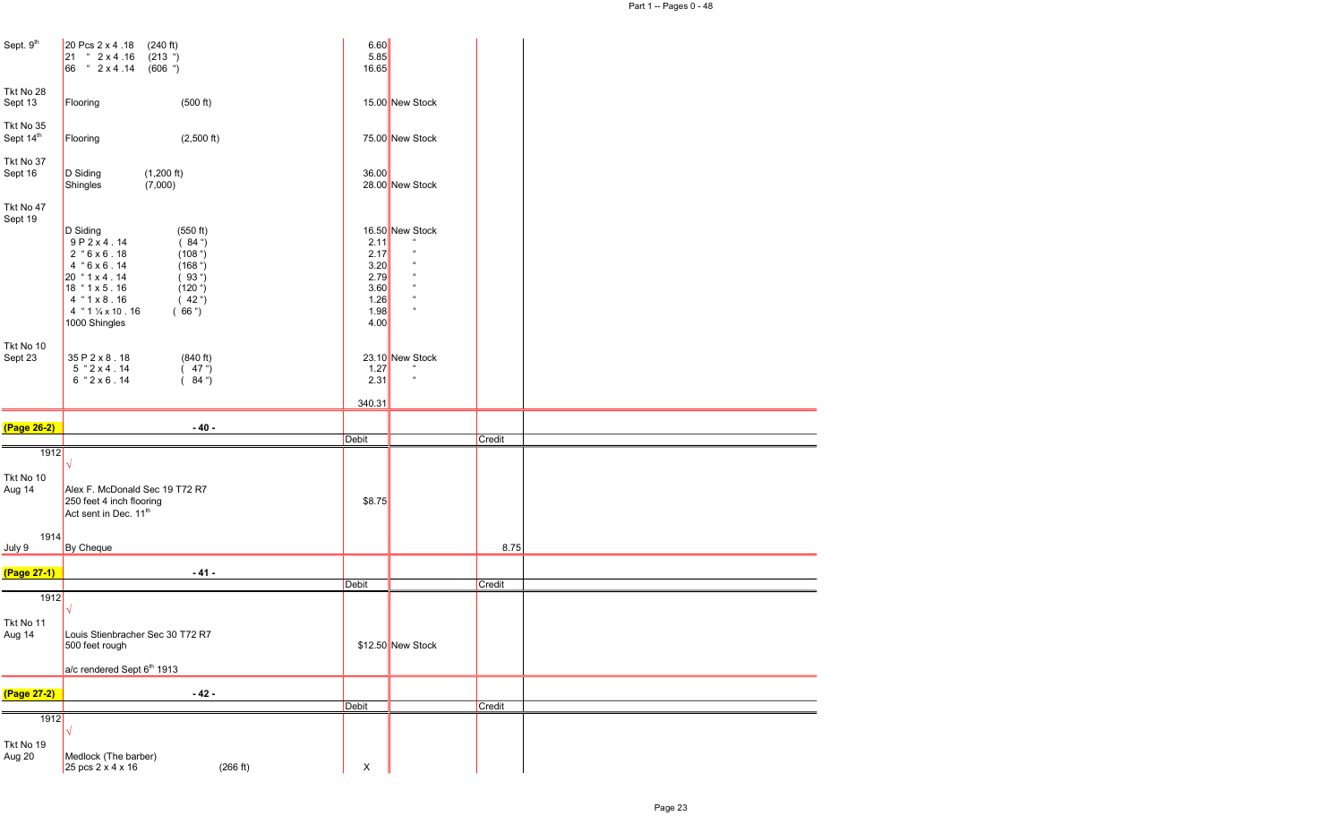| Sept. 9 <sup>th</sup>  | 20 Pcs 2 x 4 .18<br>(240 ft)<br>21<br>$"$ 2 x 4 .16<br>$(213)^{n}$<br>66 " 2 x 4 .14<br>(606 <sup>''</sup> )                                                              | 6.60<br>5.85<br>16.65        |                                        |        |  |
|------------------------|---------------------------------------------------------------------------------------------------------------------------------------------------------------------------|------------------------------|----------------------------------------|--------|--|
| Tkt No 28<br>Sept 13   | (500 ft)<br>Flooring                                                                                                                                                      |                              | 15.00 New Stock                        |        |  |
| Tkt No 35<br>Sept 14th | Flooring<br>$(2,500 \text{ ft})$                                                                                                                                          |                              | 75.00 New Stock                        |        |  |
| Tkt No 37<br>Sept 16   | D Siding<br>$(1,200 \text{ ft})$<br>(7,000)<br>Shingles                                                                                                                   | 36.00                        | 28.00 New Stock                        |        |  |
| Tkt No 47<br>Sept 19   |                                                                                                                                                                           |                              |                                        |        |  |
|                        | D Siding<br>(550 ft)<br>9P2x4.14<br>(84")<br>$2 * 6 × 6 : 18$<br>(108 <sup>''</sup> )<br>4 "6 x 6 . 14<br>(168 <sup>''</sup> )<br>20 "1 x 4 . 14<br>(93")<br>18 "1 x 5.16 | 2.11<br>2.17<br>3.20<br>2.79 | 16.50 New Stock<br>$\alpha$            |        |  |
|                        | (120 <sup>°</sup> )<br>4 "1 x 8 . 16<br>(42 <sup>u</sup> )<br>4 " 1 % x 10 . 16<br>(66 <sup>''</sup> )<br>1000 Shingles                                                   | 3.60<br>1.26<br>1.98<br>4.00 | $\mathfrak{c}\mathfrak{c}$<br>$\alpha$ |        |  |
| Tkt No 10<br>Sept 23   | 35 P 2 x 8 . 18<br>(840 ft)<br>$5$ "2 x 4 . 14<br>47")<br>6 "2 x 6 . 14<br>(84)                                                                                           | 1.27<br>2.31                 | 23.10 New Stock                        |        |  |
|                        |                                                                                                                                                                           | 340.31                       |                                        |        |  |
| (Page 26-2)            | $-40-$                                                                                                                                                                    | Debit                        |                                        | Credit |  |
| 1912                   |                                                                                                                                                                           |                              |                                        |        |  |
| Tkt No 10<br>Aug 14    | Alex F. McDonald Sec 19 T72 R7<br>250 feet 4 inch flooring<br>Act sent in Dec. 11 <sup>th</sup>                                                                           | \$8.75                       |                                        |        |  |
| 1914<br>July 9         | By Cheque                                                                                                                                                                 |                              |                                        | 8.75   |  |
| (Page 27-1)            | $-41 -$                                                                                                                                                                   |                              |                                        |        |  |
| 1912                   |                                                                                                                                                                           | Debit                        |                                        | Credit |  |
| Tkt No 11<br>Aug 14    | Louis Stienbracher Sec 30 T72 R7<br>500 feet rough                                                                                                                        |                              | \$12.50 New Stock                      |        |  |
|                        | a/c rendered Sept 6 <sup>th</sup> 1913                                                                                                                                    |                              |                                        |        |  |
| (Page 27-2)            | $-42-$                                                                                                                                                                    |                              |                                        |        |  |
| 1912                   |                                                                                                                                                                           | Debit                        |                                        | Credit |  |
|                        |                                                                                                                                                                           |                              |                                        |        |  |
| Tkt No 19<br>Aug 20    | Medlock (The barber)                                                                                                                                                      |                              |                                        |        |  |
|                        | $25$ pcs $2 \times 4 \times 16$<br>(266 ft)                                                                                                                               | $\mathsf X$                  |                                        |        |  |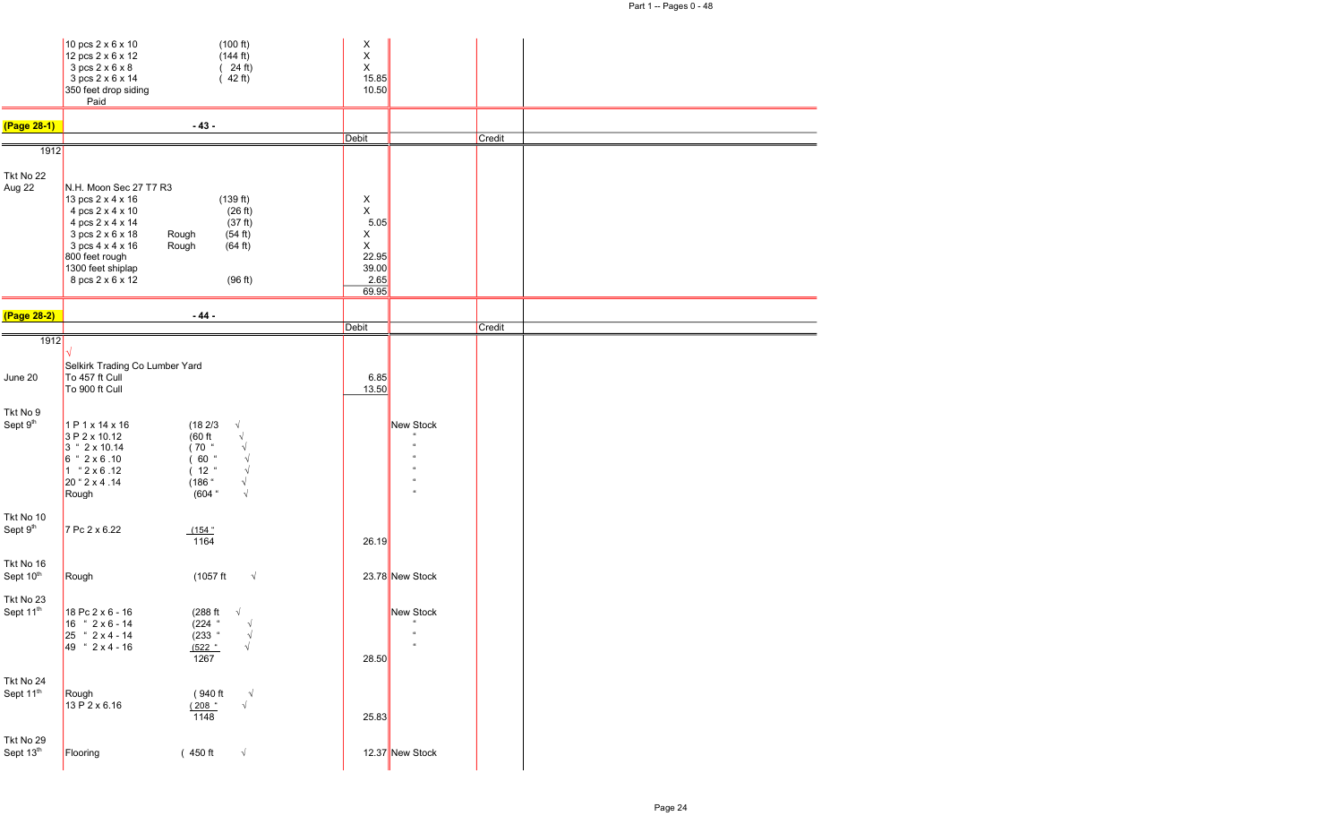|                                    | 10 pcs 2 x 6 x 10<br>(100 ft)<br>12 pcs 2 x 6 x 12<br>(144 ft)<br>3 pcs 2 x 6 x 8<br>$24 \text{ ft}$<br>3 pcs 2 x 6 x 14<br>(42 ft)<br>350 feet drop siding<br>Paid                                                                                                                                                                      | X<br>X<br>X<br>15.85<br>10.50                                         |                                            |        |  |
|------------------------------------|------------------------------------------------------------------------------------------------------------------------------------------------------------------------------------------------------------------------------------------------------------------------------------------------------------------------------------------|-----------------------------------------------------------------------|--------------------------------------------|--------|--|
| (Page 28-1)                        | $-43-$                                                                                                                                                                                                                                                                                                                                   |                                                                       |                                            |        |  |
|                                    |                                                                                                                                                                                                                                                                                                                                          | Debit                                                                 |                                            | Credit |  |
| 1912<br>Tkt No 22<br>Aug 22        | N.H. Moon Sec 27 T7 R3<br>13 pcs 2 x 4 x 16<br>(139 ft)<br>4 pcs 2 x 4 x 10<br>(26 ft)<br>(37 ft)<br>4 pcs 2 x 4 x 14<br>3 pcs 2 x 6 x 18<br>Rough<br>(54 ft)<br>3 pcs 4 x 4 x 16<br>(64 ft)<br>Rough<br>800 feet rough<br>1300 feet shiplap<br>8 pcs 2 x 6 x 12<br>(96 ft)                                                              | X<br>$\mathsf X$<br>5.05<br>X<br>X<br>22.95<br>39.00<br>2.65<br>69.95 |                                            |        |  |
| (Page 28-2)                        | $-44-$                                                                                                                                                                                                                                                                                                                                   |                                                                       |                                            |        |  |
|                                    |                                                                                                                                                                                                                                                                                                                                          | <b>Debit</b>                                                          |                                            | Credit |  |
| 1912<br>June 20                    | Selkirk Trading Co Lumber Yard<br>To 457 ft Cull<br>To 900 ft Cull                                                                                                                                                                                                                                                                       | 6.85<br>13.50                                                         |                                            |        |  |
| Tkt No 9<br>Sept 9 <sup>th</sup>   | $\sqrt{}$<br>1 P 1 x 14 x 16<br>(182/3)<br>3 P 2 x 10.12<br>$\sqrt{ }$<br>(60 ft)<br>$3$ " $2 \times 10.14$<br>$(70$ "<br>$\sqrt{ }$<br>$6$ " $2 \times 6.10$<br>$(60$ "<br>$\sqrt{ }$<br>$1$ "2 x 6 .12<br>$(12$ "<br>$\sqrt{ }$<br>$\sqrt{ }$<br>$20$ " 2 x 4 .14<br>(186 <sup>"</sup> )<br>Rough<br>(604 <sup>''</sup> )<br>$\sqrt{}$ |                                                                       | New Stock                                  |        |  |
| Tkt No 10<br>Sept $9^{\text{th}}$  | 7 Pc 2 x 6.22<br>(154)<br>1164                                                                                                                                                                                                                                                                                                           | 26.19                                                                 |                                            |        |  |
| Tkt No 16<br>Sept 10 <sup>th</sup> | $\sqrt{ }$<br>(1057 ft<br>Rough                                                                                                                                                                                                                                                                                                          |                                                                       | 23.78 New Stock                            |        |  |
| Tkt No 23<br>Sept 11 <sup>th</sup> | (288 ft $\sqrt{ }$<br>$18$ Pc $2 \times 6 - 16$<br>$(224$ "<br>$16$ " $2 \times 6 - 14$<br>$\sqrt{ }$<br>$25$ " $2 \times 4 - 14$<br>$(233$ "<br>$\sqrt{ }$<br>49 " 2 x 4 - 16<br>$\sqrt{}$<br>$(522$ "<br>1267                                                                                                                          | 28.50                                                                 | New Stock<br>$\alpha$<br>$-66$<br>$\alpha$ |        |  |
| Tkt No 24<br>Sept 11 <sup>th</sup> | $\sqrt{ }$<br>Rough<br>(940 ft)<br>$\sqrt{}$<br>13 P 2 x 6.16<br>$(208)^{4}$<br>1148                                                                                                                                                                                                                                                     | 25.83                                                                 |                                            |        |  |
| Tkt No 29<br>Sept 13th             | $\sqrt{ }$<br>Flooring<br>(450 ft)                                                                                                                                                                                                                                                                                                       |                                                                       | 12.37 New Stock                            |        |  |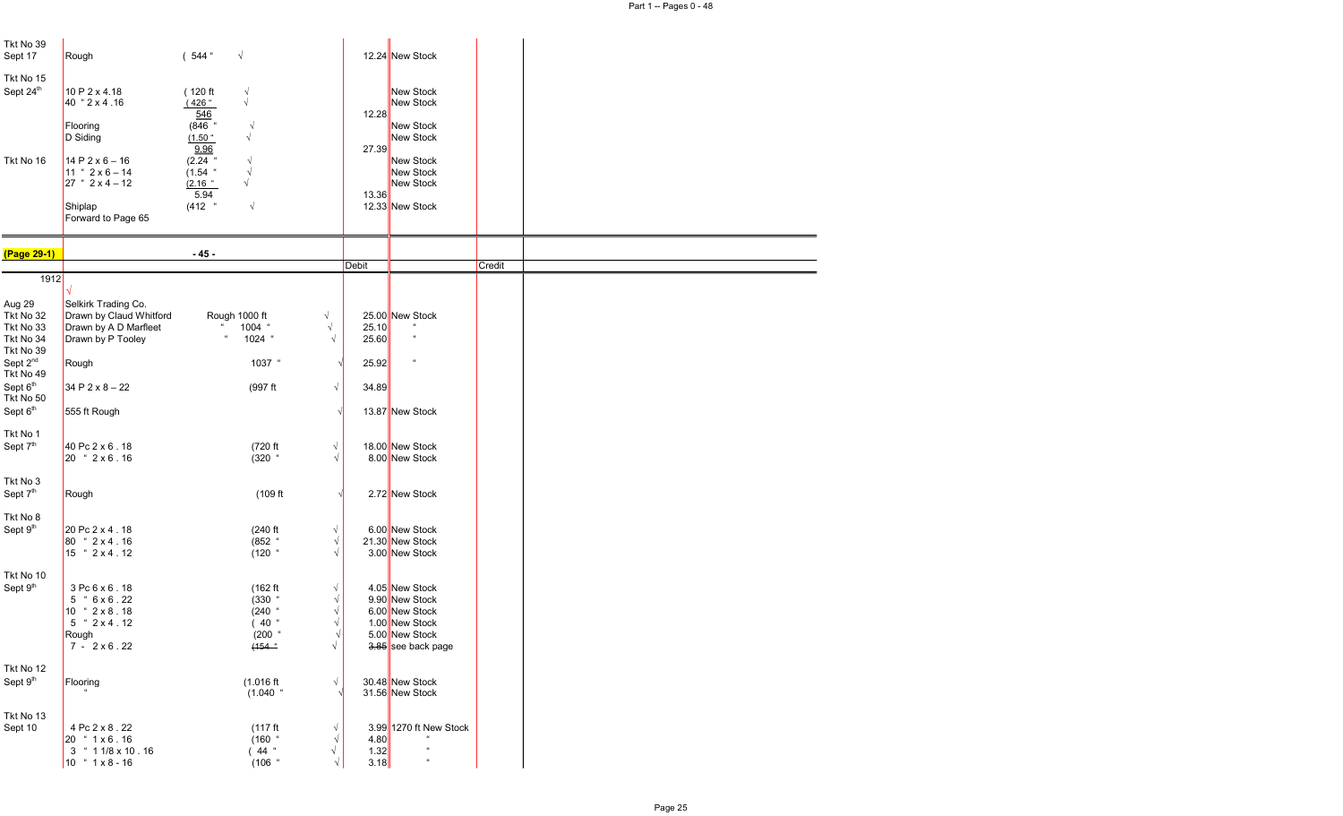| Tkt No 39<br>Sept 17                          | Rough                                                                                        | $(544$ "<br>$\sqrt{ }$                                                             |                                      |                | 12.24 New Stock                     |        |  |
|-----------------------------------------------|----------------------------------------------------------------------------------------------|------------------------------------------------------------------------------------|--------------------------------------|----------------|-------------------------------------|--------|--|
| Tkt No 15<br>Sept 24th                        | 10 P 2 x 4.18<br>40 ° 2 x 4 .16                                                              | (120 ft<br>$\sqrt{ }$<br>$\sqrt{ }$<br>$(426$ "<br>546                             |                                      | 12.28          | New Stock<br>New Stock              |        |  |
|                                               | Flooring<br>D Siding                                                                         | $(846$ "<br>$\sqrt{ }$<br>$\sqrt{ }$<br>$(1.50$ "                                  |                                      |                | New Stock<br>New Stock              |        |  |
| Tkt No 16                                     | $14 P 2 x 6 - 16$<br>$11$ " $2 \times 6 - 14$<br>$27$ " $2 \times 4 - 12$                    | 9.96<br>$(2.24$ "<br>$\sqrt{}$<br>$(1.54$ "<br>$\sqrt{}$<br>$\sqrt{}$<br>$(2.16$ " |                                      | 27.39          | New Stock<br>New Stock<br>New Stock |        |  |
|                                               | Shiplap<br>Forward to Page 65                                                                | 5.94<br>$(412$ "<br>$\sqrt{ }$                                                     |                                      | 13.36          | 12.33 New Stock                     |        |  |
| (Page 29-1)                                   |                                                                                              | $-45-$                                                                             |                                      |                |                                     |        |  |
|                                               |                                                                                              |                                                                                    |                                      | Debit          |                                     | Credit |  |
| 1912                                          |                                                                                              |                                                                                    |                                      |                |                                     |        |  |
| Aug 29<br>Tkt No 32<br>Tkt No 33<br>Tkt No 34 | Selkirk Trading Co.<br>Drawn by Claud Whitford<br>Drawn by A D Marfleet<br>Drawn by P Tooley | Rough 1000 ft<br>1004 "<br>1024 "                                                  | $\sqrt{}$<br>$\sqrt{ }$<br>$\sqrt{}$ | 25.10<br>25.60 | 25.00 New Stock<br>a                |        |  |
| Tkt No 39<br>Sept 2 <sup>nd</sup>             | Rough                                                                                        | 1037 "                                                                             | ٦                                    | 25.92          | £                                   |        |  |
| Tkt No 49<br>Sept 6 <sup>th</sup>             | $34 P 2 x 8 - 22$                                                                            | (997 ft                                                                            | $\sqrt{}$                            | 34.89          |                                     |        |  |
| Tkt No 50<br>Sept 6 <sup>th</sup>             | 555 ft Rough                                                                                 |                                                                                    |                                      |                | 13.87 New Stock                     |        |  |
| Tkt No 1<br>Sept 7 <sup>th</sup>              | 40 Pc 2 x 6 . 18<br>20 " 2 x 6 . 16                                                          | (720 ft<br>$(320$ "                                                                | $\sqrt{}$<br>$\sqrt{}$               |                | 18.00 New Stock<br>8.00 New Stock   |        |  |
| Tkt No 3<br>Sept 7 <sup>th</sup>              | Rough                                                                                        | (109 ft                                                                            |                                      |                | 2.72 New Stock                      |        |  |
| Tkt No 8                                      |                                                                                              |                                                                                    |                                      |                |                                     |        |  |
| Sept 9 <sup>th</sup>                          | 20 Pc 2 x 4 . 18<br>80 " 2 x 4 . 16                                                          | (240 ft<br>$(852$ "                                                                | $\sqrt{}$<br>$\sqrt{}$               |                | 6.00 New Stock<br>21.30 New Stock   |        |  |
|                                               | 15 " 2 x 4 . 12                                                                              | $(120$ "                                                                           |                                      |                | 3.00 New Stock                      |        |  |
| Tkt No 10<br>Sept 9 <sup>th</sup>             | 3 Pc 6 x 6.18                                                                                | (162 ft                                                                            | $\sqrt{ }$                           |                | 4.05 New Stock                      |        |  |
|                                               | 5 " 6 x 6.22                                                                                 | $(330 -$                                                                           | $\sqrt{}$                            |                | 9.90 New Stock                      |        |  |
|                                               | $10$ " $2 \times 8$ . 18                                                                     | (240 "                                                                             |                                      |                | 6.00 New Stock                      |        |  |
|                                               | $5$ " $2 \times 4$ . 12<br>Rough                                                             | $(40$ "<br>$(200$ "                                                                | V                                    |                | 1.00 New Stock<br>5.00 New Stock    |        |  |
|                                               | $7 - 2 \times 6.22$                                                                          | $(154 -$                                                                           | $\sqrt{ }$                           |                | 3.85 see back page                  |        |  |
| Tkt No 12                                     |                                                                                              |                                                                                    |                                      |                |                                     |        |  |
| Sept 9 <sup>th</sup>                          | Flooring                                                                                     | $(1.016$ ft<br>$(1.040$ "                                                          | $\sqrt{}$                            |                | 30.48 New Stock<br>31.56 New Stock  |        |  |
| Tkt No 13                                     |                                                                                              |                                                                                    |                                      |                |                                     |        |  |
| Sept 10                                       | 4 Pc 2 x 8 . 22                                                                              | (117 ft                                                                            |                                      |                | 3.99 1270 ft New Stock              |        |  |
|                                               | 20 " 1 x 6 . 16                                                                              | $(160$ "                                                                           |                                      | 4.80           |                                     |        |  |
|                                               | 3 " 1 1/8 x 10 . 16                                                                          | $(44$ "                                                                            |                                      | 1.32           |                                     |        |  |
|                                               | $10$ " $1 \times 8 - 16$                                                                     | $(106$ "                                                                           |                                      | 3.18           |                                     |        |  |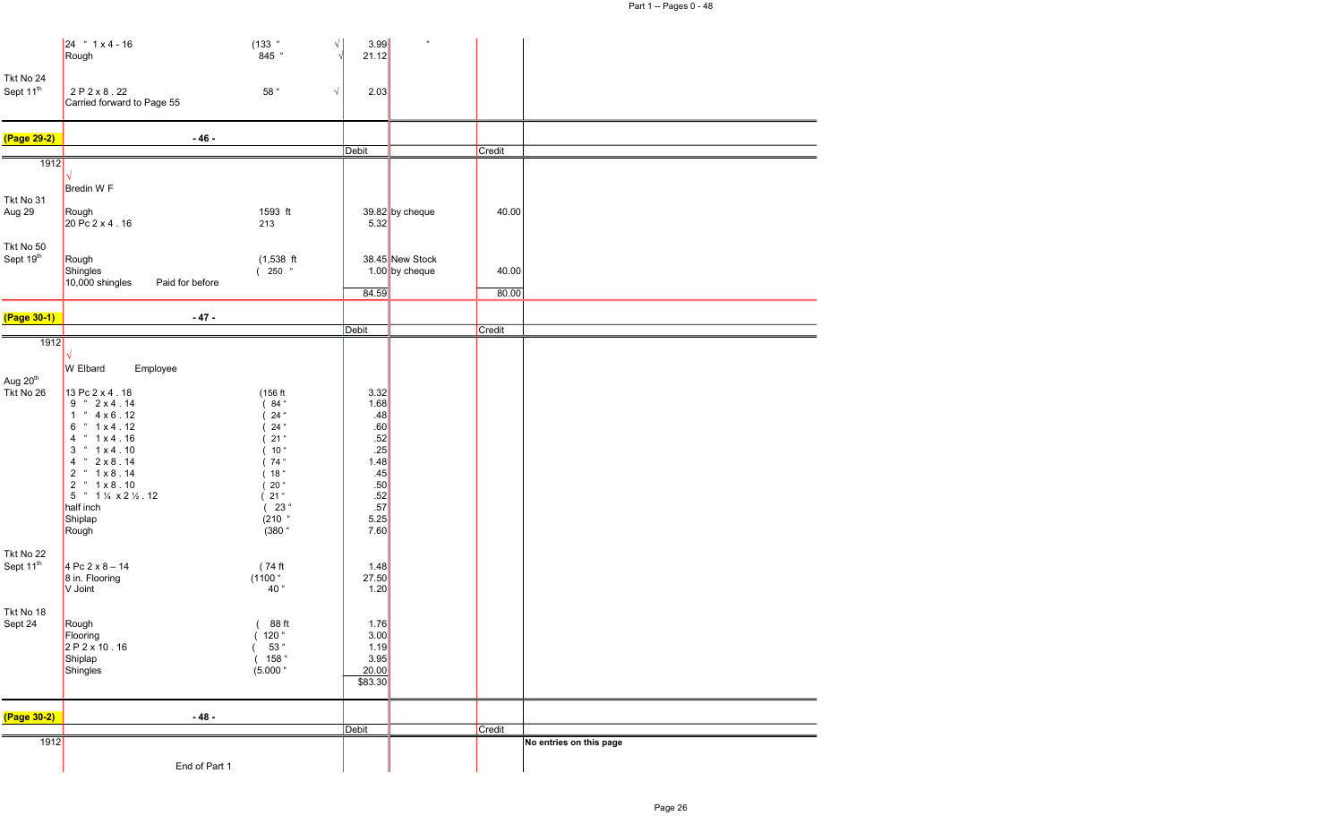|                                    | 24 " 1 x 4 - 16<br>Rough                                                                                                                                                                                                                                                                     | $\sqrt{}$<br>$(133$ "<br>845 "                                                                                                                                                                          | 3.99<br>21.12                                                                                | $\alpha$                          |                |                         |
|------------------------------------|----------------------------------------------------------------------------------------------------------------------------------------------------------------------------------------------------------------------------------------------------------------------------------------------|---------------------------------------------------------------------------------------------------------------------------------------------------------------------------------------------------------|----------------------------------------------------------------------------------------------|-----------------------------------|----------------|-------------------------|
| Tkt No 24<br>Sept 11 <sup>th</sup> | 2P2x8.22<br>Carried forward to Page 55                                                                                                                                                                                                                                                       | 58 "<br>$\sqrt{ }$                                                                                                                                                                                      | 2.03                                                                                         |                                   |                |                         |
| (Page 29-2)                        | $-46-$                                                                                                                                                                                                                                                                                       |                                                                                                                                                                                                         |                                                                                              |                                   |                |                         |
| 1912                               |                                                                                                                                                                                                                                                                                              |                                                                                                                                                                                                         | Debit                                                                                        |                                   | Credit         |                         |
| Tkt No 31<br>Aug 29                | Bredin W F<br>Rough<br>20 Pc 2 x 4 . 16                                                                                                                                                                                                                                                      | 1593 ft<br>213                                                                                                                                                                                          | 5.32                                                                                         | 39.82 by cheque                   | 40.00          |                         |
| Tkt No 50<br>Sept 19th             | Rough<br>Shingles<br>10,000 shingles<br>Paid for before                                                                                                                                                                                                                                      | $(1,538)$ ft<br>$(250$ "                                                                                                                                                                                | 84.59                                                                                        | 38.45 New Stock<br>1.00 by cheque | 40.00<br>80.00 |                         |
| (Page 30-1)                        | $-47-$                                                                                                                                                                                                                                                                                       |                                                                                                                                                                                                         |                                                                                              |                                   |                |                         |
| 1912                               |                                                                                                                                                                                                                                                                                              |                                                                                                                                                                                                         | Debit                                                                                        |                                   | Credit         |                         |
| Aug 20 <sup>th</sup><br>Tkt No 26  | W Elbard<br>Employee<br>13 Pc 2 x 4 . 18<br>$9$ " $2 \times 4$ . 14<br>$1$ " $4 \times 6$ . 12<br>6 " 1 x 4 . 12<br>4 " 1 x 4 . 16<br>$3$ " $1 \times 4$ . 10<br>4 " 2 x 8 . 14<br>$2$ " $1 \times 8$ . 14<br>$2$ " $1 \times 8$ . 10<br>5 " 1 % x 2 % . 12<br>half inch<br>Shiplap<br>Rough | (156 ft<br>84 "<br>24 "<br>24 "<br>$21$ "<br>(10 <sup>u</sup> )<br>(74 <sup>"</sup> )<br>(18 <sup>4</sup> )<br>$(20$ "<br>(21 <sup>u</sup> )<br>(23 <sup>''</sup> )<br>$(210$ "<br>(380 <sup>''</sup> ) | 3.32<br>1.68<br>.48<br>.60<br>.52<br>.25<br>1.48<br>.45<br>.50<br>.52<br>.57<br>5.25<br>7.60 |                                   |                |                         |
| Tkt No 22<br>Sept 11 <sup>th</sup> | $4$ Pc 2 x 8 - 14<br>8 in. Flooring<br>V Joint                                                                                                                                                                                                                                               | (74 ft<br>(1100 <sup>u</sup> )<br>40 "                                                                                                                                                                  | 1.48<br>27.50<br>1.20                                                                        |                                   |                |                         |
| Tkt No 18<br>Sept 24               | Rough<br>Flooring<br>2 P 2 x 10 . 16<br>Shiplap<br>Shingles                                                                                                                                                                                                                                  | 88 ft<br>120 "<br>$53$ "<br>158 "<br>$(5.000$ "                                                                                                                                                         | 1.76<br>3.00<br>1.19<br>3.95<br>20.00<br>\$83.30                                             |                                   |                |                         |
| (Page 30-2)                        | $-48-$                                                                                                                                                                                                                                                                                       |                                                                                                                                                                                                         |                                                                                              |                                   |                |                         |
|                                    |                                                                                                                                                                                                                                                                                              |                                                                                                                                                                                                         | Debit                                                                                        |                                   | Credit         | No entries on this page |
| 1912                               | End of Part 1                                                                                                                                                                                                                                                                                |                                                                                                                                                                                                         |                                                                                              |                                   |                |                         |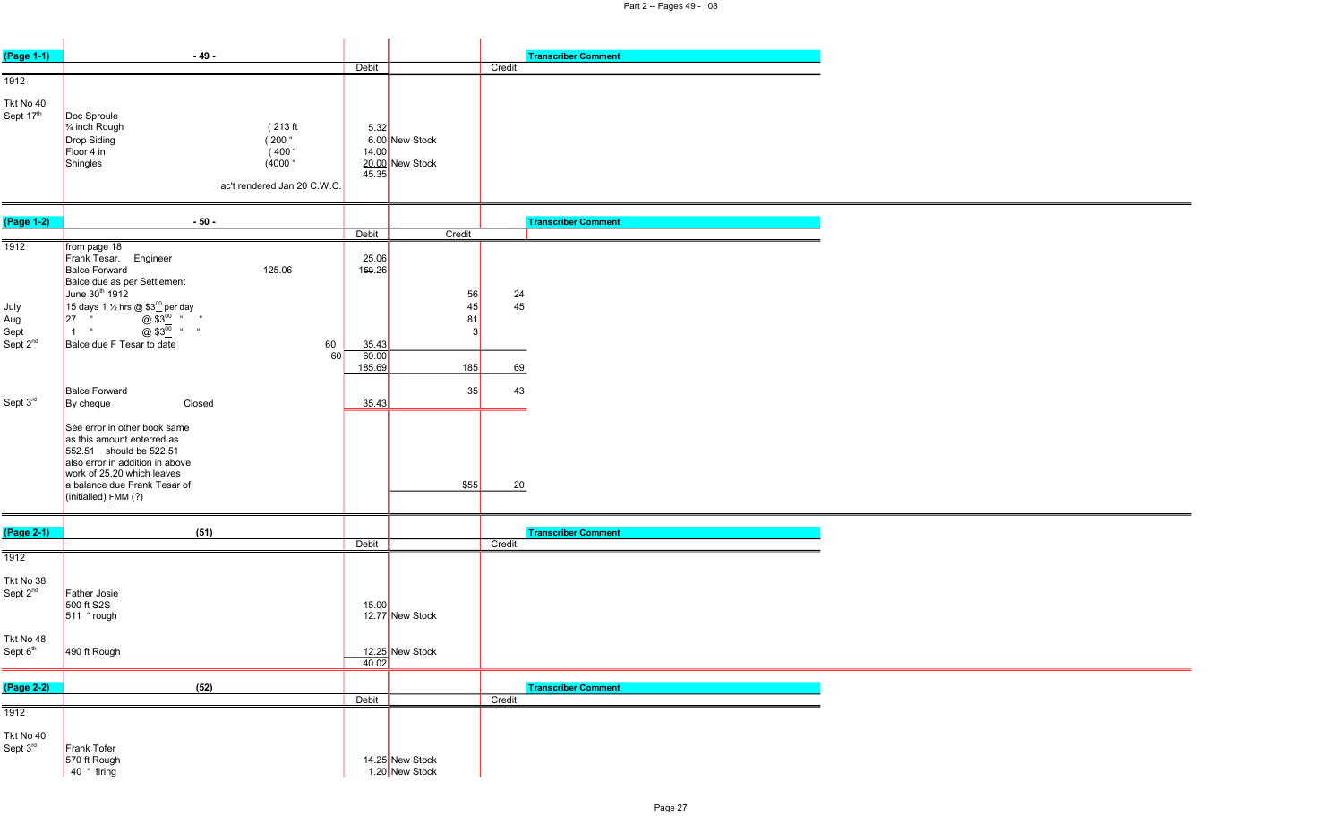| (Page 1-1)           | $-49-$                                                           |                             |        |                 |                   | <b>Transcriber Comment</b> |
|----------------------|------------------------------------------------------------------|-----------------------------|--------|-----------------|-------------------|----------------------------|
|                      |                                                                  |                             | Debit  |                 | Credit            |                            |
| 1912                 |                                                                  |                             |        |                 |                   |                            |
|                      |                                                                  |                             |        |                 |                   |                            |
| Tkt No 40            |                                                                  |                             |        |                 |                   |                            |
| Sept 17th            | Doc Sproule                                                      |                             |        |                 |                   |                            |
|                      | $\frac{3}{4}$ inch Rough                                         | (213 ft                     | 5.32   |                 |                   |                            |
|                      | Drop Siding                                                      | (200 <sup>u</sup> )         |        | 6.00 New Stock  |                   |                            |
|                      | Floor 4 in                                                       | (400 <sup>"</sup> )         | 14.00  |                 |                   |                            |
|                      | Shingles                                                         | (4000 <sup>u</sup> )        | 45.35  | 20.00 New Stock |                   |                            |
|                      |                                                                  | ac't rendered Jan 20 C.W.C. |        |                 |                   |                            |
|                      |                                                                  |                             |        |                 |                   |                            |
|                      |                                                                  |                             |        |                 |                   |                            |
| (Page 1-2)           | $-50 -$                                                          |                             |        |                 |                   | <b>Transcriber Comment</b> |
|                      |                                                                  |                             | Debit  | Credit          |                   |                            |
| 1912                 | from page 18                                                     |                             |        |                 |                   |                            |
|                      | Frank Tesar. Engineer<br><b>Balce Forward</b>                    |                             | 25.06  |                 |                   |                            |
|                      | Balce due as per Settlement                                      | 125.06                      | 150.26 |                 |                   |                            |
|                      | June 30 <sup>th</sup> 1912                                       |                             |        |                 |                   |                            |
|                      | 15 days 1 1/2 hrs @ \$3 <sup>00</sup> per day                    |                             |        | 56<br>45        | 24<br>45          |                            |
| July                 | $\omega$ \$3 <sup>00</sup> "<br> 27 <br>$\overline{\phantom{a}}$ |                             |        | 81              |                   |                            |
| Aug<br>Sept          | @ $$3^{00}$ " "<br>1 <sup>4</sup>                                |                             |        |                 | $\lvert 3 \rvert$ |                            |
| Sept 2 <sup>nd</sup> | Balce due F Tesar to date                                        | 60                          | 35.43  |                 |                   |                            |
|                      |                                                                  | 60                          | 60.00  |                 |                   |                            |
|                      |                                                                  |                             | 185.69 | 185             | 69                |                            |
|                      |                                                                  |                             |        |                 |                   |                            |
|                      | <b>Balce Forward</b>                                             |                             |        | 35              | 43                |                            |
| Sept $3^{\text{rd}}$ | Closed<br>By cheque                                              |                             | 35.43  |                 |                   |                            |
|                      |                                                                  |                             |        |                 |                   |                            |
|                      | See error in other book same                                     |                             |        |                 |                   |                            |
|                      | as this amount enterred as                                       |                             |        |                 |                   |                            |
|                      | 552.51 should be 522.51                                          |                             |        |                 |                   |                            |
|                      | also error in addition in above                                  |                             |        |                 |                   |                            |
|                      | work of 25.20 which leaves                                       |                             |        |                 |                   |                            |
|                      | a balance due Frank Tesar of                                     |                             |        | \$55            | 20                |                            |
|                      | (initialled) $FMM (?)$                                           |                             |        |                 |                   |                            |
|                      |                                                                  |                             |        |                 |                   |                            |
| (Page 2-1)           | (51)                                                             |                             |        |                 |                   | <b>Transcriber Comment</b> |
| 1912                 |                                                                  |                             | Debit  |                 | Credit            |                            |
|                      |                                                                  |                             |        |                 |                   |                            |
| Tkt No 38            |                                                                  |                             |        |                 |                   |                            |
| Sept $2^{nd}$        | <b>Father Josie</b>                                              |                             |        |                 |                   |                            |
|                      | $500$ ft S2S                                                     |                             | 15.00  |                 |                   |                            |
|                      | $511$ "rough                                                     |                             |        | 12.77 New Stock |                   |                            |
|                      |                                                                  |                             |        |                 |                   |                            |
| Tkt No 48            |                                                                  |                             |        |                 |                   |                            |
| Sept $6th$           | 490 ft Rough                                                     |                             |        | 12.25 New Stock |                   |                            |
|                      |                                                                  |                             | 40.02  |                 |                   |                            |
| (Page 2-2)           | (52)                                                             |                             |        |                 |                   | <b>Transcriber Comment</b> |
|                      |                                                                  |                             | Debit  |                 | Credit            |                            |
| 1912                 |                                                                  |                             |        |                 |                   |                            |
|                      |                                                                  |                             |        |                 |                   |                            |
| Tkt No 40            |                                                                  |                             |        |                 |                   |                            |
| Sept $3^{\text{rd}}$ | Frank Tofer                                                      |                             |        |                 |                   |                            |
|                      | 570 ft Rough                                                     |                             |        | 14.25 New Stock |                   |                            |
|                      | 40 " firing                                                      |                             |        | 1.20 New Stock  |                   |                            |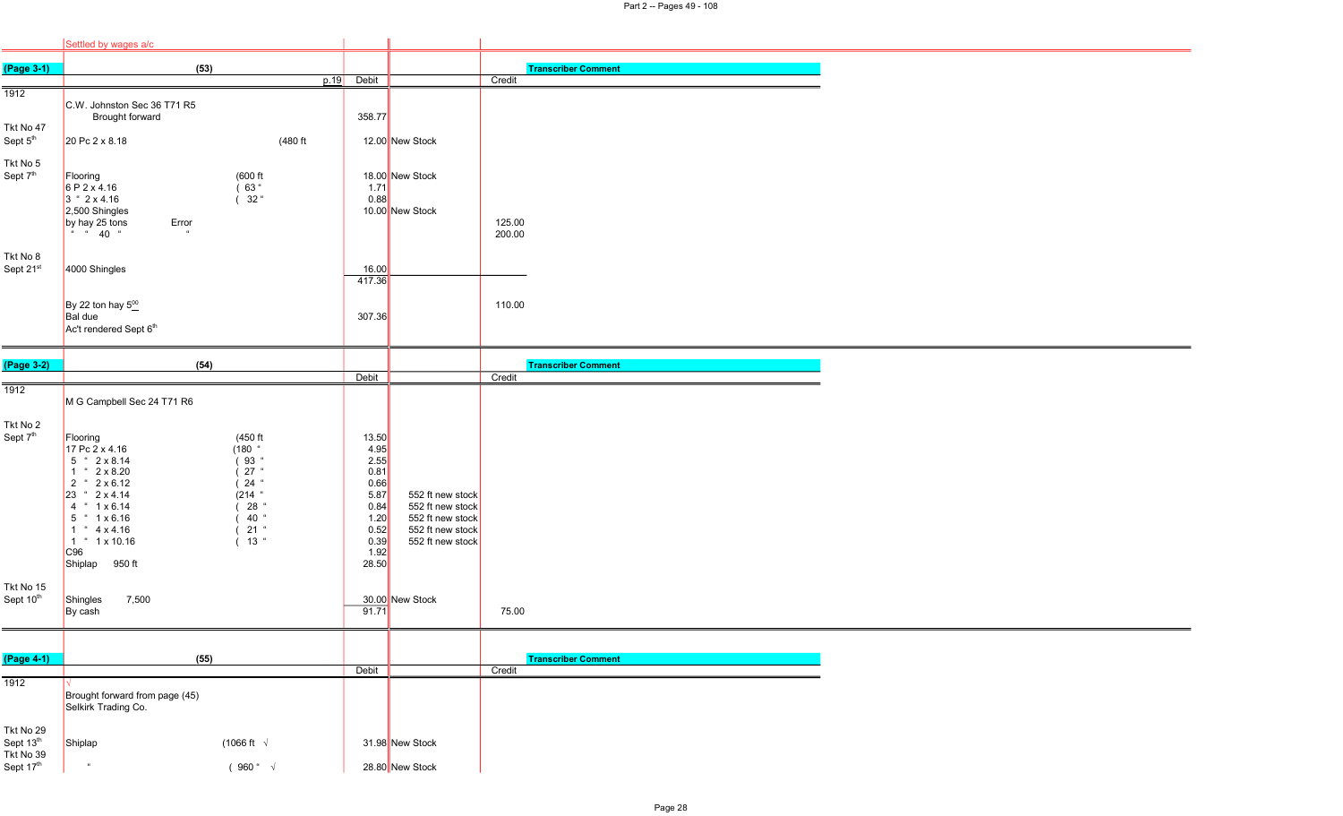|                                           | Settled by wages a/c                                                                                                                                                                                                                                                         |                                                                                                        |                                                                                                |                                                                                                  |                  |                            |
|-------------------------------------------|------------------------------------------------------------------------------------------------------------------------------------------------------------------------------------------------------------------------------------------------------------------------------|--------------------------------------------------------------------------------------------------------|------------------------------------------------------------------------------------------------|--------------------------------------------------------------------------------------------------|------------------|----------------------------|
|                                           |                                                                                                                                                                                                                                                                              |                                                                                                        |                                                                                                |                                                                                                  |                  | <b>Transcriber Comment</b> |
| (Page 3-1)                                | (53)                                                                                                                                                                                                                                                                         |                                                                                                        | $p.19$ Debit                                                                                   |                                                                                                  | Credit           |                            |
| 1912<br>Tkt No 47                         | C.W. Johnston Sec 36 T71 R5<br>Brought forward                                                                                                                                                                                                                               |                                                                                                        | 358.77                                                                                         |                                                                                                  |                  |                            |
| Sept 5 <sup>th</sup>                      | 20 Pc 2 x 8.18                                                                                                                                                                                                                                                               | (480 ft                                                                                                |                                                                                                | 12.00 New Stock                                                                                  |                  |                            |
| Tkt No 5<br>Sept 7 <sup>th</sup>          | Flooring<br>6P2x4.16<br>$3$ " 2 x 4.16<br>2,500 Shingles<br>by hay $25$ tons<br>Error<br>$\frac{a}{a}$ $\frac{a}{a}$ 40 $\frac{a}{a}$                                                                                                                                        | (600 ft<br>(63 <sup>''</sup> )<br>$\lambda$ 32 $\degree$                                               | 1.71<br>0.88                                                                                   | 18.00 New Stock<br>10.00 New Stock                                                               | 125.00<br>200.00 |                            |
| Tkt No 8                                  |                                                                                                                                                                                                                                                                              |                                                                                                        |                                                                                                |                                                                                                  |                  |                            |
| Sept 21st                                 | 4000 Shingles                                                                                                                                                                                                                                                                |                                                                                                        | 16.00<br>417.36                                                                                |                                                                                                  |                  |                            |
|                                           | By 22 ton hay $5^{00}$<br><b>Bal due</b><br>Ac't rendered Sept 6th                                                                                                                                                                                                           |                                                                                                        | 307.36                                                                                         |                                                                                                  | 110.00           |                            |
| (Page 3-2)                                | (54)                                                                                                                                                                                                                                                                         |                                                                                                        |                                                                                                |                                                                                                  |                  | <b>Transcriber Comment</b> |
|                                           |                                                                                                                                                                                                                                                                              |                                                                                                        | Debit                                                                                          |                                                                                                  | Credit           |                            |
| 1912<br>Tkt No 2<br>Sept 7th<br>Tkt No 15 | M G Campbell Sec 24 T71 R6<br>Flooring<br>17 Pc 2 x 4.16<br>5 " 2 x 8.14<br>$1$ " $2 \times 8.20$<br>$2$ " $2 \times 6.12$<br>23 " 2 x 4.14<br>$4$ " $1 \times 6.14$<br>$5$ " $1 \times 6.16$<br>$1$ " $4 \times 4.16$<br>$1$ " $1 \times 10.16$<br>C96<br>950 ft<br>Shiplap | (450 ft)<br>$(180$ "<br>$(93$ "<br>$(27$ "<br>$(24$ "<br>$(214$ "<br>28 "<br>40 "<br>$21$ "<br>$(13$ " | 13.50<br>4.95<br>2.55<br>0.81<br>0.66<br>5.87<br>0.84<br>1.20<br>0.52<br>0.39<br>1.92<br>28.50 | 552 ft new stock<br>552 ft new stock<br>552 ft new stock<br>552 ft new stock<br>552 ft new stock |                  |                            |
| Sept 10 <sup>th</sup>                     | 7,500<br>Shingles                                                                                                                                                                                                                                                            |                                                                                                        |                                                                                                | 30.00 New Stock                                                                                  |                  |                            |
|                                           | By cash                                                                                                                                                                                                                                                                      |                                                                                                        | 91.71                                                                                          |                                                                                                  | 75.00            |                            |
|                                           |                                                                                                                                                                                                                                                                              |                                                                                                        |                                                                                                |                                                                                                  |                  |                            |
|                                           |                                                                                                                                                                                                                                                                              |                                                                                                        |                                                                                                |                                                                                                  |                  |                            |
| (Page 4-1)                                | (55)                                                                                                                                                                                                                                                                         |                                                                                                        |                                                                                                |                                                                                                  |                  | <b>Transcriber Comment</b> |
| 1912                                      |                                                                                                                                                                                                                                                                              |                                                                                                        | Debit                                                                                          |                                                                                                  | Credit           |                            |
|                                           | Brought forward from page (45)<br>Selkirk Trading Co.                                                                                                                                                                                                                        |                                                                                                        |                                                                                                |                                                                                                  |                  |                            |
| Tkt No 29<br>Sept 13 <sup>th</sup>        | Shiplap                                                                                                                                                                                                                                                                      | (1066 ft $\sqrt{ }$                                                                                    |                                                                                                | 31.98 New Stock                                                                                  |                  |                            |
| Tkt No 39<br>Sept $17^{\text{th}}$        | 66                                                                                                                                                                                                                                                                           | $(960$ " $\sqrt{25}$                                                                                   |                                                                                                | 28.80 New Stock                                                                                  |                  |                            |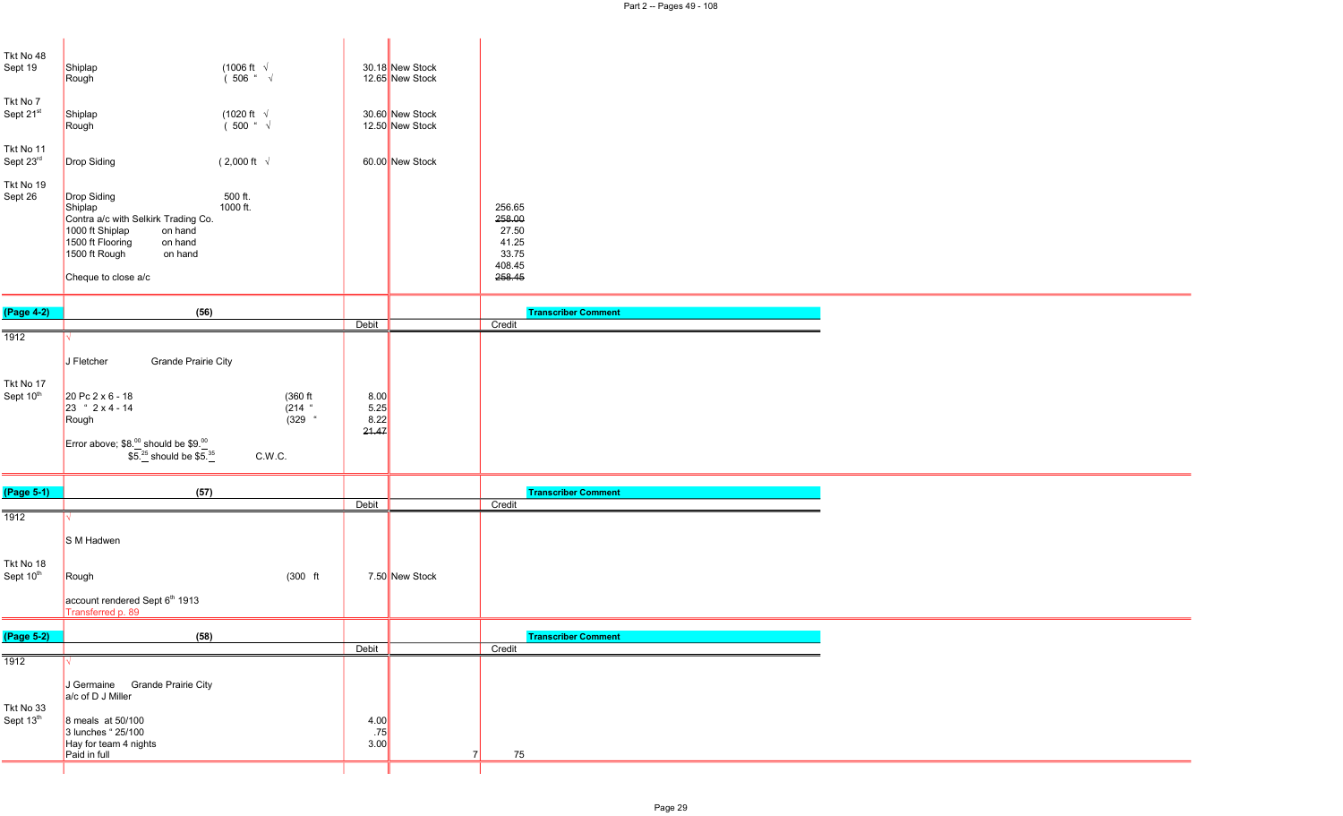## Part 2 -- Pages 49 - 108

| Tkt No 48<br>Sept 19<br>Tkt No 7<br>Sept 21st | (1006 ft $\sqrt{ }$<br>Shiplap<br>$(506$ " $\sqrt{ }$<br>Rough<br>(1020 ft $\sqrt{ }$<br>Shiplap<br>$(500$ " $\sqrt{ }$<br>Rough                                                                                        | 30.18 New Stock<br>12.65 New Stock<br>30.60 New Stock<br>12.50 New Stock |                                                                 |  |
|-----------------------------------------------|-------------------------------------------------------------------------------------------------------------------------------------------------------------------------------------------------------------------------|--------------------------------------------------------------------------|-----------------------------------------------------------------|--|
| Tkt No 11<br>Sept 23rd                        | Drop Siding<br>(2,000 ft $\sqrt{ }$                                                                                                                                                                                     | 60.00 New Stock                                                          |                                                                 |  |
| Tkt No 19<br>Sept 26                          | Drop Siding<br>500 ft.<br>1000 ft.<br>Shiplap<br>Contra a/c with Selkirk Trading Co.<br>1000 ft Shiplap<br>on hand<br>1500 ft Flooring<br>on hand<br>1500 ft Rough<br>on hand<br>Cheque to close a/c                    |                                                                          | 256.65<br>258.00<br>27.50<br>41.25<br>33.75<br>408.45<br>258.45 |  |
| (Page 4-2)                                    | (56)                                                                                                                                                                                                                    |                                                                          | <b>Transcriber Comment</b>                                      |  |
| 1912                                          |                                                                                                                                                                                                                         | Debit                                                                    | Credit                                                          |  |
|                                               | <b>Grande Prairie City</b><br>J Fletcher                                                                                                                                                                                |                                                                          |                                                                 |  |
| Tkt No 17<br>Sept 10 <sup>th</sup>            | $20$ Pc 2 x 6 - 18<br>(360 ft<br>$(214$ "<br>$23$ " $2 \times 4 - 14$<br>$(329 -$<br>Rough<br>Error above; \$8. <sup>00</sup> should be \$9. <sup>00</sup><br>\$5. <sup>25</sup> should be \$5. <sup>35</sup><br>C.W.C. | 8.00<br>5.25<br>8.22<br>21.47                                            |                                                                 |  |
| (Page 5-1)                                    | (57)                                                                                                                                                                                                                    |                                                                          | <b>Transcriber Comment</b>                                      |  |
|                                               |                                                                                                                                                                                                                         | Debit                                                                    | Credit                                                          |  |
| 1912<br>Tkt No 18                             | S M Hadwen                                                                                                                                                                                                              |                                                                          |                                                                 |  |
| Sept 10 <sup>th</sup>                         | Rough<br>$(300$ ft                                                                                                                                                                                                      | 7.50 New Stock                                                           |                                                                 |  |
|                                               | account rendered Sept 6th 1913<br>Transferred p. 89                                                                                                                                                                     |                                                                          |                                                                 |  |
| (Page 5-2)                                    | (58)                                                                                                                                                                                                                    |                                                                          | <b>Transcriber Comment</b>                                      |  |
|                                               |                                                                                                                                                                                                                         | Debit                                                                    | Credit                                                          |  |
| 1912<br>Tkt No 33<br>Sept 13 <sup>th</sup>    | J Germaine Grande Prairie City<br>a/c of D J Miller<br>8 meals at 50/100<br>3 lunches " 25/100<br>Hay for team 4 nights<br>Paid in full                                                                                 | 4.00<br>.75<br>3.00                                                      | 75<br>7 <sup>1</sup>                                            |  |
|                                               |                                                                                                                                                                                                                         |                                                                          |                                                                 |  |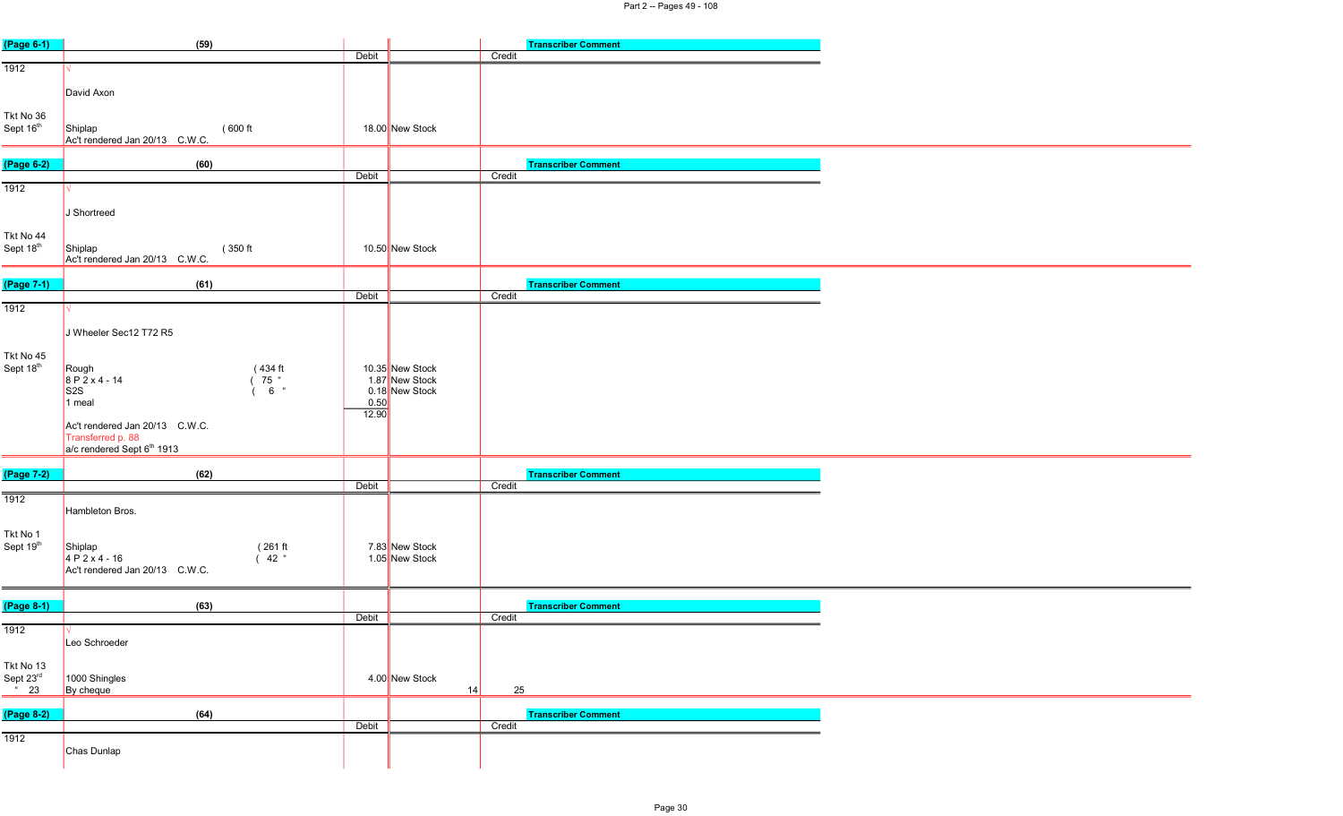| (Page 6-1)                   | (59)                                                               |                    | <b>Transcriber Comment</b>           |
|------------------------------|--------------------------------------------------------------------|--------------------|--------------------------------------|
|                              |                                                                    | Debit              | Credit                               |
| 1912                         |                                                                    |                    |                                      |
|                              |                                                                    |                    |                                      |
|                              | David Axon                                                         |                    |                                      |
|                              |                                                                    |                    |                                      |
| Tkt No 36                    |                                                                    |                    |                                      |
| Sept 16 <sup>th</sup>        | (600 ft<br>Shiplap<br>Ac't rendered Jan 20/13 C.W.C.               | 18.00 New Stock    |                                      |
|                              |                                                                    |                    |                                      |
| (Page 6-2)                   | (60)                                                               |                    | <b>Transcriber Comment</b>           |
|                              |                                                                    | Debit              | Credit                               |
| 1912                         |                                                                    |                    |                                      |
|                              |                                                                    |                    |                                      |
|                              | J Shortreed                                                        |                    |                                      |
|                              |                                                                    |                    |                                      |
| Tkt No 44                    |                                                                    |                    |                                      |
| Sept 18 <sup>th</sup>        | (350 ft<br>Shiplap                                                 | 10.50 New Stock    |                                      |
|                              | Ac't rendered Jan 20/13 C.W.C.                                     |                    |                                      |
|                              |                                                                    |                    |                                      |
| (Page 7-1)                   | (61)                                                               |                    | <b>Transcriber Comment</b>           |
|                              |                                                                    | Debit              | Credit                               |
| 1912                         |                                                                    |                    |                                      |
|                              | J Wheeler Sec12 T72 R5                                             |                    |                                      |
|                              |                                                                    |                    |                                      |
| Tkt No 45                    |                                                                    |                    |                                      |
| Sept 18 <sup>th</sup>        | (434 ft<br>Rough                                                   | 10.35 New Stock    |                                      |
|                              | $8P2x4-14$                                                         | 1.87 New Stock     |                                      |
|                              | $\begin{pmatrix} 75 & 4 \\ 6 & 4 \end{pmatrix}$<br>S <sub>2S</sub> | 0.18 New Stock     |                                      |
|                              | 1 meal                                                             | 0.50               |                                      |
|                              |                                                                    | $\overline{12.90}$ |                                      |
|                              | Ac't rendered Jan 20/13 C.W.C.                                     |                    |                                      |
|                              | Transferred p. 88                                                  |                    |                                      |
|                              | a/c rendered Sept 6 <sup>th</sup> 1913                             |                    |                                      |
|                              |                                                                    |                    |                                      |
| (Page 7-2)                   | (62)                                                               |                    | <b>Transcriber Comment</b>           |
| 1912                         |                                                                    | Debit              | Credit                               |
|                              | Hambleton Bros.                                                    |                    |                                      |
|                              |                                                                    |                    |                                      |
| Tkt No 1                     |                                                                    |                    |                                      |
| Sept 19th                    | Shiplap<br>(261 ft                                                 | 7.83 New Stock     |                                      |
|                              | $(42$ "<br>$4P2x4-16$                                              | 1.05 New Stock     |                                      |
|                              | Ac't rendered Jan 20/13 C.W.C.                                     |                    |                                      |
|                              |                                                                    |                    |                                      |
|                              |                                                                    |                    |                                      |
| (Page 8-1)                   | (63)                                                               |                    | <b>Transcriber Comment</b>           |
|                              |                                                                    | Debit              | Credit                               |
| 1912                         | $\mathsf{N}$                                                       |                    |                                      |
|                              | Leo Schroeder                                                      |                    |                                      |
|                              |                                                                    |                    |                                      |
| Tkt No 13                    |                                                                    |                    |                                      |
| Sept 23 <sup>rd</sup><br>"23 | 1000 Shingles                                                      | 4.00 New Stock     |                                      |
|                              | By cheque                                                          | 14                 | 25                                   |
|                              |                                                                    |                    |                                      |
| (Page 8-2)                   | (64)                                                               | Debit              | <b>Transcriber Comment</b><br>Credit |
| 1912                         |                                                                    |                    |                                      |
|                              |                                                                    |                    |                                      |
|                              | Chas Dunlap                                                        |                    |                                      |
|                              |                                                                    |                    |                                      |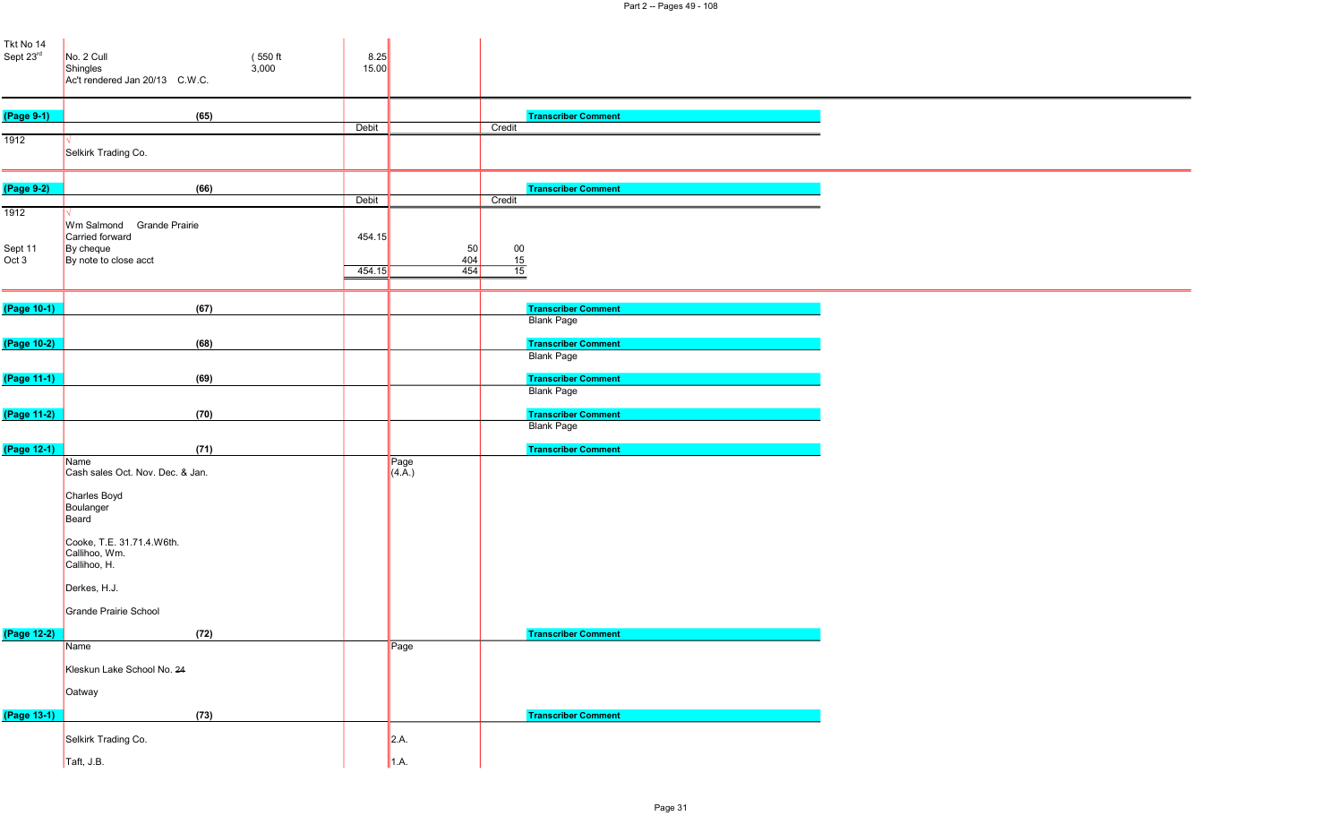| Tkt No 14<br>Sept 23rd | No. 2 Cull<br>Shingles<br>Ac't rendered Jan 20/13 C.W.C.                           |      | (550 ft<br>3,000 | 8.25<br>15.00    |                  |                             |                            |  |
|------------------------|------------------------------------------------------------------------------------|------|------------------|------------------|------------------|-----------------------------|----------------------------|--|
| (Page 9-1)             |                                                                                    | (65) |                  |                  |                  |                             | <b>Transcriber Comment</b> |  |
|                        |                                                                                    |      |                  | Debit            |                  | Credit                      |                            |  |
| 1912                   | Selkirk Trading Co.                                                                |      |                  |                  |                  |                             |                            |  |
| (Page 9-2)             |                                                                                    | (66) |                  |                  |                  |                             | <b>Transcriber Comment</b> |  |
| 1912                   |                                                                                    |      |                  | Debit            |                  | Credit                      |                            |  |
| Sept 11<br>Oct 3       | Wm Salmond Grande Prairie<br>Carried forward<br>By cheque<br>By note to close acct |      |                  | 454.15<br>454.15 | 50<br>404<br>454 | 00<br>15<br>$\overline{15}$ |                            |  |
| (Page 10-1)            |                                                                                    | (67) |                  |                  |                  |                             | <b>Transcriber Comment</b> |  |
|                        |                                                                                    |      |                  |                  |                  |                             | <b>Blank Page</b>          |  |
| (Page 10-2)            |                                                                                    | (68) |                  |                  |                  |                             | <b>Transcriber Comment</b> |  |
|                        |                                                                                    |      |                  |                  |                  |                             | <b>Blank Page</b>          |  |
| (Page 11-1)            |                                                                                    | (69) |                  |                  |                  |                             | <b>Transcriber Comment</b> |  |
|                        |                                                                                    |      |                  |                  |                  |                             | <b>Blank Page</b>          |  |
| (Page 11-2)            |                                                                                    | (70) |                  |                  |                  |                             | <b>Transcriber Comment</b> |  |
|                        |                                                                                    |      |                  |                  |                  |                             | <b>Blank Page</b>          |  |
| (Page 12-1)            |                                                                                    | (71) |                  |                  |                  |                             | <b>Transcriber Comment</b> |  |
|                        | Name                                                                               |      |                  |                  | $Page$<br>(4.A.) |                             |                            |  |
|                        | Cash sales Oct. Nov. Dec. & Jan.                                                   |      |                  |                  |                  |                             |                            |  |
|                        | Charles Boyd<br>Boulanger<br>Beard                                                 |      |                  |                  |                  |                             |                            |  |
|                        | Cooke, T.E. 31.71.4. W6th.<br>Callihoo, Wm.<br>Callihoo, H.                        |      |                  |                  |                  |                             |                            |  |
|                        | Derkes, H.J.                                                                       |      |                  |                  |                  |                             |                            |  |
|                        | Grande Prairie School                                                              |      |                  |                  |                  |                             |                            |  |
| <u>(Page 12-2)</u>     |                                                                                    | (72) |                  |                  |                  |                             | <b>Transcriber Comment</b> |  |
|                        | Name                                                                               |      |                  |                  | Page             |                             |                            |  |
|                        | Kleskun Lake School No. 24                                                         |      |                  |                  |                  |                             |                            |  |
|                        | Oatway                                                                             |      |                  |                  |                  |                             |                            |  |
| (Page 13-1)            |                                                                                    | (73) |                  |                  |                  |                             | <b>Transcriber Comment</b> |  |
|                        | Selkirk Trading Co.                                                                |      |                  |                  | $\parallel$ 2.A. |                             |                            |  |
|                        | Taft, J.B.                                                                         |      |                  |                  | 1.A.             |                             |                            |  |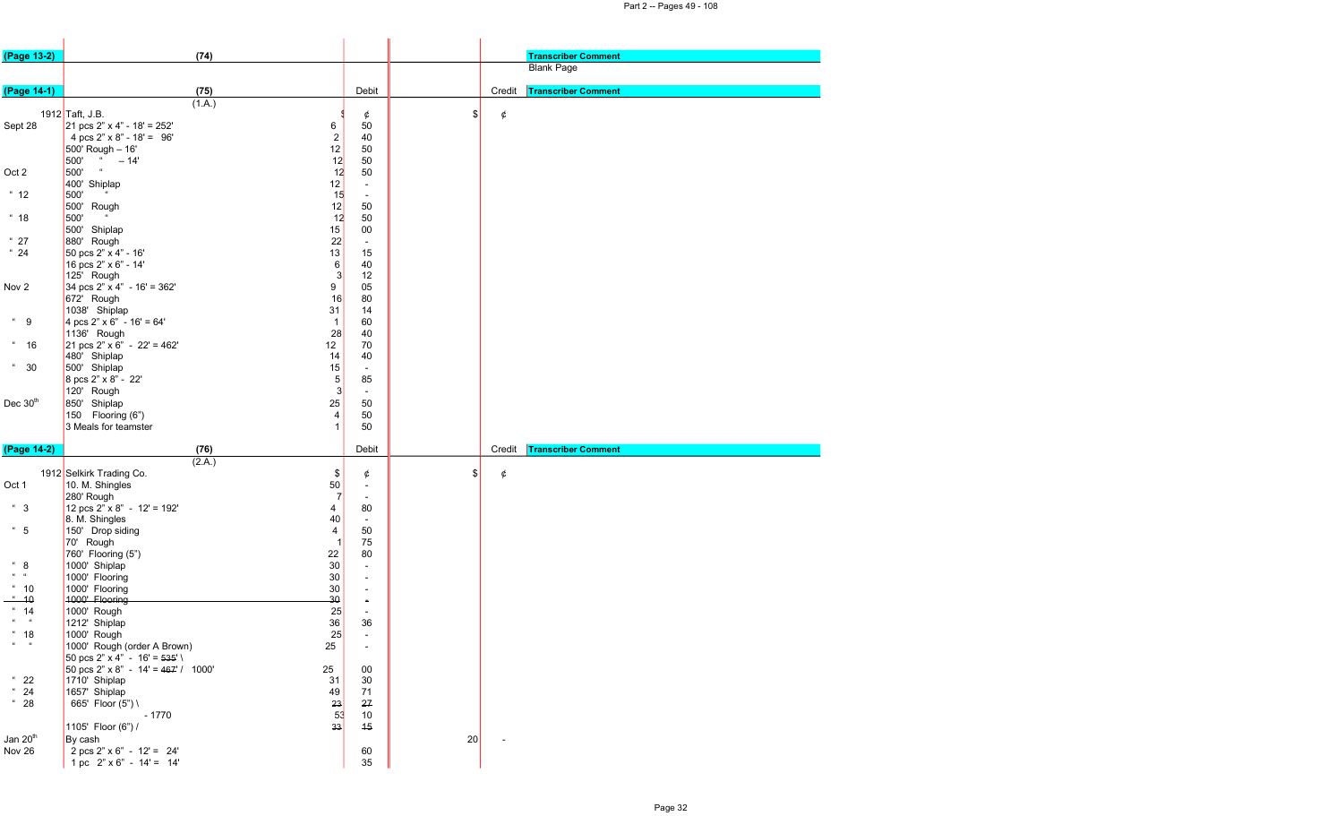| (Page 13-2)                                            | (74)                                                                |                |                          |               |        | <b>Transcriber Comment</b> |
|--------------------------------------------------------|---------------------------------------------------------------------|----------------|--------------------------|---------------|--------|----------------------------|
|                                                        |                                                                     |                |                          |               |        | <b>Blank Page</b>          |
|                                                        |                                                                     |                |                          |               |        |                            |
| (Page 14-1)                                            | (75)                                                                |                | Debit                    |               | Credit | <b>Transcriber Comment</b> |
|                                                        | (1.A.)                                                              |                |                          |               |        |                            |
|                                                        | 1912 Taft, J.B.                                                     |                | ¢                        | \$            | ¢      |                            |
| Sept 28                                                | 21 pcs $2" \times 4" - 18' = 252'$                                  | 6              | 50                       |               |        |                            |
|                                                        | 4 pcs $2" \times 8" - 18' = 96'$                                    | $\overline{c}$ | 40                       |               |        |                            |
|                                                        | 500' Rough - 16'                                                    | 12             | 50                       |               |        |                            |
|                                                        | $\sim 10^{-11}$<br>500'<br>$-14'$                                   | 12             | 50                       |               |        |                            |
| Oct 2                                                  | $\alpha$<br>500'                                                    | 12             | 50                       |               |        |                            |
|                                                        | 400' Shiplap                                                        | 12             | $\blacksquare$           |               |        |                            |
| "12"                                                   | 500'                                                                | 15             | $\overline{\phantom{a}}$ |               |        |                            |
|                                                        |                                                                     | 12             | 50                       |               |        |                            |
| " 18                                                   | 500' Rough<br>500'                                                  | 12             | 50                       |               |        |                            |
|                                                        |                                                                     |                |                          |               |        |                            |
|                                                        | 500' Shiplap                                                        | 15             | 00                       |               |        |                            |
| "27                                                    | 880' Rough                                                          | 22             | $\blacksquare$           |               |        |                            |
| "24                                                    | 50 pcs 2" x 4" - 16"                                                | 13             | 15                       |               |        |                            |
|                                                        | 16 pcs 2" x 6" - 14'                                                | 6              | 40                       |               |        |                            |
|                                                        | 125' Rough                                                          | $\mathbf{3}$   | 12                       |               |        |                            |
| Nov 2                                                  | 34 pcs $2" \times 4" - 16' = 362'$                                  | 9              | 05                       |               |        |                            |
|                                                        | 672' Rough                                                          | 16             | 80                       |               |        |                            |
|                                                        | 1038' Shiplap                                                       | 31             | 14                       |               |        |                            |
| " 9                                                    | 4 pcs $2" \times 6" - 16' = 64'$                                    | $\mathbf{1}$   | 60                       |               |        |                            |
|                                                        | 1136' Rough                                                         | 28             | 40                       |               |        |                            |
| $"$ 16                                                 | $21$ pcs $2" \times 6" - 22' = 462'$                                | 12             | 70                       |               |        |                            |
|                                                        | 480' Shiplap                                                        | 14             | 40                       |               |        |                            |
| " 30                                                   | 500' Shiplap                                                        | 15             | $\blacksquare$           |               |        |                            |
|                                                        | 8 pcs 2" x 8" - 22"                                                 | $\sqrt{5}$     | 85                       |               |        |                            |
|                                                        | 120' Rough                                                          | 3              | $\overline{\phantom{a}}$ |               |        |                            |
| Dec 30 <sup>th</sup>                                   | 850' Shiplap                                                        | 25             | 50                       |               |        |                            |
|                                                        |                                                                     |                |                          |               |        |                            |
|                                                        |                                                                     |                |                          |               |        |                            |
|                                                        | 150 Flooring (6")                                                   | $\overline{4}$ | 50                       |               |        |                            |
|                                                        | 3 Meals for teamster                                                | $\mathbf{1}$   | 50                       |               |        |                            |
|                                                        |                                                                     |                | Debit                    |               | Credit | <b>Transcriber Comment</b> |
|                                                        | (76)                                                                |                |                          |               |        |                            |
|                                                        | (2.A.)                                                              |                |                          |               |        |                            |
|                                                        | 1912 Selkirk Trading Co.                                            | \$             | ¢<br>$\blacksquare$      | $\frac{1}{2}$ | ¢      |                            |
|                                                        | 10. M. Shingles                                                     | 50             | $\blacksquare$           |               |        |                            |
| " 3                                                    | 280' Rough                                                          | $\overline{7}$ |                          |               |        |                            |
|                                                        | $12$ pcs 2" x 8" - 12' = 192'                                       | 4              | 80<br>$\blacksquare$     |               |        |                            |
|                                                        | 8. M. Shingles                                                      | 40             |                          |               |        |                            |
| " 5                                                    | 150' Drop siding                                                    | $\overline{4}$ | 50                       |               |        |                            |
|                                                        | 70' Rough                                                           | $\mathbf{1}$   | 75                       |               |        |                            |
|                                                        | 760' Flooring (5")                                                  | 22             | 80                       |               |        |                            |
| " $8$<br>$\mathbf{u}=\mathbf{u}$                       | 1000' Shiplap                                                       | $30\,$         | $\blacksquare$           |               |        |                            |
|                                                        | 1000' Flooring                                                      | $30\,$         | $\overline{\phantom{a}}$ |               |        |                            |
| " 10                                                   | 1000' Flooring                                                      | 30             | $\overline{\phantom{a}}$ |               |        |                            |
| $-40$                                                  | 4000' Flooring                                                      | 30             | $\overline{\phantom{0}}$ |               |        |                            |
|                                                        | 1000' Rough                                                         | 25             | $\blacksquare$           |               |        |                            |
| $\qquad \qquad u$                                      | 1212' Shiplap                                                       | 36             | 36                       |               |        |                            |
| " 18                                                   | 1000' Rough                                                         | 25             | $\overline{\phantom{a}}$ |               |        |                            |
| $\alpha=-\alpha$                                       | 1000' Rough (order A Brown)                                         | 25             | $\blacksquare$           |               |        |                            |
|                                                        | 50 pcs $2" \times 4" - 16' = 535'$                                  |                |                          |               |        |                            |
|                                                        | $50 \text{ pcs } 2$ " x 8" - 14' = 467' / 1000'                     | 25             | 00                       |               |        |                            |
|                                                        | 1710' Shiplap                                                       | 31             | 30                       |               |        |                            |
| " 22                                                   | 1657' Shiplap                                                       | 49             | 71                       |               |        |                            |
| " 14<br>" 24                                           |                                                                     |                | 27                       |               |        |                            |
| " $28$                                                 | 665' Floor (5") \<br>$-1770$                                        | 23             | 10                       |               |        |                            |
|                                                        |                                                                     | 53             |                          |               |        |                            |
|                                                        | 1105' Floor (6") /                                                  | 33             | 45                       |               |        |                            |
|                                                        | By cash                                                             |                |                          | 20            |        |                            |
| (Page 14-2)<br>Oct 1<br>Jan 20 <sup>th</sup><br>Nov 26 | $2 pcs 2" \times 6" - 12' = 24'$<br>1 pc $2" \times 6" - 14' = 14'$ |                | 60<br>35                 |               |        |                            |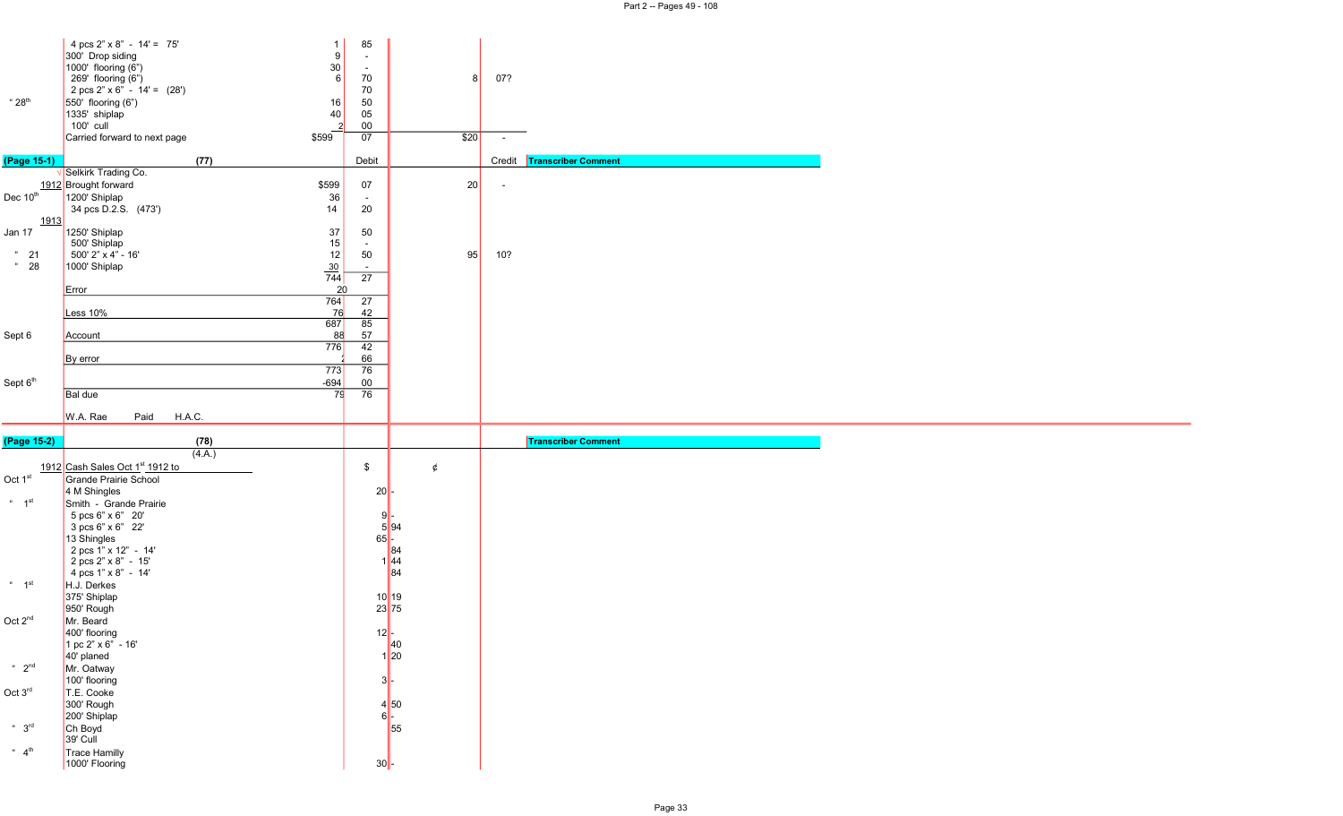## Part 2 -- Pages 49 - 108

|                         | 4 pcs $2" \times 8" - 14' = 75'$                                    | $\mathbf{1}$  | 85              |                                          |                          |                            |
|-------------------------|---------------------------------------------------------------------|---------------|-----------------|------------------------------------------|--------------------------|----------------------------|
|                         | 300' Drop siding                                                    | 9             | $\sim$          |                                          |                          |                            |
|                         | 1000' flooring (6")                                                 | 30            | $\sim$<br>70    | 8 <sup>1</sup>                           | 07?                      |                            |
|                         | 269' flooring (6")<br>$2 \text{ pcs } 2^n \times 6^n - 14' = (28')$ | 6             | 70              |                                          |                          |                            |
| " $28th$                | 550' flooring (6")                                                  | 16            | 50              |                                          |                          |                            |
|                         | 1335' shiplap                                                       | 40            | 05              |                                          |                          |                            |
|                         | 100' cull<br>Carried forward to next page                           | \$599         | 00<br>07        | $\overline{$20}$                         | $\sim$                   |                            |
|                         |                                                                     |               |                 |                                          |                          |                            |
| (Page 15-1)             | (77)<br>Selkirk Trading Co.                                         |               | Debit           |                                          | Credit                   | <b>Transcriber Comment</b> |
|                         | 1912 Brought forward                                                | \$599         | 07              | 20                                       | $\overline{\phantom{a}}$ |                            |
| Dec 10 <sup>th</sup>    | 1200' Shiplap                                                       | 36            | $\sim$          |                                          |                          |                            |
|                         | 34 pcs D.2.S. (473')                                                | 14            | 20              |                                          |                          |                            |
| 1913<br>Jan 17          | 1250' Shiplap                                                       | 37            | 50              |                                          |                          |                            |
|                         | 500' Shiplap                                                        | 15            | $\sim$          |                                          |                          |                            |
| $"$ 21                  | 500' 2" x 4" - 16'                                                  | 12            | 50              | 95                                       | 10?                      |                            |
| " 28                    | 1000' Shiplap                                                       | 30<br>744     | $\sim$<br>27    |                                          |                          |                            |
|                         | Error                                                               | 20            |                 |                                          |                          |                            |
|                         |                                                                     | 764           | 27              |                                          |                          |                            |
|                         | <b>Less 10%</b>                                                     | 76<br>687     | 42<br>85        |                                          |                          |                            |
| Sept 6                  | Account                                                             | 88            | 57              |                                          |                          |                            |
|                         |                                                                     | $\boxed{776}$ | 42              |                                          |                          |                            |
|                         | By error                                                            | $\boxed{773}$ | 66<br>76        |                                          |                          |                            |
| Sept 6 <sup>th</sup>    |                                                                     | $-694$        | $00\,$          |                                          |                          |                            |
|                         | <b>Bal</b> due                                                      | 79            | $\overline{76}$ |                                          |                          |                            |
|                         |                                                                     |               |                 |                                          |                          |                            |
|                         | H.A.C.<br>W.A. Rae<br>Paid                                          |               |                 |                                          |                          |                            |
|                         |                                                                     |               |                 |                                          |                          |                            |
| (Page 15-2)             | (78)                                                                |               |                 |                                          |                          | <b>Transcriber Comment</b> |
|                         | (4.A.)<br>1912 Cash Sales Oct 1 <sup>st</sup> 1912 to               |               | \$              | ¢                                        |                          |                            |
| Oct 1 <sup>st</sup>     | Grande Prairie School                                               |               |                 |                                          |                          |                            |
|                         | 4 M Shingles                                                        |               | 20              |                                          |                          |                            |
| $^u$ 1 <sup>st</sup>    | Smith - Grande Prairie                                              |               |                 |                                          |                          |                            |
|                         | 5 pcs 6" x 6" 20"<br>3 pcs 6" x 6" 22"                              |               |                 | $\begin{array}{c} 9 \\ 5 \end{array}$ 94 |                          |                            |
|                         | 13 Shingles                                                         |               | $65$ .          |                                          |                          |                            |
|                         | 2 pcs 1" x 12" - 14'                                                |               |                 | $\ 84$                                   |                          |                            |
|                         | 2 pcs 2" x 8" - 15"<br>4 pcs 1" x 8" - 14"                          |               |                 | 1 44<br>$\ 84$                           |                          |                            |
| $^u$ 1 <sup>st</sup>    | H.J. Derkes                                                         |               |                 |                                          |                          |                            |
|                         | 375' Shiplap                                                        |               |                 | 10 19                                    |                          |                            |
|                         | 950' Rough                                                          |               |                 | $23$ 75                                  |                          |                            |
| Oct 2 <sup>nd</sup>     | Mr. Beard<br>400' flooring                                          |               | $12$  -         |                                          |                          |                            |
|                         | 1 pc 2" x 6" - 16"                                                  |               |                 | $\parallel$ 40                           |                          |                            |
|                         | $40'$ planed                                                        |               |                 | 1 20                                     |                          |                            |
| $4^{4}$ 2 <sup>nd</sup> | Mr. Oatway<br>100' flooring                                         |               |                 | 3                                        |                          |                            |
| Oct $3^{\text{rd}}$     | T.E. Cooke                                                          |               |                 |                                          |                          |                            |
|                         | 300' Rough                                                          |               |                 | 4 50                                     |                          |                            |
| $4^{4}$ 3 <sup>rd</sup> | 200' Shiplap                                                        |               |                 | 6                                        |                          |                            |
|                         | Ch Boyd<br>39' Cull                                                 |               |                 | $\parallel$ 55                           |                          |                            |
| 4 <sup>th</sup>         | Trace Hamilly<br>1000' Flooring                                     |               | $30$ .          |                                          |                          |                            |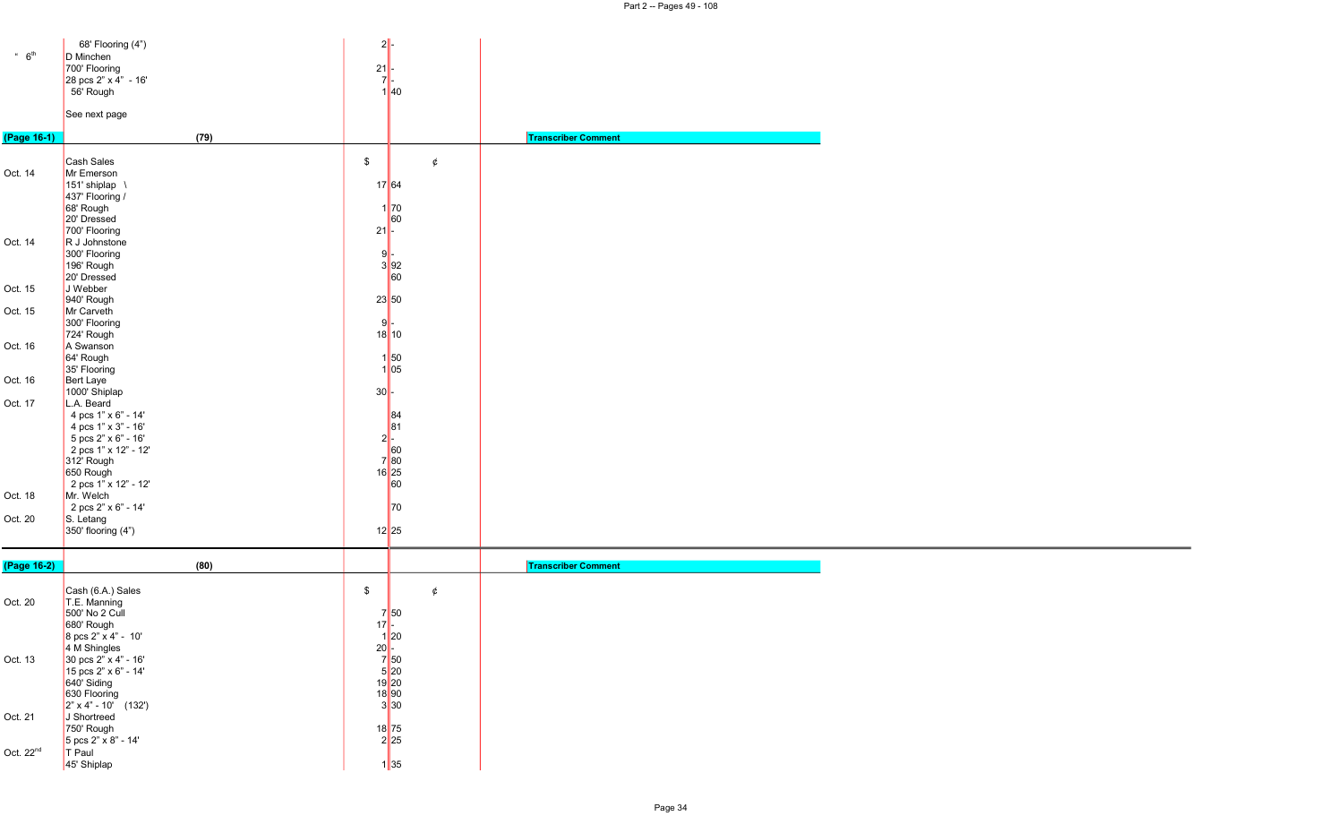## Part 2 -- Pages 49 - 108

| " 6 <sup>th</sup> | 68' Flooring (4")<br>D Minchen<br>700' Flooring<br>28 pcs 2" x 4" - 16'<br>56' Rough<br>See next page | $\begin{bmatrix} 21 \\ 7 \end{bmatrix}$ - | $2$   -<br>1 40                                    |                            |
|-------------------|-------------------------------------------------------------------------------------------------------|-------------------------------------------|----------------------------------------------------|----------------------------|
| (Page 16-1)       | (79)                                                                                                  |                                           |                                                    | <b>Transcriber Comment</b> |
|                   |                                                                                                       |                                           |                                                    |                            |
|                   | Cash Sales                                                                                            | \$                                        | ¢                                                  |                            |
| Oct. 14           | Mr Emerson<br>151' shiplap \                                                                          |                                           | 17 64                                              |                            |
|                   | 437' Flooring /                                                                                       |                                           |                                                    |                            |
|                   | 68' Rough                                                                                             |                                           | 1 70                                               |                            |
|                   | 20' Dressed                                                                                           |                                           | $\parallel 60$                                     |                            |
|                   | 700' Flooring                                                                                         | $21$ .                                    |                                                    |                            |
| Oct. 14           | R J Johnstone                                                                                         |                                           |                                                    |                            |
|                   | 300' Flooring                                                                                         |                                           | 9                                                  |                            |
|                   | 196' Rough                                                                                            |                                           | 3 92                                               |                            |
|                   | 20' Dressed                                                                                           |                                           | $\parallel 60$                                     |                            |
| Oct. 15           | J Webber                                                                                              |                                           |                                                    |                            |
|                   | 940' Rough                                                                                            |                                           | 23 50                                              |                            |
| Oct. 15           | Mr Carveth<br>300' Flooring                                                                           |                                           | $9$ .                                              |                            |
|                   | 724' Rough                                                                                            |                                           | 18 10                                              |                            |
| Oct. 16           | A Swanson                                                                                             |                                           |                                                    |                            |
|                   | 64' Rough                                                                                             |                                           | 1 50                                               |                            |
|                   | 35' Flooring                                                                                          |                                           | 1 05                                               |                            |
| Oct. 16           | Bert Laye                                                                                             |                                           |                                                    |                            |
|                   | 1000' Shiplap                                                                                         | $30$  -                                   |                                                    |                            |
| Oct. 17           | L.A. Beard                                                                                            |                                           |                                                    |                            |
|                   | 4 pcs 1" x 6" - 14"                                                                                   |                                           | $\parallel$ 84                                     |                            |
|                   | 4 pcs 1" x 3" - 16"                                                                                   |                                           | $\sqrt{81}$                                        |                            |
|                   | 5 pcs 2" x 6" - 16"                                                                                   |                                           | 2                                                  |                            |
|                   | 2 pcs 1" x 12" - 12"                                                                                  |                                           | $\vert$ 60                                         |                            |
|                   | 312' Rough                                                                                            |                                           | 7 80                                               |                            |
|                   | 650 Rough                                                                                             |                                           | $16$  25<br>$\parallel 60$                         |                            |
| Oct. 18           | 2 pcs 1" x 12" - 12"<br>Mr. Welch                                                                     |                                           |                                                    |                            |
|                   | 2 pcs 2" x 6" - 14'                                                                                   |                                           | $\parallel$ 70                                     |                            |
| Oct. 20           | S. Letang                                                                                             |                                           |                                                    |                            |
|                   | 350' flooring (4")                                                                                    |                                           | 12 25                                              |                            |
|                   |                                                                                                       |                                           |                                                    |                            |
| (Page 16-2)       | (80)                                                                                                  |                                           |                                                    | <b>Transcriber Comment</b> |
|                   |                                                                                                       |                                           |                                                    |                            |
|                   | Cash (6.A.) Sales                                                                                     | \$                                        | ¢                                                  |                            |
| Oct. 20           | T.E. Manning                                                                                          |                                           |                                                    |                            |
|                   | 500' No 2 Cull                                                                                        | $17$ .                                    | 7 50                                               |                            |
|                   | 680' Rough<br>8 pcs 2" x 4" - 10"                                                                     |                                           | 1 20                                               |                            |
|                   | $4 M$ Shingles                                                                                        |                                           |                                                    |                            |
| Oct. 13           | 30 pcs 2" x 4" - 16'                                                                                  |                                           | $\begin{bmatrix} 20 \\ 7 \\ 50 \end{bmatrix}$      |                            |
|                   | 15 pcs 2" x 6" - 14'                                                                                  |                                           | 5 20                                               |                            |
|                   | 640' Siding                                                                                           |                                           | $19$  20                                           |                            |
|                   | 630 Flooring                                                                                          |                                           | 18 <mark>∣</mark> 90                               |                            |
|                   | $2" \times 4" - 10"$ (132')                                                                           |                                           | 3 30                                               |                            |
| Oct. 21           | J Shortreed                                                                                           |                                           |                                                    |                            |
|                   | 750' Rough                                                                                            |                                           | $\begin{array}{c c} 18 & 75 \\ 2 & 25 \end{array}$ |                            |
|                   | $5$ pcs $2" \times 8"$ - 14'                                                                          |                                           |                                                    |                            |
| Oct. $22^{nd}$    | T Paul                                                                                                |                                           |                                                    |                            |
|                   | 45' Shiplap                                                                                           |                                           | 1 35                                               |                            |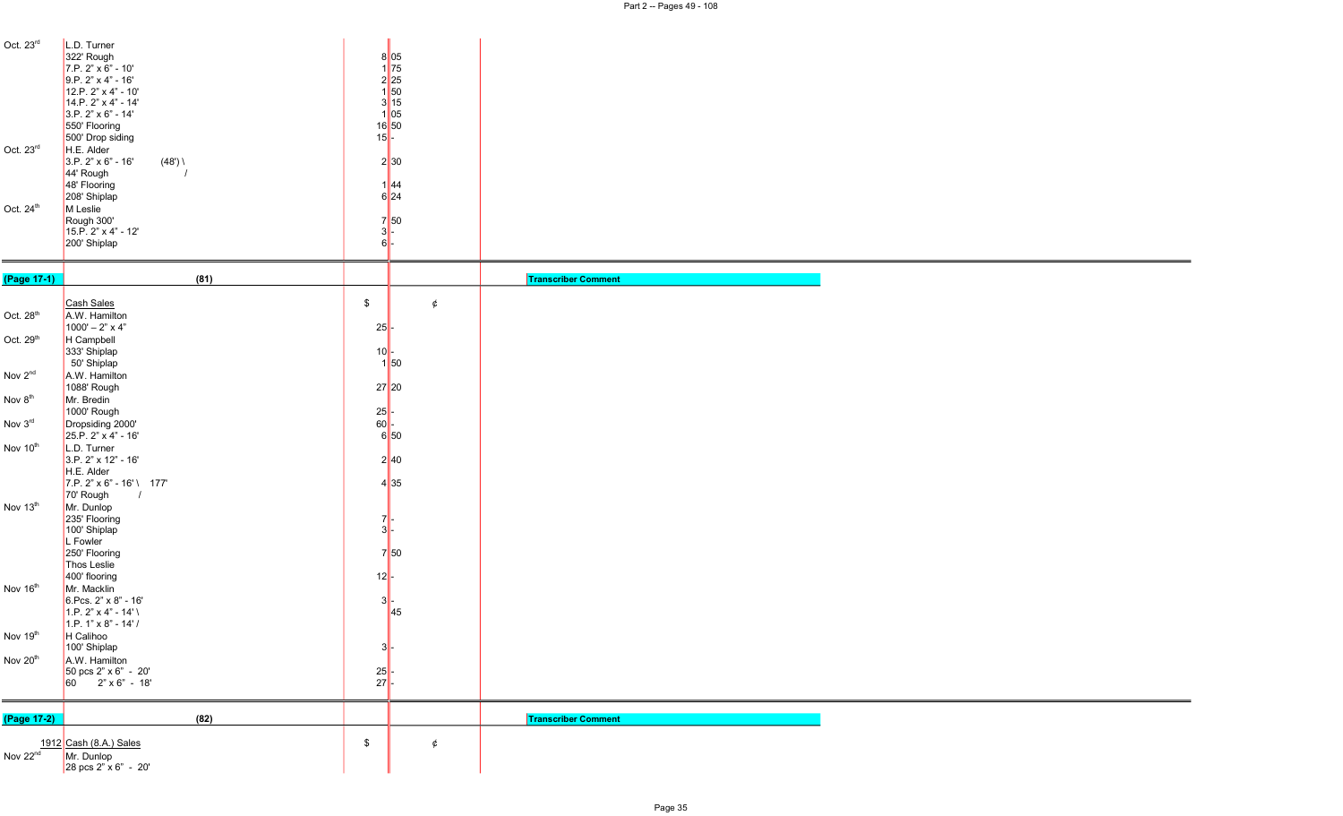| Oct. 23rd<br>Oct. 23rd<br>Oct. 24 <sup>th</sup> | L.D. Turner<br>322' Rough<br>$7. P. 2" \times 6" - 10'$<br>$9.P. 2" x 4" - 16'$<br>12.P. 2" x 4" - 10"<br>14.P. 2" x 4" - 14'<br>$3.P. 2" \times 6" - 14'$<br>550' Flooring<br>500' Drop siding<br>H.E. Alder<br>$3.P. 2" \times 6" - 16'$<br>(48')<br>44' Rough<br>48' Flooring<br>208' Shiplap<br>M Leslie<br>Rough 300'<br>$15.P. 2" x 4" - 12'$<br>200' Shiplap | $15$ .                                       | 805<br>$1$ 75<br>2 25 <br>1 50<br>3 15<br>1 05<br>16 50<br>2 30 <br>$1$ 44<br>$6$ 24<br>$\begin{bmatrix} 7 & 50 \\ 3 & - \\ 6 & - \end{bmatrix}$ |                            |  |
|-------------------------------------------------|---------------------------------------------------------------------------------------------------------------------------------------------------------------------------------------------------------------------------------------------------------------------------------------------------------------------------------------------------------------------|----------------------------------------------|--------------------------------------------------------------------------------------------------------------------------------------------------|----------------------------|--|
| (Page 17-1)                                     | (81)                                                                                                                                                                                                                                                                                                                                                                |                                              |                                                                                                                                                  | <b>Transcriber Comment</b> |  |
| Oct. 28 <sup>th</sup>                           | Cash Sales<br>A.W. Hamilton<br>$1000' - 2" \times 4"$                                                                                                                                                                                                                                                                                                               | \$<br>$25$                                   | ¢                                                                                                                                                |                            |  |
| Oct. $29th$                                     | H Campbell<br>333' Shiplap<br>50' Shiplap                                                                                                                                                                                                                                                                                                                           | $10$  -                                      | 1 50                                                                                                                                             |                            |  |
| Nov 2 <sup>nd</sup><br>Nov 8 <sup>th</sup>      | A.W. Hamilton<br>1088' Rough<br>Mr. Bredin                                                                                                                                                                                                                                                                                                                          |                                              | 27 20                                                                                                                                            |                            |  |
| Nov 3rd                                         | 1000' Rough<br>Dropsiding 2000'                                                                                                                                                                                                                                                                                                                                     | 25<br>60                                     |                                                                                                                                                  |                            |  |
| Nov 10 <sup>th</sup>                            | $25.P. 2" x 4" - 16'$<br>L.D. Turner<br>3.P. 2" x 12" - 16'<br>H.E. Alder<br>$7.P. 2" \times 6" - 16' \setminus 177'$                                                                                                                                                                                                                                               |                                              | 6 50<br>2 40 <br>4 35                                                                                                                            |                            |  |
| Nov 13 <sup>th</sup>                            | 70' Rough<br>$\sqrt{ }$<br>Mr. Dunlop<br>235' Flooring<br>100' Shiplap<br>L Fowler                                                                                                                                                                                                                                                                                  | $\begin{bmatrix} 7 \\ 3 \end{bmatrix}$ .     |                                                                                                                                                  |                            |  |
| Nov 16 <sup>th</sup>                            | 250' Flooring<br>Thos Leslie<br>400' flooring<br>Mr. Macklin                                                                                                                                                                                                                                                                                                        | $12$ .                                       | 7 50                                                                                                                                             |                            |  |
|                                                 | $6.$ Pcs. $2" \times 8"$ - 16'<br>$1.P. 2" x 4" - 14' \$<br>$1.P. 1" x 8" - 14' /$                                                                                                                                                                                                                                                                                  | $3$   -                                      | $\parallel$ 45                                                                                                                                   |                            |  |
| Nov 19 <sup>th</sup><br>Nov 20 <sup>th</sup>    | H Calihoo<br>100' Shiplap<br>A.W. Hamilton<br>$50 \text{ pcs } 2" \times 6" - 20'$<br>$\begin{bmatrix} 60 & 2^n \times 6^n - 18 \end{bmatrix}$                                                                                                                                                                                                                      | 3<br>$\begin{array}{c} 25 \\ 27 \end{array}$ |                                                                                                                                                  |                            |  |
| (Page 17-2)                                     | (82)                                                                                                                                                                                                                                                                                                                                                                |                                              |                                                                                                                                                  | <b>Transcriber Comment</b> |  |
| Nov 22 <sup>nd</sup>                            | 1912 Cash (8.A.) Sales<br>Mr. Dunlop<br>28 pcs 2" x 6" - 20"                                                                                                                                                                                                                                                                                                        | \$                                           | ¢                                                                                                                                                |                            |  |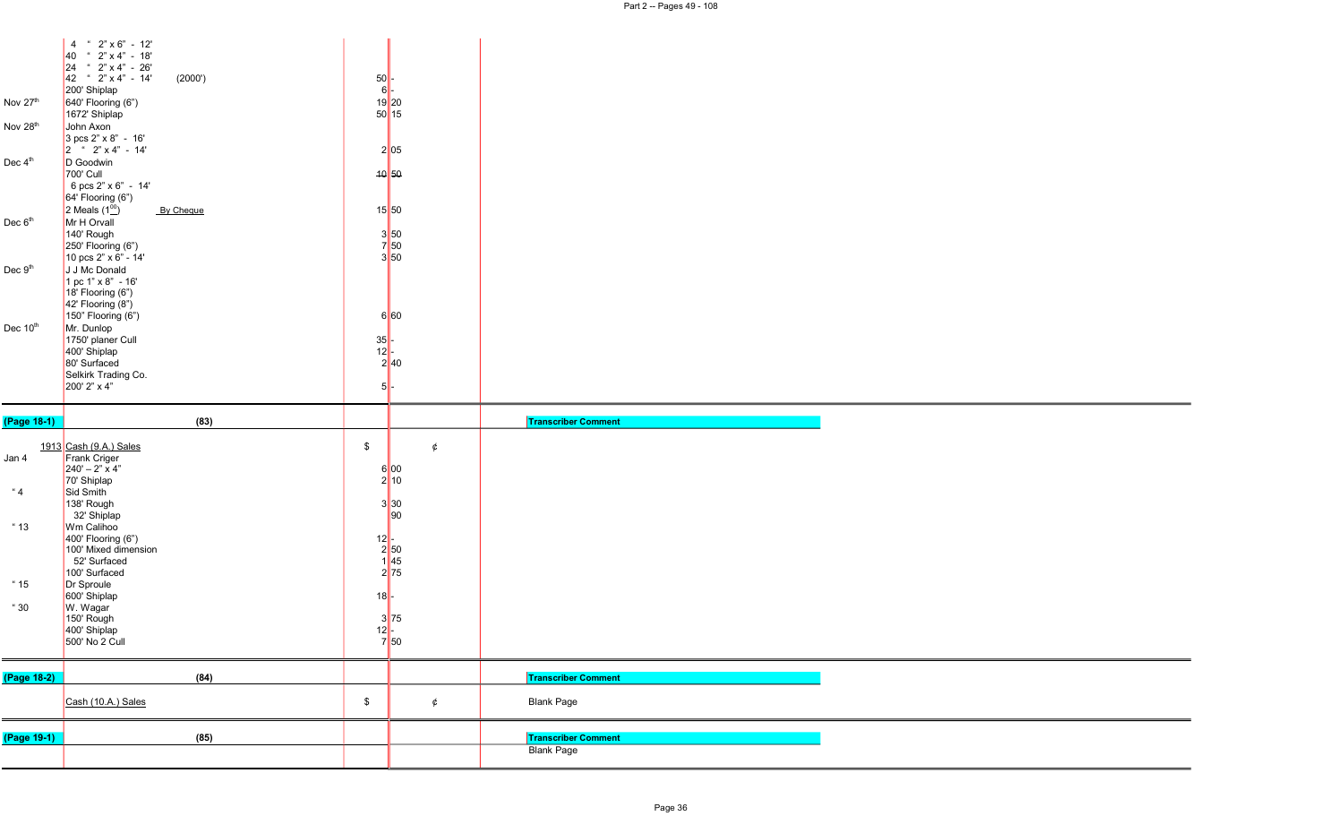|                      | 4 " $2" \times 6"$ - 12'               |                                                       |                                                                            |                                                 |  |
|----------------------|----------------------------------------|-------------------------------------------------------|----------------------------------------------------------------------------|-------------------------------------------------|--|
|                      | $40$ " $2" \times 4"$ - 18'            |                                                       |                                                                            |                                                 |  |
|                      | $24$ " $2" \times 4" - 26'$            |                                                       |                                                                            |                                                 |  |
|                      |                                        |                                                       |                                                                            |                                                 |  |
|                      | $42$ " $2" \times 4" - 14'$<br>(2000') | $\begin{bmatrix} 50 \\ 6 \end{bmatrix}$ -             |                                                                            |                                                 |  |
|                      | 200' Shiplap                           |                                                       |                                                                            |                                                 |  |
| Nov 27 <sup>th</sup> | $640'$ Flooring $(6")$                 | 19 20                                                 |                                                                            |                                                 |  |
|                      |                                        |                                                       | 50 15                                                                      |                                                 |  |
|                      | 1672' Shiplap                          |                                                       |                                                                            |                                                 |  |
| Nov 28 <sup>th</sup> | John Axon                              |                                                       |                                                                            |                                                 |  |
|                      | 3 pcs 2" x 8" - 16"                    |                                                       |                                                                            |                                                 |  |
|                      | $2^{4}$ 2" x 4" - 14"                  |                                                       | 2 05                                                                       |                                                 |  |
|                      |                                        |                                                       |                                                                            |                                                 |  |
| Dec $4th$            | D Goodwin                              |                                                       |                                                                            |                                                 |  |
|                      | 700' Cull                              |                                                       | 10 50                                                                      |                                                 |  |
|                      | 6 pcs 2" x 6" - 14"                    |                                                       |                                                                            |                                                 |  |
|                      | 64' Flooring (6")                      |                                                       |                                                                            |                                                 |  |
|                      |                                        |                                                       |                                                                            |                                                 |  |
|                      | 2 Meals $(100)$<br>By Cheque           |                                                       | 15 50                                                                      |                                                 |  |
| Dec $6th$            | Mr H Orvall                            |                                                       |                                                                            |                                                 |  |
|                      | 140' Rough                             |                                                       | 3 50                                                                       |                                                 |  |
|                      |                                        |                                                       |                                                                            |                                                 |  |
|                      | 250' Flooring (6")                     |                                                       | 7 50                                                                       |                                                 |  |
|                      | 10 pcs 2" x 6" - 14"                   |                                                       | 3 50                                                                       |                                                 |  |
| Dec $9th$            | J J Mc Donald                          |                                                       |                                                                            |                                                 |  |
|                      |                                        |                                                       |                                                                            |                                                 |  |
|                      | 1 pc 1" x 8" - 16'                     |                                                       |                                                                            |                                                 |  |
|                      | 18' Flooring (6")                      |                                                       |                                                                            |                                                 |  |
|                      | $42'$ Flooring $(8")$                  |                                                       |                                                                            |                                                 |  |
|                      | 150" Flooring (6")                     |                                                       | 6 60                                                                       |                                                 |  |
|                      |                                        |                                                       |                                                                            |                                                 |  |
| Dec 10 <sup>th</sup> | Mr. Dunlop                             |                                                       |                                                                            |                                                 |  |
|                      | 1750' planer Cull                      |                                                       |                                                                            |                                                 |  |
|                      | 400' Shiplap                           | $\begin{array}{c c}\n 35 \\  12 \\  240\n\end{array}$ |                                                                            |                                                 |  |
|                      | 80' Surfaced                           |                                                       |                                                                            |                                                 |  |
|                      |                                        |                                                       |                                                                            |                                                 |  |
|                      | Selkirk Trading Co.                    |                                                       |                                                                            |                                                 |  |
|                      | 200' 2" x 4"                           | $5$                                                   |                                                                            |                                                 |  |
|                      |                                        |                                                       |                                                                            |                                                 |  |
|                      |                                        |                                                       |                                                                            |                                                 |  |
|                      |                                        |                                                       |                                                                            |                                                 |  |
|                      |                                        |                                                       |                                                                            |                                                 |  |
| (Page 18-1)          | (83)                                   |                                                       |                                                                            | <b>Transcriber Comment</b>                      |  |
|                      |                                        |                                                       |                                                                            |                                                 |  |
|                      | <u>1913 Cash (9.A.) Sales</u>          | \$                                                    | ¢                                                                          |                                                 |  |
| Jan 4                | Frank Criger                           |                                                       |                                                                            |                                                 |  |
|                      | $240' - 2" \times 4"$                  |                                                       |                                                                            |                                                 |  |
|                      |                                        |                                                       | 6 00                                                                       |                                                 |  |
|                      | 70' Shiplap                            |                                                       | $2$ 10                                                                     |                                                 |  |
| "4"                  | Sid Smith                              |                                                       |                                                                            |                                                 |  |
|                      | 138' Rough                             |                                                       | 3 30                                                                       |                                                 |  |
|                      | 32' Shiplap                            |                                                       | $\vert$ 90                                                                 |                                                 |  |
|                      |                                        |                                                       |                                                                            |                                                 |  |
| "13"                 | Wm Calihoo                             |                                                       |                                                                            |                                                 |  |
|                      | 400' Flooring (6")                     |                                                       |                                                                            |                                                 |  |
|                      | 100' Mixed dimension                   |                                                       |                                                                            |                                                 |  |
|                      | 52' Surfaced                           |                                                       | $\begin{array}{c} 12 \\ 2 \\ 50 \end{array}$<br>1 45                       |                                                 |  |
|                      |                                        |                                                       |                                                                            |                                                 |  |
|                      | 100' Surfaced                          |                                                       | 2 75                                                                       |                                                 |  |
| <sup>"</sup> 15      | Dr Sproule                             |                                                       |                                                                            |                                                 |  |
|                      | 600' Shiplap                           | $18$ .                                                |                                                                            |                                                 |  |
| " 30                 | W. Wagar                               |                                                       |                                                                            |                                                 |  |
|                      |                                        |                                                       |                                                                            |                                                 |  |
|                      | 150' Rough                             |                                                       |                                                                            |                                                 |  |
|                      |                                        |                                                       |                                                                            |                                                 |  |
|                      | 400' Shiplap<br>500' No 2 Cull         |                                                       | $\begin{array}{c c}\n 3 & 75 \\  12 & - \\  \hline\n 7 & 50\n \end{array}$ |                                                 |  |
|                      |                                        |                                                       |                                                                            |                                                 |  |
|                      |                                        |                                                       |                                                                            |                                                 |  |
| (Page 18-2)          | (84)                                   |                                                       |                                                                            | <b>Transcriber Comment</b>                      |  |
|                      |                                        |                                                       |                                                                            |                                                 |  |
|                      |                                        |                                                       |                                                                            |                                                 |  |
|                      | Cash (10.A.) Sales                     | \$                                                    | ¢                                                                          | <b>Blank Page</b>                               |  |
|                      |                                        |                                                       |                                                                            |                                                 |  |
|                      |                                        |                                                       |                                                                            |                                                 |  |
| (Page 19-1)          | (85)                                   |                                                       |                                                                            | <b>Transcriber Comment</b><br><b>Blank Page</b> |  |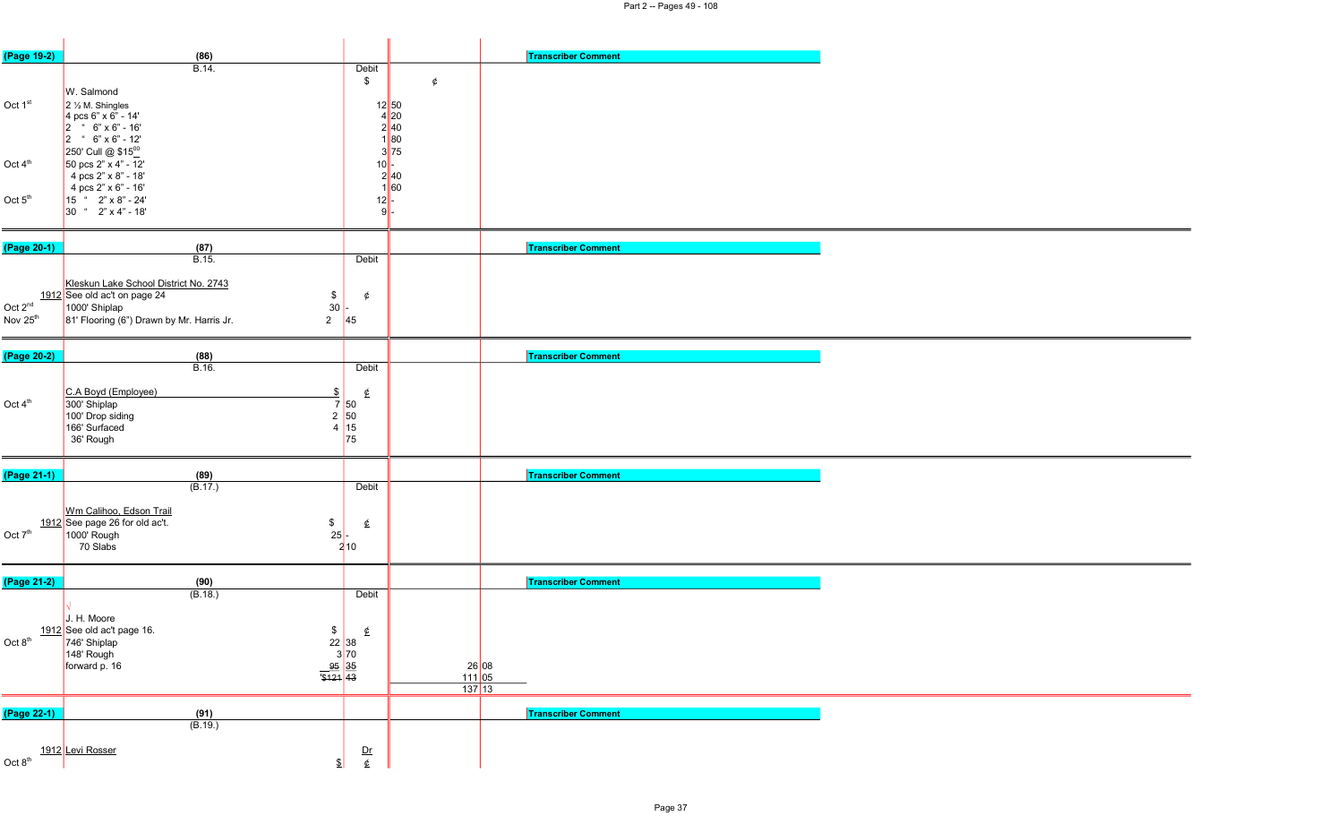| (Page 19-2)          |                                           | (86)    |                                                                                                                                           |                                         |                                                                    | <b>Transcriber Comment</b> |
|----------------------|-------------------------------------------|---------|-------------------------------------------------------------------------------------------------------------------------------------------|-----------------------------------------|--------------------------------------------------------------------|----------------------------|
|                      |                                           | B.14.   | Debit                                                                                                                                     |                                         |                                                                    |                            |
|                      |                                           |         | \$                                                                                                                                        |                                         | ¢                                                                  |                            |
|                      | W. Salmond                                |         |                                                                                                                                           |                                         |                                                                    |                            |
| Oct 1 <sup>st</sup>  | $2 \frac{1}{2}$ M. Shingles               |         |                                                                                                                                           | 12 50                                   |                                                                    |                            |
|                      | 4 pcs $6" \times 6" - 14'$                |         |                                                                                                                                           | 4 20                                    |                                                                    |                            |
|                      | $2^{4}$ 6" x 6" - 16"                     |         |                                                                                                                                           | 2 40                                    |                                                                    |                            |
|                      | $2$ " $6$ " x $6$ " - 12'                 |         |                                                                                                                                           | 1 80                                    |                                                                    |                            |
|                      | 250' Cull @ \$15 <sup>00</sup>            |         |                                                                                                                                           | $3$ 75                                  |                                                                    |                            |
| Oct $4^{\text{th}}$  | 50 pcs 2" x 4" - 12"                      |         |                                                                                                                                           | $10$ .                                  |                                                                    |                            |
|                      | 4 pcs 2" x 8" - 18"                       |         |                                                                                                                                           | 2 40                                    |                                                                    |                            |
|                      | 4 pcs 2" x 6" - 16"                       |         |                                                                                                                                           | 1 60                                    |                                                                    |                            |
| Oct $5th$            | $15$ " $2" \times 8" - 24"$               |         |                                                                                                                                           | $\begin{bmatrix} 12 \\ 9 \end{bmatrix}$ |                                                                    |                            |
|                      | 30 " 2" x 4" - 18"                        |         |                                                                                                                                           |                                         |                                                                    |                            |
|                      |                                           |         |                                                                                                                                           |                                         |                                                                    |                            |
|                      |                                           |         |                                                                                                                                           |                                         |                                                                    |                            |
| (Page 20-1)          |                                           | (87)    |                                                                                                                                           |                                         |                                                                    | <b>Transcriber Comment</b> |
|                      |                                           | B.15.   | Debit                                                                                                                                     |                                         |                                                                    |                            |
|                      |                                           |         |                                                                                                                                           |                                         |                                                                    |                            |
|                      | Kleskun Lake School District No. 2743     |         |                                                                                                                                           |                                         |                                                                    |                            |
|                      | 1912 See old ac't on page 24              |         | $\, \, \raisebox{-1.5pt}{\text{\circle*{1.5}}}\,$<br>¢                                                                                    |                                         |                                                                    |                            |
| Oct $2^{nd}$         | 1000' Shiplap                             |         | $30\,$                                                                                                                                    |                                         |                                                                    |                            |
| Nov 25 <sup>th</sup> | 81' Flooring (6") Drawn by Mr. Harris Jr. |         | $\overline{2}$<br> 45                                                                                                                     |                                         |                                                                    |                            |
|                      |                                           |         |                                                                                                                                           |                                         |                                                                    |                            |
| (Page 20-2)          |                                           | (88)    |                                                                                                                                           |                                         |                                                                    | <b>Transcriber Comment</b> |
|                      |                                           | B.16.   | Debit                                                                                                                                     |                                         |                                                                    |                            |
|                      |                                           |         |                                                                                                                                           |                                         |                                                                    |                            |
|                      | C.A Boyd (Employee)                       |         | ₫<br>\$                                                                                                                                   |                                         |                                                                    |                            |
| Oct $4^{\text{th}}$  | 300' Shiplap                              |         | 7 50                                                                                                                                      |                                         |                                                                    |                            |
|                      | 100' Drop siding                          |         | 2 50                                                                                                                                      |                                         |                                                                    |                            |
|                      | 166' Surfaced                             |         | 4 15                                                                                                                                      |                                         |                                                                    |                            |
|                      | 36' Rough                                 |         | 75                                                                                                                                        |                                         |                                                                    |                            |
|                      |                                           |         |                                                                                                                                           |                                         |                                                                    |                            |
| (Page 21-1)          |                                           | (89)    |                                                                                                                                           |                                         |                                                                    | <b>Transcriber Comment</b> |
|                      |                                           | (B.17.) | Debit                                                                                                                                     |                                         |                                                                    |                            |
|                      |                                           |         |                                                                                                                                           |                                         |                                                                    |                            |
|                      | Wm Calihoo, Edson Trail                   |         |                                                                                                                                           |                                         |                                                                    |                            |
|                      | 1912 See page 26 for old ac't.            |         | ₫                                                                                                                                         |                                         |                                                                    |                            |
| Oct $7th$            | 1000' Rough                               |         | $\begin{bmatrix} 1 \\ 25 \end{bmatrix}$                                                                                                   |                                         |                                                                    |                            |
|                      | 70 Slabs                                  |         | 2 10                                                                                                                                      |                                         |                                                                    |                            |
|                      |                                           |         |                                                                                                                                           |                                         |                                                                    |                            |
|                      |                                           |         |                                                                                                                                           |                                         |                                                                    |                            |
| (Page 21-2)          |                                           | (90)    |                                                                                                                                           |                                         |                                                                    | <b>Transcriber Comment</b> |
|                      |                                           | (B.18.) | Debit                                                                                                                                     |                                         |                                                                    |                            |
|                      |                                           |         |                                                                                                                                           |                                         |                                                                    |                            |
|                      | J. H. Moore                               |         |                                                                                                                                           |                                         |                                                                    |                            |
|                      | 1912 See old ac't page 16.                |         | $\boldsymbol{\phi}$                                                                                                                       |                                         |                                                                    |                            |
| Oct $8^{\text{th}}$  | 746' Shiplap<br>148' Rough                |         |                                                                                                                                           |                                         |                                                                    |                            |
|                      |                                           |         | $\begin{array}{r} 8 \ 22 \ 38 \ 3 \ 70 \ \underline{95} \ \underline{36} \ \underline{35} \ \underline{424} \ \underline{43} \end{array}$ |                                         |                                                                    |                            |
|                      | forward p. 16                             |         |                                                                                                                                           |                                         | $\begin{array}{r l}\n 26 & 08 \\  \hline\n 111 & 05\n \end{array}$ |                            |
|                      |                                           |         |                                                                                                                                           |                                         |                                                                    |                            |
|                      |                                           |         |                                                                                                                                           |                                         | 137 13                                                             |                            |
| (Page 22-1)          |                                           | (91)    |                                                                                                                                           |                                         |                                                                    | <b>Transcriber Comment</b> |
|                      |                                           | (B.19.) |                                                                                                                                           |                                         |                                                                    |                            |
|                      |                                           |         |                                                                                                                                           |                                         |                                                                    |                            |
|                      | 1912 Levi Rosser                          |         |                                                                                                                                           |                                         |                                                                    |                            |
| Oct $8th$            |                                           |         | $\frac{\mathsf{Dr}}{\underline{\phi}}$<br>$\mathcal{L}$                                                                                   |                                         |                                                                    |                            |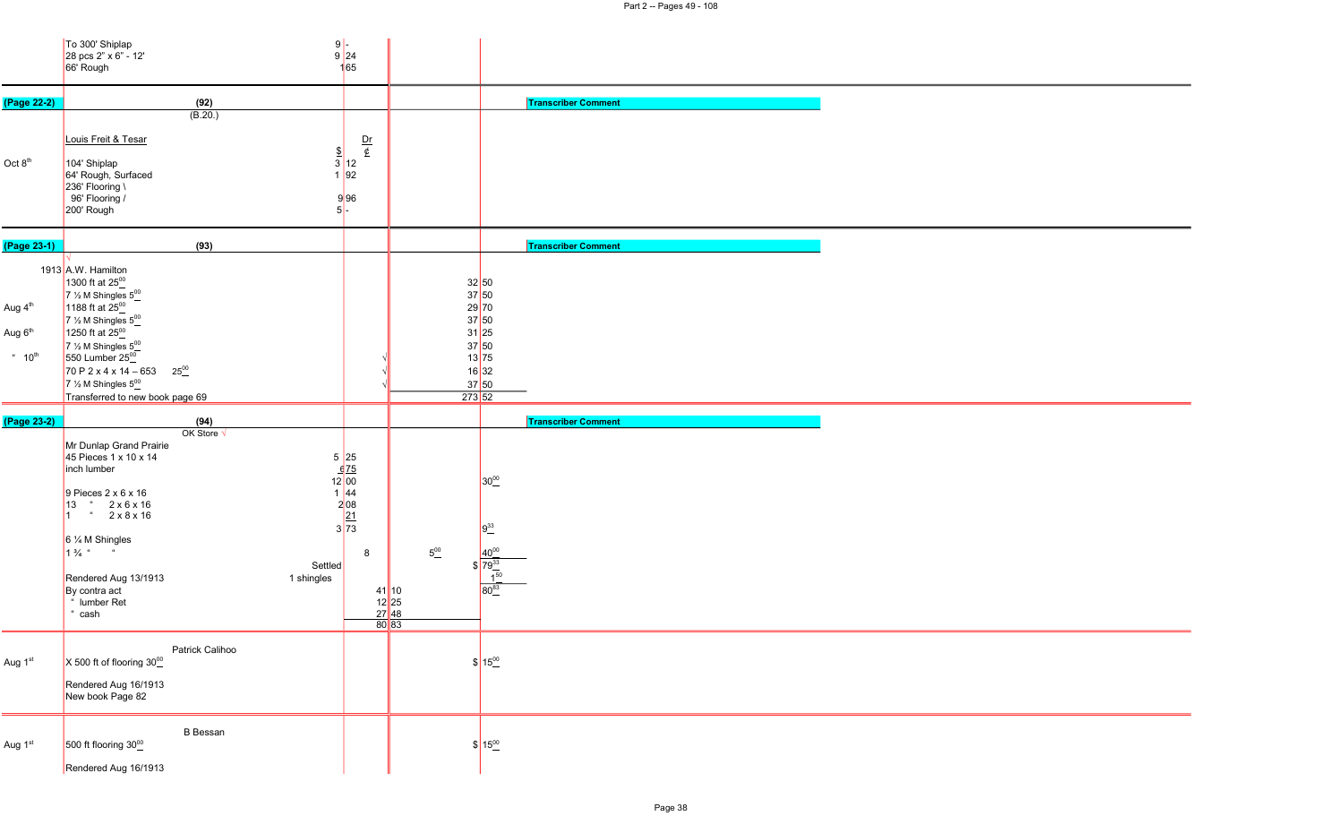|                                                                | To 300' Shiplap<br>28 pcs 2" x 6" - 12"                                                                                                                                                                                                                                                                                                | $\begin{bmatrix} 9 \\ 9 \\ 24 \end{bmatrix}$                                                |                                                  |                                                                                                         |                            |  |
|----------------------------------------------------------------|----------------------------------------------------------------------------------------------------------------------------------------------------------------------------------------------------------------------------------------------------------------------------------------------------------------------------------------|---------------------------------------------------------------------------------------------|--------------------------------------------------|---------------------------------------------------------------------------------------------------------|----------------------------|--|
|                                                                | 66' Rough                                                                                                                                                                                                                                                                                                                              | 165                                                                                         |                                                  |                                                                                                         |                            |  |
| (Page 22-2)                                                    | (92)                                                                                                                                                                                                                                                                                                                                   |                                                                                             |                                                  |                                                                                                         | <b>Transcriber Comment</b> |  |
| Oct $8^{\text{th}}$                                            | (B.20.)<br>Louis Freit & Tesar<br>104' Shiplap<br>64' Rough, Surfaced<br>236' Flooring \<br>96' Flooring /<br>200' Rough                                                                                                                                                                                                               | $\frac{Dr}{\underline{\phi}}$<br>$\frac{2}{3}$ 12<br>1 92<br>$\frac{9}{5}$ = $\frac{96}{5}$ |                                                  |                                                                                                         |                            |  |
| (Page 23-1)                                                    | (93)                                                                                                                                                                                                                                                                                                                                   |                                                                                             |                                                  |                                                                                                         | <b>Transcriber Comment</b> |  |
| Aug 4 <sup>th</sup><br>Aug 6 <sup>th</sup><br>40 <sup>th</sup> | 1913 A.W. Hamilton<br>1300 ft at 25 <sup>00</sup><br>$7\frac{1}{2}$ M Shingles $5^{00}_{-}$<br>1188 ft at 25 <sup>00</sup><br>$7\frac{1}{2}$ M Shingles $5^{00}_{-}$<br>1250 ft at 25 <sup>00</sup><br>$7$ % M Shingles $5^{00}$<br>550 Lumber 25 <sup>00</sup><br>70 P 2 x 4 x 14 - 653 $25\frac{00}{2}$<br>$7$ % M Shingles $5^{00}$ |                                                                                             |                                                  | 32 50<br>37 50<br>29 70<br>37 50<br>$31\overline{25}$<br>37 50<br>$13\overline{75}$<br>$16$ 32<br>37 50 |                            |  |
|                                                                | Transferred to new book page 69                                                                                                                                                                                                                                                                                                        |                                                                                             |                                                  | 273 52                                                                                                  |                            |  |
| (Page 23-2)                                                    | (94)                                                                                                                                                                                                                                                                                                                                   |                                                                                             |                                                  |                                                                                                         | <b>Transcriber Comment</b> |  |
|                                                                | OK Store $\sqrt$<br>Mr Dunlap Grand Prairie<br>45 Pieces 1 x 10 x 14<br>inch lumber<br>9 Pieces $2 \times 6 \times 16$<br>$13$ " $2 \times 6 \times 16$<br>$1^{\degree}$ 2 x 8 x 16<br>$6\frac{1}{4}$ M Shingles<br>$1\frac{3}{4}$ "<br>Settled<br>Rendered Aug 13/1913<br>1 shingles<br>By contra act<br>" lumber Ret<br>" cash       | $\begin{array}{r} 525 \\ 675 \\ 1200 \\ 144 \\ 208 \\ 21 \\ 373 \end{array}$<br>8           | $5^{00}$<br>$41$ 10<br>12 25<br>$27$ 48<br>80 83 | $30^{00}$<br>$9^{33}_{-}$<br>4000<br>$\sqrt[3]{79^{33}_{-}}$<br>$1^{50}$<br>$80^{83}$                   |                            |  |
| Aug 1st                                                        | Patrick Calihoo<br>$X 500$ ft of flooring $30^{00}$<br>Rendered Aug 16/1913<br>New book Page 82                                                                                                                                                                                                                                        |                                                                                             |                                                  | $\frac{15^{00}}{15^{00}}$                                                                               |                            |  |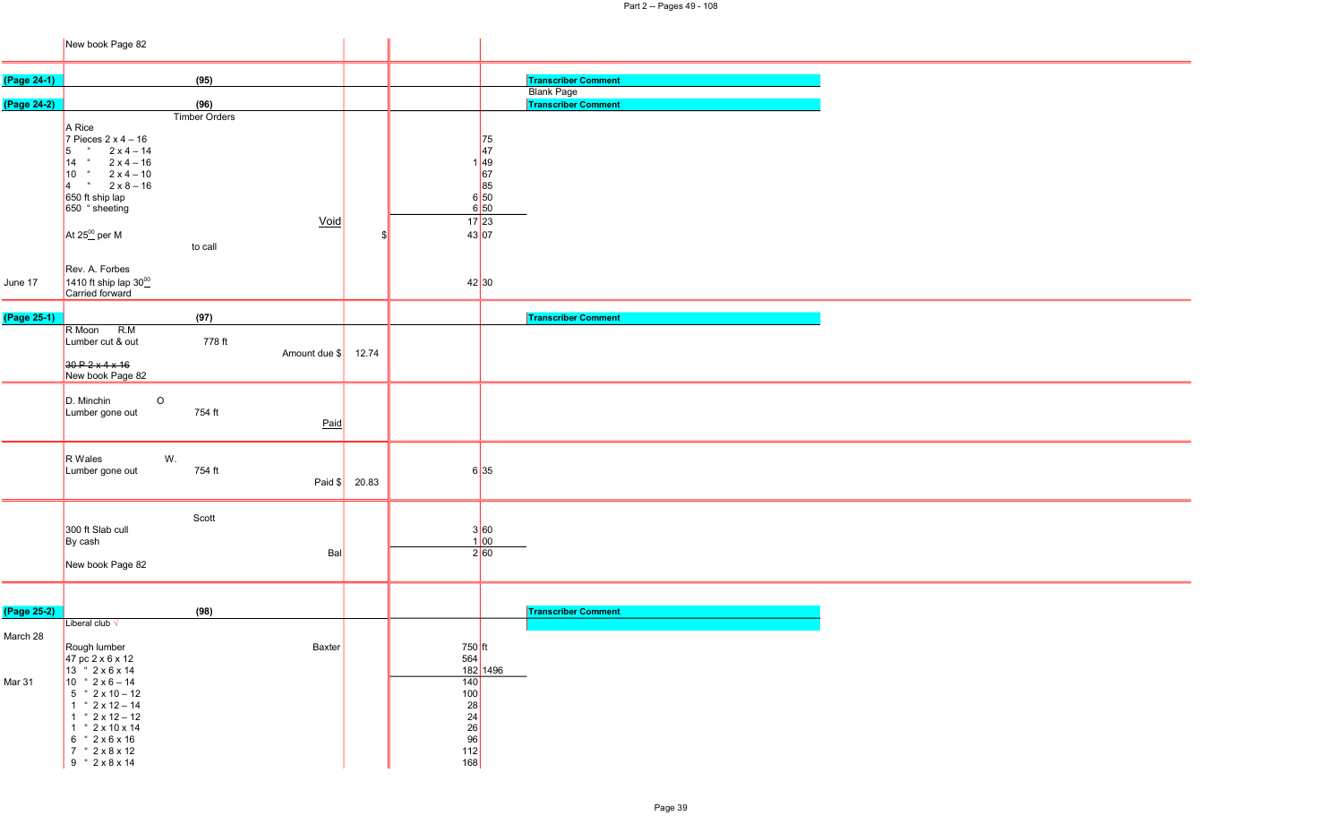|                           | New book Page 82                                                                                                                                                                                                                                                                                                |               |       |                                                                                                                             |                                                                                                                                      |                                                                                                                                                     |  |
|---------------------------|-----------------------------------------------------------------------------------------------------------------------------------------------------------------------------------------------------------------------------------------------------------------------------------------------------------------|---------------|-------|-----------------------------------------------------------------------------------------------------------------------------|--------------------------------------------------------------------------------------------------------------------------------------|-----------------------------------------------------------------------------------------------------------------------------------------------------|--|
| (Page 24-1)               | (95)                                                                                                                                                                                                                                                                                                            |               |       |                                                                                                                             |                                                                                                                                      | <b>Transcriber Comment</b>                                                                                                                          |  |
|                           |                                                                                                                                                                                                                                                                                                                 |               |       |                                                                                                                             |                                                                                                                                      | Blank Page                                                                                                                                          |  |
| (Page 24-2)               | (96)                                                                                                                                                                                                                                                                                                            |               |       |                                                                                                                             |                                                                                                                                      | <b>Transcriber Comment</b>                                                                                                                          |  |
|                           | <b>Timber Orders</b><br>A Rice<br>7 Pieces $2 \times 4 - 16$<br>5<br>$2 \times 4 - 14$<br>$\epsilon$<br>$\epsilon$<br>$2 \times 4 - 16$<br> 14 <br>$\alpha$<br>$ 10\rangle$<br>$2 \times 4 - 10$<br>$\alpha$<br>$\vert$ 4<br>$2 × 8 - 16$<br>650 ft ship lap<br>650 " sheeting<br>At $25^{00}$ per M<br>to call | Void          | - \$  |                                                                                                                             | $\begin{array}{c} 75 \\ 47 \end{array}$<br>1 49<br>67<br>85<br>$\begin{array}{c c} 6 & 50 \\ 6 & 50 \end{array}$<br>$17$ 23<br>43 07 |                                                                                                                                                     |  |
| June 17                   | Rev. A. Forbes<br>1410 ft ship lap $30^{00}$<br>Carried forward                                                                                                                                                                                                                                                 |               |       |                                                                                                                             | 42 30                                                                                                                                |                                                                                                                                                     |  |
| (Page 25-1)               | (97)                                                                                                                                                                                                                                                                                                            |               |       |                                                                                                                             |                                                                                                                                      | <b>Transcriber Comment</b><br><b>Contract Contract Contract Contract Contract Contract Contract Contract Contract Contract Contract Contract Co</b> |  |
|                           | R Moon R.M<br>778 ft<br>Lumber cut & out<br>$30P2x4x16$<br>New book Page 82                                                                                                                                                                                                                                     | Amount due \$ | 12.74 |                                                                                                                             |                                                                                                                                      |                                                                                                                                                     |  |
|                           | $\mathsf O$<br>D. Minchin<br>754 ft<br>Lumber gone out                                                                                                                                                                                                                                                          | Paid          |       |                                                                                                                             |                                                                                                                                      |                                                                                                                                                     |  |
|                           | W.<br>R Wales<br>754 ft<br>Lumber gone out                                                                                                                                                                                                                                                                      | Paid \$       | 20.83 |                                                                                                                             | 6 35                                                                                                                                 |                                                                                                                                                     |  |
|                           | Scott<br>300 ft Slab cull<br>By cash<br>New book Page 82                                                                                                                                                                                                                                                        | Bal           |       |                                                                                                                             | 3 60<br>1 00<br>2 60                                                                                                                 |                                                                                                                                                     |  |
| (Page 25-2)               | (98)                                                                                                                                                                                                                                                                                                            |               |       |                                                                                                                             |                                                                                                                                      | <b>Transcriber Comment</b>                                                                                                                          |  |
|                           | Liberal club $\sqrt$                                                                                                                                                                                                                                                                                            |               |       |                                                                                                                             |                                                                                                                                      |                                                                                                                                                     |  |
| March 28<br><b>Mar 31</b> | Rough lumber<br>$47 \,\mathrm{pc} 2 \times 6 \times 12$<br>$13$ " $2 \times 6 \times 14$<br>$10$ " $2 \times 6 - 14$<br>$5$ " $2 \times 10 - 12$<br>$1$ " $2 \times 12 - 14$<br>$1$ " $2 \times 12 - 12$<br>$1$ " $2 \times 10 \times 14$<br>6 " 2 x 6 x 16<br>$7$ " $2 \times 8 \times 12$                     | Baxter        |       | 750 $ft$<br>140<br>100<br>$\begin{bmatrix} 28 \\ 24 \\ 26 \\ 96 \end{bmatrix}$<br>$\begin{array}{c} 112 \\ 168 \end{array}$ | 564<br>182 1496                                                                                                                      |                                                                                                                                                     |  |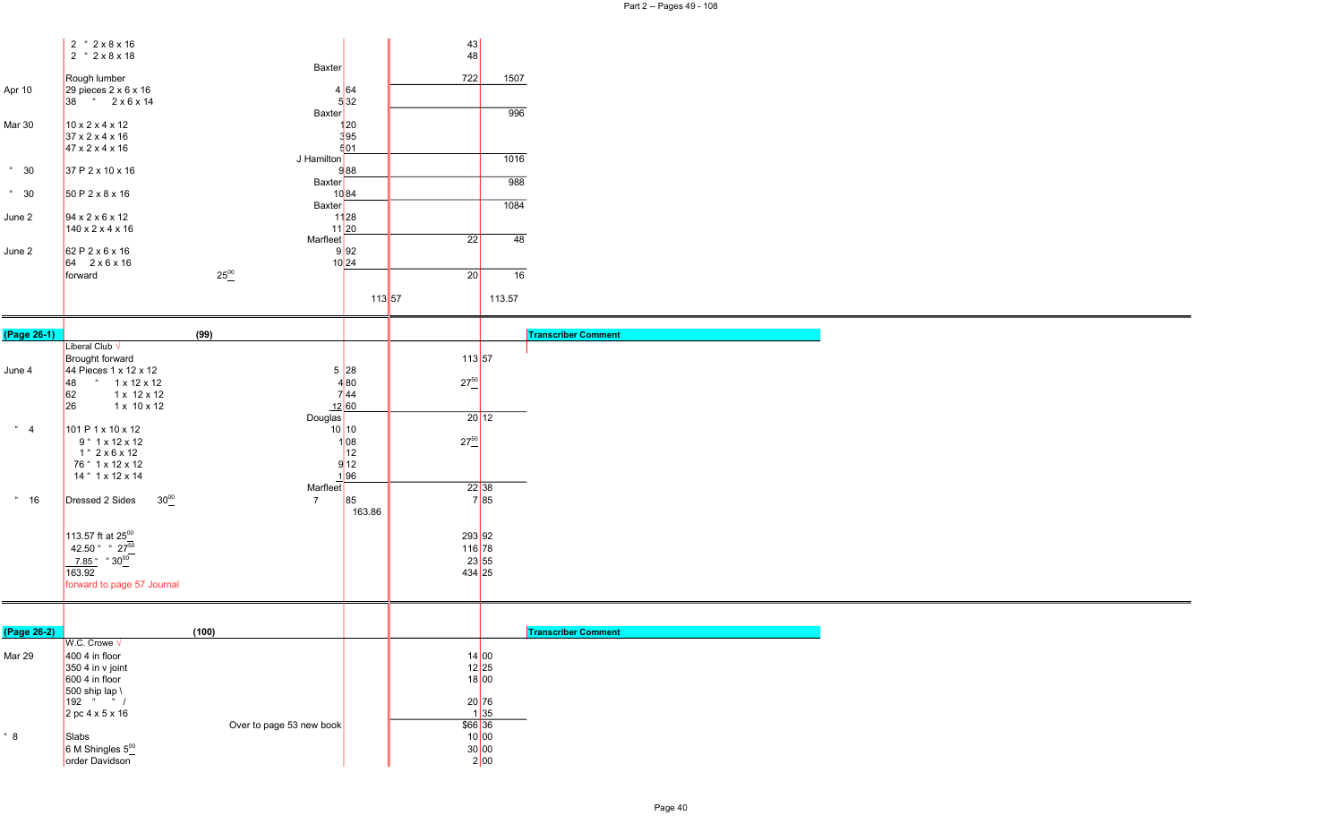## Part 2 -- Pages 49 - 108

|               | $2$ " $2 \times 8 \times 16$                     |                          |               | $\begin{array}{c} 43 \\ 48 \end{array}$            |                            |  |  |  |  |
|---------------|--------------------------------------------------|--------------------------|---------------|----------------------------------------------------|----------------------------|--|--|--|--|
|               | $2$ " $2 \times 8 \times 18$                     |                          |               |                                                    |                            |  |  |  |  |
|               |                                                  | Baxter                   |               |                                                    |                            |  |  |  |  |
| Apr 10        | Rough lumber<br>29 pieces $2 \times 6 \times 16$ |                          | 4 64          | 722<br>1507                                        |                            |  |  |  |  |
|               | $38$ " $2 \times 6 \times 14$                    |                          | 532           |                                                    |                            |  |  |  |  |
|               |                                                  | Baxter                   |               | 996                                                |                            |  |  |  |  |
| <b>Mar 30</b> | $10 \times 2 \times 4 \times 12$                 |                          | 120           |                                                    |                            |  |  |  |  |
|               | $37 \times 2 \times 4 \times 16$                 |                          | 395           |                                                    |                            |  |  |  |  |
|               | $47 \times 2 \times 4 \times 16$                 |                          | 501           |                                                    |                            |  |  |  |  |
| " 30          | 37 P 2 x 10 x 16                                 | J Hamilton               | 988           | 1016                                               |                            |  |  |  |  |
|               |                                                  | Baxter                   |               | $\overline{988}$                                   |                            |  |  |  |  |
| " 30          | 50P2x8x16                                        |                          | 10 84         |                                                    |                            |  |  |  |  |
|               |                                                  | Baxter                   |               | 1084                                               |                            |  |  |  |  |
| June 2        | $94 \times 2 \times 6 \times 12$                 |                          | $11$ 28       |                                                    |                            |  |  |  |  |
|               | $140 \times 2 \times 4 \times 16$                | Marfleet                 | 11 20         | 22<br>$\overline{48}$                              |                            |  |  |  |  |
| June 2        | $62P2x6x16$                                      |                          | 9 92          |                                                    |                            |  |  |  |  |
|               | $64$ 2 x 6 x 16                                  |                          | $10$ 24       |                                                    |                            |  |  |  |  |
|               | forward                                          | $25^{00}_{-}$            |               | 20<br>16                                           |                            |  |  |  |  |
|               |                                                  |                          |               |                                                    |                            |  |  |  |  |
|               |                                                  |                          | $113$ 57      | 113.57                                             |                            |  |  |  |  |
|               |                                                  |                          |               |                                                    |                            |  |  |  |  |
| (Page 26-1)   |                                                  | (99)                     |               |                                                    | <b>Transcriber Comment</b> |  |  |  |  |
|               | Liberal Club V                                   |                          |               |                                                    |                            |  |  |  |  |
|               | Brought forward                                  |                          |               | 113 57                                             |                            |  |  |  |  |
| June 4        | 44 Pieces 1 x 12 x 12                            |                          | 5 28          |                                                    |                            |  |  |  |  |
|               | 48 " 1 x 12 x 12<br> 62 <br>1 x 12 x 12          |                          | 4 80<br>7 44  | $27^{50}$                                          |                            |  |  |  |  |
|               | 26 <br>1 x 10 x 12                               |                          | 12 60         |                                                    |                            |  |  |  |  |
|               |                                                  | Douglas                  |               | 20 12                                              |                            |  |  |  |  |
| " 4           | 101 P 1 x 10 x 12                                |                          | 10 10         |                                                    |                            |  |  |  |  |
|               | 9 " 1 x 12 x 12                                  |                          | 1 08          | $27^{50}_{-}$                                      |                            |  |  |  |  |
|               | $1$ " $2 \times 6 \times 12$                     |                          | 12            |                                                    |                            |  |  |  |  |
|               | 76 " 1 x 12 x 12                                 |                          | $9$ 12<br>196 |                                                    |                            |  |  |  |  |
|               | 14 " 1 x 12 x 14                                 | Marfleet                 |               | 22 38                                              |                            |  |  |  |  |
| $"$ 16        | $30^{00}_{-}$<br>Dressed 2 Sides                 | $7\overline{ }$          | 85            | 7 85                                               |                            |  |  |  |  |
|               |                                                  |                          | 163.86        |                                                    |                            |  |  |  |  |
|               |                                                  |                          |               |                                                    |                            |  |  |  |  |
|               | 113.57 ft at 25 <sup>00</sup>                    |                          |               | 293 92                                             |                            |  |  |  |  |
|               | 42.50 " " 27 <sup>50</sup>                       |                          |               | $116$ 78                                           |                            |  |  |  |  |
|               | $7.85$ " $30\frac{00}{1}$                        |                          |               | 23 55                                              |                            |  |  |  |  |
|               | 163.92<br>forward to page 57 Journal             |                          |               | 434 25                                             |                            |  |  |  |  |
|               |                                                  |                          |               |                                                    |                            |  |  |  |  |
|               |                                                  |                          |               |                                                    |                            |  |  |  |  |
|               |                                                  |                          |               |                                                    |                            |  |  |  |  |
| (Page 26-2)   | W.C. Crowe V                                     | (100)                    |               |                                                    | <b>Transcriber Comment</b> |  |  |  |  |
| Mar 29        | $4004$ in floor                                  |                          |               | 14 00                                              |                            |  |  |  |  |
|               | 350 4 in $v$ joint                               |                          |               | 12 25                                              |                            |  |  |  |  |
|               | $6004$ in floor                                  |                          |               | 18 00                                              |                            |  |  |  |  |
|               | 500 ship lap \                                   |                          |               |                                                    |                            |  |  |  |  |
|               | $192$ $\frac{1}{2}$ $\frac{1}{2}$ $\frac{1}{2}$  |                          |               | 20 76                                              |                            |  |  |  |  |
|               | 2pc 4 x 5 x 16                                   |                          |               | 1 35                                               |                            |  |  |  |  |
| " 8           | Slabs                                            | Over to page 53 new book |               | \$66 36<br>10 00                                   |                            |  |  |  |  |
|               | $6 M$ Shingles $5^{00}$                          |                          |               |                                                    |                            |  |  |  |  |
|               | order Davidson                                   |                          |               | $\begin{array}{c c} 30 & 00 \\ 2 & 00 \end{array}$ |                            |  |  |  |  |
|               |                                                  |                          |               |                                                    |                            |  |  |  |  |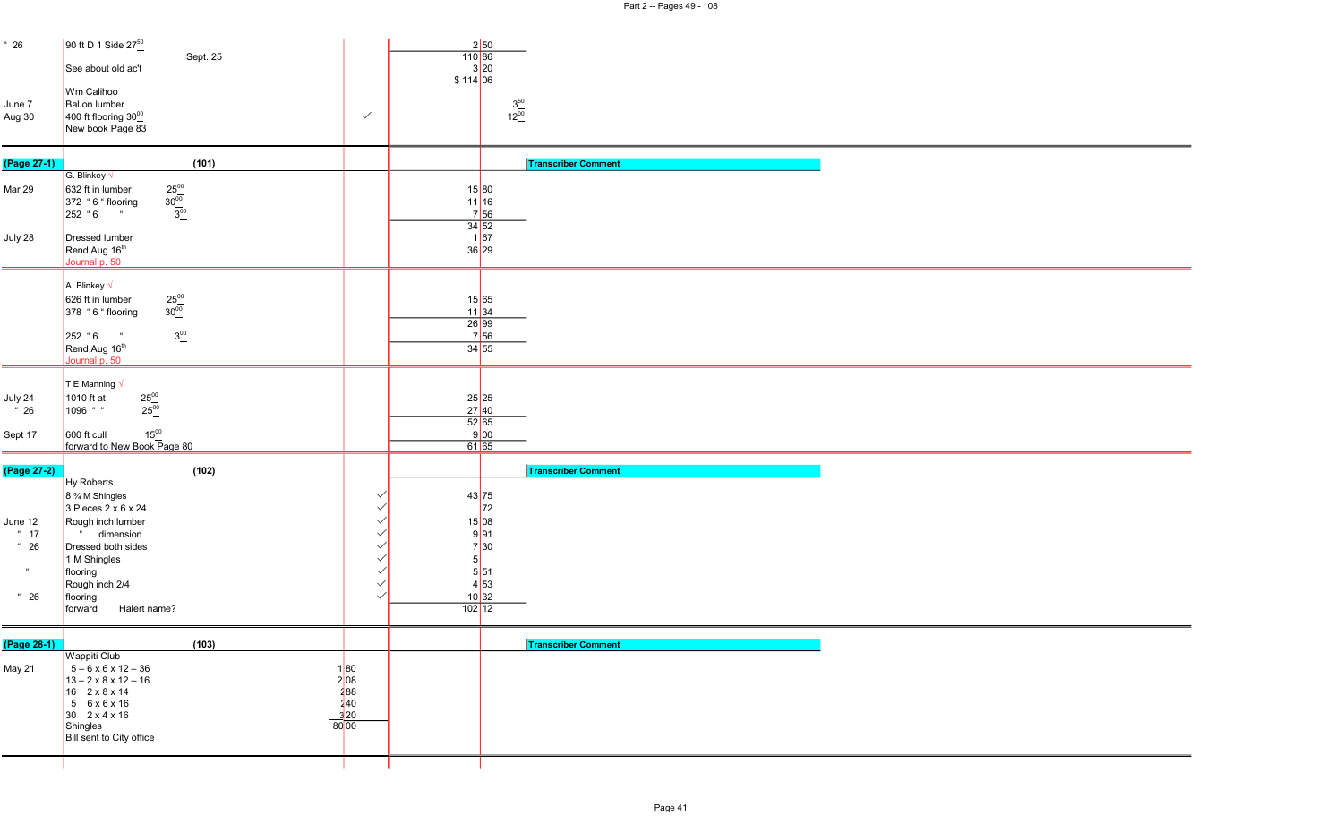| $\,^\circ$ 26                                                 | 90 ft D 1 Side 27 <sup>50</sup><br>Sept. 25<br>See about old ac't                                                                                                                                                               |                                                                                                              | 110 86    | 2 50<br>3 20                                                                                            |                            |  |
|---------------------------------------------------------------|---------------------------------------------------------------------------------------------------------------------------------------------------------------------------------------------------------------------------------|--------------------------------------------------------------------------------------------------------------|-----------|---------------------------------------------------------------------------------------------------------|----------------------------|--|
| June 7<br>Aug 30                                              | Wm Calihoo<br>Bal on lumber<br>400 ft flooring 30 <sup>00</sup><br>New book Page 83                                                                                                                                             | $\checkmark$                                                                                                 | $$114$ 06 |                                                                                                         | $\frac{3^{50}}{12^{00}}$   |  |
| (Page 27-1)                                                   | (101)                                                                                                                                                                                                                           |                                                                                                              |           |                                                                                                         | <b>Transcriber Comment</b> |  |
| Mar 29                                                        | $G.$ Blinkey $\sqrt$<br>$\frac{25^{00}}{30^{00}}$<br>632 ft in lumber<br>372 " 6 " flooring<br>252 "6<br>$\sim$ $\mu$                                                                                                           |                                                                                                              |           | 15 80<br>11 16<br>7 56<br>$\overline{34}$ 52                                                            |                            |  |
| July 28                                                       | Dressed lumber<br>Rend Aug 16th<br>Journal p. 50                                                                                                                                                                                |                                                                                                              |           | 1 67<br>$36$ 29                                                                                         |                            |  |
|                                                               | A. Blinkey V<br>$\frac{25^{00}}{30^{00}}$<br>626 ft in lumber<br>378 " 6 " flooring<br>$3^{00}_{-}$<br>252 " 6 "<br>Rend Aug 16 <sup>th</sup><br>Journal p. 50                                                                  |                                                                                                              | 11 34     | 15 65<br>$\overline{26}$ 99<br>7 56<br>34 55                                                            |                            |  |
| July 24<br>426<br>Sept 17                                     | T E Manning $\sqrt{ }$<br>$\frac{25^{00}}{25^{00}}$<br>1010 ft at<br>1096 " "<br>$\begin{array}{r} 600 \text{ ft call} & 15^{\underline{00}} \\ \text{forward to New Book Page } 80 \end{array}$                                |                                                                                                              |           | 25 25<br>27 40<br>$\begin{array}{ c c }\n\hline\n52 & 65 \\ \hline\n9 & 00\n\end{array}$<br>61 65       |                            |  |
| (Page 27-2)                                                   | (102)                                                                                                                                                                                                                           |                                                                                                              |           |                                                                                                         | <b>Transcriber Comment</b> |  |
| June 12<br>" 17<br>" 26<br>$\overline{\phantom{a}}$ .<br>" 26 | Hy Roberts<br>8 % M Shingles<br>3 Pieces 2 x 6 x 24<br>Rough inch lumber<br>" dimension<br>Dressed both sides<br>1 M Shingles<br>flooring<br>Rough inch 2/4<br>flooring<br>Halert name?<br>forward                              | $\checkmark$<br>$\checkmark$<br>$\checkmark$<br>$\checkmark$<br>$\checkmark$<br>$\checkmark$<br>$\checkmark$ | $102$ 12  | 43 75<br>72<br>15 08<br>9 91<br>$\begin{array}{c c} 7 & 30 \\ 5 & \end{array}$<br>5 51<br>4 53<br>10 32 |                            |  |
| (Page 28-1)<br>May 21                                         | (103)<br><b>Wappiti Club</b><br>$5 - 6 \times 6 \times 12 - 36$<br>$13 - 2 \times 8 \times 12 - 16$<br>$16$ 2 x 8 x 14<br>$5\quad 6 \times 6 \times 16$<br>$30 \t 2 \times 4 \times 16$<br>Shingles<br>Bill sent to City office | $\begin{array}{c c}\n 180 \\  208 \\  38 \\  40\n \end{array}$<br>320<br>8000                                |           |                                                                                                         | <b>Transcriber Comment</b> |  |
|                                                               |                                                                                                                                                                                                                                 |                                                                                                              |           |                                                                                                         |                            |  |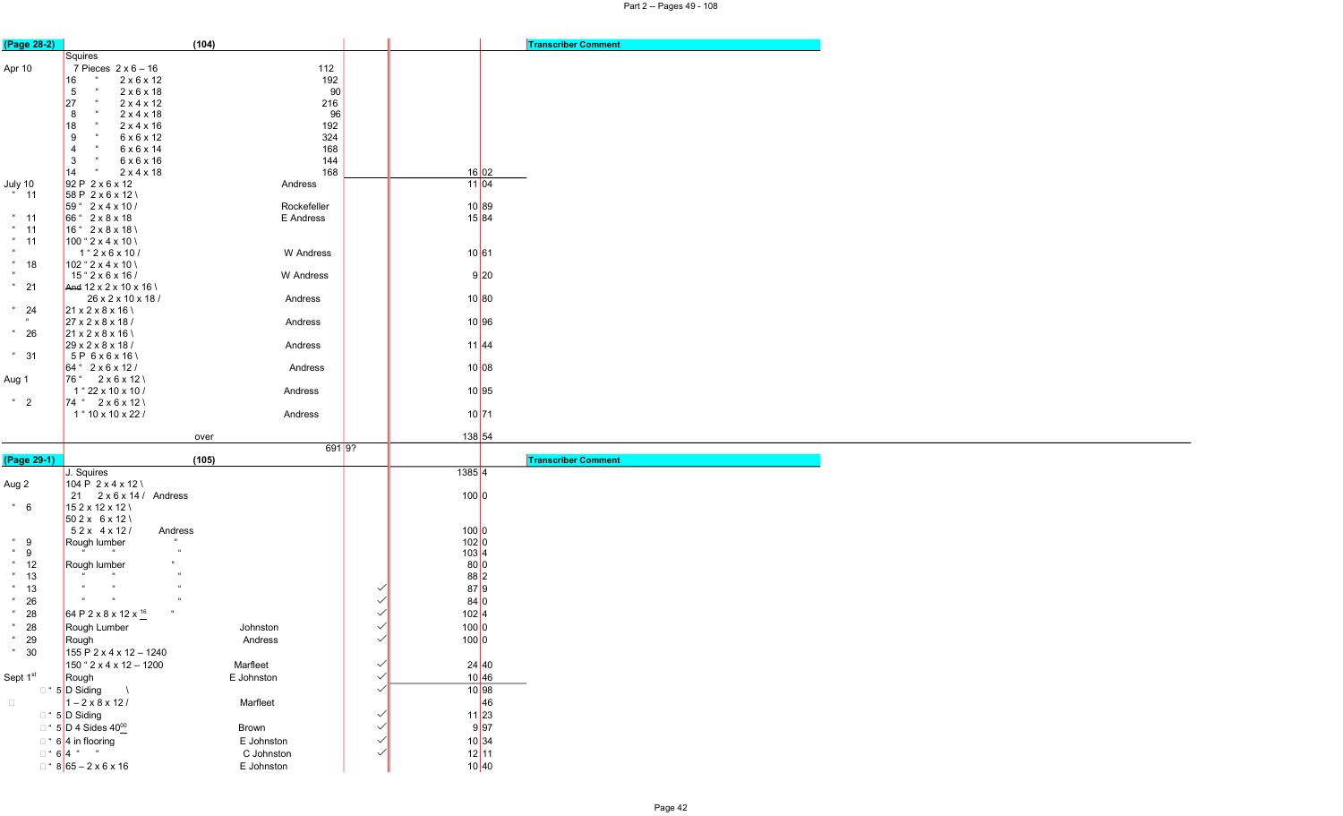| (Page 28-2)                     | (104)                                                                   |                  |              |        | <b>Transcriber Comment</b> |
|---------------------------------|-------------------------------------------------------------------------|------------------|--------------|--------|----------------------------|
|                                 | Squires                                                                 |                  |              |        |                            |
| Apr 10                          | 7 Pieces $2 \times 6 - 16$                                              | 112              |              |        |                            |
|                                 | $\sim$<br>$2 \times 6 \times 12$<br>16                                  | 192              |              |        |                            |
|                                 | $\epsilon$<br>5<br>$2 \times 6 \times 18$<br>$\alpha$                   | 90               |              |        |                            |
|                                 | 27<br>$2 \times 4 \times 12$<br>$\epsilon\epsilon$                      | 216              |              |        |                            |
|                                 | 8<br>$2 \times 4 \times 18$<br>$-66$                                    | 96<br>192        |              |        |                            |
|                                 | 18<br>$2 \times 4 \times 16$<br>$\alpha$<br>9<br>$6 \times 6 \times 12$ | 324              |              |        |                            |
|                                 | $\alpha$<br>$6 \times 6 \times 14$<br>$\overline{4}$                    | 168              |              |        |                            |
|                                 | $\mathbf{3}$<br>$-66$<br>$6 \times 6 \times 16$                         | 144              |              |        |                            |
|                                 | $\alpha$<br>14<br>$2 \times 4 \times 18$                                | 168              |              | 16 02  |                            |
| July 10                         | 92 P 2 x 6 x 12                                                         | Andress          |              | 11 04  |                            |
| $\frac{a}{2}$ 11                | 58 P 2 x 6 x 12 \                                                       |                  |              |        |                            |
|                                 | 59 " 2 x 4 x 10 /                                                       | Rockefeller      |              | 10 89  |                            |
| $"$ 11                          | 66 " 2 x 8 x 18                                                         | E Andress        |              | 15 84  |                            |
| $\alpha$<br>11                  | $16$ " $2 \times 8 \times 18$                                           |                  |              |        |                            |
| $"$ 11<br>$\overline{a}$        | 100 " 2 x 4 x 10 \                                                      |                  |              |        |                            |
| $\alpha$<br>18                  | $1$ " $2 \times 6 \times 10$ /<br>102 " 2 x 4 x 10 \                    | <b>W</b> Andress |              | 10 61  |                            |
| $\epsilon\epsilon$              | 15 " 2 x 6 x 16 /                                                       | W Andress        |              | 9 20   |                            |
| $\epsilon\epsilon$<br>21        | And 12 x 2 x 10 x 16 \                                                  |                  |              |        |                            |
|                                 | 26 x 2 x 10 x 18 /                                                      | Andress          |              | 10 80  |                            |
| $\mathcal{M}$<br>24             | $21 \times 2 \times 8 \times 16$                                        |                  |              |        |                            |
|                                 | $27 \times 2 \times 8 \times 18$                                        | Andress          |              | 10 96  |                            |
| $\alpha$<br>26                  | $21 \times 2 \times 8 \times 16$                                        |                  |              |        |                            |
|                                 | 29x2x8x18/                                                              | Andress          |              | 11 44  |                            |
| " 31                            | 5 P 6 x 6 x 16 \                                                        |                  |              |        |                            |
|                                 | $64$ " $2 \times 6 \times 12$ /                                         | Andress          |              | 10 08  |                            |
| Aug 1                           | $76"$ 2 x 6 x 12 \                                                      |                  |              |        |                            |
| $^{\circ}$ 2                    | 1 " 22 x 10 x 10 /                                                      | Andress          |              | 10 95  |                            |
|                                 | $74$ " $2 \times 6 \times 12$                                           | Andress          |              | 10 71  |                            |
|                                 | 1 " 10 x 10 x 22 /                                                      |                  |              |        |                            |
|                                 | over                                                                    |                  |              | 138 54 |                            |
|                                 |                                                                         | 691 9?           |              |        |                            |
| (Page 29-1)                     | (105)                                                                   |                  |              |        | <b>Transcriber Comment</b> |
|                                 | J. Squires                                                              |                  |              | 13854  |                            |
| Aug 2                           | 104 P 2 x 4 x 12 \                                                      |                  |              |        |                            |
| $"$ 6                           | 21 2 x 6 x 14 / Andress<br>15 2 x 12 x 12 \                             |                  |              | 100 0  |                            |
|                                 | 502x 6x12                                                               |                  |              |        |                            |
|                                 | $52x$ 4 x 12 /<br>Andress                                               |                  |              | 100 0  |                            |
| $\mathcal{M}$<br>9              | $\overline{16}$<br>Rough lumber                                         |                  |              | 102 0  |                            |
| " 9                             |                                                                         |                  |              | 103 4  |                            |
| $\mathbf{u}$<br>12              | Rough lumber                                                            |                  |              | 80 0   |                            |
| $\overline{\phantom{aa}}$<br>13 |                                                                         |                  |              | 88 2   |                            |
| $"$ 13                          |                                                                         |                  | $\checkmark$ | 87 9   |                            |
| $\mathbf{u}$<br>26              | $\alpha$<br>$\alpha$                                                    |                  | $\checkmark$ | 84 0   |                            |
| $\epsilon\epsilon$<br>28        | 64 P 2 x 8 x 12 x $^{16}$                                               |                  | $\checkmark$ | 102 4  |                            |
| $\mathbf{u}$<br>28              | Rough Lumber                                                            | Johnston         | $\checkmark$ | 100 0  |                            |
| 29                              | Rough                                                                   | Andress          | $\checkmark$ | 100 0  |                            |
| $\alpha$<br>30                  | 155 P 2 x 4 x 12 - 1240                                                 |                  |              |        |                            |
|                                 | 150 ° 2 x 4 x 12 - 1200                                                 | Marfleet         | $\checkmark$ | 24 40  |                            |
| Sept 1st                        | Rough                                                                   | E Johnston       | $\checkmark$ | 10 46  |                            |
|                                 | $\Box$ " 5 D Siding<br>$\mathcal{N}$                                    |                  | $\checkmark$ | 10 98  |                            |
| $\Box$                          | $1 - 2 \times 8 \times 12$                                              | Marfleet         |              | 46     |                            |
|                                 | $\Box$ " 5 D Siding                                                     |                  | $\checkmark$ | 11 23  |                            |
|                                 | $\Box$ " 5 D 4 Sides 40 <sup>00</sup>                                   | Brown            | $\checkmark$ | 9 97   |                            |
|                                 | $\Box$ " 6 4 in flooring                                                | E Johnston       | $\checkmark$ | 10 34  |                            |
|                                 | $\Box$ " 64 " "                                                         | C Johnston       |              | 12 11  |                            |
|                                 | $\Box$ " 8 65 – 2 x 6 x 16                                              | E Johnston       |              | 10 40  |                            |
|                                 |                                                                         |                  |              |        |                            |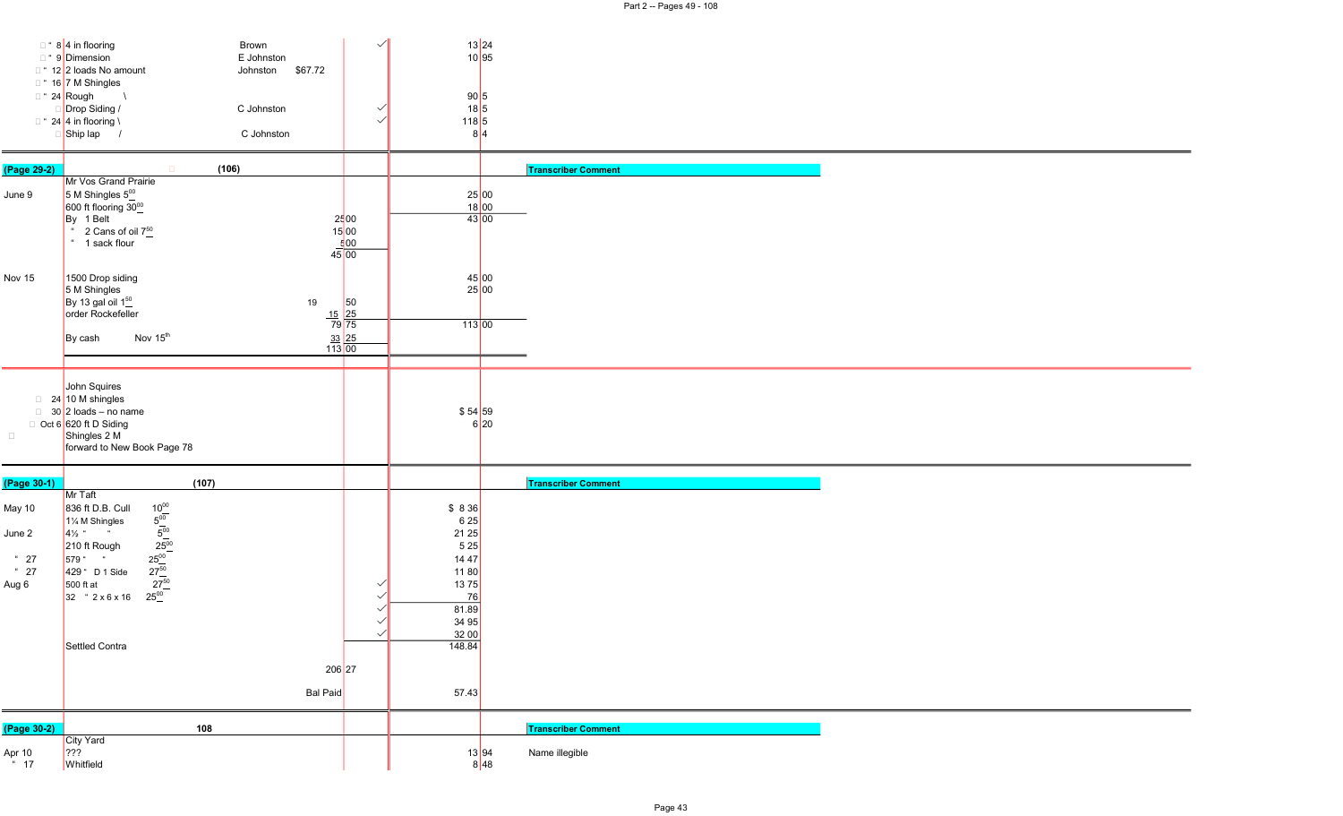|                                                          | $\Box$ " 8 4 in flooring<br>$\Box$ " 9 Dimension<br>$\Box$ " 12 2 loads No amount<br>$\Box$ " 16 7 M Shingles<br>$\Box$ " 24 Rough<br>Drop Siding /<br>$\Box$ " 24 4 in flooring \                                                                                                                                                       | Brown<br>E Johnston<br>Johnston \$67.72<br>C Johnston        | $\checkmark$<br>$\checkmark$<br>$\checkmark$                 | 13 24<br>90 5<br>$18\overline{5}$<br>$118\overline{5}$                                                 | 10 95                                              |                                              |  |
|----------------------------------------------------------|------------------------------------------------------------------------------------------------------------------------------------------------------------------------------------------------------------------------------------------------------------------------------------------------------------------------------------------|--------------------------------------------------------------|--------------------------------------------------------------|--------------------------------------------------------------------------------------------------------|----------------------------------------------------|----------------------------------------------|--|
| (Page 29-2)                                              | $\Box$ Ship lap /                                                                                                                                                                                                                                                                                                                        | C Johnston<br>(106)                                          |                                                              |                                                                                                        | 8 4                                                | <b>Transcriber Comment</b>                   |  |
| June 9                                                   | Mr Vos Grand Prairie<br>5 M Shingles $5^{00}$<br>600 ft flooring 30 <sup>00</sup><br>By 1 Belt<br>2 Cans of oil $7^{50}_{-}$<br>$\alpha$<br>" 1 sack flour                                                                                                                                                                               |                                                              | 2500<br>15 00<br>$rac{6}{45}$ 00                             | 25 00<br>18 00<br>43 00                                                                                |                                                    |                                              |  |
| Nov 15                                                   | 1500 Drop siding<br>5 M Shingles<br>By 13 gal oil $1^{50}_{-}$<br>order Rockefeller<br>Nov 15 <sup>th</sup><br>By cash                                                                                                                                                                                                                   | 19<br>$\frac{15}{79}$ $\frac{25}{75}$<br>$\frac{33}{113}$ 25 | 50                                                           | 45 00<br>25 00<br>113 00                                                                               |                                                    |                                              |  |
| $\Box$                                                   | John Squires<br>$\Box$ 24 10 M shingles<br>$\Box$ 30 2 loads – no name<br>$\Box$ Oct 6 620 ft D Siding<br>Shingles 2 M<br>forward to New Book Page 78                                                                                                                                                                                    |                                                              |                                                              | \$54 59                                                                                                | 6 20                                               |                                              |  |
| (Page 30-1)<br>May 10<br>June 2<br>" 27<br>" 27<br>Aug 6 | (107)<br>Mr Taft<br>$\frac{10^{00}}{5^{00}}$<br>$\frac{5^{00}}{25^{00}}$<br>836 ft D.B. Cull<br>1 <sup>/4</sup> M Shingles<br>$4\frac{1}{2}$ "<br>210 ft Rough<br>$\frac{25^{00}}{27^{50}}$<br>27 <sup>50</sup><br>27 <sup>50</sup><br>579 "<br>429 " D 1 Side<br>500 ft at<br>$32$ " $2 \times 6 \times 16$ $25^{00}$<br>Settled Contra | $206$ 27<br>Bal Paid                                         | $\checkmark$<br>$\checkmark$<br>$\checkmark$<br>$\checkmark$ | \$836<br>625<br>2125<br>525<br>14 47<br>1180<br>1375<br>76<br>81.89<br>3495<br>3200<br>148.84<br>57.43 |                                                    | <b>Transcriber Comment</b>                   |  |
| (Page 30-2)<br>Apr 10<br>" 17                            | 108<br>City Yard<br> ?<br>Whitfield                                                                                                                                                                                                                                                                                                      |                                                              |                                                              |                                                                                                        | $\begin{array}{c c} 13 & 94 \\ 8 & 48 \end{array}$ | <b>Transcriber Comment</b><br>Name illegible |  |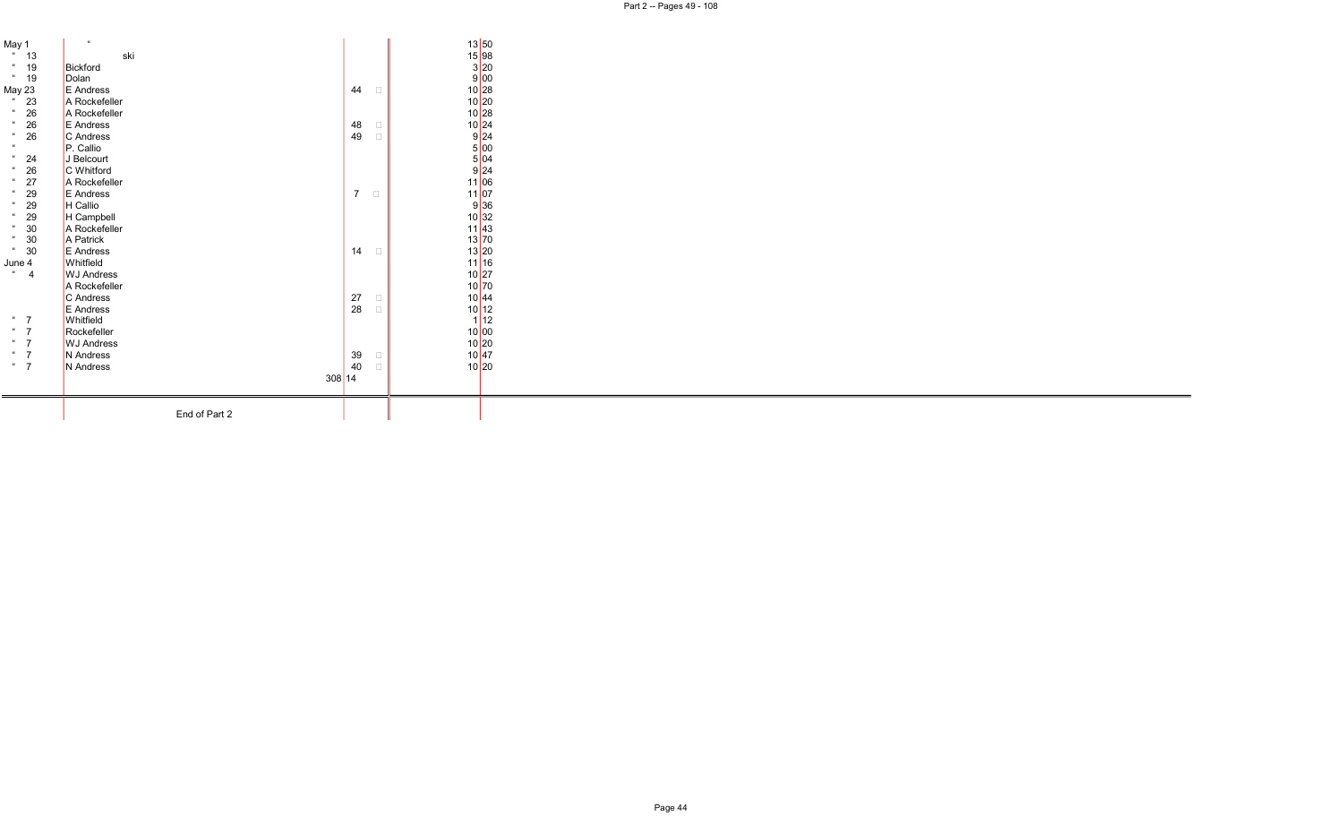|                                                  |                         | End of Part 2 |                |                  |                                                                                |  |
|--------------------------------------------------|-------------------------|---------------|----------------|------------------|--------------------------------------------------------------------------------|--|
|                                                  |                         |               |                |                  |                                                                                |  |
|                                                  |                         | 308 14        |                |                  |                                                                                |  |
| $\overline{7}$<br>" 7                            | N Andress<br>N Andress  |               | 39<br>40       | $\Box$<br>$\Box$ | 10 47<br>10 20                                                                 |  |
| 66<br>$\overline{7}$<br>$\alpha$                 | <b>WJ</b> Andress       |               |                |                  | 10 20                                                                          |  |
| $\epsilon\epsilon$<br>$\overline{7}$             | Rockefeller             |               |                |                  | 10 00                                                                          |  |
| $"$ 7                                            | Whitfield               |               |                |                  | 1 12                                                                           |  |
|                                                  | E Andress               |               | 28             | $\Box$           | 10 12                                                                          |  |
|                                                  | C Andress               |               | $27\,$         | $\Box$           | 10 44                                                                          |  |
|                                                  | A Rockefeller           |               |                |                  | $10$ 70                                                                        |  |
| $\overline{\mathbf{u}}$<br>$\boldsymbol{\Delta}$ | <b>WJ</b> Andress       |               |                |                  | $10$ 27                                                                        |  |
| 30<br>June 4                                     | E Andress<br>Whitfield  |               | 14             | $\Box$           | 13 20<br>11 16                                                                 |  |
| 30<br>$\alpha$                                   | A Patrick               |               |                |                  | 13 70                                                                          |  |
| 30<br>$\alpha$<br>$\alpha$                       | A Rockefeller           |               |                |                  | 11 43                                                                          |  |
| 29<br>$\epsilon$                                 | H Campbell              |               |                |                  |                                                                                |  |
| 29<br>$\alpha$                                   | H Callio                |               |                |                  | $\begin{array}{c c}\n9 & 36 \\ 10 & 32\n\end{array}$                           |  |
| 29<br>$\mathfrak{g}$                             | E Andress               |               | $\overline{7}$ | $\Box$           | 11 07                                                                          |  |
| 27<br>$\alpha$                                   | A Rockefeller           |               |                |                  | $\begin{bmatrix} 9 \\ 24 \\ 5 \\ 00 \\ 5 \\ 9 \\ 24 \\ 11 \\ 06 \end{bmatrix}$ |  |
| 26<br>$\epsilon$                                 | C Whitford              |               |                |                  |                                                                                |  |
| $\alpha$<br>24                                   | P. Callio<br>J Belcourt |               |                |                  |                                                                                |  |
| 26<br>66                                         | C Andress               |               | 49             | $\Box$           |                                                                                |  |
| $\alpha$<br>26<br>$\epsilon$                     | E Andress               |               | 48             | $\Box$           | 10 24                                                                          |  |
| $\alpha$<br>26                                   | A Rockefeller           |               |                |                  |                                                                                |  |
| 23<br>$\overline{16}$                            | A Rockefeller           |               |                |                  |                                                                                |  |
| May 23                                           | E Andress               |               | 44             | $\Box$           |                                                                                |  |
| " 19                                             | Dolan                   |               |                |                  | 15 98 20<br>3 20<br>3 20<br>9 00 28<br>10 28<br>10 28                          |  |
| $\overline{\mathbf{u}}$<br>19                    | Bickford                |               |                |                  |                                                                                |  |
| May 1<br>66<br>13                                | ski                     |               |                |                  |                                                                                |  |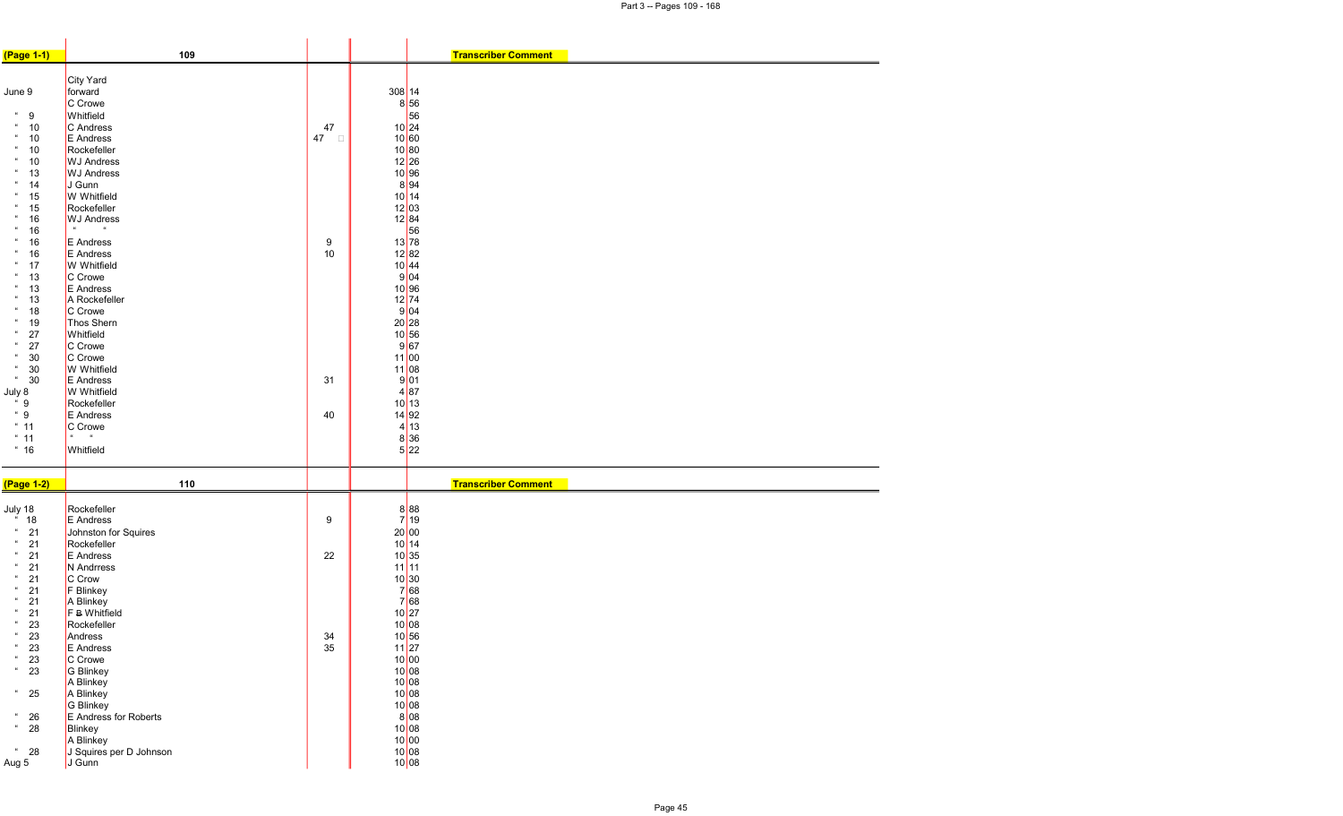| (Page 1-1)                                             | 109                                    |              |         | <b>Transcriber Comment</b> |
|--------------------------------------------------------|----------------------------------------|--------------|---------|----------------------------|
|                                                        |                                        |              |         |                            |
| June 9                                                 | City Yard<br>forward                   |              | 308 14  |                            |
|                                                        | C Crowe                                |              |         | 8 56                       |
| $\boldsymbol{\mu}$<br>9                                | Whitfield                              |              |         | 56                         |
| $\epsilon\epsilon$<br>10                               | C Andress                              | 47           |         | 10 24                      |
| $\epsilon\epsilon$<br>10                               | E Andress                              | 47<br>$\Box$ |         | 10 60                      |
| $\epsilon\epsilon$<br>10<br>$\epsilon\epsilon$         | Rockefeller                            |              |         | 10 80                      |
| 10<br>$\epsilon\epsilon$<br>13                         | <b>WJ</b> Andress<br><b>WJ</b> Andress |              |         | 12 26<br>10 96             |
| $\epsilon\epsilon$<br>14                               | J Gunn                                 |              |         | 8 94                       |
| $\boldsymbol{\mu}$<br>15                               | W Whitfield                            |              |         | 10 14                      |
| $\boldsymbol{\mu}$<br>15                               | Rockefeller                            |              |         | 12 03                      |
| $\mathfrak{c}\mathfrak{c}$<br>16                       | <b>WJ</b> Andress                      |              |         | 12 84                      |
| $\boldsymbol{\mu}$<br>16                               |                                        |              |         | 56                         |
| $\mathfrak{c}\mathfrak{c}$<br>16<br>$\boldsymbol{\mu}$ | E Andress                              | 9            |         | 13 78                      |
| 16<br>$\epsilon\epsilon$<br>17                         | E Andress<br>W Whitfield               | 10           |         | 12 82<br>10 44             |
| $\epsilon$<br>13                                       | C Crowe                                |              |         | 9 04                       |
| $\boldsymbol{\mu}$<br>13                               | E Andress                              |              |         | 10 96                      |
| $\boldsymbol{\mu}$<br>13                               | A Rockefeller                          |              |         | 12 74                      |
| $\epsilon\epsilon$<br>18                               | C Crowe                                |              |         | 9 04                       |
| $\epsilon\epsilon$<br>19<br>$\boldsymbol{\mu}$         | Thos Shern                             |              |         | 20 28                      |
| 27<br>$\boldsymbol{\mu}$                               | Whitfield                              |              |         | 10 56<br>9 67              |
| 27<br>$\epsilon\epsilon$<br>30                         | C Crowe<br>C Crowe                     |              |         | 11 00                      |
| $\mathfrak{c}\mathfrak{c}$<br>30                       | W Whitfield                            |              |         | 11 08                      |
| $\mathfrak{u}$<br>30                                   | E Andress                              | 31           |         | 9 01                       |
| July 8                                                 | W Whitfield                            |              |         | 4 87                       |
| " 9                                                    | Rockefeller                            |              |         | 10 13                      |
| " 9                                                    | E Andress                              | 40           |         | 14 92                      |
| "11<br>"11                                             | C Crowe<br>$\alpha$                    |              |         | 4 13<br>8 36               |
| " 16                                                   | Whitfield                              |              |         | 5 22                       |
|                                                        |                                        |              |         |                            |
| (Page 1-2)                                             | 110                                    |              |         | <b>Transcriber Comment</b> |
| July 18                                                | Rockefeller                            |              |         | 8 88                       |
| 18                                                     | E Andress                              | 9            |         | 7 19                       |
| $\epsilon\epsilon$<br>21                               | Johnston for Squires                   |              |         | 20 00                      |
| $\boldsymbol{\mu}$<br>21                               | Rockefeller                            |              |         | 10 14                      |
| $\boldsymbol{\mu}$<br>21                               | E Andress                              | 22           |         | 10 35                      |
| $\epsilon\epsilon$<br>21<br>$\epsilon\epsilon$         | N Andrress                             |              | $11$ 11 |                            |
| 21<br>$\boldsymbol{\mu}$<br>21                         | C Crow<br><b>F</b> Blinkey             |              |         | 10 30<br>7 68              |
| $\mathfrak{c}\mathfrak{c}$<br>21                       | A Blinkey                              |              |         | 7 68                       |
| $\boldsymbol{\mu}$<br>21                               | <b>F</b> B Whitfield                   |              |         | 10 27                      |
| $\alpha$<br>23                                         | Rockefeller                            |              |         | 10 08                      |
| $\mathfrak{c}\mathfrak{c}$<br>23                       | Andress                                | 34           |         | 10 56                      |
| $\mathfrak{c}\mathfrak{c}$<br>23                       | E Andress                              | 35           |         | $11$ 27                    |
| $\boldsymbol{\mu}$<br>23<br>" $23$                     | C Crowe                                |              |         | 10 00                      |
|                                                        | G Blinkey<br>A Blinkey                 |              |         | 10 08<br>10 08             |
| $"$ 25                                                 | A Blinkey                              |              |         | 10 08                      |
|                                                        | G Blinkey                              |              |         | 10 08                      |
| $"$ 26                                                 | E Andress for Roberts                  |              |         | 8 08                       |
| " 28                                                   | Blinkey                                |              |         | 10 08                      |
|                                                        | A Blinkey                              |              |         | 10 00                      |
| " 28                                                   | J Squires per D Johnson                |              |         | 10 08                      |
| Aug 5                                                  | J Gunn                                 |              |         | 10 08                      |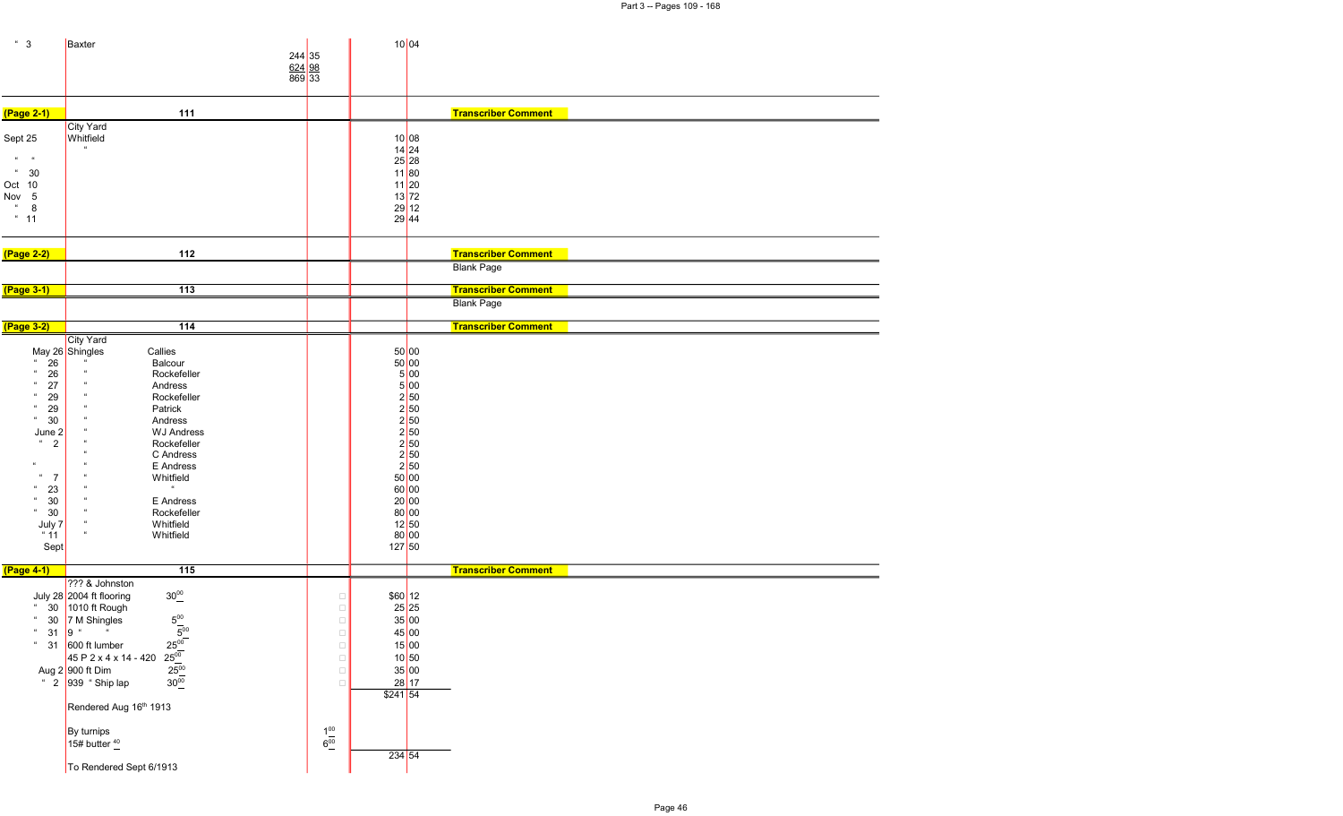| "3                                                         | Baxter                                                                       |                         |                     | 10 04          |                            |
|------------------------------------------------------------|------------------------------------------------------------------------------|-------------------------|---------------------|----------------|----------------------------|
|                                                            | 244 35                                                                       |                         |                     |                |                            |
|                                                            | $\frac{624}{869}$ 33                                                         |                         |                     |                |                            |
|                                                            |                                                                              |                         |                     |                |                            |
| (Page 2-1)                                                 | 111<br>City Yard                                                             |                         |                     |                | <b>Transcriber Comment</b> |
| Sept 25                                                    | Whitfield                                                                    |                         |                     | 10 08          |                            |
|                                                            |                                                                              |                         |                     | 14 24          |                            |
| $\epsilon\epsilon$<br>$\overline{\phantom{a}}$ 66<br>$\mu$ |                                                                              |                         |                     | 25 28          |                            |
| 30<br>Oct 10                                               |                                                                              |                         |                     | 11 80<br>11 20 |                            |
| Nov 5                                                      |                                                                              |                         |                     | 13 72          |                            |
| $\mathfrak{g}$<br>8                                        |                                                                              |                         |                     | 29 12          |                            |
| " 11                                                       |                                                                              |                         |                     | 29 44          |                            |
|                                                            | 112                                                                          |                         |                     |                | <b>Transcriber Comment</b> |
| (Page 2-2)                                                 |                                                                              |                         |                     |                | <b>Blank Page</b>          |
|                                                            |                                                                              |                         |                     |                |                            |
| (Page 3-1)                                                 | 113                                                                          |                         |                     |                | <b>Transcriber Comment</b> |
|                                                            |                                                                              |                         |                     |                | <b>Blank Page</b>          |
| (Page 3-2)                                                 | 114                                                                          |                         |                     |                | <b>Transcriber Comment</b> |
|                                                            | <b>City Yard</b>                                                             |                         |                     |                |                            |
| 26                                                         | May 26 Shingles<br>Callies<br>Balcour                                        |                         |                     | 50 00<br>50 00 |                            |
| 26                                                         | Rockefeller                                                                  |                         |                     | 5 00           |                            |
| 27                                                         | Andress                                                                      |                         |                     | 5 00           |                            |
| 29                                                         | Rockefeller                                                                  |                         |                     | 2 50           |                            |
| 29<br>$30\,$                                               | Patrick<br>Andress                                                           |                         |                     | 2 50<br>2 50   |                            |
| June 2                                                     | <b>WJ Andress</b>                                                            |                         |                     | 2 50           |                            |
| $\sqrt{2}$                                                 | Rockefeller                                                                  |                         |                     | 2 50           |                            |
|                                                            | C Andress                                                                    |                         |                     | 2 50           |                            |
|                                                            | E Andress                                                                    |                         |                     | 2 50           |                            |
| $\overline{7}$<br>23                                       | Whitfield<br>$\alpha$                                                        |                         |                     | 50 00<br>60 00 |                            |
| $30\,$                                                     | E Andress                                                                    |                         |                     | 20 00          |                            |
| 30                                                         | Rockefeller                                                                  |                         |                     | 80 00          |                            |
| July 7                                                     | Whitfield                                                                    |                         |                     | 12 50          |                            |
| "11"                                                       | Whitfield                                                                    |                         | 127 50              | 80 00          |                            |
| Sept                                                       |                                                                              |                         |                     |                |                            |
| $(Page 4-1)$                                               | 115                                                                          |                         |                     |                | <b>Transcriber Comment</b> |
|                                                            | ??? & Johnston<br>July 28 2004 ft flooring                                   |                         |                     |                |                            |
| $30\,$                                                     | $30^{00}_{-}$<br>1010 ft Rough                                               | $\Box$<br>$\Box$        | \$60 12             | 25 25          |                            |
| $\mathfrak{c}\mathfrak{c}$<br>30                           | $5^{00}_{-}$<br>7 M Shingles                                                 | $\Box$                  |                     | 35 00          |                            |
|                                                            | $\frac{5^{00}}{25^{00}}$<br>25 <sup>00</sup><br>25 <sup>00</sup><br>31   9 " | $\Box$                  |                     | 45 00          |                            |
| $\epsilon\epsilon$                                         | 31 600 ft lumber                                                             | $\Box$                  |                     | 15 00          |                            |
|                                                            | 45 P 2 x 4 x 14 - 420                                                        | $\Box$                  |                     | 10 50          |                            |
|                                                            | $25^{00}_{-}$<br>Aug $2$ 900 ft Dim                                          | $\Box$                  |                     | 35 00          |                            |
|                                                            | $30\rm{^{00}}$<br>" $2 \big  939 \big $ "Ship lap                            | $\Box$                  | $$241\overline{54}$ | 28 17          |                            |
|                                                            | Rendered Aug 16th 1913                                                       |                         |                     |                |                            |
|                                                            | By turnips                                                                   |                         |                     |                |                            |
|                                                            | 15# butter $\frac{40}{ }$                                                    | $\frac{1^{00}}{6^{00}}$ |                     |                |                            |
|                                                            |                                                                              |                         | $234\overline{54}$  |                |                            |
|                                                            | To Rendered Sept 6/1913                                                      |                         |                     |                |                            |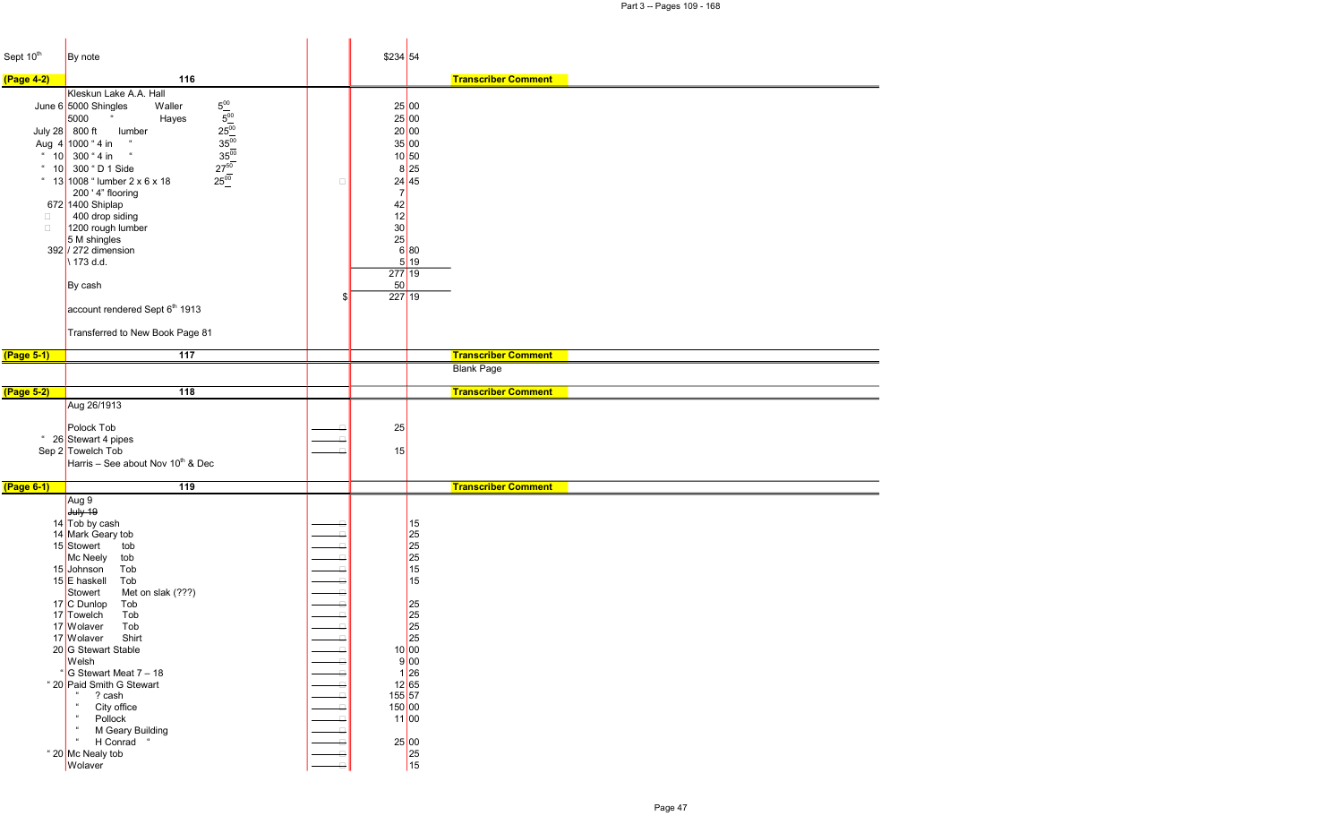| Sept 10 <sup>th</sup> | By note                                                                                                            |              | \$234 54       |              |                            |
|-----------------------|--------------------------------------------------------------------------------------------------------------------|--------------|----------------|--------------|----------------------------|
| (Page 4-2)            | 116                                                                                                                |              |                |              | <b>Transcriber Comment</b> |
|                       | Kleskun Lake A.A. Hall                                                                                             |              |                |              |                            |
|                       | $\frac{5^{00}}{5^{00}}$<br>$\frac{25^{00}}{35^{00}}$<br>$\frac{35^{00}}{5^{00}}$<br>June 6 5000 Shingles<br>Waller |              | 25 00          |              |                            |
|                       | 5000<br>Hayes                                                                                                      |              | 25 00          |              |                            |
|                       | July 28 $800$ ft<br>lumber                                                                                         |              | 20 00          |              |                            |
|                       | Aug $4 1000$ " 4 in<br>$\mathfrak{g}$<br>$\boldsymbol{\mathfrak{u}}$                                               |              | 35 00<br>10 50 |              |                            |
|                       | " $10 \mid 300 \mid 4 \text{ in}$<br>$27^{50}_{-}$<br>" $10$ 300 " D 1 Side                                        |              |                | 8 25         |                            |
|                       | $25^{\overline{00}}$<br>" $13 1008$ " lumber $2 \times 6 \times 18$                                                | $\Box$       | 24 45          |              |                            |
|                       | 200 ' 4" flooring                                                                                                  |              | $\overline{7}$ |              |                            |
|                       | 672 1400 Shiplap                                                                                                   |              | 42             |              |                            |
| $\Box$<br>$\Box$      | 400 drop siding<br>1200 rough lumber                                                                               |              | 12<br>30       |              |                            |
|                       | 5 M shingles                                                                                                       |              | 25             |              |                            |
|                       | 392 / 272 dimension                                                                                                |              |                | 6 80         |                            |
|                       | \173 d.d.                                                                                                          |              |                | 5 19         |                            |
|                       | By cash                                                                                                            |              | 277 19<br>50   |              |                            |
|                       |                                                                                                                    | $\mathbf{s}$ | 227 19         |              |                            |
|                       | account rendered Sept 6th 1913                                                                                     |              |                |              |                            |
|                       |                                                                                                                    |              |                |              |                            |
|                       | Transferred to New Book Page 81                                                                                    |              |                |              |                            |
| $(Page 5-1)$          | 117                                                                                                                |              |                |              | <b>Transcriber Comment</b> |
|                       |                                                                                                                    |              |                |              | <b>Blank Page</b>          |
| (Page 5-2)            | 118                                                                                                                |              |                |              | <b>Transcriber Comment</b> |
|                       | Aug 26/1913                                                                                                        |              |                |              |                            |
|                       |                                                                                                                    |              |                |              |                            |
|                       | Polock Tob<br>" 26 Stewart 4 pipes                                                                                 |              | 25             |              |                            |
|                       | Sep 2 Towelch Tob                                                                                                  |              | 15             |              |                            |
|                       | Harris - See about Nov 10th & Dec                                                                                  |              |                |              |                            |
|                       | 119                                                                                                                |              |                |              | <b>Transcriber Comment</b> |
| (Page 6-1)            | Aug 9                                                                                                              |              |                |              |                            |
|                       | $\overline{\bigcup_{u} \overline{y}}$ 19                                                                           |              |                |              |                            |
|                       | 14 Tob by cash                                                                                                     |              |                | 15           |                            |
|                       | 14 Mark Geary tob                                                                                                  |              |                | 25           |                            |
|                       | 15 Stowert<br>tob<br>Mc Neely<br>tob                                                                               |              |                | 25<br>25     |                            |
|                       | 15 Johnson<br>Tob                                                                                                  |              |                | 15           |                            |
|                       | 15 E haskell<br>Tob                                                                                                |              |                | 15           |                            |
|                       | Stowert<br>Met on slak (???)                                                                                       |              |                |              |                            |
|                       | 17 C Dunlop<br>Tob<br>Tob<br>17 Towelch                                                                            |              |                | 25<br>25     |                            |
|                       | 17 Wolaver<br>Tob                                                                                                  |              |                | 25           |                            |
|                       | 17 Wolaver<br>Shirt                                                                                                |              |                | 25           |                            |
|                       | 20 G Stewart Stable                                                                                                |              | 10 00          |              |                            |
|                       | Welsh<br>" $G$ Stewart Meat 7 - 18                                                                                 |              |                | 9 00<br>1 26 |                            |
|                       | " 20 Paid Smith G Stewart                                                                                          |              | 12 65          |              |                            |
|                       | ? cash                                                                                                             |              | 155 57         |              |                            |
|                       | $\mathfrak{c}\mathfrak{c}$<br>City office<br>$\alpha$                                                              |              | 150 00         |              |                            |
|                       | Pollock<br>M Geary Building                                                                                        |              | 11 00          |              |                            |
|                       | $\alpha$<br>H Conrad "                                                                                             |              | 25 00          |              |                            |
|                       |                                                                                                                    |              |                |              |                            |
|                       | " 20 Mc Nealy tob<br>Wolaver                                                                                       |              |                | 25<br>15     |                            |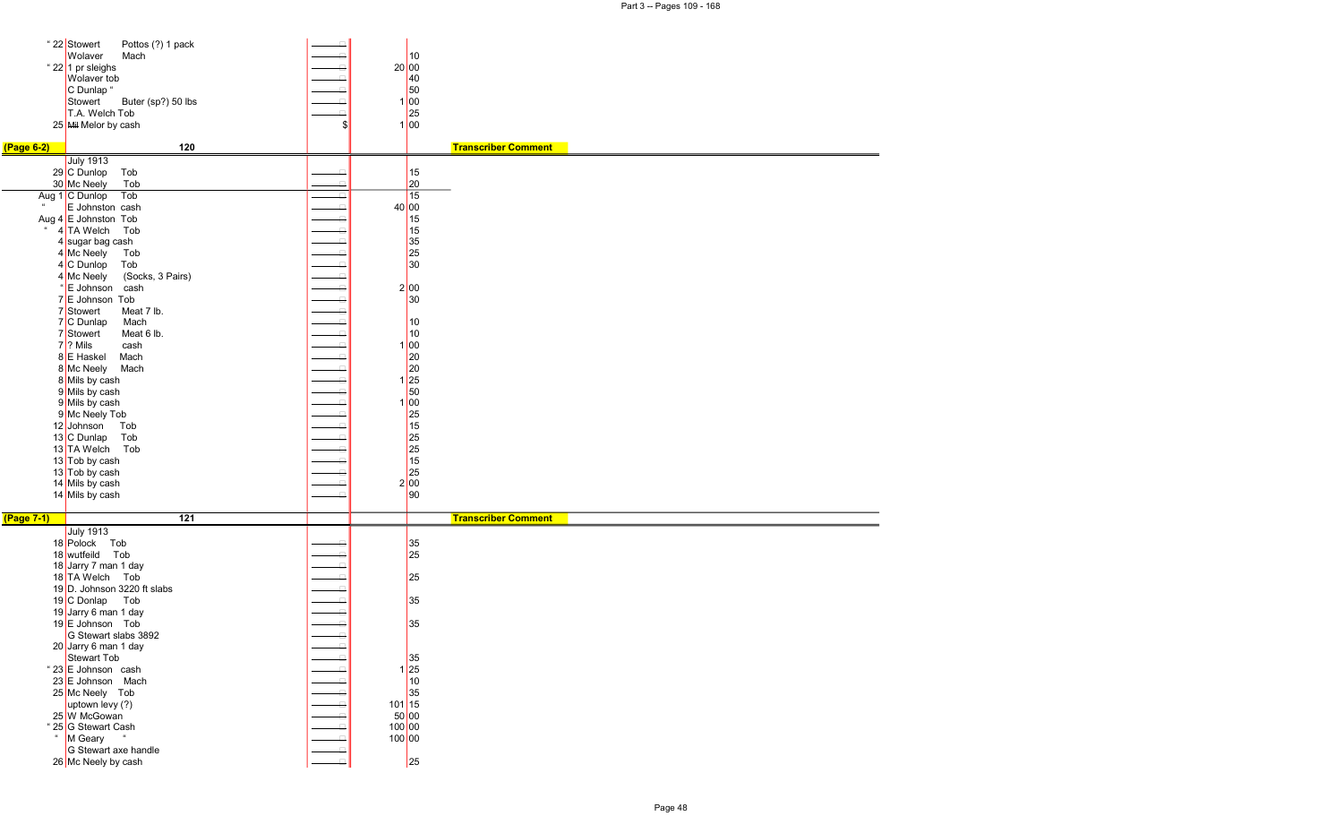|            | "22 Stowert<br>Pottos (?) 1 pack               |                          |          |              |                            |  |
|------------|------------------------------------------------|--------------------------|----------|--------------|----------------------------|--|
|            | Wolaver<br>Mach                                |                          |          | $ 10\rangle$ |                            |  |
|            | " $22$ 1 pr sleighs                            |                          |          | 20 00        |                            |  |
|            | <b>Wolaver</b> tob                             |                          |          | 40           |                            |  |
|            | C Dunlap "                                     |                          |          | 50           |                            |  |
|            | Stowert<br>Buter (sp?) 50 lbs                  | ₽                        |          | 1 00         |                            |  |
|            | T.A. Welch Tob                                 | ⊟                        |          | 25           |                            |  |
|            | 25 Mill Melor by cash                          | $\frac{1}{2}$            |          | 1 00         |                            |  |
| (Page 6-2) | 120                                            |                          |          |              | <b>Transcriber Comment</b> |  |
|            | July 1913                                      |                          |          |              |                            |  |
|            | 29 C Dunlop<br>Tob                             | Ξ                        |          | 15           |                            |  |
|            | 30 Mc Neely<br>Tob                             | $\Box$                   |          | 20           |                            |  |
|            | Tob<br>Aug 1 C Dunlop                          | $\overline{\phantom{a}}$ |          | 15           |                            |  |
|            | E Johnston cash                                | ₽                        |          | 40 00        |                            |  |
|            | Aug $4 \times 1$ E Johnston Tob                | ₽                        |          | 15           |                            |  |
|            | 4 TA Welch Tob                                 |                          |          | 15           |                            |  |
|            | 4 sugar bag cash                               |                          |          | 35           |                            |  |
|            | 4 Mc Neely<br>Tob                              | ⊟                        |          | 25           |                            |  |
|            | $4$ C Dunlop<br>Tob                            |                          |          | 30           |                            |  |
|            | 4 Mc Neely<br>(Socks, 3 Pairs)                 |                          |          |              |                            |  |
|            | "E Johnson<br>cash                             | ₽                        |          | 2 00         |                            |  |
|            | 7 E Johnson Tob                                |                          |          | 30           |                            |  |
|            | 7 Stowert<br>Meat 7 lb.                        |                          |          |              |                            |  |
|            | 7 C Dunlap<br>Mach                             |                          |          | 10           |                            |  |
|            | 7 Stowert<br>Meat 6 lb.                        |                          |          | 10           |                            |  |
|            | $7$ ? Mils<br>cash<br>8 E Haskel<br>Mach       | $\Box$                   |          | 1 00         |                            |  |
|            | Mach<br>8 Mc Neely                             |                          |          | 20<br>20     |                            |  |
|            | 8 Mils by cash                                 |                          |          | 1 25         |                            |  |
|            | 9 Mils by cash                                 |                          |          | 50           |                            |  |
|            |                                                |                          |          |              |                            |  |
|            |                                                |                          |          |              |                            |  |
|            | 9 Mils by cash                                 |                          |          | 1 00         |                            |  |
|            | 9 Mc Neely Tob                                 |                          |          | 25           |                            |  |
|            | 12 Johnson<br>Tob                              |                          |          | 15           |                            |  |
|            | 13 C Dunlap Tob                                |                          |          | 25           |                            |  |
|            | 13 TA Welch Tob                                |                          |          | 25           |                            |  |
|            | 13 Tob by cash                                 |                          |          | 15           |                            |  |
|            | 13 Tob by cash                                 |                          |          | 25<br>2 00   |                            |  |
|            | 14 Mils by cash<br>14 Mils by cash             | Ð                        |          | 90           |                            |  |
|            |                                                |                          |          |              |                            |  |
| (Page 7-1) | 121                                            |                          |          |              | <b>Transcriber Comment</b> |  |
|            | <b>July 1913</b>                               |                          |          |              |                            |  |
|            | 18 Polock Tob                                  |                          |          | 35           |                            |  |
|            | 18 wutfeild Tob                                | ₽                        |          | 25           |                            |  |
|            | 18 Jarry 7 man 1 day                           |                          |          |              |                            |  |
|            | 18 TA Welch Tob                                |                          |          | 25           |                            |  |
|            | 19 D. Johnson 3220 ft slabs<br>19 C Donlap Tob |                          |          | 35           |                            |  |
|            | 19 Jarry 6 man 1 day                           |                          |          |              |                            |  |
|            | 19 E Johnson Tob                               | ₽                        |          | 35           |                            |  |
|            | G Stewart slabs 3892                           | $\Box$                   |          |              |                            |  |
|            | 20 Jarry 6 man 1 day                           |                          |          |              |                            |  |
|            | Stewart Tob                                    |                          |          | 35           |                            |  |
|            | " 23 E Johnson cash                            |                          |          | 1 25         |                            |  |
|            | 23 E Johnson Mach                              |                          |          | 10           |                            |  |
|            | 25 Mc Neely Tob                                |                          |          | 35           |                            |  |
|            | uptown levy (?)                                |                          | $101$ 15 |              |                            |  |
|            | 25 W McGowan                                   |                          |          | 50 00        |                            |  |
|            | " 25 G Stewart Cash                            |                          | 100 00   |              |                            |  |
|            | " M Geary                                      |                          | 100 00   |              |                            |  |
|            | G Stewart axe handle<br>26 Mc Neely by cash    |                          |          | 25           |                            |  |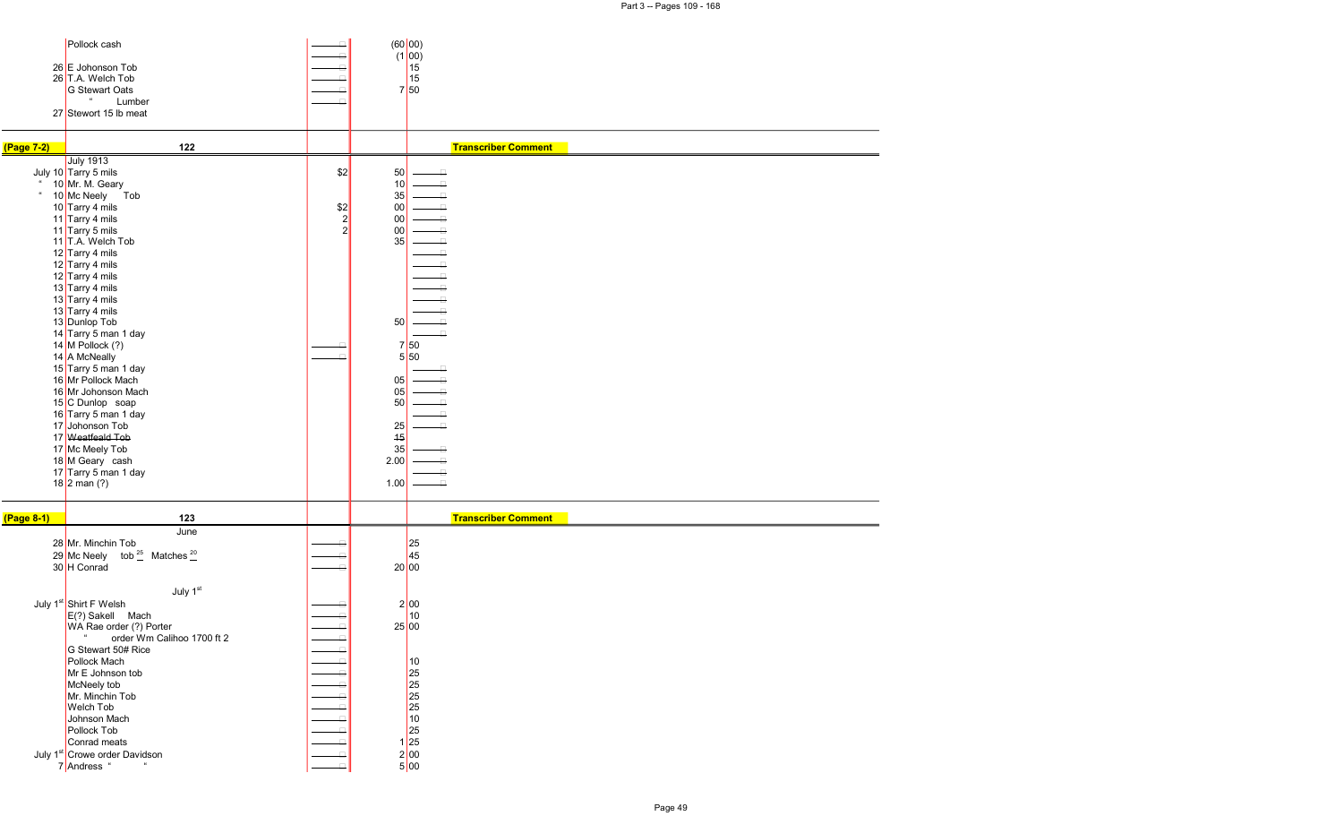| Pollock cash<br>26 E Johonson Tob<br>26 T.A. Welch Tob<br>G Stewart Oats<br>Lumber<br>27 Stewort 15 lb meat                                                                                                                                                                                                                                                                                                                                                                                                                                                                                                        | $\Box$<br>€<br>Е<br>₽                                           | (60 00)<br>(1 00)<br>15<br> 15<br>7 50                                                                           |
|--------------------------------------------------------------------------------------------------------------------------------------------------------------------------------------------------------------------------------------------------------------------------------------------------------------------------------------------------------------------------------------------------------------------------------------------------------------------------------------------------------------------------------------------------------------------------------------------------------------------|-----------------------------------------------------------------|------------------------------------------------------------------------------------------------------------------|
| 122<br>(Page 7-2)                                                                                                                                                                                                                                                                                                                                                                                                                                                                                                                                                                                                  |                                                                 | <b>Transcriber Comment</b>                                                                                       |
| <b>July 1913</b><br>July 10 Tarry 5 mils<br>10 Mr. M. Geary<br>$\alpha$<br>10 Mc Neely Tob<br>10 Tarry 4 mils<br>11 Tarry 4 mils<br>11 Tarry 5 mils<br>11 T.A. Welch Tob<br>12 Tarry 4 mils<br>12 Tarry 4 mils<br>12 Tarry 4 mils<br>13 Tarry 4 mils<br>13 Tarry 4 mils<br>13 Tarry 4 mils<br>13 Dunlop Tob<br>14 Tarry 5 man 1 day<br>14 M Pollock $(?)$<br>14 A McNeally<br>15 Tarry 5 man 1 day<br>16 Mr Pollock Mach<br>16 Mr Johonson Mach<br>15 C Dunlop soap<br>16 Tarry 5 man 1 day<br>17 Johonson Tob<br>17 Weatfeald Tob<br>17 Mc Meely Tob<br>18 M Geary cash<br>17 Tarry 5 man 1 day<br>18 2 man $(?)$ | \$2]<br>\$2<br>$\overline{2}$<br>$\overline{2}$<br>Ē<br>$\Box$  | 50<br>10<br>35<br>00<br>00<br>00<br>35<br>50<br>7 50<br>5 50<br>05<br>05<br>50<br>25<br>45<br>35<br>2.00<br>1.00 |
| 123<br>(Page 8-1)                                                                                                                                                                                                                                                                                                                                                                                                                                                                                                                                                                                                  |                                                                 | <b>Transcriber Comment</b>                                                                                       |
| June<br>28 Mr. Minchin Tob<br>tob <sup>25</sup> Matches <sup>20</sup><br>29 Mc Neely<br>30 H Conrad                                                                                                                                                                                                                                                                                                                                                                                                                                                                                                                | $\boxplus$<br>$\overline{\phantom{0}}$<br>Ð.                    | 25 <br> 45<br>20 00                                                                                              |
| July 1st<br>July 1 <sup>st</sup> Shirt F Welsh<br>$E(?)$ Sakell Mach<br>WA Rae order (?) Porter<br>$\alpha$<br>order Wm Calihoo 1700 ft 2<br>G Stewart 50# Rice<br>Pollock Mach<br>Mr E Johnson tob<br>McNeely tob<br>Mr. Minchin Tob<br>Welch Tob<br>Johnson Mach<br>Pollock Tob<br>Conrad meats<br>July 1 <sup>st</sup> Crowe order Davidson<br>7 Andress "                                                                                                                                                                                                                                                      | $\oplus$<br>$\Box$<br>$\Box$<br>θ<br>Ō<br>⊟<br>⊟<br>$\Box$<br>Ē | 2 00<br> 10<br>25 00<br> 10<br>25<br>25<br>25<br>25<br>10<br>25<br>1 25<br>2 00<br>5 00                          |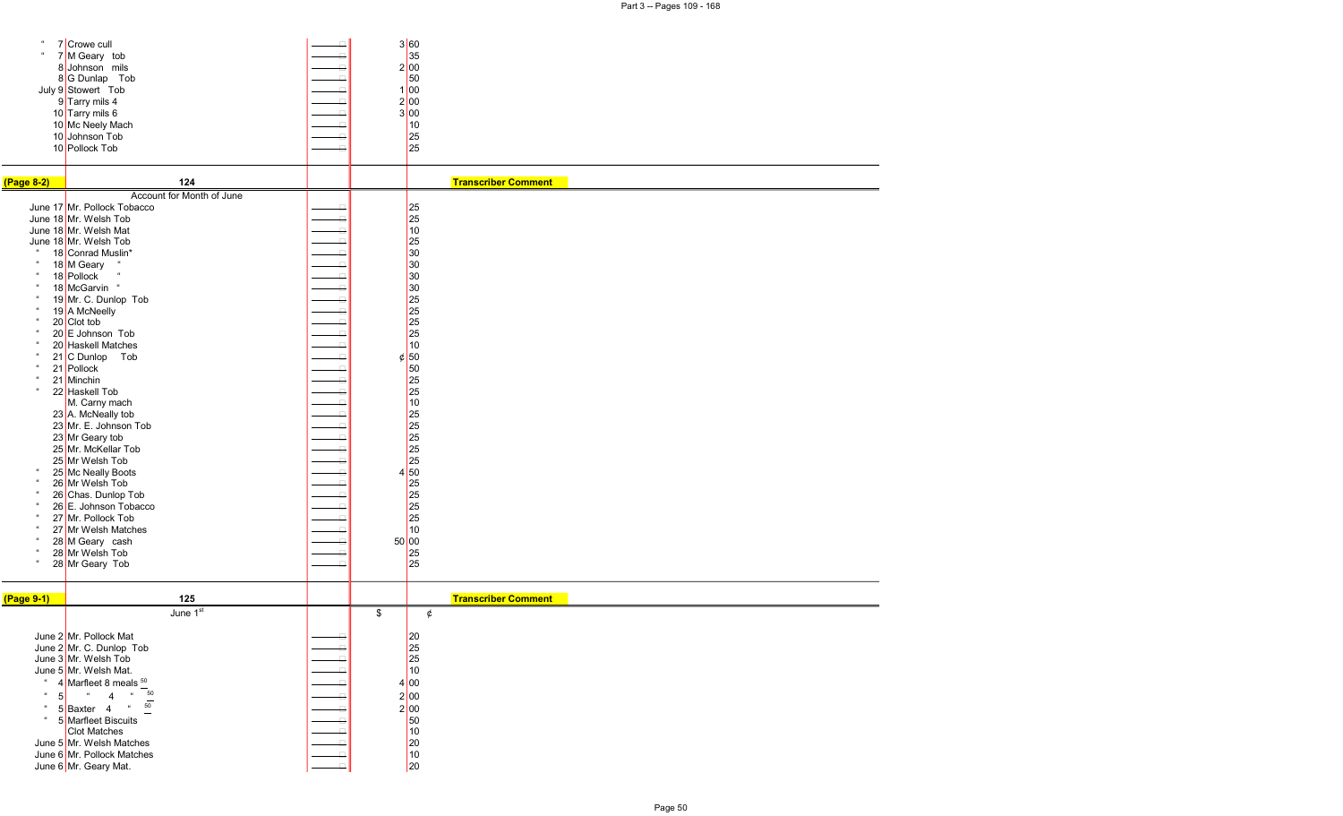| $\mathfrak{c}\mathfrak{c}$ | 7 Crowe cull<br>7 M Geary tob<br>8 Johnson mils<br>8 G Dunlap Tob<br>July 9 Stowert Tob<br>9Tarry mils 4<br>10 Tarry mils 6<br>10 Mc Neely Mach<br>10 Johnson Tob<br>10 Pollock Tob |       | 3 60<br>35<br>2 00<br>50<br>1 00<br>2 00<br>3 00<br> 10<br>25<br>25 |                            |
|----------------------------|-------------------------------------------------------------------------------------------------------------------------------------------------------------------------------------|-------|---------------------------------------------------------------------|----------------------------|
| (Page 8-2)                 | 124                                                                                                                                                                                 |       |                                                                     | <b>Transcriber Comment</b> |
|                            | Account for Month of June                                                                                                                                                           |       |                                                                     |                            |
|                            | June 17 Mr. Pollock Tobacco                                                                                                                                                         |       | $\begin{array}{c} 25 \\ 25 \end{array}$                             |                            |
|                            | June 18 Mr. Welsh Tob                                                                                                                                                               |       |                                                                     |                            |
|                            | June 18 Mr. Welsh Mat                                                                                                                                                               |       | 10                                                                  |                            |
|                            | June 18 Mr. Welsh Tob                                                                                                                                                               |       | 25                                                                  |                            |
|                            | 18 Conrad Muslin*<br>18 M Geary                                                                                                                                                     |       | 30<br>30                                                            |                            |
|                            | 18 Pollock                                                                                                                                                                          |       | 30                                                                  |                            |
|                            | 18 McGarvin "                                                                                                                                                                       |       | 30                                                                  |                            |
|                            | 19 Mr. C. Dunlop Tob                                                                                                                                                                |       |                                                                     |                            |
|                            | 19 A McNeelly                                                                                                                                                                       |       |                                                                     |                            |
|                            | 20 Clot tob                                                                                                                                                                         |       | 25<br>25<br>25                                                      |                            |
|                            | 20 E Johnson Tob                                                                                                                                                                    |       | 25                                                                  |                            |
|                            | 20 Haskell Matches                                                                                                                                                                  |       | 10                                                                  |                            |
|                            | 21 C Dunlop Tob                                                                                                                                                                     |       | $\phi$ 50                                                           |                            |
|                            | 21 Pollock                                                                                                                                                                          |       | 50                                                                  |                            |
|                            | 21 Minchin<br>22 Haskell Tob                                                                                                                                                        |       | 25                                                                  |                            |
|                            | M. Carny mach                                                                                                                                                                       |       | 25<br>10                                                            |                            |
|                            | 23 A. McNeally tob                                                                                                                                                                  |       | 25                                                                  |                            |
|                            | 23 Mr. E. Johnson Tob                                                                                                                                                               |       | 25                                                                  |                            |
|                            | 23 Mr Geary tob                                                                                                                                                                     |       |                                                                     |                            |
|                            | 25 Mr. McKellar Tob                                                                                                                                                                 |       | $\begin{array}{c} 25 \\ 25 \end{array}$                             |                            |
|                            | 25 Mr Welsh Tob                                                                                                                                                                     |       | 25                                                                  |                            |
|                            | 25 Mc Neally Boots                                                                                                                                                                  |       | 4 50                                                                |                            |
|                            | 26 Mr Welsh Tob                                                                                                                                                                     |       | 25<br>25<br>25                                                      |                            |
|                            | 26 Chas. Dunlop Tob                                                                                                                                                                 |       |                                                                     |                            |
|                            | 26 E. Johnson Tobacco                                                                                                                                                               |       |                                                                     |                            |
|                            | 27 Mr. Pollock Tob                                                                                                                                                                  |       | 25                                                                  |                            |
|                            | 27 Mr Welsh Matches                                                                                                                                                                 |       | 10                                                                  |                            |
|                            | 28 M Geary cash<br>28 Mr Welsh Tob                                                                                                                                                  | 50 00 |                                                                     |                            |
|                            | 28 Mr Geary Tob                                                                                                                                                                     |       | 25<br>25                                                            |                            |
|                            |                                                                                                                                                                                     |       |                                                                     |                            |
|                            |                                                                                                                                                                                     |       |                                                                     |                            |
| (Page 9-1)                 | 125                                                                                                                                                                                 |       |                                                                     | <b>Transcriber Comment</b> |
|                            | June 1 <sup>st</sup>                                                                                                                                                                | \$    | ¢                                                                   |                            |
|                            | June 2 Mr. Pollock Mat                                                                                                                                                              |       | 20                                                                  |                            |
|                            | June 2 Mr. C. Dunlop Tob                                                                                                                                                            |       | 25                                                                  |                            |
|                            | June 3 Mr. Welsh Tob                                                                                                                                                                |       | 25                                                                  |                            |
|                            | June 5 Mr. Welsh Mat.                                                                                                                                                               |       | 10                                                                  |                            |
|                            |                                                                                                                                                                                     |       | 4 00                                                                |                            |
| $\alpha$<br>5 <sup>1</sup> | $\frac{5}{4}$ Mr. Welsn ivia<br>4 Marfleet 8 meals $\frac{50}{4}$                                                                                                                   |       | 2 00                                                                |                            |
| $\alpha$                   | $50\,$<br>$\mathfrak{g}$<br>5 Baxter 4                                                                                                                                              |       | 2 00                                                                |                            |
| $\alpha$                   | 5 Marfleet Biscuits                                                                                                                                                                 |       | 50                                                                  |                            |
|                            | <b>Clot Matches</b>                                                                                                                                                                 |       | 10                                                                  |                            |
|                            | June 5 Mr. Welsh Matches                                                                                                                                                            |       | 20                                                                  |                            |
|                            | June 6 Mr. Pollock Matches                                                                                                                                                          |       | 10                                                                  |                            |
|                            | June 6 Mr. Geary Mat.                                                                                                                                                               |       | 20                                                                  |                            |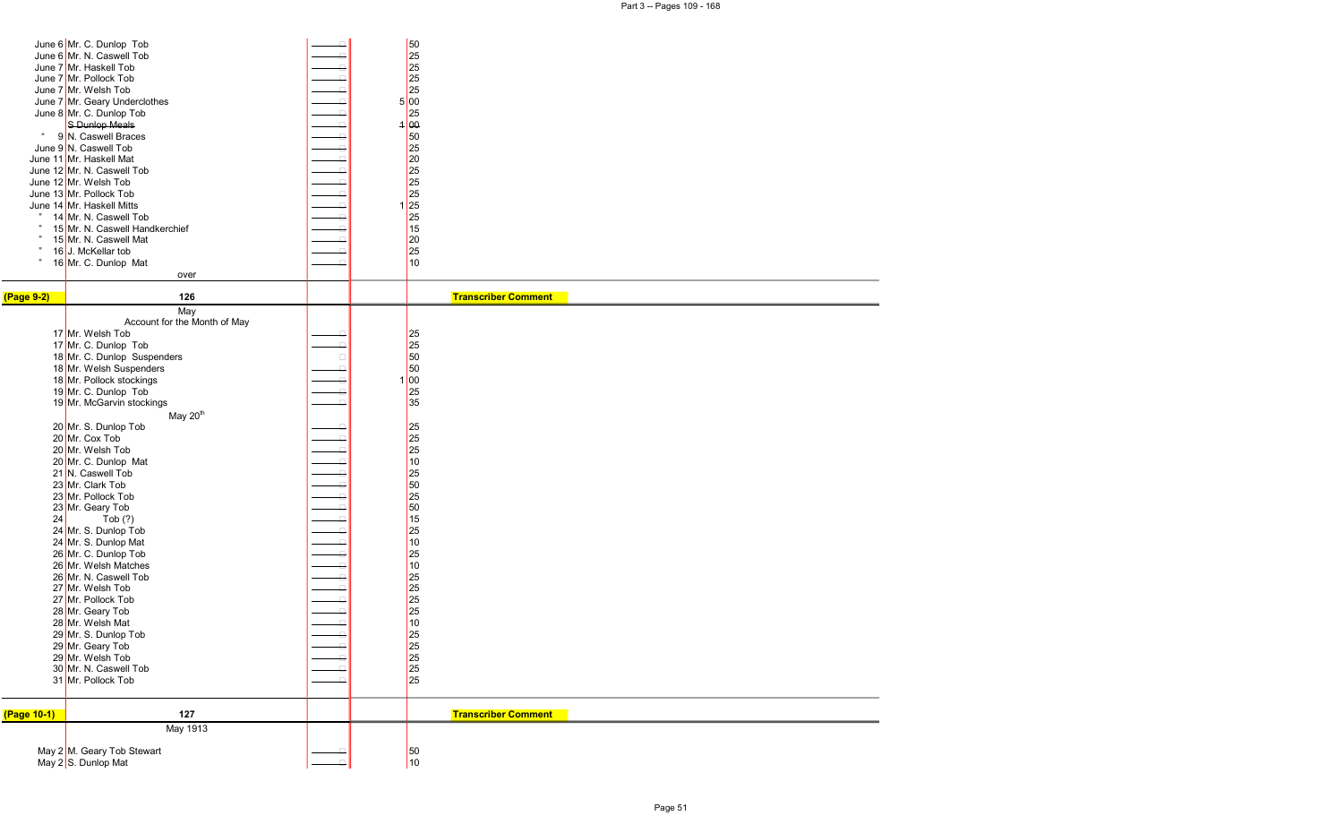|                            | June 6 Mr. C. Dunlop Tob       |   | 50                         |                            |
|----------------------------|--------------------------------|---|----------------------------|----------------------------|
|                            | June 6 Mr. N. Caswell Tob      |   | 25                         |                            |
|                            | June 7 Mr. Haskell Tob         |   | 25                         |                            |
|                            | June 7 Mr. Pollock Tob         |   | 25                         |                            |
|                            | June 7 Mr. Welsh Tob           |   | 25                         |                            |
|                            | June 7 Mr. Geary Underclothes  |   | 5 00                       |                            |
|                            | June 8 Mr. C. Dunlop Tob       |   | 25                         |                            |
|                            | S Dunlop Meals                 |   | 4 00                       |                            |
| $\mathfrak{c}\mathfrak{c}$ | 9 N. Caswell Braces            |   | 50                         |                            |
|                            | June 9 N. Caswell Tob          |   | 25                         |                            |
|                            | June 11 Mr. Haskell Mat        |   | 20                         |                            |
|                            | June 12 Mr. N. Caswell Tob     |   | 25                         |                            |
|                            | June 12 Mr. Welsh Tob          |   | 25                         |                            |
|                            | June 13 Mr. Pollock Tob        |   | 25                         |                            |
|                            | June 14 Mr. Haskell Mitts      |   | 1 25                       |                            |
|                            | 14 Mr. N. Caswell Tob          |   | 25                         |                            |
| ,,                         | 15 Mr. N. Caswell Handkerchief |   | 15                         |                            |
|                            | 15 Mr. N. Caswell Mat          |   | 20                         |                            |
| ,,                         | 16 J. McKellar tob             |   | 25                         |                            |
| ,,                         | 16 Mr. C. Dunlop Mat           |   | 10                         |                            |
|                            | over                           |   |                            |                            |
|                            |                                |   |                            |                            |
| (Page 9-2)                 | 126                            |   |                            | <b>Transcriber Comment</b> |
|                            | May                            |   |                            |                            |
|                            | Account for the Month of May   |   |                            |                            |
|                            | 17 Mr. Welsh Tob               |   | 25                         |                            |
|                            | 17 Mr. C. Dunlop Tob           |   | 25                         |                            |
|                            | 18 Mr. C. Dunlop Suspenders    | П | 50                         |                            |
|                            | 18 Mr. Welsh Suspenders        |   | 50                         |                            |
|                            | 18 Mr. Pollock stockings       |   | 1 00                       |                            |
|                            | 19 Mr. C. Dunlop Tob           |   | 25                         |                            |
|                            | 19 Mr. McGarvin stockings      |   | 35                         |                            |
|                            | May 20 <sup>th</sup>           |   |                            |                            |
|                            | 20 Mr. S. Dunlop Tob           |   | 25                         |                            |
|                            | 20 Mr. Cox Tob                 |   | 25                         |                            |
|                            | 20 Mr. Welsh Tob               |   | 25                         |                            |
|                            | 20 Mr. C. Dunlop Mat           |   | 10                         |                            |
|                            | 21 N. Caswell Tob              |   | 25                         |                            |
|                            | 23 Mr. Clark Tob               |   | 50                         |                            |
|                            | 23 Mr. Pollock Tob             |   | 25                         |                            |
|                            | 23 Mr. Geary Tob               |   | 50                         |                            |
| 24                         | $\mathsf{Tab}(?)$              |   | 15                         |                            |
|                            | 24 Mr. S. Dunlop Tob           |   | 25                         |                            |
|                            | 24 Mr. S. Dunlop Mat           |   | 10                         |                            |
|                            | 26 Mr. C. Dunlop Tob           |   | 25                         |                            |
|                            | 26 Mr. Welsh Matches           |   | 10                         |                            |
|                            | 26 Mr. N. Caswell Tob          |   | 25                         |                            |
|                            | 27 Mr. Welsh Tob               |   | 25                         |                            |
|                            | 27 Mr. Pollock Tob             |   | 25                         |                            |
|                            | 28 Mr. Geary Tob               |   | 25                         |                            |
|                            | 28 Mr. Welsh Mat               |   | 10                         |                            |
|                            | 29 Mr. S. Dunlop Tob           |   | 25                         |                            |
|                            | 29 Mr. Geary Tob               |   |                            |                            |
|                            | 29 Mr. Welsh Tob               |   |                            |                            |
|                            | 30 Mr. N. Caswell Tob          |   | 25<br>25<br>25<br>25<br>25 |                            |
|                            | 31 Mr. Pollock Tob             |   |                            |                            |
|                            |                                |   |                            |                            |
|                            |                                |   |                            |                            |
| (Page 10-1)                | 127                            |   |                            | <b>Transcriber Comment</b> |
|                            | May 1913                       |   |                            |                            |
|                            |                                |   |                            |                            |
|                            | May 2 M. Geary Tob Stewart     |   | 50                         |                            |
|                            | May 2 S. Dunlop Mat            |   | 10                         |                            |
|                            |                                |   |                            |                            |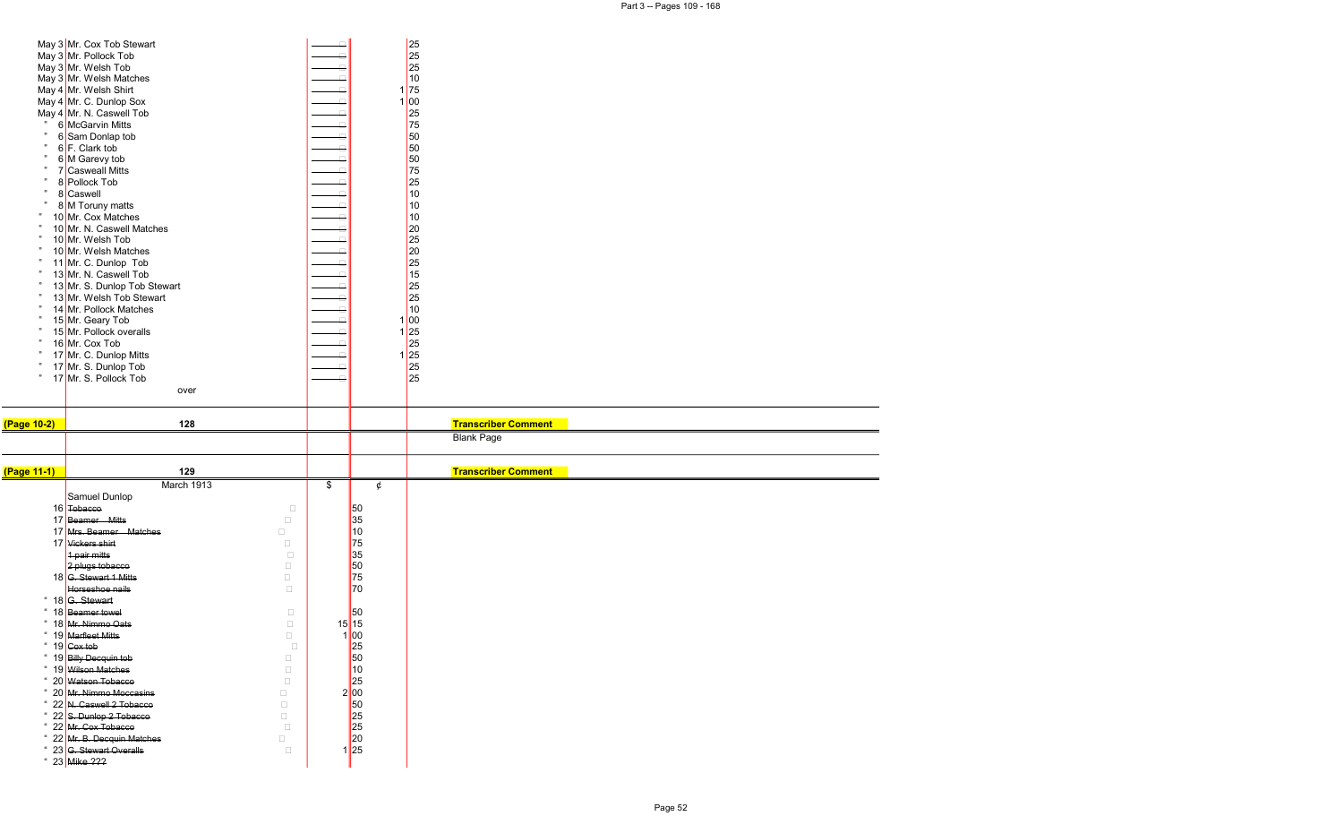|                      | May 3 Mr. Cox Tob Stewart                                                                    |                    |                 | 25                         |
|----------------------|----------------------------------------------------------------------------------------------|--------------------|-----------------|----------------------------|
|                      | May 3 Mr. Pollock Tob                                                                        |                    |                 | 25                         |
|                      | May 3 Mr. Welsh Tob                                                                          |                    |                 | 25                         |
|                      | May 3 Mr. Welsh Matches                                                                      |                    |                 | 10<br>1 75                 |
|                      | May 4 Mr. Welsh Shirt<br>May 4 Mr. C. Dunlop Sox                                             |                    |                 | 1 00                       |
|                      | May 4 Mr. N. Caswell Tob                                                                     |                    |                 | 25                         |
|                      | 6 McGarvin Mitts                                                                             |                    |                 | 75                         |
| $\pmb{\mathfrak{y}}$ | 6 Sam Donlap tob                                                                             |                    |                 | 50                         |
|                      | $6$ F. Clark tob                                                                             |                    |                 | 50                         |
|                      | 6 M Garevy tob                                                                               |                    |                 | 50                         |
|                      | 7 Casweall Mitts                                                                             |                    |                 | 75                         |
|                      | 8 Pollock Tob                                                                                |                    |                 | 25                         |
|                      | 8 Caswell                                                                                    |                    |                 | 10                         |
|                      | 8 M Toruny matts                                                                             |                    |                 | 10                         |
|                      | 10 Mr. Cox Matches                                                                           | п                  |                 | 10                         |
|                      | 10 Mr. N. Caswell Matches                                                                    |                    |                 | 20                         |
|                      | 10 Mr. Welsh Tob                                                                             |                    |                 | 25                         |
|                      | 10 Mr. Welsh Matches                                                                         |                    |                 | 20                         |
|                      | 11 Mr. C. Dunlop Tob                                                                         |                    |                 | 25                         |
|                      | 13 Mr. N. Caswell Tob                                                                        |                    |                 | 15                         |
|                      | 13 Mr. S. Dunlop Tob Stewart<br>13 Mr. Welsh Tob Stewart                                     |                    |                 | 25<br>25                   |
|                      | 14 Mr. Pollock Matches                                                                       |                    |                 | 10                         |
|                      | 15 Mr. Geary Tob                                                                             |                    |                 | 1 00                       |
|                      | 15 Mr. Pollock overalls                                                                      |                    |                 | 1 25                       |
| ,,                   | 16 Mr. Cox Tob                                                                               |                    |                 | 25                         |
|                      | 17 Mr. C. Dunlop Mitts                                                                       |                    |                 | 1 25                       |
| ,,                   | 17 Mr. S. Dunlop Tob                                                                         |                    |                 | 25                         |
| ,,                   | 17 Mr. S. Pollock Tob                                                                        |                    |                 | 25                         |
|                      | over                                                                                         |                    |                 |                            |
|                      |                                                                                              |                    |                 |                            |
|                      |                                                                                              |                    |                 |                            |
| (Page 10-2)          | 128                                                                                          |                    |                 | <b>Transcriber Comment</b> |
|                      |                                                                                              |                    |                 | <b>Blank Page</b>          |
|                      |                                                                                              |                    |                 |                            |
| (Page 11-1)          | 129                                                                                          | $\mathbf{\hat{s}}$ |                 | <b>Transcriber Comment</b> |
|                      | March 1913<br>Samuel Dunlop                                                                  |                    | ¢               |                            |
|                      | 16 Tobacco<br>$\Box$                                                                         |                    | 50              |                            |
|                      | 17 Beamer Mitts<br>$\Box$                                                                    |                    | 35              |                            |
|                      | 17 Mrs. Beamer Matches<br>$\Box$                                                             |                    | 10              |                            |
|                      | 17 Vickers shirt<br>$\Box$                                                                   |                    | ∥75             |                            |
|                      | $\Box$<br>1 pair mitts                                                                       |                    | 35              |                            |
|                      | $\Box$<br>2 plugs tobacco                                                                    |                    | 50              |                            |
|                      | 18 G. Stewart 1 Mitts<br>$\Box$                                                              |                    | $\parallel$ 75  |                            |
|                      | Horseshoe nails<br>$\Box$                                                                    |                    | 70              |                            |
|                      | " 18 G. Stewart                                                                              |                    |                 |                            |
|                      | " 18 Beamer towel<br>$\Box$<br>$\Box$                                                        |                    | 50<br>15 15     |                            |
|                      | " 18 Mr. Nimmo Oats<br>" 19 Marfleet Mitts<br>0                                              |                    | 1∥00            |                            |
|                      | " $19$ Gox tob<br>$\Box$                                                                     |                    | $\parallel$ 25  |                            |
|                      | " 19 Billy Decquin tob<br>$\Box$                                                             |                    | $\parallel$ 50  |                            |
|                      | " 19 Wilson Matches<br>$\Box$                                                                |                    | $\vert$ 10      |                            |
|                      | " 20 Watson Tobacco<br>$\Box$                                                                |                    | $\ 25$          |                            |
|                      | " 20 Mr. Nimmo Moccasins<br>$\Box$                                                           |                    | 2 00            |                            |
|                      | " 22 N. Caswell 2 Tobacco<br>$\Box$                                                          |                    | 50              |                            |
|                      | " 22 S. Dunlop 2 Tobacco<br>$\Box$                                                           |                    | $\parallel$ 25  |                            |
|                      | " 22 Mr. Cox Tobacco<br>$\Box$                                                               |                    | $\parallel$ 25  |                            |
|                      | " 22 Mr. B. Decquin Matches<br>$\Box$<br>" 23 G. Stewart Overalls<br>$\Box$<br>" 23 Mike ??? |                    | $\ $ 20<br>1 25 |                            |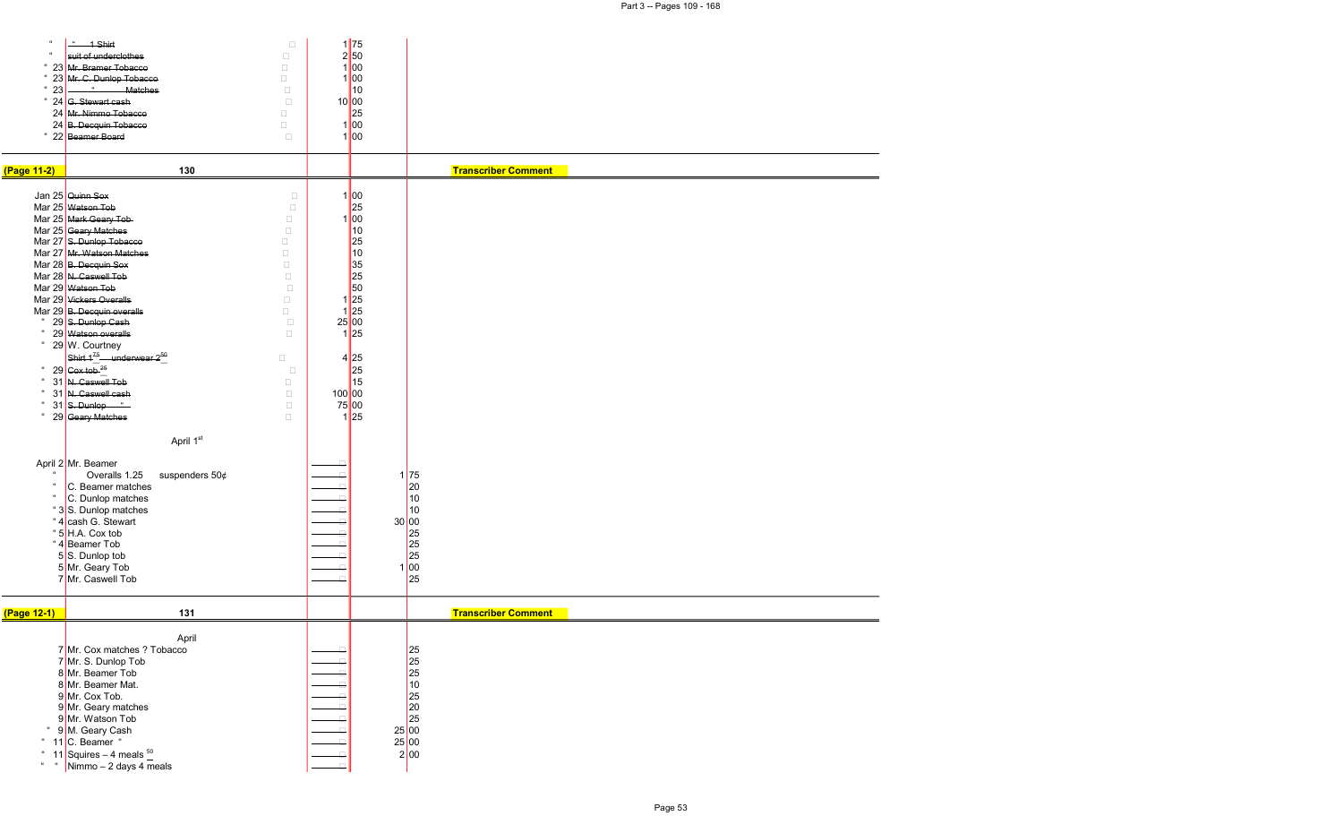| $\mathfrak{u}$     | " <sub>1</sub> Shirt<br>$\Box$                                                             |        | $1$ 75         |                            |
|--------------------|--------------------------------------------------------------------------------------------|--------|----------------|----------------------------|
| $\alpha$           | $\Box$<br>suit of underclothes                                                             |        | 2 50           |                            |
|                    | " 23 Mr. Bramer Tobacco<br>$\Box$                                                          |        | 1 00           |                            |
|                    | " 23 Mr. C. Dunlop Tobacco<br>$\Box$                                                       |        | 1 00           |                            |
| " 23               | " Matches<br>$\Box$                                                                        |        | 10             |                            |
|                    | " 24 G. Stewart cash<br>$\Box$                                                             | 10 00  |                |                            |
|                    | 24 Mr. Nimmo Tobacco<br>$\Box$                                                             |        | $\ 25$         |                            |
|                    | 24 B. Decquin Tobacco<br>$\Box$                                                            |        | 1 00           |                            |
|                    | " 22 Beamer Board<br>$\Box$                                                                |        | 1 00           |                            |
|                    |                                                                                            |        |                |                            |
|                    |                                                                                            |        |                |                            |
| (Page 11-2)        | 130                                                                                        |        |                | <b>Transcriber Comment</b> |
|                    |                                                                                            |        |                |                            |
|                    | Jan 25 Quinn Sox<br>$\Box$                                                                 |        | 1 00           |                            |
|                    | Mar 25 Watson Tob<br>$\Box$                                                                |        | $\ $ 25        |                            |
|                    | Mar 25 Mark Geary Tob-<br>$\Box$                                                           |        | 1 00           |                            |
|                    | Mar 25 Geary Matches<br>$\Box$                                                             |        | $\parallel$ 10 |                            |
|                    | Mar 27 S. Dunlop Tobacco<br>$\Box$                                                         |        | $\ $ 25        |                            |
|                    | $\Box$<br>Mar 27 Mr. Watson Matches                                                        |        | $\parallel$ 10 |                            |
|                    | Mar 28 B. Decquin Sox<br>$\Box$                                                            |        | $\parallel$ 35 |                            |
|                    | Mar 28 N. Caswell Tob<br>$\Box$                                                            |        | $\parallel$ 25 |                            |
|                    | Mar 29 Watson Tob<br>$\Box$                                                                |        | $\parallel$ 50 |                            |
|                    | Mar 29 Vickers Overalls<br>$\Box$                                                          |        | 1 25           |                            |
|                    | Mar 29 B. Decquin overalls<br>$\Box$                                                       |        | 1 25           |                            |
|                    | 29 S. Dunlop Cash<br>$\Box$                                                                | 25 00  |                |                            |
|                    | " 29 Watson overalls<br>$\Box$                                                             |        | 1 25           |                            |
|                    | " 29 W. Courtney                                                                           |        |                |                            |
|                    | Shirt 1 <sup>75</sup> — underwear 2 <sup>50</sup><br>$\Box$                                |        | 4 25           |                            |
|                    | " $29$ Gox to $\overline{^{25}}$<br>$\Box$                                                 |        | $\ $ 25        |                            |
|                    | " 31 N. Caswell Tob<br>$\Box$                                                              |        | 15∥            |                            |
|                    | " 31 N. Caswell cash<br>$\Box$                                                             | 100 00 |                |                            |
|                    | $"31$ S. Dunlop $"$<br>$\Box$                                                              | 7500   |                |                            |
|                    |                                                                                            |        |                |                            |
|                    |                                                                                            |        |                |                            |
|                    | " 29 Geary Matches<br>$\Box$                                                               |        | 1 25           |                            |
|                    |                                                                                            |        |                |                            |
|                    | April 1st                                                                                  |        |                |                            |
|                    | April 2 Mr. Beamer                                                                         |        |                |                            |
|                    | Overalls 1.25                                                                              |        |                |                            |
|                    | suspenders $50¢$<br>C. Beamer matches                                                      |        |                | 1 75                       |
|                    |                                                                                            |        |                | 20<br>10                   |
|                    | C. Dunlop matches                                                                          |        |                |                            |
|                    | " 3 <sup>S.</sup> Dunlop matches                                                           |        |                | 10                         |
|                    | " 4 cash G. Stewart                                                                        |        | 30 00          |                            |
|                    | " 5 H.A. Cox tob                                                                           |        |                | 25                         |
|                    | " 4 Beamer Tob                                                                             |        |                | 25                         |
|                    | 5 S. Dunlop tob                                                                            |        |                | 25                         |
|                    | 5 Mr. Geary Tob                                                                            |        |                | 1 00                       |
|                    | 7 Mr. Caswell Tob                                                                          |        |                | 25                         |
|                    |                                                                                            |        |                |                            |
|                    | 131                                                                                        |        |                | <b>Transcriber Comment</b> |
|                    |                                                                                            |        |                |                            |
|                    | April                                                                                      |        |                |                            |
|                    | 7 Mr. Cox matches ? Tobacco                                                                |        |                | 25                         |
|                    | 7 Mr. S. Dunlop Tob                                                                        |        |                | 25                         |
| (Page 12-1)        | 8 Mr. Beamer Tob                                                                           |        |                | 25                         |
|                    | 8 Mr. Beamer Mat.                                                                          |        |                | 10                         |
|                    | 9 Mr. Cox Tob.                                                                             |        |                | 25                         |
|                    | 9 Mr. Geary matches                                                                        |        |                | 20                         |
|                    |                                                                                            |        |                |                            |
| $\epsilon\epsilon$ | 9 Mr. Watson Tob                                                                           |        |                | 25                         |
|                    | 9 <sup>M.</sup> Geary Cash                                                                 |        | 25 00          |                            |
|                    | " $11$ C. Beamer "                                                                         |        | 25 00          |                            |
|                    | " $11$ Squires - 4 meals $\frac{50}{6}$<br>" " $\sqrt{\frac{1}{1}}$ Nimmo – 2 days 4 meals |        |                | 2 00                       |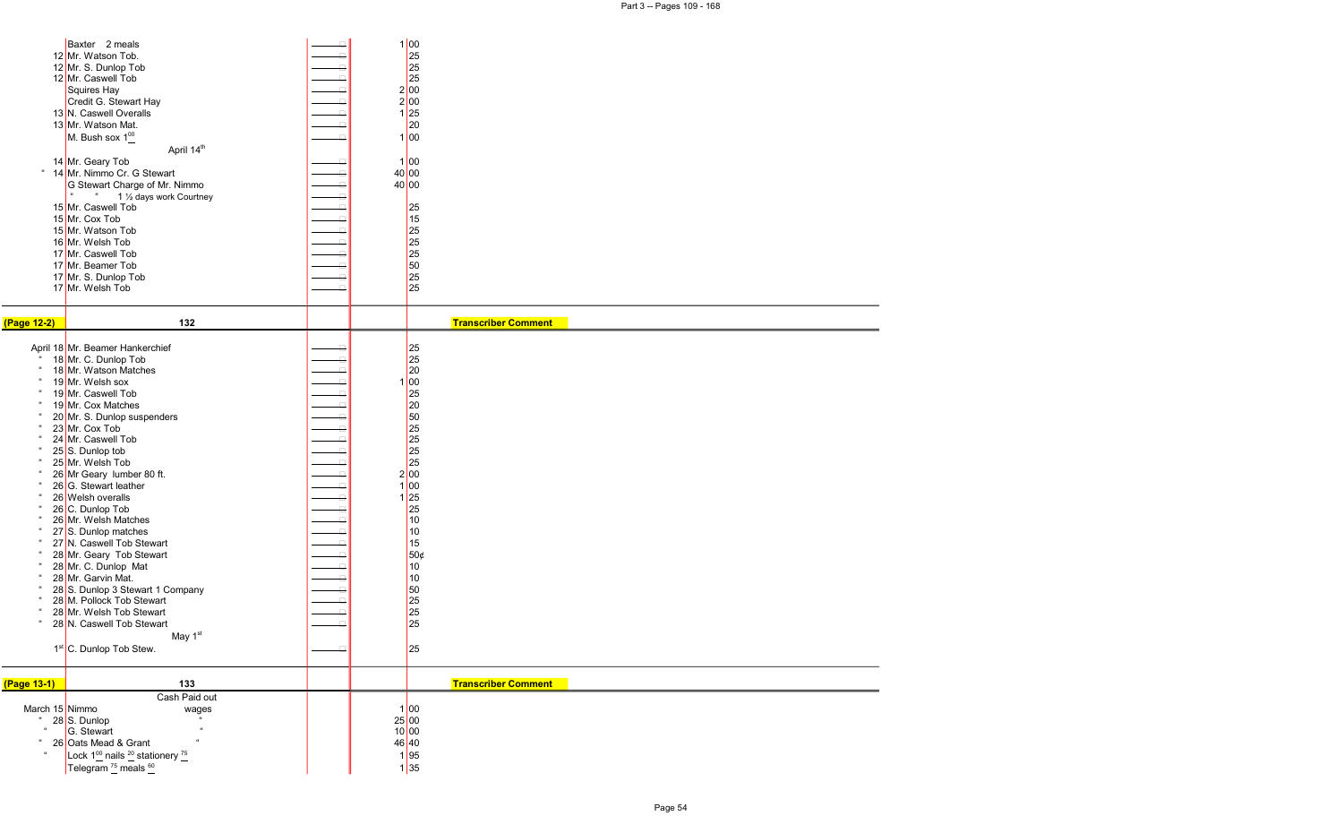|                                                          | Baxter 2 meals<br>12 Mr. Watson Tob.<br>12 Mr. S. Dunlop Tob<br>12 Mr. Caswell Tob<br>Squires Hay<br>Credit G. Stewart Hay<br>13 N. Caswell Overalls<br>13 Mr. Watson Mat.<br>M. Bush sox $1^{00}$<br>April 14 <sup>th</sup><br>14 Mr. Geary Tob<br>" 14 Mr. Nimmo Cr. G Stewart<br>G Stewart Charge of Mr. Nimmo<br>1 1/2 days work Courtney<br>15 Mr. Caswell Tob<br>15 Mr. Cox Tob<br>15 Mr. Watson Tob<br>16 Mr. Welsh Tob<br>17 Mr. Caswell Tob<br>17 Mr. Beamer Tob<br>17 Mr. S. Dunlop Tob<br>17 Mr. Welsh Tob                                                                                                                                                                               | ₽ | 1 00<br>25<br>$\begin{array}{c} 25 \\ 25 \end{array}$<br>2 00 <br>2 00 <br>1 25<br>$ 20\rangle$<br>1 00<br>1 00<br>40 00<br>40 00<br> 25 <br>15<br>25<br>25<br>25<br>50<br>25<br>25                                                                     |                            |  |
|----------------------------------------------------------|-----------------------------------------------------------------------------------------------------------------------------------------------------------------------------------------------------------------------------------------------------------------------------------------------------------------------------------------------------------------------------------------------------------------------------------------------------------------------------------------------------------------------------------------------------------------------------------------------------------------------------------------------------------------------------------------------------|---|---------------------------------------------------------------------------------------------------------------------------------------------------------------------------------------------------------------------------------------------------------|----------------------------|--|
| (Page 12-2)                                              | 132                                                                                                                                                                                                                                                                                                                                                                                                                                                                                                                                                                                                                                                                                                 |   |                                                                                                                                                                                                                                                         | <b>Transcriber Comment</b> |  |
| $\mathfrak{c}\mathfrak{c}$<br>$\mathfrak{c}\mathfrak{c}$ | April 18 Mr. Beamer Hankerchief<br>18 Mr. C. Dunlop Tob<br>18 Mr. Watson Matches<br>19 Mr. Welsh sox<br>19 Mr. Caswell Tob<br>19 Mr. Cox Matches<br>20 Mr. S. Dunlop suspenders<br>23 Mr. Cox Tob<br>24 Mr. Caswell Tob<br>25 S. Dunlop tob<br>25 Mr. Welsh Tob<br>26 Mr Geary lumber 80 ft.<br>26 G. Stewart leather<br>26 Welsh overalls<br>26 C. Dunlop Tob<br>26 Mr. Welsh Matches<br>27 S. Dunlop matches<br>27 N. Caswell Tob Stewart<br>28 Mr. Geary Tob Stewart<br>28 Mr. C. Dunlop Mat<br>28 Mr. Garvin Mat.<br>28 S. Dunlop 3 Stewart 1 Company<br>28 M. Pollock Tob Stewart<br>28 Mr. Welsh Tob Stewart<br>28 N. Caswell Tob Stewart<br>May $1st$<br>1 <sup>st</sup> C. Dunlop Tob Stew. |   | $\begin{array}{c} 25 \\ 25 \\ 20 \end{array}$<br>1 00<br>25<br>20<br>50<br>25<br>25<br>$\begin{array}{c} 25 \\ 25 \end{array}$<br>2 00 <br>1 00<br>1 25<br> 25 <br>10<br>10<br>15<br>50¢<br>$ 10\rangle$<br>$ 10\rangle$<br>50<br>25<br>25<br>25<br> 25 |                            |  |
| (Page 13-1)                                              | 133                                                                                                                                                                                                                                                                                                                                                                                                                                                                                                                                                                                                                                                                                                 |   |                                                                                                                                                                                                                                                         | <b>Transcriber Comment</b> |  |
| March 15 Nimmo                                           | Cash Paid out<br>wages<br>28 S. Dunlop<br>G. Stewart<br>26 Oats Mead & Grant<br>Lock $1^{00}$ nails $^{20}$ stationery $^{75}$<br>Telegram <sup>75</sup> meals 60                                                                                                                                                                                                                                                                                                                                                                                                                                                                                                                                   |   | 1 00<br>25 00<br>10 00<br>46 40<br>1 95<br>1 35                                                                                                                                                                                                         |                            |  |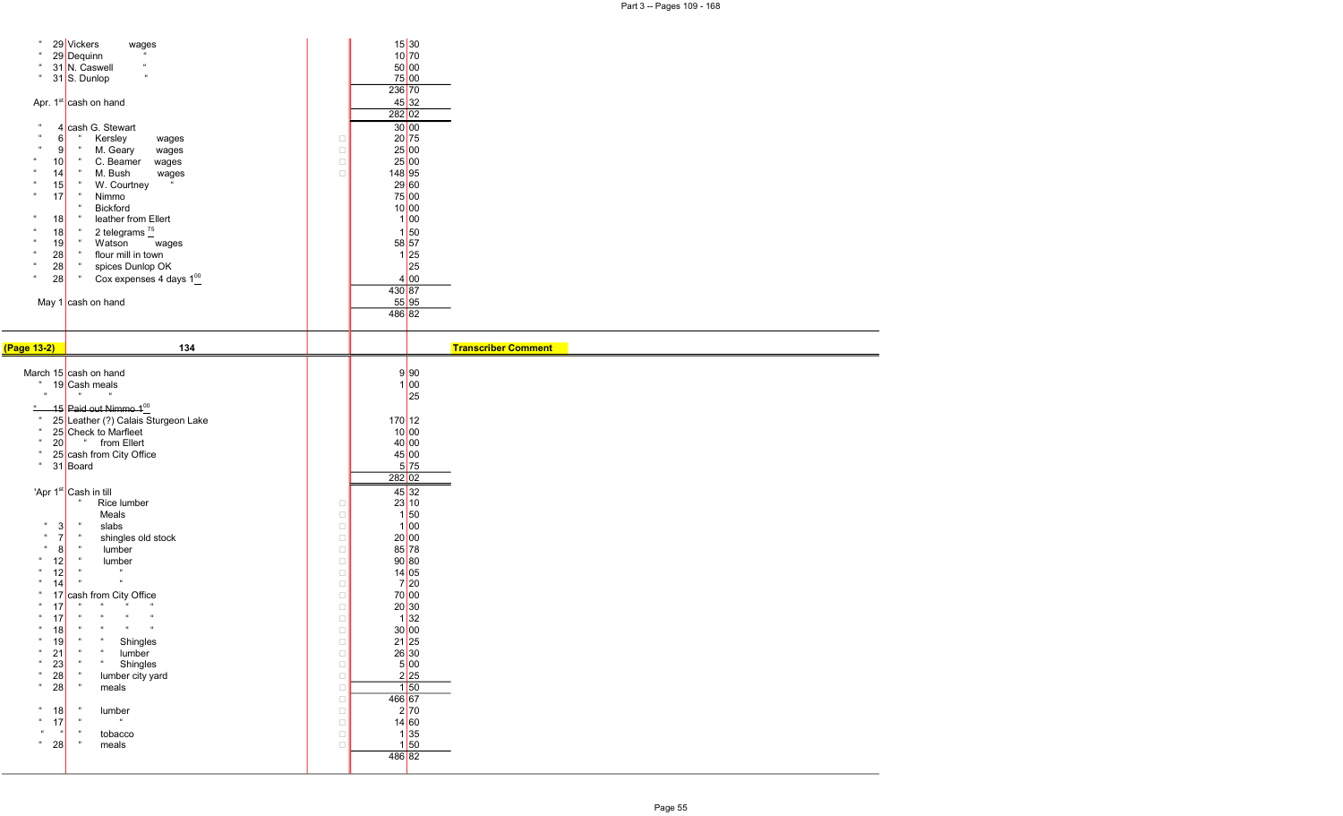| $\mathfrak{c}\mathfrak{c}$<br>$\boldsymbol{\mu}$<br>$\mathfrak{c}\mathfrak{c}$<br>$\mathfrak{a}$<br>6<br>$\vert 9 \vert$<br>10<br>14<br>15<br>17<br>18<br>18<br>19<br>28<br>28<br>28                                                                                                                                                                                                                                                                                                          | 29 Vickers<br>wages<br>29 Dequinn<br>$\boldsymbol{\mathfrak{u}}$<br>31 N. Caswell<br>$\alpha$<br>31 S. Dunlop<br>Apr. 1 <sup>st</sup> cash on hand<br>4 cash G. Stewart<br>Kersley<br>wages<br>$\epsilon$<br>M. Geary<br>wages<br>$\alpha$<br>C. Beamer<br>wages<br>$\epsilon$<br>M. Bush<br>wages<br>W. Courtney<br>$\mathfrak{g}$<br>Nimmo<br>$\alpha$<br><b>Bickford</b><br>$\alpha$<br>leather from Ellert<br>2 telegrams $^{75}_{-}$<br>$\mathfrak{g}$<br>Watson<br>wages<br>flour mill in town<br>$\boldsymbol{\mu}$<br>spices Dunlop OK<br>Cox expenses 4 days $1^{00}_{-}$<br>$\mathfrak{g}$<br>May 1 cash on hand                                                                                                                                                                                                                 | $\Box$<br>$\Box$<br>$\Box$<br>$\Box$                                                                                                                                                                                     | 15 30<br>$10$ 70<br>50 00<br>75 00<br>236 70<br>45 32<br>282 02<br>30 00<br>20 75<br>25 00<br>25 00<br>148 95<br>29 60<br>75 00<br>10 00<br>1 00<br>1 50<br>58 57<br>1 25<br>25<br>4 00<br>430 87<br>55 95<br>486 82                                                                        |                            |
|-----------------------------------------------------------------------------------------------------------------------------------------------------------------------------------------------------------------------------------------------------------------------------------------------------------------------------------------------------------------------------------------------------------------------------------------------------------------------------------------------|--------------------------------------------------------------------------------------------------------------------------------------------------------------------------------------------------------------------------------------------------------------------------------------------------------------------------------------------------------------------------------------------------------------------------------------------------------------------------------------------------------------------------------------------------------------------------------------------------------------------------------------------------------------------------------------------------------------------------------------------------------------------------------------------------------------------------------------------|--------------------------------------------------------------------------------------------------------------------------------------------------------------------------------------------------------------------------|---------------------------------------------------------------------------------------------------------------------------------------------------------------------------------------------------------------------------------------------------------------------------------------------|----------------------------|
| (Page 13-2)                                                                                                                                                                                                                                                                                                                                                                                                                                                                                   | 134                                                                                                                                                                                                                                                                                                                                                                                                                                                                                                                                                                                                                                                                                                                                                                                                                                        |                                                                                                                                                                                                                          |                                                                                                                                                                                                                                                                                             | <b>Transcriber Comment</b> |
| $\epsilon$<br>$\mathfrak{a}$<br>$\mathfrak{c}\mathfrak{c}$<br>$\mathfrak{c}\mathfrak{c}$<br>$\epsilon\epsilon$<br>$\alpha$<br>$\mathfrak{g}$<br>$\mathbf{3}$<br>$\alpha$<br>$\overline{7}$<br>$\alpha$<br>8<br>$\alpha$<br>12<br>12<br>$\mathfrak{c}\mathfrak{c}$<br>14<br>$\mathfrak{c}\mathfrak{c}$<br>17<br>$\mathfrak{u}$<br>17<br>$\alpha$<br>18<br>$\boldsymbol{\mu}$<br>19<br>21<br>23<br>28<br>$\mathfrak{c}$<br>28<br>18<br>17<br>$\mathfrak{c}\mathfrak{c}$<br>$\mathfrak{u}$<br>28 | March 15 cash on hand<br>19 Cash meals<br>66<br>" 15 Paid out Nimmo 1 <sup>00</sup><br>25 Leather (?) Calais Sturgeon Lake<br>25 Check to Marfleet<br>20 <sup>"</sup> from Ellert<br>25 cash from City Office<br>31 Board<br>'Apr 1 <sup>st</sup> Cash in till<br>Rice lumber<br>Meals<br>$\epsilon$<br>slabs<br>$\alpha$<br>shingles old stock<br>$\boldsymbol{\mu}$<br>lumber<br>lumber<br>$\epsilon\epsilon$<br>$\alpha$<br>17 cash from City Office<br>$\epsilon\epsilon$<br>$\epsilon$<br>$\mathfrak{c}\mathfrak{c}$<br>$\alpha$<br>$\alpha$<br>$\overline{\mathbf{u}}$<br>$\epsilon\epsilon$<br>$\epsilon$<br>$\mathfrak{g}$<br>$\epsilon$<br>$\alpha$<br>Shingles<br>$\alpha$<br>lumber<br>$\epsilon$<br>Shingles<br>lumber city yard<br>meals<br>lumber<br>$\overline{\mathbf{u}}$<br>$\epsilon$<br>tobacco<br>$\epsilon$<br>meals | $\Box$<br>$\Box$<br>$\Box$<br>$\Box$<br>$\Box$<br>$\Box$<br>$\Box$<br>$\Box$<br>$\Box$<br>$\Box$<br>$\Box$<br>$\Box$<br>$\Box$<br>$\Box$<br>$\Box$<br>$\Box$<br>$\Box$<br>$\Box$<br>$\Box$<br>$\Box$<br>$\Box$<br>$\Box$ | 9 90<br>1 00<br>25<br>$170$ 12<br>10 00<br>40 00<br>45 00<br>5 75<br>282 02<br>45 32<br>23 10<br>1 50<br>1 00<br>20 00<br>85 78<br>90 80<br>14 05<br>7 20<br>70 00<br>20 30<br>1 32<br>30 00<br>21 25<br>26 30<br>5 00<br>2 25<br>1 50<br>466 67<br>2 70<br>14 60<br>1 35<br>1 50<br>486 82 |                            |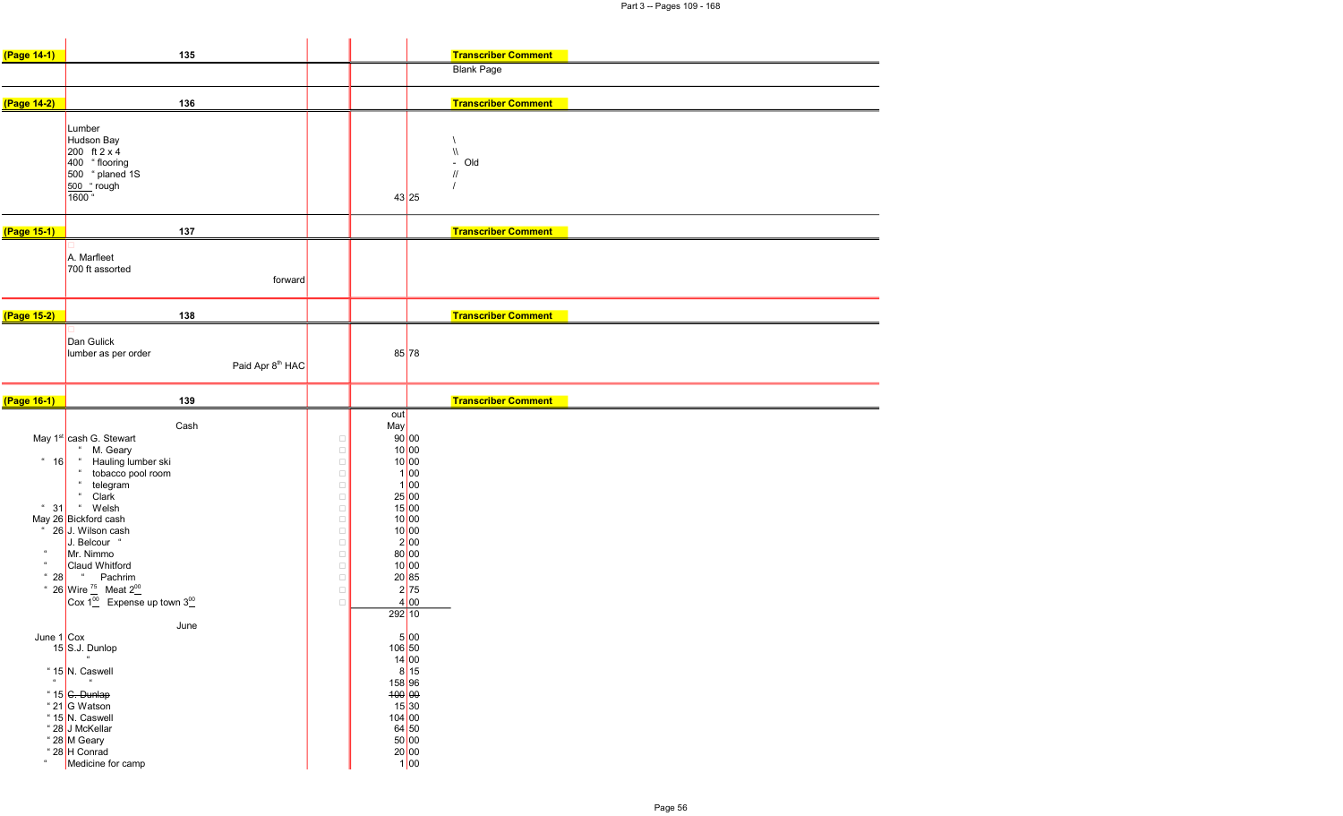| (Page 14-1)    | 135                                               |                  |                                                    |      | <b>Transcriber Comment</b> |
|----------------|---------------------------------------------------|------------------|----------------------------------------------------|------|----------------------------|
|                |                                                   |                  |                                                    |      | <b>Blank Page</b>          |
|                |                                                   |                  |                                                    |      |                            |
| (Page 14-2)    | 136                                               |                  |                                                    |      | <b>Transcriber Comment</b> |
|                |                                                   |                  |                                                    |      |                            |
|                | Lumber                                            |                  |                                                    |      |                            |
|                | Hudson Bay                                        |                  |                                                    |      | $\sqrt{2}$                 |
|                | 200 ft $2 \times 4$<br>400 "flooring              |                  |                                                    |      | $\sqrt{}$<br>- Old         |
|                | 500 " planed 1S                                   |                  |                                                    |      | $\ensuremath{\mathit{II}}$ |
|                | 500 " rough                                       |                  |                                                    |      |                            |
|                | 1600 "                                            |                  | 43 25                                              |      |                            |
|                |                                                   |                  |                                                    |      |                            |
| (Page 15-1)    | 137                                               |                  |                                                    |      | <b>Transcriber Comment</b> |
|                |                                                   |                  |                                                    |      |                            |
|                | A. Marfleet                                       |                  |                                                    |      |                            |
|                | 700 ft assorted                                   |                  |                                                    |      |                            |
|                | forward                                           |                  |                                                    |      |                            |
|                |                                                   |                  |                                                    |      |                            |
| (Page 15-2)    | 138                                               |                  |                                                    |      | <b>Transcriber Comment</b> |
|                |                                                   |                  |                                                    |      |                            |
|                | Dan Gulick                                        |                  |                                                    |      |                            |
|                | lumber as per order                               |                  | 85 78                                              |      |                            |
|                | Paid Apr 8 <sup>th</sup> HAC                      |                  |                                                    |      |                            |
|                |                                                   |                  |                                                    |      |                            |
| (Page 16-1)    | 139                                               |                  |                                                    |      | <b>Transcriber Comment</b> |
|                |                                                   |                  | out                                                |      |                            |
|                | Cash                                              |                  | May                                                |      |                            |
|                | May 1 <sup>st</sup> cash G. Stewart<br>" M. Geary | $\Box$<br>$\Box$ | 90 00<br>10 00                                     |      |                            |
| " 16           | " Hauling lumber ski                              | $\Box$           | 10 00                                              |      |                            |
|                | " tobacco pool room                               | $\Box$           | 1 00                                               |      |                            |
|                | " telegram                                        | $\Box$           | 1 00                                               |      |                            |
| $\alpha$       | Clark                                             | $\Box$           | 25 00                                              |      |                            |
| 31             | " Welsh<br>May 26 Bickford cash                   | $\Box$<br>$\Box$ | 15 00<br>10 00                                     |      |                            |
|                | " 26 J. Wilson cash                               | $\Box$           | 10 00                                              |      |                            |
|                | J. Belcour "                                      | $\Box$           | 2 00                                               |      |                            |
| $\alpha$       | Mr. Nimmo                                         | $\Box$           | 80 00                                              |      |                            |
| $\alpha$       | Claud Whitford<br>" $28$ <sup>"</sup> Pachrim     | $\Box$           | 10 00                                              |      |                            |
|                | " 26 Wire $\frac{75}{10}$ Meat $2^{00}$           | $\Box$<br>$\Box$ | 20 85<br>2 75                                      |      |                            |
|                | Cox $1^{00}$ Expense up town $3^{00}$             | $\Box$           | 4 00                                               |      |                            |
|                |                                                   |                  | $292$ 10                                           |      |                            |
|                | June                                              |                  |                                                    |      |                            |
| June $1$ Cox   |                                                   |                  |                                                    | 5 00 |                            |
|                | 15 S.J. Dunlop                                    |                  | 106 50                                             |      |                            |
|                | " 15 N. Caswell                                   |                  | $\begin{array}{c c} 14 & 00 \\ 8 & 15 \end{array}$ |      |                            |
| $\mathfrak{a}$ |                                                   |                  | 158 96                                             |      |                            |
|                | " $15$ C. Dunlap                                  |                  | 400 00                                             |      |                            |
|                | " 21 G Watson                                     |                  | 15 30                                              |      |                            |
|                | " 15 N. Caswell<br>" 28 J McKellar                |                  | 104 00<br>64 50                                    |      |                            |
|                | " 28 M Geary                                      |                  | 50 00                                              |      |                            |
|                | " 28 H Conrad                                     |                  | $\begin{array}{c c} 20 & 00 \\ 1 & 00 \end{array}$ |      |                            |
| $\mathfrak{g}$ | Medicine for camp                                 |                  |                                                    |      |                            |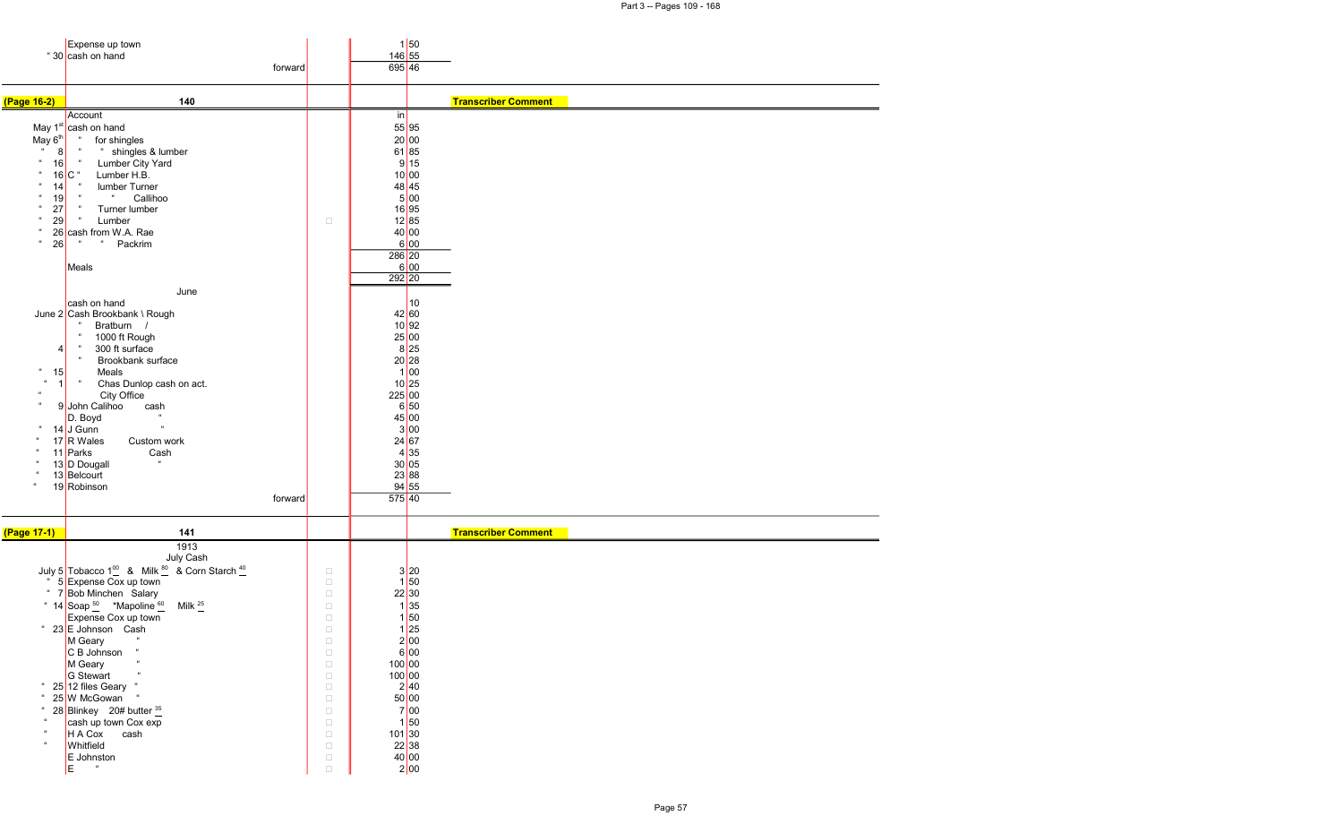|                                             | Expense up town<br>"30 cash on hand                                                                      |                  | 146 55           | 1 50         |                            |  |
|---------------------------------------------|----------------------------------------------------------------------------------------------------------|------------------|------------------|--------------|----------------------------|--|
|                                             | forward                                                                                                  |                  | 695 46           |              |                            |  |
|                                             |                                                                                                          |                  |                  |              |                            |  |
| (Page 16-2)                                 | 140<br>Account                                                                                           |                  | $\ln$            |              | <b>Transcriber Comment</b> |  |
|                                             | May 1 <sup>st</sup> cash on hand                                                                         |                  | 55 95            |              |                            |  |
| May $6th$                                   | $\sim$ 44<br>for shingles                                                                                |                  | 20 00            |              |                            |  |
| $\mathfrak{c}\mathfrak{c}$<br>8 <br>a<br>16 | $\alpha$<br>" shingles & lumber<br>$\mu$<br>Lumber City Yard                                             |                  | 61 85            | 9 15         |                            |  |
| $\mathfrak{c}\mathfrak{c}$                  | $16$ C "<br>Lumber H.B.                                                                                  |                  | 10 00            |              |                            |  |
| $\mathfrak{g}$<br>14                        | $\alpha$<br>lumber Turner<br>$\epsilon$                                                                  |                  | 48 45            |              |                            |  |
| 19<br>$\alpha$<br>$27\,$                    | " Callihoo<br>Turner lumber                                                                              |                  | 16 95            | 5 00         |                            |  |
| 29                                          | $\alpha$<br>Lumber                                                                                       | $\Box$           | 12 85            |              |                            |  |
| $\epsilon$<br>$\alpha$                      | 26 cash from W.A. Rae                                                                                    |                  | 40 00            |              |                            |  |
| 26                                          | " Packrim                                                                                                |                  | 286 20           | 6 00         |                            |  |
|                                             | Meals                                                                                                    |                  |                  | 6 00         |                            |  |
|                                             |                                                                                                          |                  | 292 20           |              |                            |  |
|                                             | June<br>cash on hand                                                                                     |                  |                  | 10           |                            |  |
|                                             | June 2 Cash Brookbank \ Rough                                                                            |                  | 42 60            |              |                            |  |
|                                             | Bratburn /<br>66<br>$\epsilon\epsilon$<br>1000 ft Rough                                                  |                  | 10 92<br>25 00   |              |                            |  |
| 4                                           | 300 ft surface                                                                                           |                  |                  | 8 25         |                            |  |
|                                             | Brookbank surface                                                                                        |                  | 20 28            |              |                            |  |
| a<br>15<br>$\mathfrak{c}\mathfrak{c}$<br>11 | Meals<br>$\alpha$<br>Chas Dunlop cash on act.                                                            |                  | 10 25            | 1 00         |                            |  |
|                                             | City Office                                                                                              |                  | 225 00           |              |                            |  |
|                                             | 9 John Calihoo<br>cash<br>$\alpha$                                                                       |                  |                  | 6 50         |                            |  |
|                                             | D. Boyd<br>$\epsilon$<br>$14$ J Gunn                                                                     |                  | 45 00            | 3 00         |                            |  |
|                                             | 17R Wales<br>Custom work                                                                                 |                  | 24 67            |              |                            |  |
|                                             | 11 Parks<br>Cash                                                                                         |                  |                  | 4 35         |                            |  |
|                                             | 13 D Dougall<br>13 Belcourt                                                                              |                  | 30 05<br>23 88   |              |                            |  |
|                                             | 19 Robinson                                                                                              |                  | 94 55            |              |                            |  |
|                                             | forward                                                                                                  |                  | 575 40           |              |                            |  |
| (Page 17-1)                                 | 141                                                                                                      |                  |                  |              | <b>Transcriber Comment</b> |  |
|                                             | 1913                                                                                                     |                  |                  |              |                            |  |
|                                             | July Cash                                                                                                |                  |                  |              |                            |  |
|                                             | July 5 Tobacco 1 <sup>00</sup> & Milk <sup>80</sup> & Corn Starch <sup>40</sup><br>5 Expense Cox up town | $\Box$<br>$\Box$ |                  | 3 20<br>1 50 |                            |  |
|                                             | " 7 Bob Minchen Salary                                                                                   | $\Box$           | 22 30            |              |                            |  |
|                                             | " $14$ Soap $\frac{50}{2}$ *Mapoline $\frac{60}{2}$<br>Milk $\frac{25}{ }$                               | $\Box$           |                  | 1 35         |                            |  |
|                                             | Expense Cox up town<br>" $23$ E Johnson Cash                                                             | $\Box$<br>$\Box$ |                  | 1 50<br>1 25 |                            |  |
|                                             | M Geary                                                                                                  | $\Box$           |                  | 2 00         |                            |  |
|                                             | C B Johnson                                                                                              | $\Box$           |                  | 6 00         |                            |  |
|                                             | M Geary<br>G Stewart                                                                                     | $\Box$<br>$\Box$ | 100 00<br>100 00 |              |                            |  |
|                                             | " 25 12 files Geary "                                                                                    | $\Box$           |                  | 2 40         |                            |  |
| $\alpha$                                    | 25 W McGowan                                                                                             | $\Box$           | 50 00            |              |                            |  |
|                                             | 28 Blinkey 20# butter $\frac{35}{1}$<br>cash up town Cox exp                                             | $\Box$<br>$\Box$ |                  | 7 00<br>1 50 |                            |  |
| $\alpha$                                    | H A Cox cash                                                                                             | $\Box$           | 101 30           |              |                            |  |
| $\mathfrak{g}$                              | Whitfield                                                                                                | $\Box$           | 22 38            |              |                            |  |
|                                             | E Johnston<br>E                                                                                          | $\Box$<br>$\Box$ | 40 00            | 2 00         |                            |  |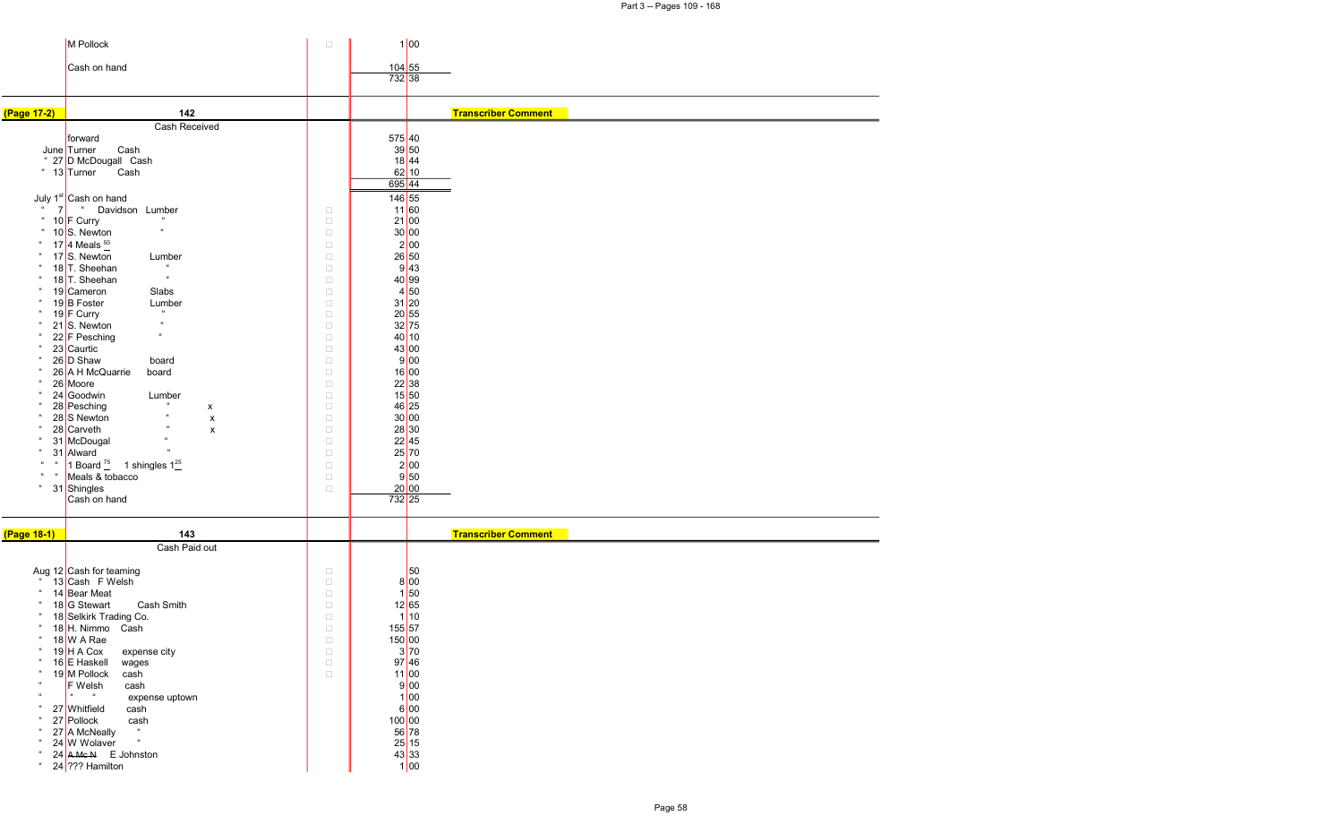|                            | M Pollock                                                 | $\Box$           |          | 1 00 |                            |  |
|----------------------------|-----------------------------------------------------------|------------------|----------|------|----------------------------|--|
|                            | Cash on hand                                              |                  | 104 55   |      |                            |  |
|                            |                                                           |                  | 732 38   |      |                            |  |
|                            |                                                           |                  |          |      |                            |  |
| (Page 17-2)                | 142                                                       |                  |          |      | <b>Transcriber Comment</b> |  |
|                            | Cash Received                                             |                  |          |      |                            |  |
|                            | forward                                                   |                  | $575$ 40 |      |                            |  |
|                            | Cash<br>June Turner                                       |                  | 39 50    |      |                            |  |
|                            | " 27 D McDougall Cash                                     |                  | 18 44    |      |                            |  |
|                            | " 13 Turner<br>Cash                                       |                  | 62 10    |      |                            |  |
|                            |                                                           |                  | 695 44   |      |                            |  |
|                            | July 1 <sup>st</sup> Cash on hand                         |                  | 146 55   |      |                            |  |
|                            | " 7 " Davidson Lumber                                     | $\Box$           | 11 60    |      |                            |  |
|                            | " $10$ F Curry                                            | $\Box$           | 21 00    |      |                            |  |
|                            | " 10S. Newton                                             | $\Box$           | 30 00    |      |                            |  |
|                            | " $17$ 4 Meals $\frac{50}{ }$                             | $\Box$           |          | 2 00 |                            |  |
| $\epsilon$                 | 17 <sup>S.</sup> Newton<br>Lumber                         | $\Box$           | 26 50    |      |                            |  |
|                            | " 18 T. Sheehan<br>$\mathfrak{c}\mathfrak{c}$<br>$\alpha$ | $\Box$           |          | 9 43 |                            |  |
| $\epsilon$                 | 18T. Sheehan                                              | $\Box$           | 40 99    |      |                            |  |
| $\epsilon\epsilon$         | 19 Cameron<br>Slabs                                       | $\Box$           |          | 4 50 |                            |  |
| $\mathfrak{c}\mathfrak{c}$ | 19B Foster<br>Lumber<br>$\mathfrak{g}$                    | $\Box$           | $31$ 20  |      |                            |  |
| $\epsilon$                 | 19 F Curry<br>$\alpha$                                    | $\Box$           | 20 55    |      |                            |  |
|                            | 21 S. Newton<br>$\mathbf{a}$                              | $\Box$           | 32 75    |      |                            |  |
|                            | 22 F Pesching                                             | $\Box$           | 40 10    |      |                            |  |
|                            | 23 Caurtic<br>26 D Shaw                                   | $\Box$<br>$\Box$ | 43 00    | 9 00 |                            |  |
|                            | board<br>26 A H McQuarrie<br>board                        | $\Box$           | 16 00    |      |                            |  |
|                            | 26 Moore                                                  | $\Box$           | 22 38    |      |                            |  |
|                            | 24 Goodwin<br>Lumber                                      | $\Box$           | 15 50    |      |                            |  |
|                            | 28 Pesching<br>х                                          | $\Box$           | 46 25    |      |                            |  |
|                            | 28 S Newton<br>х                                          | $\Box$           | 30 00    |      |                            |  |
| $\mathbf{g}$               | 28 Carveth<br>$\pmb{\times}$                              | $\Box$           | 28 30    |      |                            |  |
|                            | 31 McDougal                                               | $\Box$           | 22 45    |      |                            |  |
| $\mathfrak{c}\mathfrak{c}$ | 31 Alward                                                 | $\Box$           | 25 70    |      |                            |  |
|                            | " " $1$ Board $\frac{75}{1}$ 1 shingles $1\frac{25}{1}$   | $\Box$           |          | 2 00 |                            |  |
| $\alpha$<br>$\alpha$       | Meals & tobacco                                           | $\Box$           |          | 9 50 |                            |  |
|                            | " 31 Shingles                                             | $\Box$           | 20 00    |      |                            |  |
|                            | Cash on hand                                              |                  | 732 25   |      |                            |  |
|                            |                                                           |                  |          |      |                            |  |
|                            | 143                                                       |                  |          |      | <b>Transcriber Comment</b> |  |
| (Page 18-1)                | Cash Paid out                                             |                  |          |      |                            |  |
|                            |                                                           |                  |          |      |                            |  |
|                            | Aug 12 Cash for teaming                                   | $\Box$           |          | 50   |                            |  |
|                            | 13 Cash F Welsh                                           | $\Box$           |          | 8 00 |                            |  |
|                            | 14 Bear Meat                                              | $\Box$           |          | 1 50 |                            |  |
|                            | 18 G Stewart<br>Cash Smith                                | $\Box$           | 12 65    |      |                            |  |
|                            | 18 Selkirk Trading Co.                                    | $\Box$           |          | 1 10 |                            |  |
|                            | " 18 H. Nimmo Cash                                        | $\Box$           | 155 57   |      |                            |  |
| $\alpha$                   | 18 W A Rae                                                | $\Box$           | 150 00   |      |                            |  |
| 66                         | 19H A Cox<br>expense city                                 | $\Box$           |          | 3 70 |                            |  |
|                            | 16 E Haskell<br>wages                                     | $\Box$           | 97 46    |      |                            |  |
|                            | 19 M Pollock<br>cash                                      | $\Box$           | 11 00    |      |                            |  |
|                            | F Welsh<br>cash                                           |                  |          | 9 00 |                            |  |
|                            | $\alpha$<br>$\alpha$<br>expense uptown                    |                  |          | 1 00 |                            |  |
| u                          | 27 Whitfield<br>cash                                      |                  |          | 6 00 |                            |  |
|                            | 27 Pollock<br>cash                                        |                  | 100 00   |      |                            |  |
|                            | 27 A McNeally<br>$\boldsymbol{u}$                         |                  | 56 78    |      |                            |  |
|                            | 24 W Wolaver                                              |                  | 25 15    |      |                            |  |
|                            | $24$ AMc <sub>N</sub> E Johnston                          |                  | 43 33    |      |                            |  |
|                            | 24 ??? Hamilton                                           |                  |          | 1 00 |                            |  |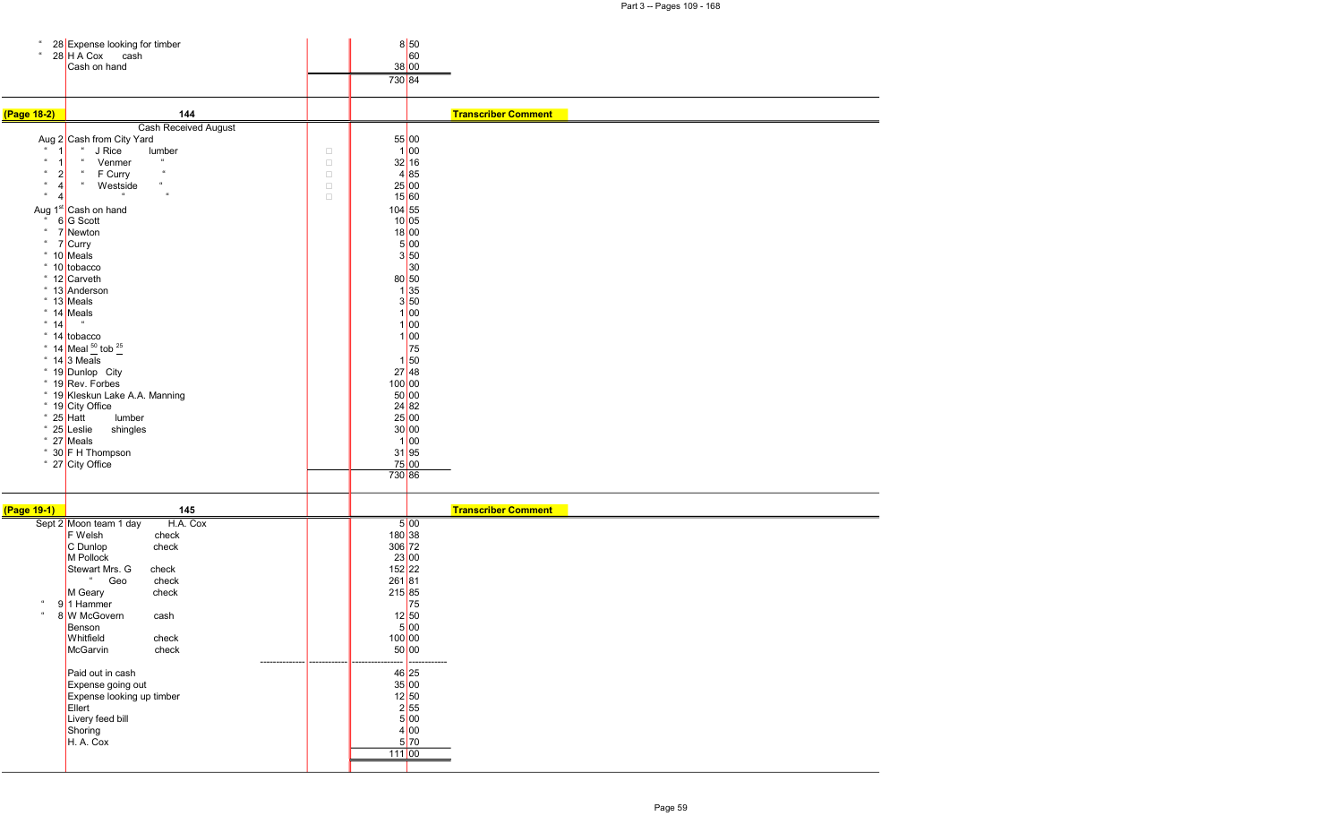|                                       | 28 Expense looking for timber                                |                  |                   | 8 50            |                            |  |
|---------------------------------------|--------------------------------------------------------------|------------------|-------------------|-----------------|----------------------------|--|
|                                       | 28 H A Cox cash<br>Cash on hand                              |                  | 38 00             | 60              |                            |  |
|                                       |                                                              |                  | 730 84            |                 |                            |  |
|                                       |                                                              |                  |                   |                 |                            |  |
| (Page 18-2)                           | 144                                                          |                  |                   |                 | <b>Transcriber Comment</b> |  |
|                                       | Cash Received August                                         |                  |                   |                 |                            |  |
|                                       | Aug 2 Cash from City Yard                                    |                  | 55 00             |                 |                            |  |
| $\vert$ 1<br>$\mathfrak{g}$           | $\epsilon\epsilon$<br>J Rice<br>lumber                       | $\Box$           |                   | 1 00            |                            |  |
| $\vert$ 1<br>$\mathfrak{g}$           | $\epsilon$<br>Venmer<br>$\mathfrak{g}$<br>$\epsilon\epsilon$ | $\Box$           | 32 16             |                 |                            |  |
| $\overline{2}$<br>$\alpha$<br>$\vert$ | F Curry<br>$\mathfrak{u}$<br>" Westside                      | $\Box$<br>$\Box$ | 25 00             | 4 85            |                            |  |
| $\boldsymbol{\mu}$<br>$\vert$         | $\epsilon$<br>$\alpha$                                       | $\Box$           | 15 60             |                 |                            |  |
|                                       | Aug 1 <sup>st</sup> Cash on hand                             |                  | 104 55            |                 |                            |  |
|                                       | $6 G \text{ Scott}$                                          |                  | 10 05             |                 |                            |  |
|                                       | " 7 Newton                                                   |                  |                   | 18 00           |                            |  |
|                                       | " $7$ Curry                                                  |                  |                   | 5 00            |                            |  |
|                                       | " $10$ Meals                                                 |                  |                   | 3 50            |                            |  |
|                                       | " 10 tobacco                                                 |                  |                   | 30 <sub>o</sub> |                            |  |
|                                       | " 12 Carveth<br>" 13 Anderson                                |                  | 80 50             | 1 35            |                            |  |
|                                       | " $13$ Meals                                                 |                  |                   | 3 50            |                            |  |
|                                       | " $14$ Meals                                                 |                  |                   | 1 00            |                            |  |
| " $14$                                |                                                              |                  |                   | 1 00            |                            |  |
|                                       | " 14 tobacco                                                 |                  |                   | 1 00            |                            |  |
|                                       | " $14$ Meal $\frac{50}{ }$ tob $\frac{25}{ }$                |                  |                   | 75              |                            |  |
|                                       | " $14$ 3 Meals                                               |                  |                   | 1 50            |                            |  |
|                                       | " 19 Dunlop City<br>" 19 Rev. Forbes                         |                  | 27 48<br>100 00   |                 |                            |  |
|                                       | " 19 Kleskun Lake A.A. Manning                               |                  | 50 00             |                 |                            |  |
|                                       | " 19 City Office                                             |                  | 24 82             |                 |                            |  |
|                                       | " $25$ Hatt<br>lumber                                        |                  | 25 00             |                 |                            |  |
|                                       | " $25$ Leslie<br>shingles                                    |                  | 30 00             |                 |                            |  |
|                                       | " 27 Meals                                                   |                  |                   | 1 00            |                            |  |
|                                       | " 30 F H Thompson                                            |                  | 31 95<br>75 00    |                 |                            |  |
|                                       | " 27 City Office                                             |                  | 730 86            |                 |                            |  |
|                                       |                                                              |                  |                   |                 |                            |  |
| (Page 19-1)                           | 145                                                          |                  |                   |                 | <b>Transcriber Comment</b> |  |
|                                       | H.A. Cox<br>Sept 2 Moon team 1 day                           |                  |                   | 5 00            |                            |  |
|                                       | F Welsh<br>check                                             |                  | 180 38            |                 |                            |  |
|                                       | C Dunlop<br>check                                            |                  | $306$ 72          |                 |                            |  |
|                                       | M Pollock<br>Stewart Mrs. G                                  |                  | 23 00<br>$152$ 22 |                 |                            |  |
|                                       | check<br>$\alpha$<br>Geo<br>check                            |                  | 261 81            |                 |                            |  |
|                                       | M Geary<br>check                                             |                  | 215 85            |                 |                            |  |
|                                       | 9 <sup>1</sup> Hammer                                        |                  |                   | 75              |                            |  |
| $\alpha$                              | 8 W McGovern<br>cash                                         |                  | 12 50             |                 |                            |  |
|                                       |                                                              |                  |                   | 5 00            |                            |  |
|                                       | Benson                                                       |                  |                   |                 |                            |  |
|                                       | Whitfield<br>check                                           |                  | 100 00            |                 |                            |  |
|                                       | McGarvin<br>check                                            |                  |                   | 50 00           |                            |  |
|                                       |                                                              |                  |                   |                 |                            |  |
|                                       | Paid out in cash                                             |                  | 46 25             |                 |                            |  |
|                                       | Expense going out                                            |                  |                   | 35 00           |                            |  |
|                                       | Expense looking up timber<br>Ellert                          |                  |                   | 12 50<br>2 55   |                            |  |
|                                       | Livery feed bill                                             |                  |                   | 5 00            |                            |  |
|                                       | Shoring                                                      |                  |                   | 4 00            |                            |  |
|                                       | H. A. Cox                                                    |                  | 111 00            | 5 70            |                            |  |

L,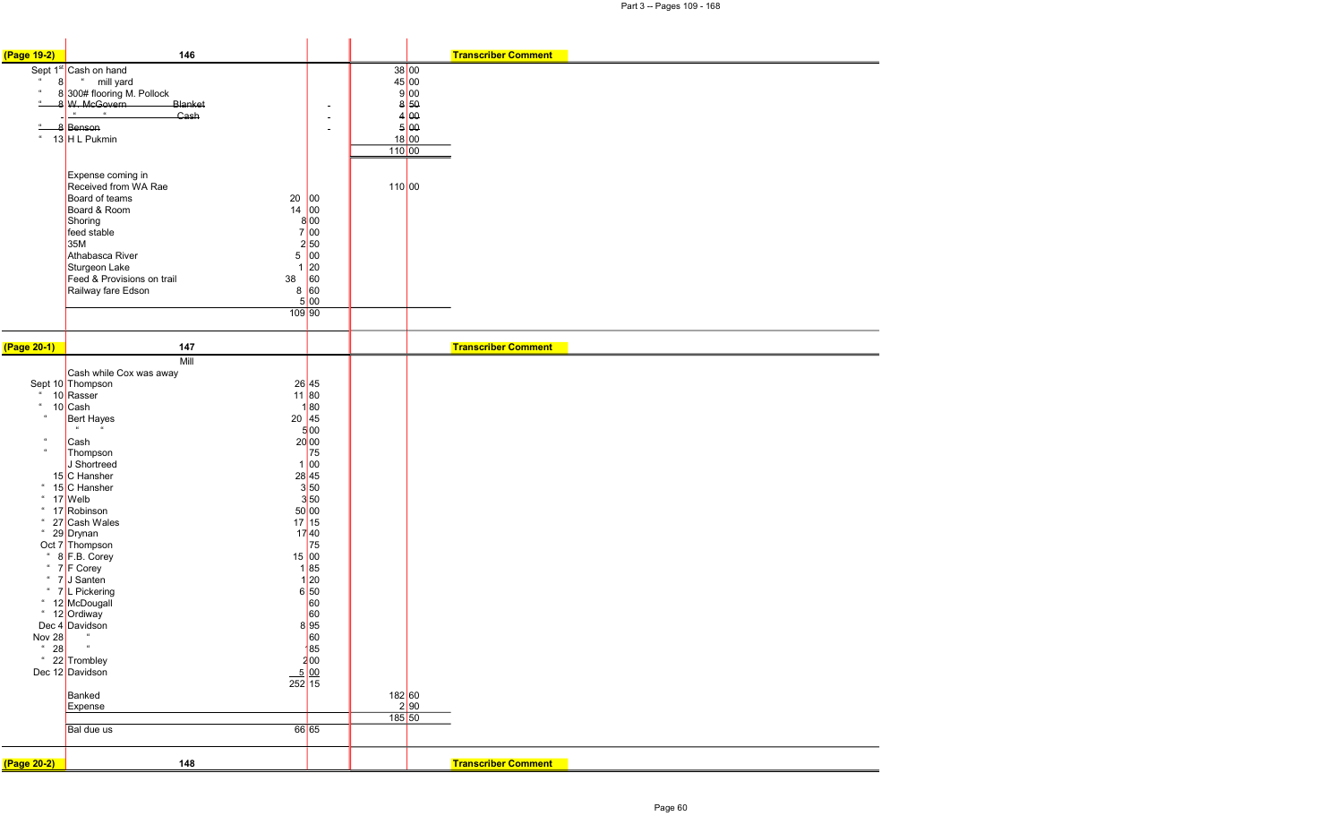| (Page 19-2)                       | 146                                                                             |              |        |       | <b>Transcriber Comment</b> |  |
|-----------------------------------|---------------------------------------------------------------------------------|--------------|--------|-------|----------------------------|--|
|                                   | Sept 1 <sup>st</sup> Cash on hand                                               |              |        | 38 00 |                            |  |
| $\alpha$<br>8                     | mill yard<br>$\alpha$                                                           |              |        | 45 00 |                            |  |
| $\alpha$                          | 8 300# flooring M. Pollock                                                      |              |        | 9 00  |                            |  |
| $\mathbf{a}$                      | 8W. McGovern<br>Blanket                                                         | $\sim$       |        | 8 50  |                            |  |
|                                   | $-44$<br>Cash                                                                   | $\sim$       |        | 4 00  |                            |  |
| $\frac{a}{a}$<br>$\boldsymbol{u}$ | 8Benson                                                                         | $\sim$       |        | 5 00  |                            |  |
|                                   | 13 H L Pukmin                                                                   |              |        | 18 00 |                            |  |
|                                   |                                                                                 |              | 110 00 |       |                            |  |
|                                   |                                                                                 |              |        |       |                            |  |
|                                   | Expense coming in<br>Received from WA Rae                                       |              | 110 00 |       |                            |  |
|                                   | Board of teams<br>$20\,$                                                        | $ 00\rangle$ |        |       |                            |  |
|                                   | 14 00<br>Board & Room                                                           |              |        |       |                            |  |
|                                   | Shoring                                                                         | 800          |        |       |                            |  |
|                                   | feed stable                                                                     | 7 00         |        |       |                            |  |
|                                   | 35M                                                                             | 2 50         |        |       |                            |  |
|                                   | Athabasca River                                                                 | 5 00         |        |       |                            |  |
|                                   | Sturgeon Lake                                                                   | 1 20         |        |       |                            |  |
|                                   | Feed & Provisions on trail<br>38                                                | 60           |        |       |                            |  |
|                                   | Railway fare Edson                                                              | 8 60         |        |       |                            |  |
|                                   |                                                                                 | 5 00         |        |       |                            |  |
|                                   | 109 90                                                                          |              |        |       |                            |  |
|                                   |                                                                                 |              |        |       |                            |  |
| (Page 20-1)                       | 147                                                                             |              |        |       | <b>Transcriber Comment</b> |  |
|                                   | Mill                                                                            |              |        |       |                            |  |
|                                   | Cash while Cox was away                                                         |              |        |       |                            |  |
|                                   | Sept 10 Thompson<br>26 45                                                       |              |        |       |                            |  |
| $\mathfrak{c}\mathfrak{c}$        | 11 80<br>10 Rasser                                                              |              |        |       |                            |  |
| $\mathfrak{g}$                    | 10 Cash                                                                         | 180          |        |       |                            |  |
|                                   | 20 45<br><b>Bert Hayes</b><br>$\epsilon\epsilon$                                | 500          |        |       |                            |  |
| $\alpha$                          | Cash                                                                            | 20 00        |        |       |                            |  |
| $\alpha$                          | Thompson                                                                        | 75           |        |       |                            |  |
|                                   | J Shortreed                                                                     | 1 00         |        |       |                            |  |
|                                   | 15 C Hansher                                                                    | 28 45        |        |       |                            |  |
|                                   | " 15 C Hansher                                                                  | 3 50         |        |       |                            |  |
|                                   | " $17$ Welb                                                                     | 350          |        |       |                            |  |
|                                   | " 17 Robinson                                                                   | 50 00        |        |       |                            |  |
|                                   | 17 15<br>" 27 Cash Wales                                                        |              |        |       |                            |  |
|                                   | " $29$ Drynan                                                                   | 17 40        |        |       |                            |  |
|                                   | Oct 7 Thompson                                                                  | 75           |        |       |                            |  |
| $\alpha$                          | 8 F.B. Corey<br>15 00                                                           |              |        |       |                            |  |
|                                   | " 7 F Corey                                                                     | 1 85         |        |       |                            |  |
|                                   | " $7$ J Santen                                                                  | 1 20         |        |       |                            |  |
|                                   | " 7 L Pickering                                                                 | 6 50         |        |       |                            |  |
| $\alpha$                          | " 12 McDougall<br>12 Ordiway                                                    | 60<br>60     |        |       |                            |  |
|                                   | Dec 4 Davidson                                                                  | 8 95         |        |       |                            |  |
| Nov 28                            | $\alpha$                                                                        | 60           |        |       |                            |  |
| 28<br>$\mathfrak{c}\mathfrak{c}$  |                                                                                 |              |        |       |                            |  |
|                                   | $\begin{array}{r} 288 \\ 200 \\ 500 \\ \hline\n252\n\end{array}$<br>22 Trombley |              |        |       |                            |  |
|                                   | Dec 12 Davidson                                                                 |              |        |       |                            |  |
|                                   |                                                                                 |              |        |       |                            |  |
|                                   | Banked                                                                          |              | 182 60 |       |                            |  |
|                                   | Expense                                                                         |              |        | 2 90  |                            |  |
|                                   |                                                                                 |              | 185 50 |       |                            |  |
|                                   | Bal due us                                                                      | 66 65        |        |       |                            |  |
|                                   |                                                                                 |              |        |       |                            |  |
| (Page 20-2)                       | 148                                                                             |              |        |       | <b>Transcriber Comment</b> |  |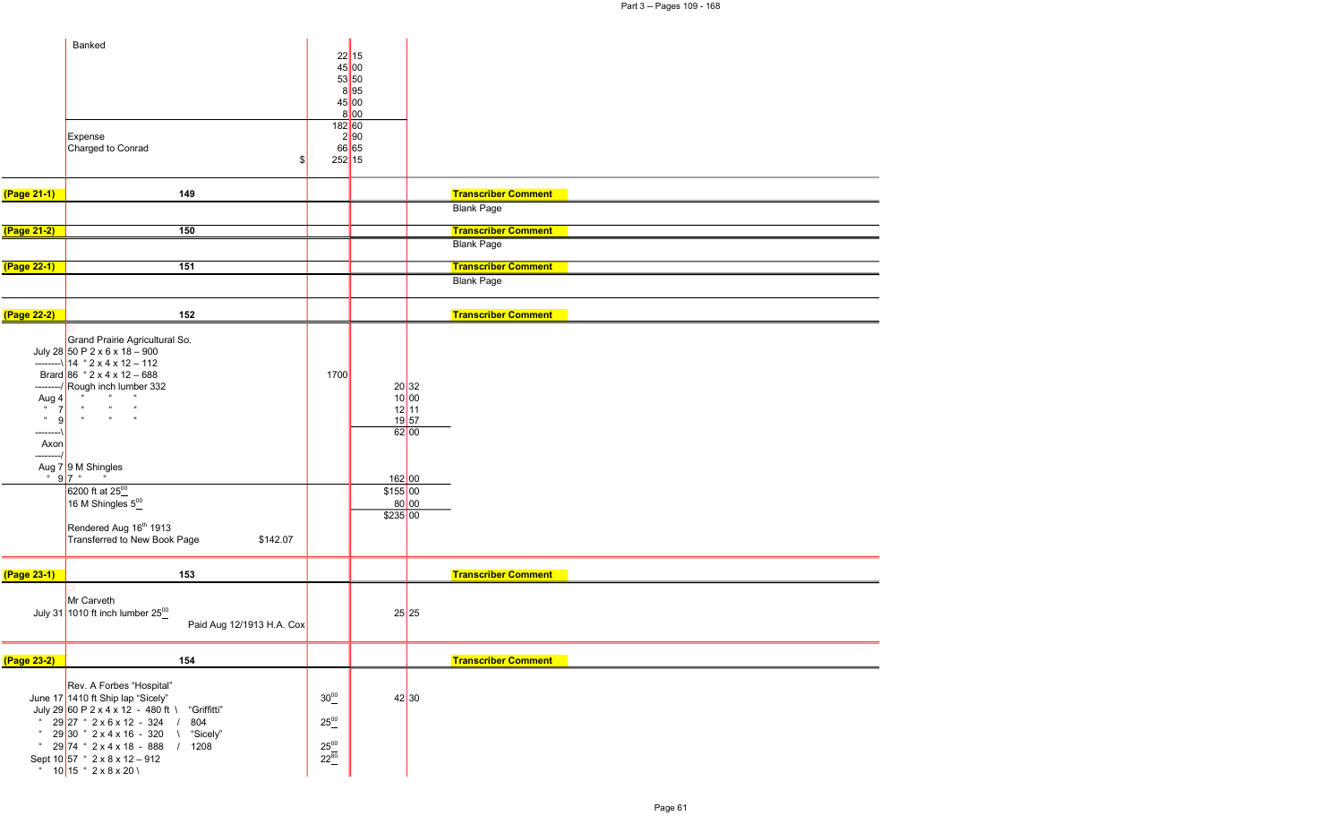|                                                                          | Banked<br>Expense<br>Charged to Conrad<br>\$                                                                                                                                                                                                                                                                                                                                                | 53 50<br>45 00<br>182 60<br>66 65<br>$252$ 15            | $22$ 15<br>45 00<br>8 95<br>8 00<br>2 90 |                                           |                            |  |
|--------------------------------------------------------------------------|---------------------------------------------------------------------------------------------------------------------------------------------------------------------------------------------------------------------------------------------------------------------------------------------------------------------------------------------------------------------------------------------|----------------------------------------------------------|------------------------------------------|-------------------------------------------|----------------------------|--|
| (Page 21-1)                                                              | 149                                                                                                                                                                                                                                                                                                                                                                                         |                                                          |                                          |                                           | <b>Transcriber Comment</b> |  |
|                                                                          |                                                                                                                                                                                                                                                                                                                                                                                             |                                                          |                                          |                                           | <b>Blank Page</b>          |  |
| (Page 21-2)                                                              | 150                                                                                                                                                                                                                                                                                                                                                                                         |                                                          |                                          |                                           | <b>Transcriber Comment</b> |  |
|                                                                          |                                                                                                                                                                                                                                                                                                                                                                                             |                                                          |                                          |                                           | <b>Blank Page</b>          |  |
| (Page 22-1)                                                              | 151                                                                                                                                                                                                                                                                                                                                                                                         |                                                          |                                          |                                           | <b>Transcriber Comment</b> |  |
|                                                                          |                                                                                                                                                                                                                                                                                                                                                                                             |                                                          |                                          |                                           | <b>Blank Page</b>          |  |
| (Page 22-2)                                                              | 152                                                                                                                                                                                                                                                                                                                                                                                         |                                                          |                                          |                                           | <b>Transcriber Comment</b> |  |
| Aug 4<br>$\overline{7}$<br>$\alpha$<br>9<br>Axon<br>--------<br>" $97$ " | Grand Prairie Agricultural So.<br>July 28 50 P 2 x 6 x 18 - 900<br>$\frac{1}{2}$ 14 " 2 x 4 x 12 - 112<br>Brard 86 " $2 \times 4 \times 12 - 688$<br>--------/ Rough inch lumber 332<br>$\mathfrak{a}$<br>$\mu$<br>Aug 7 9 M Shingles<br>6200 ft at 25 <sup>00</sup><br>16 M Shingles 5 <sup>00</sup><br>Rendered Aug 16th 1913<br>Transferred to New Book Page<br>\$142.07                 | 1700                                                     | 19 57<br>162 00<br>\$155 00<br>\$235 00  | 20 32<br>10 00<br>12 11<br>62 00<br>80 00 |                            |  |
| (Page 23-1)                                                              | 153                                                                                                                                                                                                                                                                                                                                                                                         |                                                          |                                          |                                           | <b>Transcriber Comment</b> |  |
|                                                                          | Mr Carveth<br>July 31 1010 ft inch lumber $25\frac{00}{10}$<br>Paid Aug 12/1913 H.A. Cox                                                                                                                                                                                                                                                                                                    |                                                          |                                          | 25 25                                     |                            |  |
| (Page 23-2)                                                              | 154                                                                                                                                                                                                                                                                                                                                                                                         |                                                          |                                          |                                           | <b>Transcriber Comment</b> |  |
|                                                                          | Rev. A Forbes "Hospital"<br>June 17 1410 ft Ship lap "Sicely"<br>July 29 60 P 2 x 4 x 12 - 480 ft \<br>"Griffitti"<br>" $29 27$ " $2 \times 6 \times 12$ - 324 /<br>804<br>" $29 30$ " $2 \times 4 \times 16$ - 320<br>"Sicely"<br>$\lambda$<br>" $29 \overline{74}$ " $2 \times 4 \times 18$ - 888 / 1208<br>Sept 10 57 " $2 \times 8 \times 12 - 912$<br>$10$ 15 " $2 \times 8 \times 20$ | $30^{00}$<br>$25^{00}_{-}$<br>$25^{00}_{-}$<br>$22^{80}$ |                                          | 42 30                                     |                            |  |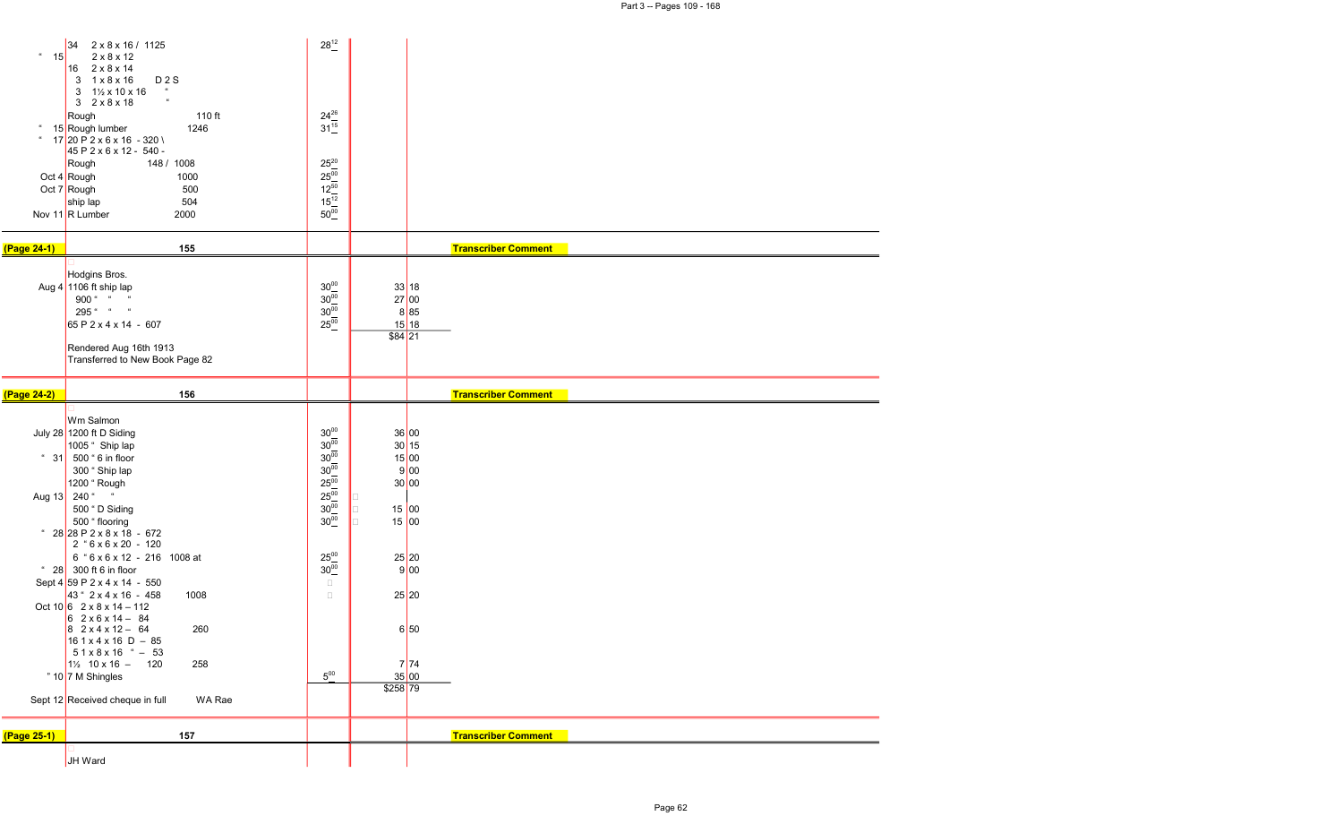| $\mathfrak{u}$<br>15<br>$\alpha$ | 2 x 8 x 16 / 1125<br> 34 <br>$2 \times 8 \times 12$<br>$16$ $2 \times 8 \times 14$<br>$3$ 1 x 8 x 16<br><b>D2S</b><br>$3 \frac{1}{2} \times 10 \times 16$<br>$32 \times 8 \times 18$<br>Rough<br>110 ft<br>15 Rough lumber<br>1246<br>" $17$ 20 P 2 x 6 x 16 - 320 \<br>45 P 2 x 6 x 12 - 540 -<br>148 / 1008<br>Rough<br>Oct 4 Rough<br>1000<br>Oct 7 Rough<br>500<br>ship lap<br>504<br>Nov 11 R Lumber<br>2000                                                                                      | $28^{12}_{-}$<br>$\frac{24\frac{26}{15}}{31\frac{15}{15}}$<br>$\frac{25^{20}}{25^{00}}$<br>$\frac{12^{50}}{15^{12}}$<br>$\frac{15^{12}}{15}$<br>$50^{00}$  |                             |                                                          |
|----------------------------------|--------------------------------------------------------------------------------------------------------------------------------------------------------------------------------------------------------------------------------------------------------------------------------------------------------------------------------------------------------------------------------------------------------------------------------------------------------------------------------------------------------|------------------------------------------------------------------------------------------------------------------------------------------------------------|-----------------------------|----------------------------------------------------------|
| (Page 24-1)                      | 155                                                                                                                                                                                                                                                                                                                                                                                                                                                                                                    |                                                                                                                                                            |                             | <b>Transcriber Comment</b>                               |
|                                  | Hodgins Bros.<br>Aug $4 \mid 1106$ ft ship lap<br>900 " " "<br>$295u$ $uu$<br>65 P 2 x 4 x 14 - 607<br>Rendered Aug 16th 1913<br>Transferred to New Book Page 82                                                                                                                                                                                                                                                                                                                                       | $30^{00}$<br>$30^{00}$<br>$\frac{30^{00}}{25^{00}}$                                                                                                        | $$84$ 21                    | 33 18<br>27 00<br>8 85<br>15 18                          |
| (Page 24-2)                      | 156                                                                                                                                                                                                                                                                                                                                                                                                                                                                                                    |                                                                                                                                                            |                             | <b>Transcriber Comment</b>                               |
|                                  | Wm Salmon<br>July 28 1200 ft D Siding<br>1005 " Ship lap<br>" $31 \mid 500 \text{ }$ " 6 in floor<br>300 " Ship lap<br>1200 " Rough<br>Aug 13 240 "<br>500 " D Siding                                                                                                                                                                                                                                                                                                                                  | $30^{00}_{-}$<br>$30^{00}_{-}$<br>$30^{00}_{-}$<br>$30^{00}_{-}$<br>$\frac{25\frac{1}{100}}{25\frac{1}{100}}$<br>$\frac{25\frac{1}{100}}{30\frac{1}{100}}$ |                             | 36 00<br>30 15<br>15 00<br>9 00<br>30 00                 |
|                                  | 500 " flooring<br>" $28 \mid 28 \mid P \mid 2 \times 8 \times 18 - 672$<br>$2 * 6 \times 6 \times 20 - 120$<br>6 "6 x 6 x 12 - 216 1008 at<br>" $28$ 300 ft 6 in floor<br>Sept 4 59 P 2 x 4 x 14 - 550<br>43 " 2 x 4 x 16 - 458<br>1008<br>Oct 10 6 $2 \times 8 \times 14 - 112$<br>$62 \times 6 \times 14 - 84$<br>$82x4x12-64$<br>260<br>$161x4x16D - 85$<br>$51 \times 8 \times 16$ " - 53<br>$1\frac{1}{2}$ 10 x 16 - 120<br>258<br>" 10 7 M Shingles<br>Sept 12 Received cheque in full<br>WA Rae | $30^{00}_{-}$<br>$25^{00}_{-}$<br>$30^{00}_{-}$<br>$\Box$<br>$\Box$<br>$5^{00}$                                                                            | 15 00<br>$\Box$<br>\$258 79 | 15 00<br>25 20<br>9 00<br>25 20<br>6 50<br>7 74<br>35 00 |
| (Page 25-1)                      | 157                                                                                                                                                                                                                                                                                                                                                                                                                                                                                                    |                                                                                                                                                            |                             | <b>Transcriber Comment</b>                               |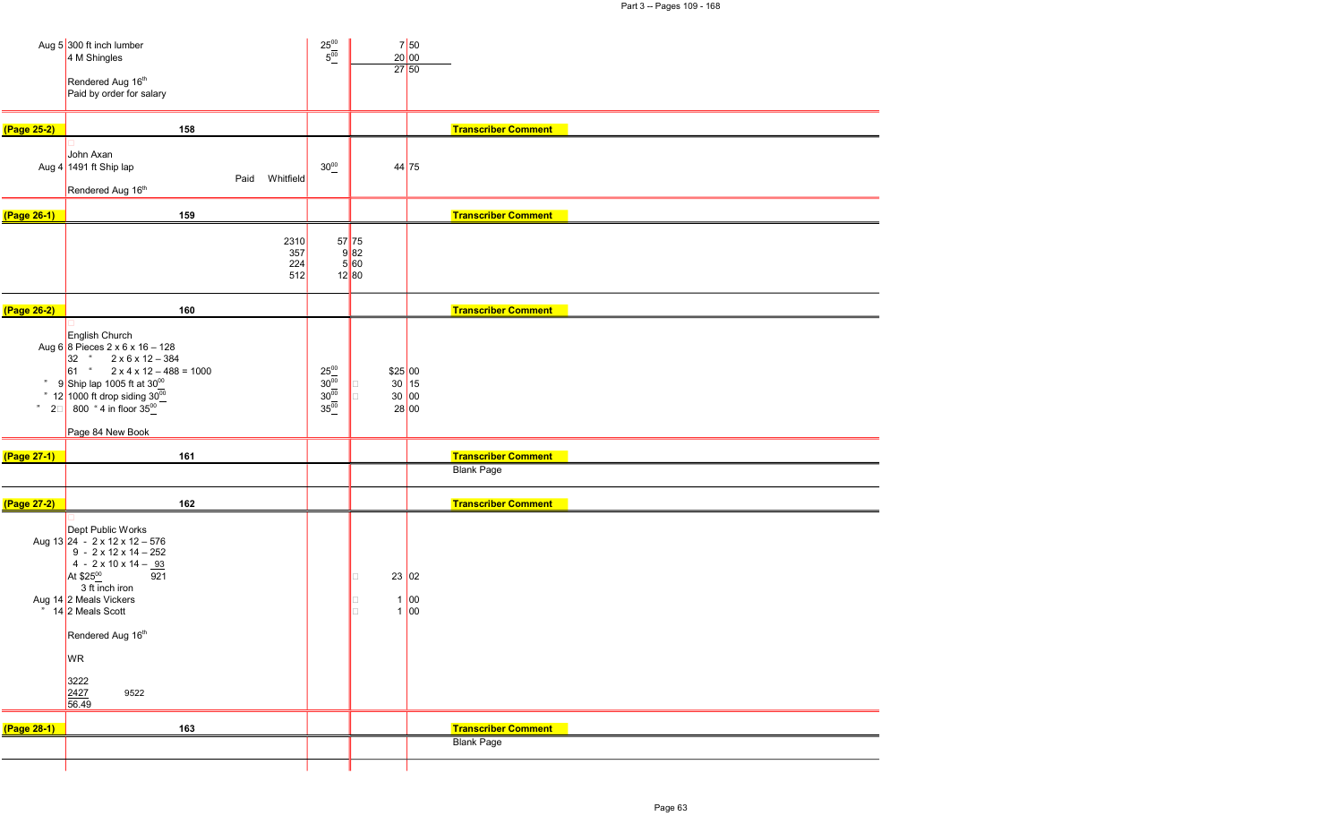|                     | Aug 5 300 ft inch lumber<br>4 M Shingles                                                  |                | $\frac{25^{00}}{5^{00}}$                                                    |              |         | 7 50<br>20 00 |                                                 |
|---------------------|-------------------------------------------------------------------------------------------|----------------|-----------------------------------------------------------------------------|--------------|---------|---------------|-------------------------------------------------|
|                     |                                                                                           |                |                                                                             |              |         | 27 50         |                                                 |
|                     | Rendered Aug 16th<br>Paid by order for salary                                             |                |                                                                             |              |         |               |                                                 |
|                     |                                                                                           |                |                                                                             |              |         |               |                                                 |
| (Page 25-2)         | 158                                                                                       |                |                                                                             |              |         |               | <b>Transcriber Comment</b>                      |
|                     | John Axan                                                                                 |                |                                                                             |              |         |               |                                                 |
|                     | Aug $4$ 1491 ft Ship lap                                                                  | Paid Whitfield | $30^{00}_{-}$                                                               |              |         | 44 75         |                                                 |
|                     | Rendered Aug 16th                                                                         |                |                                                                             |              |         |               |                                                 |
| (Page 26-1)         | 159                                                                                       |                |                                                                             |              |         |               | <b>Transcriber Comment</b>                      |
|                     |                                                                                           | 2310           | $57$ 75                                                                     |              |         |               |                                                 |
|                     |                                                                                           | 357<br>224     |                                                                             | 9 82<br>5 60 |         |               |                                                 |
|                     |                                                                                           | 512            | 12 80                                                                       |              |         |               |                                                 |
| (Page 26-2)         | 160                                                                                       |                |                                                                             |              |         |               | <b>Transcriber Comment</b>                      |
|                     |                                                                                           |                |                                                                             |              |         |               |                                                 |
|                     | English Church<br>Aug 6 8 Pieces $2 \times 6 \times 16 - 128$                             |                |                                                                             |              |         |               |                                                 |
|                     | $32$ " $2 \times 6 \times 12 - 384$<br>61 " $2 \times 4 \times 12 - 488 = 1000$           |                |                                                                             |              | \$25 00 |               |                                                 |
| $\boldsymbol{n}$    | 9 Ship lap 1005 ft at 30 <sup>00</sup>                                                    |                | $\frac{25^{00}_{-00}}{30^{00}_{-00}}$ $\frac{30^{00}_{-00}}{35^{00}_{-00}}$ | E            | 30 15   |               |                                                 |
| $\boldsymbol{\eta}$ | " $12 1000$ ft drop siding $30\frac{00}{0}$<br>2 $\Box$ 800 " 4 in floor 35 <sup>00</sup> |                |                                                                             |              | 30 00   | 28 00         |                                                 |
|                     |                                                                                           |                |                                                                             |              |         |               |                                                 |
|                     | Page 84 New Book                                                                          |                |                                                                             |              |         |               |                                                 |
| (Page 27-1)         | 161                                                                                       |                |                                                                             |              |         |               | <b>Transcriber Comment</b><br><b>Blank Page</b> |
|                     |                                                                                           |                |                                                                             |              |         |               |                                                 |
| (Page 27-2)         | 162                                                                                       |                |                                                                             |              |         |               | <b>Transcriber Comment</b>                      |
|                     | Dept Public Works                                                                         |                |                                                                             |              |         |               |                                                 |
|                     | Aug 13 24 - 2 x 12 x 12 - 576                                                             |                |                                                                             |              |         |               |                                                 |
|                     | $9 - 2 \times 12 \times 14 - 252$<br>$4 - 2 \times 10 \times 14 - 93$                     |                |                                                                             |              |         |               |                                                 |
|                     | At \$25 <sup>00</sup><br>921                                                              |                |                                                                             | I۵           | 23 02   |               |                                                 |
|                     | 3 ft inch iron<br>Aug 14 2 Meals Vickers                                                  |                |                                                                             | O            |         | 1 00          |                                                 |
|                     | 14 2 Meals Scott                                                                          |                |                                                                             | I٥           |         | 1 00          |                                                 |
|                     | Rendered Aug 16th                                                                         |                |                                                                             |              |         |               |                                                 |
|                     | WR                                                                                        |                |                                                                             |              |         |               |                                                 |
|                     | 3222                                                                                      |                |                                                                             |              |         |               |                                                 |
|                     | $\frac{2427}{56.49}$<br>9522                                                              |                |                                                                             |              |         |               |                                                 |
| (Page 28-1)         | 163                                                                                       |                |                                                                             |              |         |               | <b>Transcriber Comment</b>                      |
|                     |                                                                                           |                |                                                                             |              |         |               | <b>Blank Page</b>                               |
|                     |                                                                                           |                |                                                                             |              |         |               |                                                 |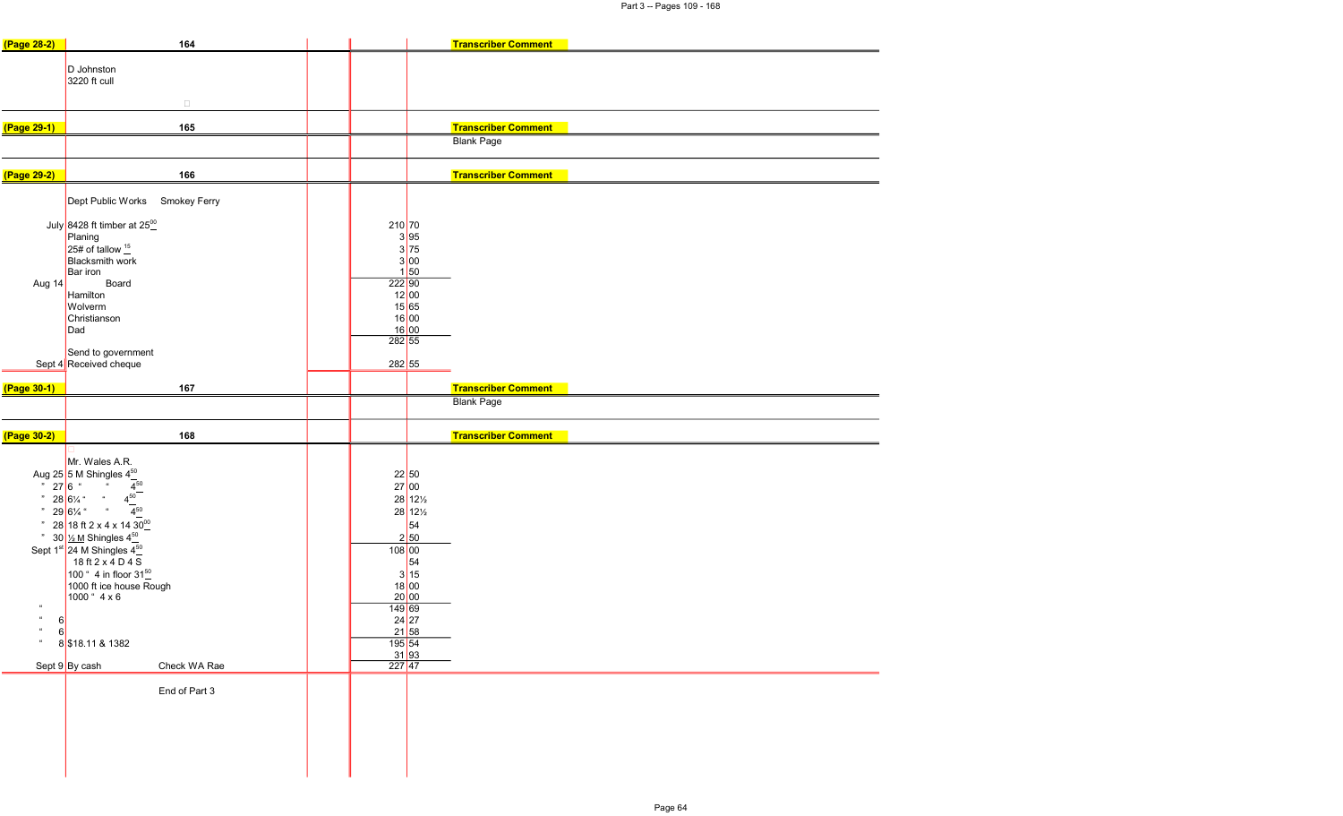| (Page 28-2)                       | 164                                                      | <b>Transcriber Comment</b>          |  |
|-----------------------------------|----------------------------------------------------------|-------------------------------------|--|
|                                   |                                                          |                                     |  |
|                                   | D Johnston                                               |                                     |  |
|                                   | 3220 ft cull                                             |                                     |  |
|                                   |                                                          |                                     |  |
|                                   | $\Box$                                                   |                                     |  |
|                                   |                                                          |                                     |  |
| (Page 29-1)                       | 165                                                      | <b>Transcriber Comment</b>          |  |
|                                   |                                                          | <b>Blank Page</b>                   |  |
|                                   |                                                          |                                     |  |
|                                   |                                                          |                                     |  |
| (Page 29-2)                       | 166                                                      | <b>Transcriber Comment</b>          |  |
|                                   |                                                          |                                     |  |
|                                   | Dept Public Works<br>Smokey Ferry                        |                                     |  |
|                                   |                                                          |                                     |  |
|                                   | July 8428 ft timber at $25\frac{00}{10}$                 | 210 70                              |  |
|                                   | Planing                                                  | 3 95                                |  |
|                                   | 25# of tallow $\frac{15}{6}$                             | 3 75                                |  |
|                                   | <b>Blacksmith work</b>                                   | 3 00                                |  |
|                                   | Bar iron                                                 | 1 50                                |  |
| Aug 14                            | Board                                                    | 222 90                              |  |
|                                   | Hamilton                                                 | 12 00                               |  |
|                                   | Wolverm                                                  | 15 65                               |  |
|                                   | Christianson                                             | 16 00                               |  |
|                                   | Dad                                                      | 16 00                               |  |
|                                   |                                                          | 282 55                              |  |
|                                   | Send to government                                       |                                     |  |
|                                   | Sept 4 Received cheque                                   | 282 55                              |  |
|                                   |                                                          |                                     |  |
| (Page 30-1)                       | 167                                                      | <b>Transcriber Comment</b>          |  |
|                                   |                                                          | <b>Blank Page</b>                   |  |
|                                   |                                                          |                                     |  |
|                                   |                                                          |                                     |  |
| (Page 30-2)                       | 168                                                      | <b>Transcriber Comment</b>          |  |
|                                   |                                                          |                                     |  |
|                                   |                                                          |                                     |  |
|                                   | Mr. Wales A.R.                                           |                                     |  |
|                                   | Aug 25 5 M Shingles $4^{50}_{-}$                         | 22 50                               |  |
| " 276"                            | $\boldsymbol{u}$                                         | 27 00                               |  |
|                                   | $4^{50}_{-}$                                             | $28$ 12 <sup>1</sup> / <sub>2</sub> |  |
| $^{\prime\prime}$ 28 61/4 "<br>,, | $4^{50}_{-}$<br>$\langle \mathbf{a} \rangle$<br>$\alpha$ |                                     |  |
| $\boldsymbol{n}$                  | 29 61/4 "<br>$4^{50}$                                    | $28 12\frac{1}{2}$                  |  |
|                                   | 28 18 ft 2 x 4 x 14 30 <sup>00</sup>                     | 54                                  |  |
|                                   | $30\frac{V_2 M}{2}$ Shingles $4^{50}$                    | 2 50                                |  |
|                                   | Sept 1 <sup>st</sup> 24 M Shingles 4 <sup>50</sup>       | 108 00                              |  |
|                                   | 18 ft 2 x 4 D 4 S                                        | 54                                  |  |
|                                   | 100 " 4 in floor 31 <sup>50</sup>                        | 3 15                                |  |
|                                   | 1000 ft ice house Rough                                  | 18 00                               |  |
| $\mathfrak{c}$                    | $1000$ " $4 \times 6$                                    | 20 00                               |  |
| $\mathfrak{u}$<br>6               |                                                          | 149 69                              |  |
| $\mathfrak{u}$<br>6               |                                                          | 24 27                               |  |
| $\epsilon\epsilon$                |                                                          | 21 58                               |  |
|                                   | 8 \$18.11 & 1382                                         | 195 54                              |  |
|                                   | Sept 9 By cash<br>Check WA Rae                           | 31 93<br>227   47                   |  |
|                                   |                                                          |                                     |  |
|                                   | End of Part 3                                            |                                     |  |
|                                   |                                                          |                                     |  |
|                                   |                                                          |                                     |  |
|                                   |                                                          |                                     |  |
|                                   |                                                          |                                     |  |
|                                   |                                                          |                                     |  |
|                                   |                                                          |                                     |  |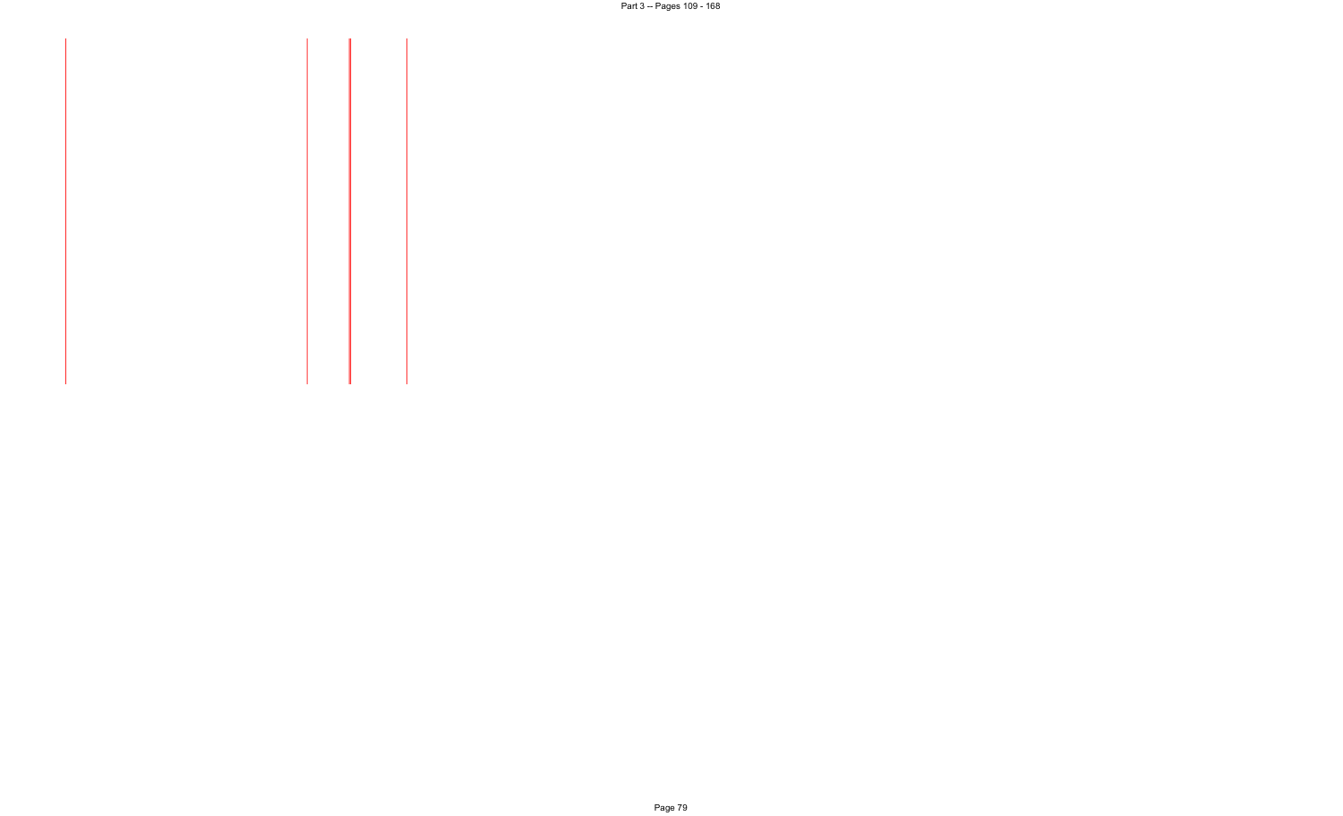I.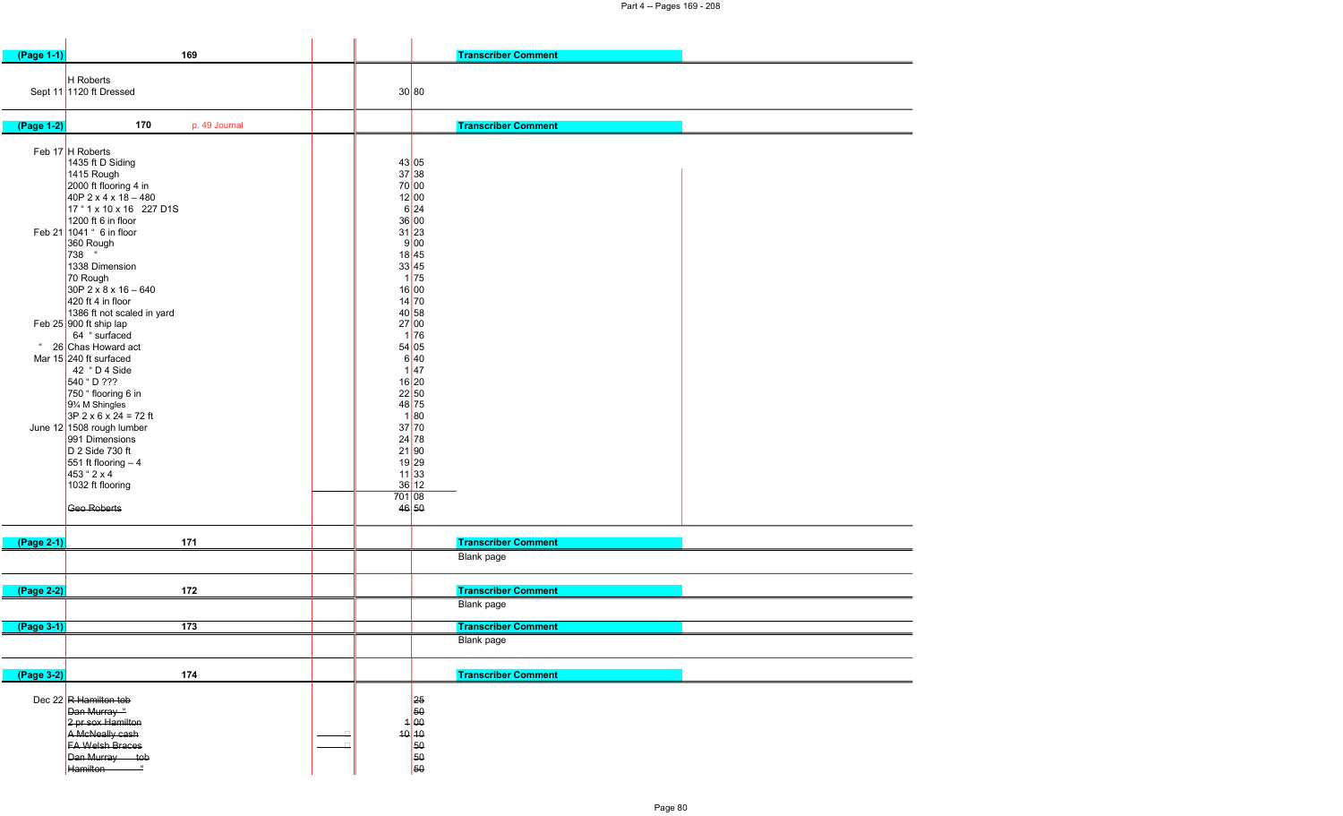| (Page 1-1)         | 169                                                                                                                                                                                                                                                                                                                                                                                                                                                                                                                                                                                                                                                                                  |                                                                                                                                                                                                                                                                            |                                   | <b>Transcriber Comment</b>                      |  |
|--------------------|--------------------------------------------------------------------------------------------------------------------------------------------------------------------------------------------------------------------------------------------------------------------------------------------------------------------------------------------------------------------------------------------------------------------------------------------------------------------------------------------------------------------------------------------------------------------------------------------------------------------------------------------------------------------------------------|----------------------------------------------------------------------------------------------------------------------------------------------------------------------------------------------------------------------------------------------------------------------------|-----------------------------------|-------------------------------------------------|--|
|                    | H Roberts<br>Sept 11 1120 ft Dressed                                                                                                                                                                                                                                                                                                                                                                                                                                                                                                                                                                                                                                                 | 30 80                                                                                                                                                                                                                                                                      |                                   |                                                 |  |
| (Page 1-2)         | 170<br>p. 49 Journal                                                                                                                                                                                                                                                                                                                                                                                                                                                                                                                                                                                                                                                                 |                                                                                                                                                                                                                                                                            |                                   | <b>Transcriber Comment</b>                      |  |
| $\epsilon\epsilon$ | Feb 17 H Roberts<br>1435 ft D Siding<br>1415 Rough<br>2000 ft flooring 4 in<br>$40P$ 2 x 4 x 18 - 480<br>17 " 1 x 10 x 16 227 D1S<br>1200 ft 6 in floor<br>Feb 21 1041 " 6 in floor<br>360 Rough<br>738 "<br>1338 Dimension<br>70 Rough<br>$30P 2 \times 8 \times 16 - 640$<br>420 ft 4 in floor<br>1386 ft not scaled in yard<br>Feb $25$ 900 ft ship lap<br>64 "surfaced<br>26 Chas Howard act<br>Mar 15 240 ft surfaced<br>42 " D 4 Side<br>540 °D ???<br>750 " flooring 6 in<br>9 <sup>3</sup> / <sub>4</sub> M Shingles<br>$3P$ 2 x 6 x 24 = 72 ft<br>June 12 1508 rough lumber<br>991 Dimensions<br>D 2 Side 730 ft<br>551 ft flooring $-4$<br>453 " 2 x 4<br>1032 ft flooring | 43 05<br>37 38<br>70 00<br>12 00<br>6 24<br>36 00<br>$31$ 23<br>9 00<br>18 45<br>33 45<br>$1$ 75<br>16 00<br>14 70<br>40 58<br>27 00<br>1 76<br>54 05<br>6 40<br>1 47<br>16 20<br>22 50<br>48 75<br>1 80<br>37 70<br>24 78<br>21 90<br>19 29<br>11 33<br>$36$ 12<br>701 08 |                                   |                                                 |  |
|                    | <b>Geo Roberts</b>                                                                                                                                                                                                                                                                                                                                                                                                                                                                                                                                                                                                                                                                   | 46 50                                                                                                                                                                                                                                                                      |                                   |                                                 |  |
| (Page 2-1)         | 171                                                                                                                                                                                                                                                                                                                                                                                                                                                                                                                                                                                                                                                                                  |                                                                                                                                                                                                                                                                            |                                   | <b>Transcriber Comment</b>                      |  |
|                    |                                                                                                                                                                                                                                                                                                                                                                                                                                                                                                                                                                                                                                                                                      |                                                                                                                                                                                                                                                                            |                                   | <b>Blank</b> page                               |  |
| (Page 2-2)         | 172                                                                                                                                                                                                                                                                                                                                                                                                                                                                                                                                                                                                                                                                                  |                                                                                                                                                                                                                                                                            |                                   | <b>Transcriber Comment</b><br><b>Blank</b> page |  |
| $(Paae 3-1)$       | 173                                                                                                                                                                                                                                                                                                                                                                                                                                                                                                                                                                                                                                                                                  |                                                                                                                                                                                                                                                                            |                                   | <b>Transcriber Comment</b>                      |  |
|                    |                                                                                                                                                                                                                                                                                                                                                                                                                                                                                                                                                                                                                                                                                      |                                                                                                                                                                                                                                                                            |                                   | <b>Blank</b> page                               |  |
| $(Page 3-2)$       | 174                                                                                                                                                                                                                                                                                                                                                                                                                                                                                                                                                                                                                                                                                  |                                                                                                                                                                                                                                                                            |                                   | <b>Transcriber Comment</b>                      |  |
|                    | Dec 22 R Hamilton tob<br>Dan Murray "<br>2 pr sox Hamilton<br>A McNeally cash<br>FA Welsh Braces<br>Dan-Murray tob<br>Hamilton<br>$\frac{a}{a}$                                                                                                                                                                                                                                                                                                                                                                                                                                                                                                                                      | 40 40                                                                                                                                                                                                                                                                      | 25<br>50<br>100<br>50<br>50<br>50 |                                                 |  |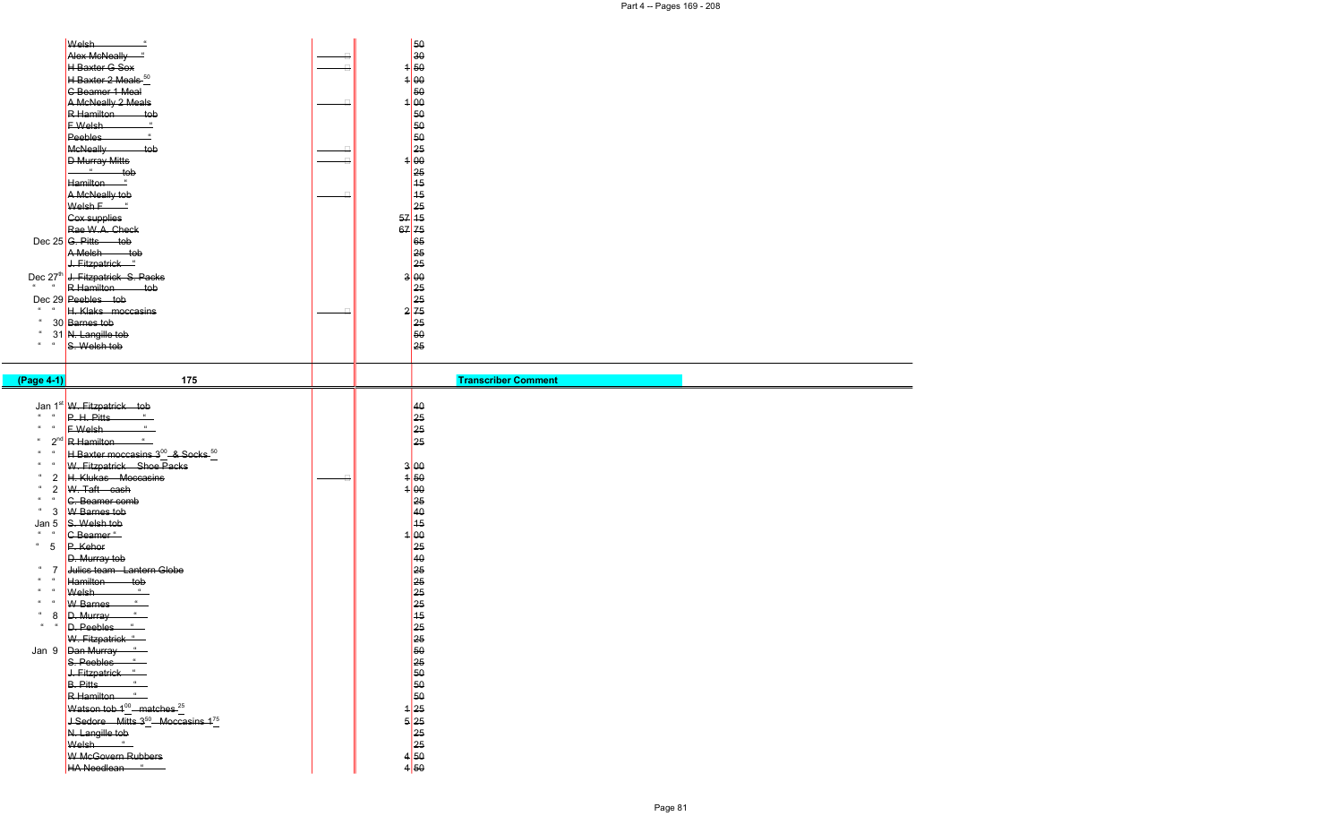|                                                                                                                                                                                                                                                                                                                               | Welsh<br>Alex McNeally "<br><b>H</b> Baxter G Sox<br>H Baxter 2 Meals 50<br><b>C</b> Beamer 1 Meal<br>A McNeally 2 Meals<br>R Hamilton<br>$-$ tob<br><b>F-Welsh</b><br>$\alpha$<br>$\alpha$<br>Peebles<br>McNeally<br>tob<br><b>D</b> Murray Mitts<br>$\mathbf{u}$ and $\mathbf{u}$<br>tob<br>Hamilton "<br>A McNeally tob                                                                                                                                                                                                                                                                                                                                                                                                                                                                                                                             | 50<br>30<br>1 50<br>1 00<br>50<br>1 00<br>50<br>50<br>50<br>25<br>4 00<br>25<br> 45<br> 45                                                                                                                            |                            |  |
|-------------------------------------------------------------------------------------------------------------------------------------------------------------------------------------------------------------------------------------------------------------------------------------------------------------------------------|--------------------------------------------------------------------------------------------------------------------------------------------------------------------------------------------------------------------------------------------------------------------------------------------------------------------------------------------------------------------------------------------------------------------------------------------------------------------------------------------------------------------------------------------------------------------------------------------------------------------------------------------------------------------------------------------------------------------------------------------------------------------------------------------------------------------------------------------------------|-----------------------------------------------------------------------------------------------------------------------------------------------------------------------------------------------------------------------|----------------------------|--|
| $\mathfrak{c}\mathfrak{c}$<br>$\boldsymbol{\mu}$<br>66                                                                                                                                                                                                                                                                        | Welsh F <sup>1</sup><br><b>Cox supplies</b><br>Rae W.A. Check<br>Dec 25 G. Pitts tob<br>A Melsh<br>tob<br>J. Fitzpatrick "<br>Dec 27 <sup>th</sup> J. Fitzpatrick S. Packs<br>R Hamilton tob<br>Dec 29 Peebles tob<br>H. Klaks moccasins<br>30 Barnes tob<br>31 N. Langille tob<br>S. Welsh tob                                                                                                                                                                                                                                                                                                                                                                                                                                                                                                                                                        | 25<br>57 45<br>$67$ 75<br>65<br>25<br>25<br>3 00<br>25<br>25<br>275<br>25<br>50<br>25                                                                                                                                 |                            |  |
| (Page 4-1)                                                                                                                                                                                                                                                                                                                    | 175                                                                                                                                                                                                                                                                                                                                                                                                                                                                                                                                                                                                                                                                                                                                                                                                                                                    |                                                                                                                                                                                                                       | <b>Transcriber Comment</b> |  |
| $\epsilon\epsilon$<br>66<br>$\epsilon\epsilon$<br>$\epsilon\epsilon$<br>2 <sup>nd</sup><br>$\alpha$<br>$\alpha$<br>2<br>$\alpha$<br>2<br>$\mathfrak{g}$<br>$\alpha$<br>3<br>Jan 5<br>$\alpha$<br>66<br>$\epsilon\epsilon$<br>5<br>$\epsilon\epsilon$<br>$\overline{7}$<br>$\mathbf{u}$<br>8<br>$\alpha$<br>$\epsilon\epsilon$ | Jan 1 <sup>st</sup> W. Fitzpatrick tob<br>P. H. Pitts<br>$-44$<br>$\alpha$<br>F-Welsh<br>$\alpha$<br>R Hamilton<br>H Baxter moccasins 3 <sup>00</sup> & Socks <sup>50</sup><br>W. Fitzpatrick Shoe Packs<br>H. Klukas Moccasins<br>W. Taft cash<br>C. Beamer comb<br>W Barnes tob<br>S. Welsh tob<br>C Beamer "<br>P. Kehor<br>D. Murray tob<br>Julics team Lantern Globe<br>Hamilton<br>tob<br>$\alpha$<br>Welsh-<br>$\alpha$<br><b>W</b> Barnes<br>$\alpha$<br>D. Murray<br>$\alpha$<br><b>D.</b> Peebles<br>W. Fitzpatrick "<br>Jan 9 $\frac{1}{\sqrt{\frac{1}{1-\frac{1}{n}}}}$ S. Peebles "<br>J. Fitzpatrick "<br>$B.$ Pitts $\overline{R}$<br>R Hamilton $\overline{R}$<br>Watson tob 1 <sup>00</sup> -matches <sup>25</sup><br>J Sedore Mitts $3^{50}$ Moccasins $1^{75}$<br>N. Langille tob<br>Welsh "<br>W McGovern Rubbers<br>HA Needlean " | 40<br>25<br>25<br>25<br>3 00<br>1 50<br>1 00<br>25<br>40<br>45<br>0e<br>$\overline{1}$<br>25<br>40<br>25<br>25<br>25<br>25<br>45<br>25<br>25<br>50<br>25<br>50<br>50<br>50<br>4 25<br>525<br>25<br>25<br>4 50<br>4 50 |                            |  |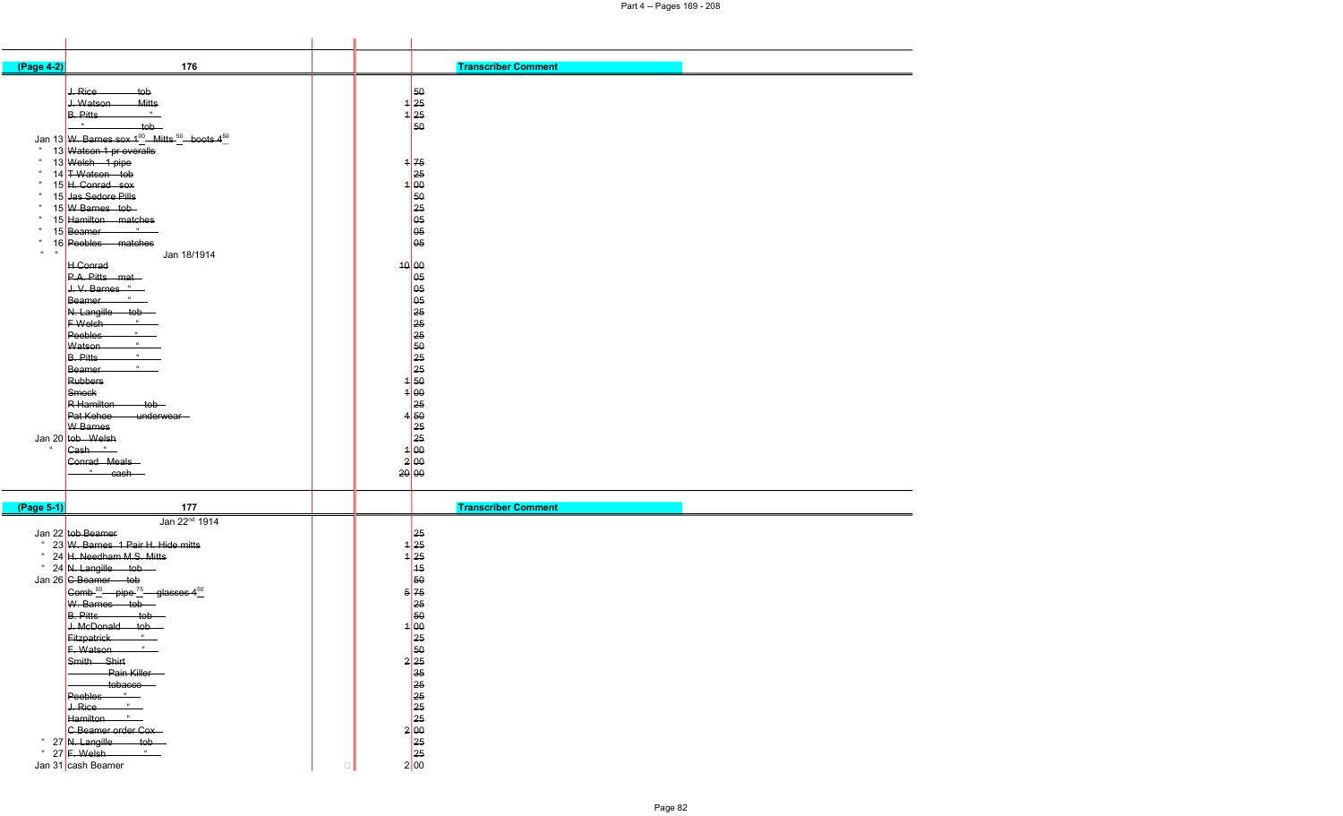| (Page 4-2)                  | 176                                                                                                                                                               |        |       | <b>Transcriber Comment</b> |  |
|-----------------------------|-------------------------------------------------------------------------------------------------------------------------------------------------------------------|--------|-------|----------------------------|--|
|                             | J. Rice<br>dot                                                                                                                                                    |        |       |                            |  |
|                             | J. Watson<br><b>Mitts</b>                                                                                                                                         |        |       | 50<br>4 25                 |  |
|                             | $-66$<br><b>B.</b> Pitts                                                                                                                                          |        |       | 125                        |  |
|                             | tob                                                                                                                                                               |        |       | 50                         |  |
|                             | Jan 13 W. Barnes sox $1^{00}$ Mitts $^{50}$ boots $4^{50}$                                                                                                        |        |       |                            |  |
|                             | 13 Watson 1 pr overalls                                                                                                                                           |        |       |                            |  |
|                             | 13 Welsh 1 pipe                                                                                                                                                   |        |       | 175                        |  |
|                             | 14 T Watson tob                                                                                                                                                   |        |       | 25                         |  |
|                             | 15 H. Conrad sox                                                                                                                                                  |        |       | 1 00                       |  |
|                             | 15 Jas Sedore Pills                                                                                                                                               |        |       | 50                         |  |
|                             | 15 W Barnes tob                                                                                                                                                   |        |       | 25                         |  |
|                             | 15 Hamilton matches                                                                                                                                               |        |       | $\overline{\theta}$        |  |
|                             | 15 Beamer                                                                                                                                                         |        |       | $\overline{\theta}$        |  |
| $\alpha$                    | 16 Peebles matches                                                                                                                                                |        |       | $\overline{\theta}$        |  |
| $\alpha=-\alpha$            | Jan 18/1914                                                                                                                                                       |        |       |                            |  |
|                             | <b>H-Conrad</b>                                                                                                                                                   |        | 1000  |                            |  |
|                             | P.A. Pitts mat                                                                                                                                                    |        |       | $\overline{\theta}$        |  |
|                             | J.V. Barnes "                                                                                                                                                     |        |       | $\overline{\theta}$        |  |
|                             | $\alpha$<br>Beamer                                                                                                                                                |        |       | $\overline{\theta}$        |  |
|                             | N. Langille tob                                                                                                                                                   |        |       | 25                         |  |
|                             | <b>F-Welsh</b><br>$\mathfrak{c}$                                                                                                                                  |        |       | 25                         |  |
|                             | $\alpha$<br>Peebles                                                                                                                                               |        |       | 25                         |  |
|                             | $\alpha$<br>Watson                                                                                                                                                |        |       | 50                         |  |
|                             | $\alpha$<br><b>B.</b> Pitts                                                                                                                                       |        |       | 25                         |  |
|                             | $\alpha$<br>Beamer                                                                                                                                                |        |       | 25                         |  |
|                             | <b>Rubbers</b>                                                                                                                                                    |        |       | 4 50                       |  |
|                             | Smock                                                                                                                                                             |        |       | 100                        |  |
|                             | <b>R</b> Hamilton<br>$\overline{\text{tob}}$                                                                                                                      |        |       | 25                         |  |
|                             | Pat Kehoe<br>underwear                                                                                                                                            |        |       | 4 50                       |  |
|                             | <b>W</b> Barnes                                                                                                                                                   |        |       | 25                         |  |
|                             | Jan 20 tob Welsh                                                                                                                                                  |        |       | $\frac{25}{2}$             |  |
|                             | Cash <sub>"</sub>                                                                                                                                                 |        |       | 1 00                       |  |
|                             | Conrad Meals                                                                                                                                                      |        |       | 2 00                       |  |
|                             | " cash                                                                                                                                                            |        | 20 00 |                            |  |
|                             |                                                                                                                                                                   |        |       |                            |  |
| (Page 5-1)                  | 177                                                                                                                                                               |        |       | <b>Transcriber Comment</b> |  |
|                             | Jan 22 <sup>nd</sup> 1914                                                                                                                                         |        |       |                            |  |
|                             | Jan 22 tob Beamer                                                                                                                                                 |        |       | 25                         |  |
|                             | 23 W. Barnes 1 Pair H. Hide mitts                                                                                                                                 |        |       | 4 25                       |  |
| $\epsilon\epsilon$          | 24 H. Needham M.S. Mitts                                                                                                                                          |        |       | 4 25                       |  |
| $\boldsymbol{\mathfrak{c}}$ | 24 N. Langille tob                                                                                                                                                |        |       | 15                         |  |
|                             | Jan 26 G Beamer tob                                                                                                                                               |        |       | 50                         |  |
|                             | $\begin{array}{r} \hbox{Gomb-$^{50}$}\quad \text{pipe-}{\text{75}} \quad \text{glasses 4$^{50}$}\ \hbox{W. Barnes} \quad \hbox{tob} \quad \text{---} \end{array}$ |        |       | 575                        |  |
|                             |                                                                                                                                                                   |        |       | $\vert$ 25                 |  |
|                             | B. Pitts tob                                                                                                                                                      |        |       | 50                         |  |
|                             | J. McDonald tob —                                                                                                                                                 |        |       | 100                        |  |
|                             | Fitzpatrick "                                                                                                                                                     |        |       | 25                         |  |
|                             | F. Watson                                                                                                                                                         |        |       | 50                         |  |
|                             | Smith Shirt                                                                                                                                                       |        |       | $2\overline{25}$           |  |
|                             | Pain Killer                                                                                                                                                       |        |       | 35                         |  |
|                             | tobacco                                                                                                                                                           |        |       | 25                         |  |
|                             | Peebles "                                                                                                                                                         |        |       | 25                         |  |
|                             | $H = \begin{bmatrix} 1 & 1 & 1 \\ 1 & 1 & 1 \\ 1 & 1 & 1 \\ 1 & 1 & 1 \end{bmatrix}$                                                                              |        |       | 25                         |  |
|                             |                                                                                                                                                                   |        |       | 25                         |  |
|                             | C Beamer order Cox-                                                                                                                                               |        |       | 2 00                       |  |
|                             | " 27 N. Langille tob                                                                                                                                              |        |       | 25                         |  |
|                             | $\mathbf{u}$<br>27 F. Welsh                                                                                                                                       |        |       | 25                         |  |
|                             | Jan 31 cash Beamer                                                                                                                                                | $\Box$ |       | 2 00                       |  |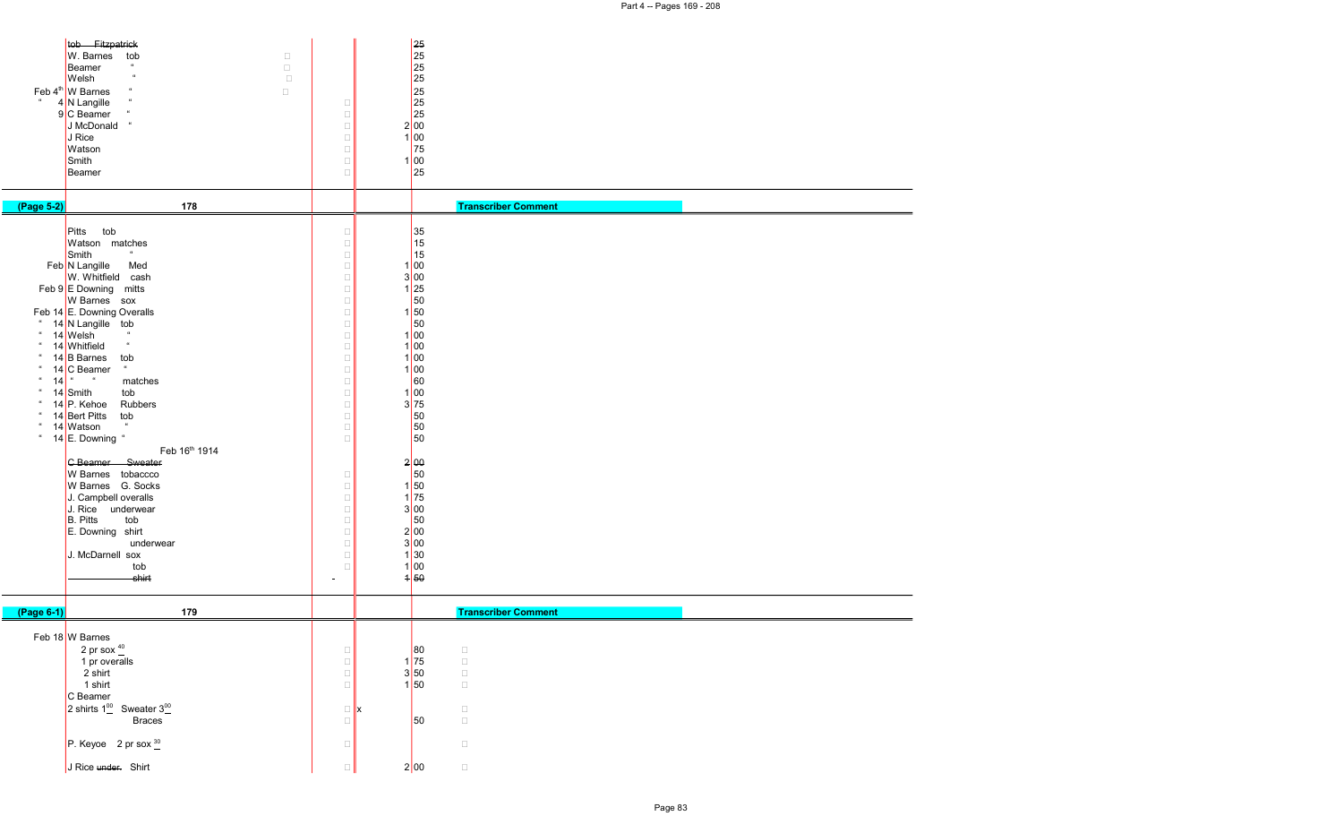|                                                                                                                                                                          | tob Fitzpatrick<br>W. Barnes<br>$\Box$<br>tob<br>Beamer<br>$\Box$<br>Welsh<br>$\alpha$<br>$\Box$<br>Feb $4th$ W Barnes<br>$\Box$<br>4 N Langille<br>9 C Beamer<br>J McDonald "<br>J Rice<br>Watson<br>Smith<br>Beamer                                                                                                                                                                                                                                                                                                                                                                                                                                                                         | $\Box$<br>$\Box$<br>$\Box$<br>$\Box$<br>$\Box$<br>$\Box$<br>$\Box$                                                                                                                                                                                                                   | $\begin{array}{r} 25 \\ 25 \end{array}$<br>25<br>25<br>25<br>25<br>25<br>2 00<br>1 00<br>75<br>1 00<br>25                                                                                                                 |                                                          |
|--------------------------------------------------------------------------------------------------------------------------------------------------------------------------|-----------------------------------------------------------------------------------------------------------------------------------------------------------------------------------------------------------------------------------------------------------------------------------------------------------------------------------------------------------------------------------------------------------------------------------------------------------------------------------------------------------------------------------------------------------------------------------------------------------------------------------------------------------------------------------------------|--------------------------------------------------------------------------------------------------------------------------------------------------------------------------------------------------------------------------------------------------------------------------------------|---------------------------------------------------------------------------------------------------------------------------------------------------------------------------------------------------------------------------|----------------------------------------------------------|
| (Page 5-2)                                                                                                                                                               | 178                                                                                                                                                                                                                                                                                                                                                                                                                                                                                                                                                                                                                                                                                           |                                                                                                                                                                                                                                                                                      |                                                                                                                                                                                                                           | <b>Transcriber Comment</b>                               |
| $\epsilon\epsilon$<br>$\alpha$<br>$\epsilon\epsilon$<br>$\epsilon\epsilon$<br>$\boldsymbol{\mu}$<br>14<br>$\mathfrak{c}\mathfrak{c}$<br>$\boldsymbol{\mu}$<br>$\epsilon$ | Pitts tob<br>Watson matches<br>Smith<br>Feb N Langille<br>Med<br>W. Whitfield cash<br>Feb $9$ E Downing mitts<br>W Barnes sox<br>Feb 14 E. Downing Overalls<br>14 N Langille tob<br>" 14 Welsh<br>14 Whitfield<br>$\boldsymbol{\mu}$<br>14 B Barnes<br>tob<br>$\epsilon\epsilon$<br>14 C Beamer<br>$\alpha$<br>$\epsilon$<br>matches<br>14 Smith<br>tob<br>14 P. Kehoe<br>Rubbers<br>14 Bert Pitts<br>tob<br>" 14 Watson<br>$\alpha$<br>" $14$ E. Downing "<br>Feb 16th 1914<br><b>C</b> Beamer Sweater<br>W Barnes tobaccco<br>W Barnes G. Socks<br>J. Campbell overalls<br>J. Rice underwear<br><b>B.</b> Pitts<br>tob<br>E. Downing shirt<br>underwear<br>J. McDarnell sox<br>tob<br>shirt | $\Box$<br>$\Box$<br>$\Box$<br>$\Box$<br>$\Box$<br>$\Box$<br>$\Box$<br>$\Box$<br>$\Box$<br>$\Box$<br>$\Box$<br>$\Box$<br>$\Box$<br>$\Box$<br>$\Box$<br>$\Box$<br>$\Box$<br>$\Box$<br>$\Box$<br>$\Box$<br>$\Box$<br>$\Box$<br>$\Box$<br>$\Box$<br>$\Box$<br>$\Box$<br>$\Box$<br>$\Box$ | 35<br>15<br>15<br>1 00<br>3 00<br>1 25<br>50<br>1 50<br>50<br>1 00<br>1 00<br>1 00<br>1 00<br>60<br>1 00<br>3 75<br>50<br>50<br>50<br>2 00 <br>50<br>1 50<br>$1$ 75<br>3 00<br>50<br>2 00<br>3 00<br>1 30<br>1 00<br>4 50 |                                                          |
| (Page 6-1)                                                                                                                                                               | 179                                                                                                                                                                                                                                                                                                                                                                                                                                                                                                                                                                                                                                                                                           |                                                                                                                                                                                                                                                                                      |                                                                                                                                                                                                                           | <b>Transcriber Comment</b>                               |
|                                                                                                                                                                          | Feb 18 W Barnes<br>2 pr sox $\frac{40}{1}$<br>1 pr overalls<br>2 shirt<br>1 shirt<br>C Beamer<br>2 shirts $1^{00}$ Sweater $3^{00}$<br><b>Braces</b>                                                                                                                                                                                                                                                                                                                                                                                                                                                                                                                                          | $\Box$<br>$\Box$<br>$\Box$<br>$\Box$<br>$\Box$ x<br>$\Box$                                                                                                                                                                                                                           | 80<br>1 75<br>3 50<br>1 50<br>50                                                                                                                                                                                          | $\Box$<br>$\Box$<br>$\Box$<br>$\Box$<br>$\Box$<br>$\Box$ |
|                                                                                                                                                                          | P. Keyoe $2 \text{ pr sox } \frac{30}{2}$<br>J Rice under. Shirt                                                                                                                                                                                                                                                                                                                                                                                                                                                                                                                                                                                                                              | $\Box$<br>$\Box$                                                                                                                                                                                                                                                                     | 2 00                                                                                                                                                                                                                      | $\Box$<br>$\Box$                                         |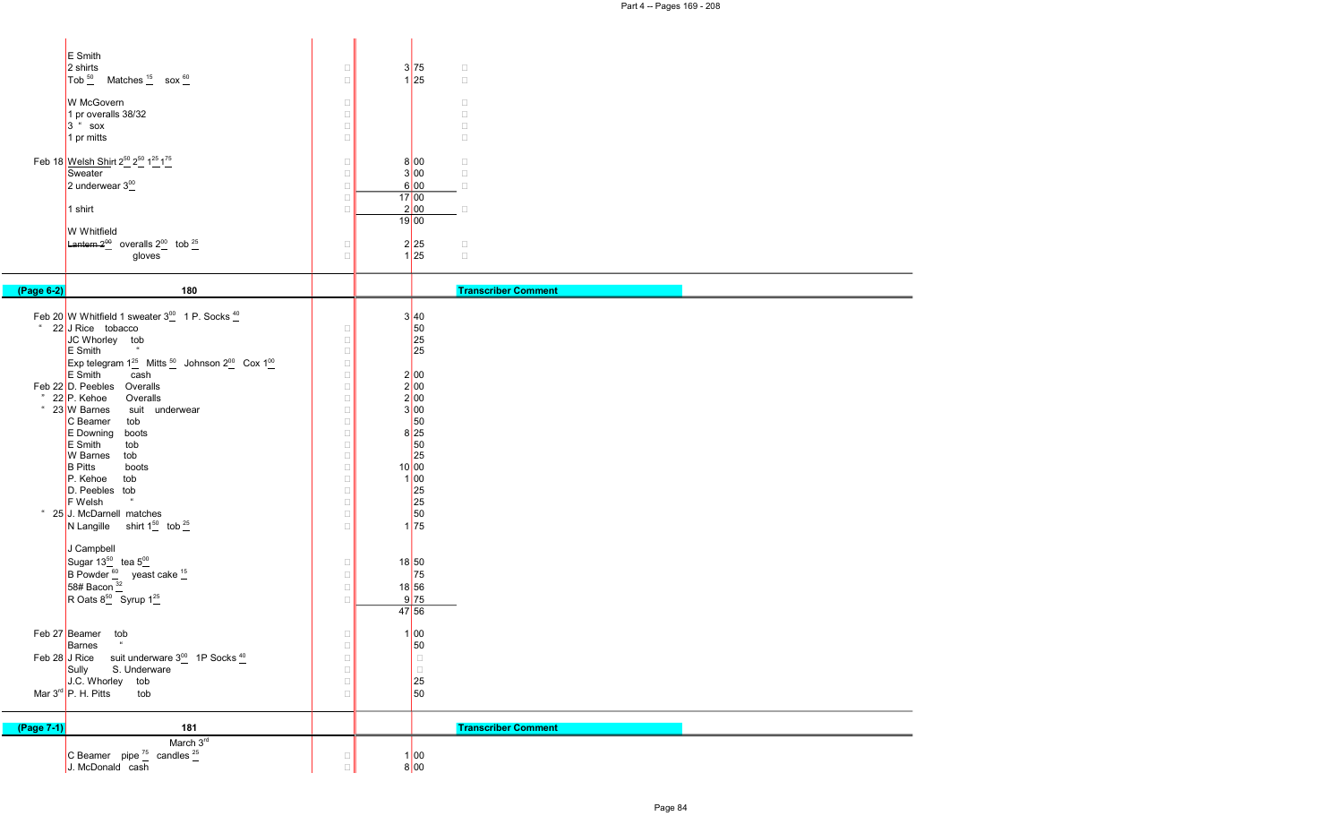|                | E Smith<br>2 shirts<br>$\overline{7}$ ob $\frac{50}{2}$ Matches $\frac{15}{2}$ sox $\frac{60}{2}$<br>W McGovern<br>1 pr overalls 38/32<br>$3$ $\degree$ sox<br>1 pr mitts<br>Feb 18 Welsh Shirt 2 <sup>50</sup> 2 <sup>50</sup> 1 <sup>25</sup> 1 <sup>75</sup><br>Sweater<br>2 underwear 3 <sup>00</sup><br>1 shirt<br>W Whitfield<br>Lantern $2^{00}_{-}$ overalls $2^{00}_{-}$ tob $2^{5}$<br>gloves                                                                                                                                              | $\Box$<br>$\Box$<br>$\Box$<br>$\Box$<br>$\Box$<br>$\Box$<br>$\Box$<br>$\Box$<br>$\Box$<br>$\Box$<br>$\Box$<br>$\Box$<br>$\Box$                                                   | 3 75<br>1 25<br>8 00<br>3 00<br>6 00<br>17 00<br>2 00 <br>19 00<br>2 25<br>1 25                                             | $\Box$<br>$\Box$<br>$\Box$<br>$\Box$<br>$\Box$<br>$\Box$<br>$\Box$<br>$\Box$<br>$\Box$<br>$\Box$<br>$\Box$<br>$\Box$ |
|----------------|------------------------------------------------------------------------------------------------------------------------------------------------------------------------------------------------------------------------------------------------------------------------------------------------------------------------------------------------------------------------------------------------------------------------------------------------------------------------------------------------------------------------------------------------------|----------------------------------------------------------------------------------------------------------------------------------------------------------------------------------|-----------------------------------------------------------------------------------------------------------------------------|----------------------------------------------------------------------------------------------------------------------|
| (Page 6-2)     | 180                                                                                                                                                                                                                                                                                                                                                                                                                                                                                                                                                  |                                                                                                                                                                                  |                                                                                                                             | <b>Transcriber Comment</b>                                                                                           |
| $\mathfrak{c}$ | Feb 20 W Whitfield 1 sweater 3 <sup>00</sup> 1 P. Socks <sup>40</sup><br>22 J Rice tobacco<br>JC Whorley tob<br>E Smith<br>Exp telegram $1^{25}$ Mitts $^{50}$ Johnson $2^{00}$ Cox $1^{00}$<br>E Smith<br>cash<br>Feb 22 D. Peebles<br>Overalls<br>22 P. Kehoe<br>Overalls<br>" 23 W Barnes<br>suit underwear<br>C Beamer<br>tob<br>E Downing<br>boots<br>E Smith<br>tob<br><b>W</b> Barnes<br>tob<br><b>B</b> Pitts<br>boots<br>P. Kehoe<br>tob<br>D. Peebles tob<br>F Welsh<br>" 25 J. McDarnell matches<br>N Langille shirt $1^{50}$ tob $^{25}$ | $\Box$<br>$\Box$<br>$\Box$<br>$\Box$<br>$\Box$<br>$\Box$<br>$\Box$<br>$\Box$<br>$\Box$<br>$\Box$<br>$\Box$<br>$\Box$<br>$\Box$<br>$\Box$<br>$\Box$<br>$\Box$<br>$\Box$<br>$\Box$ | 3 40<br>50<br>25<br>25<br>2 00<br>2 00<br>2 00<br>3 00<br>50<br>8 25<br>50<br>25<br>10 00<br>1 00<br>25<br>25<br>50<br>1 75 |                                                                                                                      |
|                | J Campbell<br>Sugar 13 <sup>50</sup> tea 5 <sup>00</sup><br>B Powder $\frac{60}{58}$<br>58# Bacon $\frac{32}{58}$<br>yeast cake <sup>15</sup><br>R Oats 8 <sup>50</sup> Syrup 1 <sup>25</sup>                                                                                                                                                                                                                                                                                                                                                        | $\Box$<br>$\Box$<br>$\Box$<br>$\Box$                                                                                                                                             | 18 50<br>75<br>18 56<br>9 75<br>47 56                                                                                       |                                                                                                                      |
|                | Feb $27$ Beamer tob<br>Barnes "<br>Feb 28 J Rice suit underware $3^{00}$ 1P Socks $^{40}$<br>Sully S. Underware<br>J.C. Whorley tob<br>Mar $3^{\text{rd}}$ P. H. Pitts<br>tob                                                                                                                                                                                                                                                                                                                                                                        | $\Box$<br>$\Box$<br>$\Box$<br>$\Box$<br>$\Box$<br>$\Box$                                                                                                                         | 1 00<br>50<br>$\Box$<br>$\Box$<br>25<br>50                                                                                  |                                                                                                                      |
| (Page 7-1)     | 181                                                                                                                                                                                                                                                                                                                                                                                                                                                                                                                                                  |                                                                                                                                                                                  |                                                                                                                             | <b>Transcriber Comment</b>                                                                                           |
|                | March 3rd<br>C Beamer $pipe \stackrel{75}{\_} $ candles $\stackrel{25}{\_}$<br>J. McDonald cash                                                                                                                                                                                                                                                                                                                                                                                                                                                      | $\Box$<br>$\Box$                                                                                                                                                                 | 1 00<br>8 00                                                                                                                |                                                                                                                      |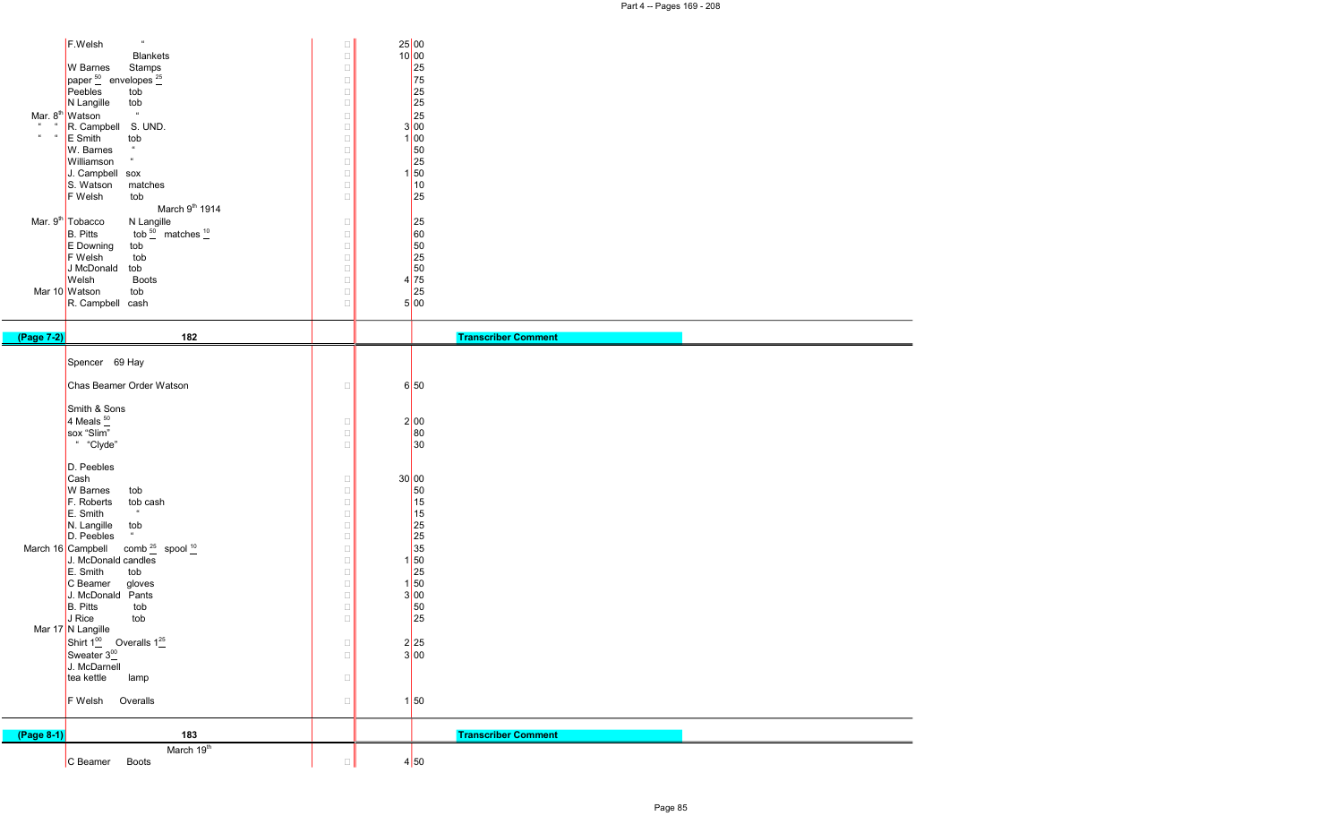|                                      | March 19th<br>C Beamer<br>Boots                                                      | $\Box$           |       | 4 50         |                            |
|--------------------------------------|--------------------------------------------------------------------------------------|------------------|-------|--------------|----------------------------|
| (Page 8-1)                           | 183                                                                                  |                  |       |              | <b>Transcriber Comment</b> |
|                                      | F Welsh<br>Overalls                                                                  | $\Box$           |       | 1 50         |                            |
|                                      | tea kettle<br>lamp                                                                   | $\Box$           |       |              |                            |
|                                      | Sweater 3 <sup>00</sup><br>J. McDarnell                                              | $\Box$           |       | 3 00         |                            |
|                                      | Mar 17 N Langille<br>Shirt $1^{00}_{\infty}$ Overalls $1^{25}_{\infty}$              | $\Box$           |       | 2 25         |                            |
|                                      | <b>B.</b> Pitts<br>tob<br>J Rice<br>tob                                              | $\Box$<br>$\Box$ |       | 50<br>25     |                            |
|                                      | J. McDonald Pants                                                                    | $\Box$           |       | 3 00         |                            |
|                                      | E. Smith<br>tob<br>C Beamer<br>gloves                                                | $\Box$<br>$\Box$ |       | 25<br>1 50   |                            |
|                                      | comb $\frac{25}{1}$ spool $\frac{10}{1}$<br>March 16 Campbell<br>J. McDonald candles | $\Box$<br>$\Box$ |       | 35<br>1 50   |                            |
|                                      | N. Langille<br>tob<br>D. Peebles<br>$\alpha$                                         | $\Box$<br>$\Box$ |       | 25<br>25     |                            |
|                                      | F. Roberts<br>tob cash<br>$\mathfrak{c}\mathfrak{c}$<br>E. Smith                     | $\Box$<br>$\Box$ |       | 15<br>15     |                            |
|                                      | Cash<br>W Barnes<br>tob                                                              | $\Box$<br>$\Box$ | 30 00 | 50           |                            |
|                                      | D. Peebles                                                                           |                  |       |              |                            |
|                                      | " "Clyde"                                                                            | $\Box$<br>$\Box$ |       | 80<br>30     |                            |
|                                      | $4$ Meals $\frac{50}{6}$<br>sox "Slim"                                               | $\Box$           |       | 2 00         |                            |
|                                      | Smith & Sons                                                                         |                  |       |              |                            |
|                                      | Chas Beamer Order Watson                                                             | $\Box$           |       | 6 50         |                            |
|                                      | Spencer 69 Hay                                                                       |                  |       |              |                            |
| $(Page 7-2)$                         | 182                                                                                  |                  |       |              | <b>Transcriber Comment</b> |
|                                      | R. Campbell cash                                                                     | $\Box$           |       | 5 00         |                            |
|                                      | Welsh<br><b>Boots</b><br>Mar 10 Watson<br>tob                                        | $\Box$<br>$\Box$ |       | 4 75<br>25   |                            |
|                                      | <b>F</b> Welsh<br>tob<br>J McDonald<br>tob                                           | $\Box$<br>$\Box$ |       | 25<br>50     |                            |
|                                      | tob $\frac{50}{ }$ matches $\frac{10}{ }$<br><b>B.</b> Pitts<br>E Downing<br>tob     | $\Box$<br>$\Box$ |       | 60<br>50     |                            |
|                                      | March 9th 1914<br>Mar. 9 <sup>th</sup> Tobacco<br>N Langille                         | $\Box$           |       | 25           |                            |
|                                      | F Welsh<br>tob                                                                       | $\Box$<br>$\Box$ |       | 25           |                            |
|                                      | J. Campbell sox<br>S. Watson<br>matches                                              | $\Box$           |       | 1 50<br>10   |                            |
|                                      | $\alpha$<br>W. Barnes<br>Williamson<br>$\alpha$                                      | $\Box$<br>$\Box$ |       | 50<br>25     |                            |
| $\alpha$<br>$\mathbf{u}=-\mathbf{u}$ | R. Campbell S. UND.<br>E Smith<br>tob                                                | $\Box$<br>$\Box$ |       | 3 00<br>1 00 |                            |
|                                      | N Langille<br>tob<br>$\boldsymbol{\mu}$<br>Mar. 8 <sup>th</sup> Watson               | $\Box$<br>$\Box$ |       | 25<br>25     |                            |
|                                      | paper $\frac{50}{6}$ envelopes $\frac{25}{6}$<br>Peebles<br>tob                      | $\Box$<br>$\Box$ |       | 75<br>25     |                            |
|                                      | <b>Blankets</b><br>Stamps<br>W Barnes                                                | $\Box$<br>$\Box$ | 10 00 | 25           |                            |
|                                      | $\alpha$<br>F.Welsh                                                                  | $\Box$           | 25 00 |              |                            |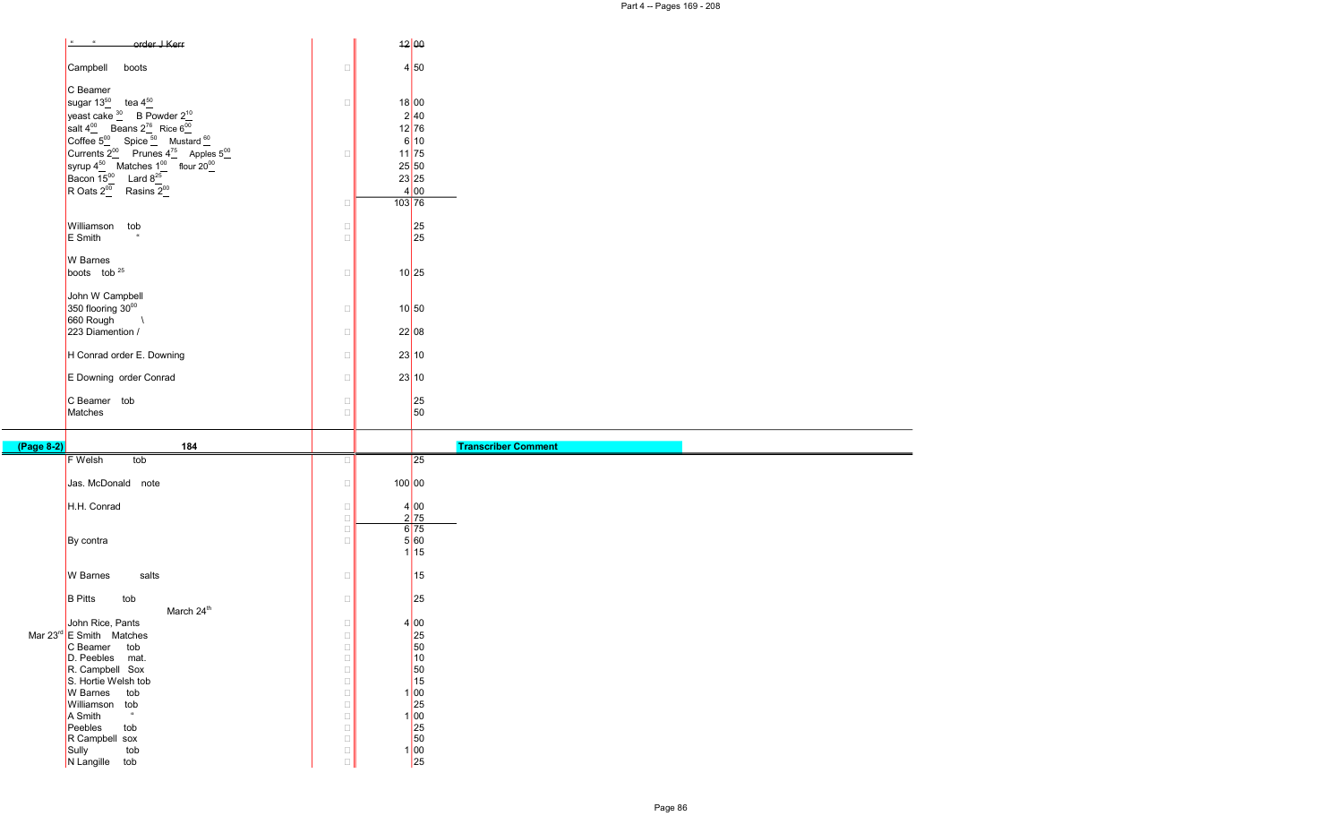|            | " " order J Kerr                                                                                                                                                                                                                                                                                          |                                                                                                                      | 42 00  |                                                                                       |
|------------|-----------------------------------------------------------------------------------------------------------------------------------------------------------------------------------------------------------------------------------------------------------------------------------------------------------|----------------------------------------------------------------------------------------------------------------------|--------|---------------------------------------------------------------------------------------|
|            | Campbell boots                                                                                                                                                                                                                                                                                            | $\Box$                                                                                                               |        | 4 50                                                                                  |
|            | C Beamer<br>sugar 13 <sup>50</sup> tea 4 <sup>50</sup><br>yeast cake <sup>30</sup> B Powder 2 <sup>10</sup>                                                                                                                                                                                               | $\Box$                                                                                                               |        | 18 00<br>2 40                                                                         |
|            | salt $4^{00}_{\perp}$ Beans $2^{76}_{\perp}$ Rice $6^{00}_{\perp}$<br>Coffee $5^{00}_{\perp}$ Spice $^{50}_{\perp}$ Mustard $^{60}_{\perp}$<br>Currents $2^{00}_{\infty}$ Prunes $4^{75}_{\infty}$ Apples $5^{00}_{\infty}$<br>syrup $4^{50}_{\infty}$ Matches $1^{00}_{\infty}$ flour $20^{00}_{\infty}$ | $\Box$                                                                                                               |        | 12 76<br>6 10<br>11 75<br>25 50                                                       |
|            | Bacon $15^{00}$ Lard $8^{25}$<br>R Oats $2^{00}$ Rasins $2^{00}$                                                                                                                                                                                                                                          | $\Box$                                                                                                               | 103 76 | 23 25<br>4 00                                                                         |
|            | Williamson tob<br>E Smith                                                                                                                                                                                                                                                                                 | $\Box$<br>$\Box$                                                                                                     |        | 25 <br>25                                                                             |
|            | W Barnes<br>boots tob $25$                                                                                                                                                                                                                                                                                | $\Box$                                                                                                               |        | 10 25                                                                                 |
|            | John W Campbell<br>350 flooring 3000<br>660 Rough<br>$\sqrt{2}$                                                                                                                                                                                                                                           | $\Box$                                                                                                               |        | 10 50                                                                                 |
|            | 223 Diamention /                                                                                                                                                                                                                                                                                          | $\Box$                                                                                                               |        | 22 08                                                                                 |
|            | H Conrad order E. Downing                                                                                                                                                                                                                                                                                 | $\Box$                                                                                                               |        | 23 10                                                                                 |
|            | E Downing order Conrad                                                                                                                                                                                                                                                                                    | $\Box$                                                                                                               |        | 23 10                                                                                 |
|            | C Beamer tob                                                                                                                                                                                                                                                                                              | $\Box$                                                                                                               |        | 25<br>50                                                                              |
|            | Matches                                                                                                                                                                                                                                                                                                   | $\Box$                                                                                                               |        |                                                                                       |
| (Page 8-2) | 184                                                                                                                                                                                                                                                                                                       |                                                                                                                      |        | <b>Transcriber Comment</b>                                                            |
|            | F Welsh<br>tob                                                                                                                                                                                                                                                                                            | $\Box$                                                                                                               |        | 25                                                                                    |
|            | Jas. McDonald note                                                                                                                                                                                                                                                                                        | $\Box$                                                                                                               | 100 00 |                                                                                       |
|            | H.H. Conrad                                                                                                                                                                                                                                                                                               | $\Box$<br>$\Box$                                                                                                     |        | 4 00<br>2 75                                                                          |
|            | By contra                                                                                                                                                                                                                                                                                                 | $\Box$<br>$\Box$                                                                                                     |        | $6\overline{75}$<br>5 60<br>1 15                                                      |
|            | W Barnes<br>salts                                                                                                                                                                                                                                                                                         | $\Box$                                                                                                               |        | 15                                                                                    |
|            | <b>B</b> Pitts<br>tob<br>March 24 <sup>th</sup>                                                                                                                                                                                                                                                           | $\Box$                                                                                                               |        | 25                                                                                    |
|            | John Rice, Pants<br>Mar $23^{rd}$ E Smith Matches<br>C Beamer tob<br>D. Peebles mat.<br>R. Campbell Sox<br>S. Hortie Welsh tob<br>W Barnes<br>tob<br>Williamson tob<br>A Smith<br>Peebles<br>tob<br>R Campbell sox<br>Sully<br>tob                                                                        | $\Box$<br>$\Box$<br>$\Box$<br>$\Box$<br>$\Box$<br>$\Box$<br>$\Box$<br>$\Box$<br>$\Box$<br>$\Box$<br>$\Box$<br>$\Box$ |        | 4 00<br>$\sqrt{25}$<br>50<br>10<br>50<br>15<br>1 00<br>25<br>1 00<br>25<br>50<br>1 00 |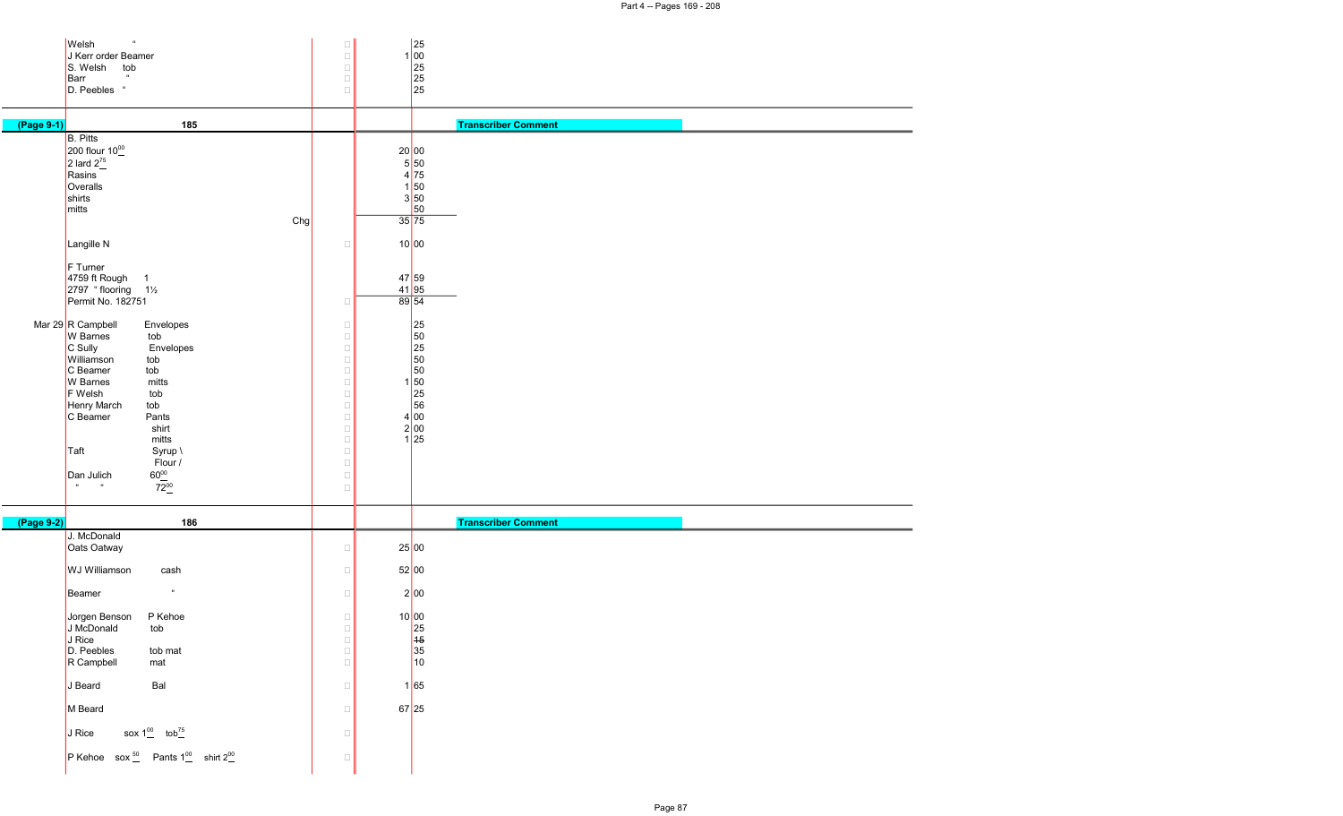# Part 4 -- Pages 169 - 208

|              | Welsh<br>$\alpha$<br>J Kerr order Beamer<br>S. Welsh tob<br>$\mu$<br>Barr<br>D. Peebles "                                                                                                                                                                                                                                   | $\Box$<br>$\Box$<br>$\Box$<br>$\Box$<br>$\Box$                                                                                                     | $\begin{array}{c} 25 \\ 100 \end{array}$<br>$\begin{array}{r} 25 \\ 25 \\ 25 \end{array}$                      |                            |
|--------------|-----------------------------------------------------------------------------------------------------------------------------------------------------------------------------------------------------------------------------------------------------------------------------------------------------------------------------|----------------------------------------------------------------------------------------------------------------------------------------------------|----------------------------------------------------------------------------------------------------------------|----------------------------|
| (Page 9-1)   | 185                                                                                                                                                                                                                                                                                                                         |                                                                                                                                                    |                                                                                                                | <b>Transcriber Comment</b> |
|              | B. Pitts<br>200 flour 10 <sup>00</sup><br>$2$ lard $2^{75}$<br>Rasins<br>Overalls<br>shirts<br>mitts<br>Chg                                                                                                                                                                                                                 |                                                                                                                                                    | 20 00<br>5 50<br>4 75<br>1 50<br>3 50<br>50<br>35   75                                                         |                            |
|              | Langille N                                                                                                                                                                                                                                                                                                                  | $\Box$                                                                                                                                             | 10 00                                                                                                          |                            |
|              | F Turner<br>4759 ft Rough<br>$\overline{1}$<br>2797 "flooring 11/2<br>Permit No. 182751                                                                                                                                                                                                                                     | $\Box$                                                                                                                                             | 47 59<br>41 95<br>89 54                                                                                        |                            |
|              | Mar 29 R Campbell<br>Envelopes<br>W Barnes<br>tob<br>Envelopes<br>C Sully<br>Williamson<br>tob<br>C Beamer<br>tob<br>W Barnes<br>mitts<br>F Welsh<br>tob<br>Henry March<br>tob<br>C Beamer<br>Pants<br>shirt<br>mitts<br>Taft<br>Syrup \<br>Flour /<br>$\frac{60^{00}}{72^{00}}$<br>Dan Julich<br>$\mathbf{u} = \mathbf{u}$ | $\Box$<br>$\Box$<br>$\Box$<br>$\Box$<br>$\Box$<br>$\Box$<br>$\Box$<br>$\Box$<br>$\Box$<br>$\Box$<br>$\Box$<br>$\Box$<br>$\Box$<br>$\Box$<br>$\Box$ | 25<br>50<br>25<br>50<br>50<br>50<br>1<br>25<br>56<br>$\begin{array}{c c} 4 & 00 \\ 2 & 00 \end{array}$<br>1 25 |                            |
| $(Page 9-2)$ | 186                                                                                                                                                                                                                                                                                                                         |                                                                                                                                                    |                                                                                                                | <b>Transcriber Comment</b> |
|              | J. McDonald<br>Oats Oatway                                                                                                                                                                                                                                                                                                  | $\Box$                                                                                                                                             | 25 00                                                                                                          |                            |
|              |                                                                                                                                                                                                                                                                                                                             |                                                                                                                                                    |                                                                                                                |                            |
|              | <b>WJ</b> Williamson<br>cash<br>$\alpha$                                                                                                                                                                                                                                                                                    | $\Box$                                                                                                                                             | 52 00                                                                                                          |                            |
|              | Beamer                                                                                                                                                                                                                                                                                                                      | $\Box$                                                                                                                                             | 2 00                                                                                                           |                            |
|              | P Kehoe<br>Jorgen Benson<br>J McDonald<br>tob<br>J Rice<br>D. Peebles<br>tob mat<br>R Campbell<br>mat                                                                                                                                                                                                                       | $\Box$<br>$\Box$<br>$\Box$<br>$\Box$<br>$\Box$                                                                                                     | 10 00<br>25<br>45<br>35<br>10                                                                                  |                            |
|              | Bal<br>J Beard                                                                                                                                                                                                                                                                                                              | $\Box$                                                                                                                                             | 1 65                                                                                                           |                            |
|              | M Beard                                                                                                                                                                                                                                                                                                                     | $\Box$                                                                                                                                             | $67$ 25                                                                                                        |                            |
|              | sox $1^{00}$ tob <sup>75</sup><br>J Rice                                                                                                                                                                                                                                                                                    | $\Box$                                                                                                                                             |                                                                                                                |                            |
|              | P Kehoe $50x - 50$ Pants $100$ shirt $200$                                                                                                                                                                                                                                                                                  | $\Box$                                                                                                                                             |                                                                                                                |                            |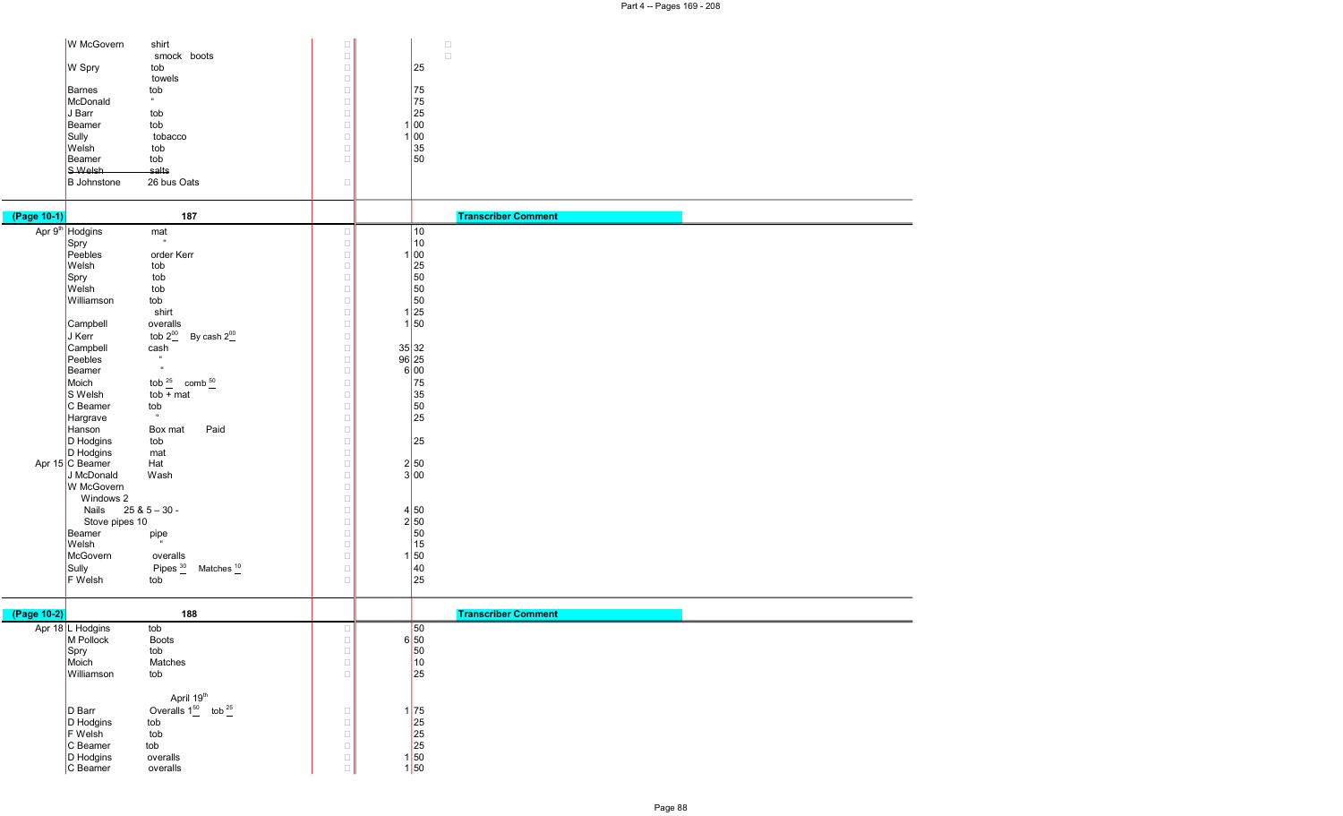|             | W McGovern                    | shirt                                          | $\Box$           |                |                                                    | $\Box$                     |
|-------------|-------------------------------|------------------------------------------------|------------------|----------------|----------------------------------------------------|----------------------------|
|             |                               | smock boots                                    | $\Box$           |                |                                                    | $\Box$                     |
|             | W Spry                        | tob                                            | $\Box$           |                | 25                                                 |                            |
|             |                               | towels                                         | $\Box$           |                |                                                    |                            |
|             | <b>Barnes</b>                 | tob<br>$\alpha$                                | $\Box$           |                | 75                                                 |                            |
|             | McDonald                      |                                                | $\Box$           |                | 75                                                 |                            |
|             | J Barr                        | tob                                            | $\Box$           |                | 25                                                 |                            |
|             | Beamer                        | tob                                            | $\Box$           |                | 1 00                                               |                            |
|             | Sully                         | tobacco                                        | $\Box$           |                | 1 00                                               |                            |
|             | Welsh                         | tob                                            | $\Box$           |                | 35                                                 |                            |
|             | Beamer                        | tob                                            | $\Box$           |                | 50                                                 |                            |
|             | S-Welsh                       | salts                                          |                  |                |                                                    |                            |
|             | <b>B</b> Johnstone            | 26 bus Oats                                    | $\Box$           |                |                                                    |                            |
|             |                               | 187                                            |                  |                |                                                    | <b>Transcriber Comment</b> |
| (Page 10-1) | Apr 9 <sup>th</sup> Hodgins   |                                                |                  |                | 10                                                 |                            |
|             | Spry                          | mat<br>$\overline{\mathbf{a}}$                 | $\Box$<br>$\Box$ |                | $10$                                               |                            |
|             | Peebles                       | order Kerr                                     | $\Box$           |                | 1 00                                               |                            |
|             | Welsh                         | tob                                            | $\Box$           |                | 25                                                 |                            |
|             | Spry                          | tob                                            | $\Box$           |                | 50                                                 |                            |
|             | Welsh                         | tob                                            | $\Box$           |                | 50                                                 |                            |
|             | Williamson                    | tob                                            | $\Box$           |                | 50                                                 |                            |
|             |                               | shirt                                          | $\Box$           |                | 1 25                                               |                            |
|             | Campbell                      | overalls                                       | $\Box$           |                | 1 50                                               |                            |
|             | J Kerr                        | tob $2^{00}$<br>By cash $2^{00}$               | $\Box$           |                |                                                    |                            |
|             | Campbell                      |                                                | $\Box$           |                |                                                    |                            |
|             | Peebles                       | cash<br>$\mathfrak{c}\mathfrak{c}$             |                  | 35 32<br>96 25 |                                                    |                            |
|             | Beamer                        | $\alpha$                                       | $\Box$           |                | 6 00                                               |                            |
|             |                               | $\frac{1}{2}$ comb $\frac{50}{2}$              | $\Box$           |                |                                                    |                            |
|             | Moich                         |                                                | $\Box$           |                | 75                                                 |                            |
|             | S Welsh                       | $\text{tob}$ + mat                             | $\Box$           |                | 35                                                 |                            |
|             | C Beamer                      | tob<br>$\mu$                                   | $\Box$           |                | 50                                                 |                            |
|             | Hargrave<br>Hanson            | Paid                                           | $\Box$<br>$\Box$ |                | 25                                                 |                            |
|             |                               | Box mat                                        | $\Box$           |                |                                                    |                            |
|             | D Hodgins                     | tob                                            | $\Box$           |                | 25                                                 |                            |
|             | D Hodgins                     | mat<br>Hat                                     | $\Box$           |                | 2 50                                               |                            |
|             | Apr 15 C Beamer<br>J McDonald | Wash                                           | $\Box$           |                | 3 00                                               |                            |
|             | W McGovern                    |                                                | $\Box$           |                |                                                    |                            |
|             | Windows 2                     |                                                | $\Box$           |                |                                                    |                            |
|             | Nails                         |                                                | $\Box$           |                | 4 50                                               |                            |
|             |                               | $25 & 5 - 30 -$                                | $\Box$           |                | 2 50                                               |                            |
|             | Stove pipes 10<br>Beamer      |                                                | $\Box$           |                | 50                                                 |                            |
|             | Welsh                         | pipe                                           | $\Box$           |                | 15                                                 |                            |
|             | McGovern                      | overalls                                       | $\Box$           |                | 1 50                                               |                            |
|             | Sully                         | Pipes $\frac{30}{6}$<br>Matches $\frac{10}{6}$ | $\Box$           |                | 40                                                 |                            |
|             | <b>F</b> Welsh                | tob                                            | $\Box$           |                | 25                                                 |                            |
|             |                               |                                                |                  |                |                                                    |                            |
|             |                               |                                                |                  |                |                                                    |                            |
| (Page 10-2) |                               | 188                                            |                  |                |                                                    | <b>Transcriber Comment</b> |
|             | Apr 18 L Hodgins              | tob                                            | $\Box$           |                | 50                                                 |                            |
|             | M Pollock                     | Boots                                          | $\Box$           |                | 6 50                                               |                            |
|             | Spry<br>Moich                 | tob                                            | $\Box$           |                | 50<br>10                                           |                            |
|             |                               | Matches                                        | $\Box$           |                |                                                    |                            |
|             | Williamson                    | tob                                            | $\Box$           |                | 25                                                 |                            |
|             |                               | April 19th                                     |                  |                |                                                    |                            |
|             | D Barr                        | Overalls $1^{50}$ tob <sup>25</sup>            |                  |                | 1 75                                               |                            |
|             | D Hodgins                     | tob                                            | $\Box$<br>$\Box$ |                |                                                    |                            |
|             | F Welsh                       | tob                                            | $\Box$           |                | $\begin{array}{c} 25 \\ 25 \end{array}$            |                            |
|             | C Beamer                      | tob                                            | $\Box$           |                |                                                    |                            |
|             | D Hodgins                     | overalls                                       |                  |                | $\begin{bmatrix} 25 \\ 1 \\ 50 \\ 1 \end{bmatrix}$ |                            |
|             | C Beamer                      | overalls                                       | $\mathop\square$ |                |                                                    |                            |
|             |                               |                                                |                  |                |                                                    |                            |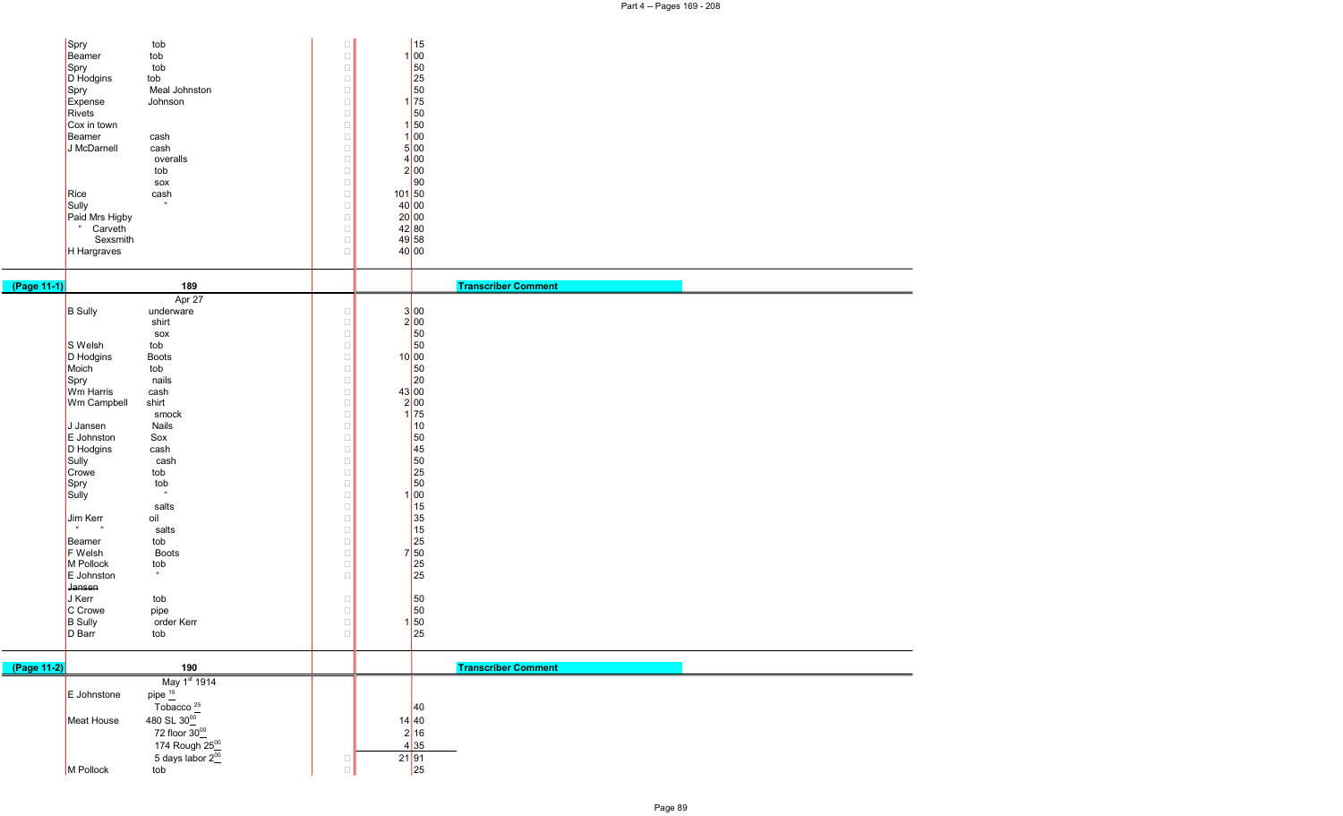|               | Spry                          | tob                                                                         | $\Box$                                                       |        | 15                                                                   |                            |  |
|---------------|-------------------------------|-----------------------------------------------------------------------------|--------------------------------------------------------------|--------|----------------------------------------------------------------------|----------------------------|--|
|               |                               |                                                                             |                                                              |        |                                                                      |                            |  |
|               | Beamer                        | tob                                                                         | $\Box$                                                       |        | 1 00                                                                 |                            |  |
|               | Spry                          | tob                                                                         | $\Box$                                                       |        | 50                                                                   |                            |  |
|               | D Hodgins                     | tob                                                                         | $\Box$                                                       |        | 25                                                                   |                            |  |
|               |                               |                                                                             |                                                              |        |                                                                      |                            |  |
|               | Spry                          | Meal Johnston                                                               | $\Box$                                                       |        | 50                                                                   |                            |  |
|               | Expense                       | Johnson                                                                     | $\Box$                                                       |        | 1 75                                                                 |                            |  |
|               | Rivets                        |                                                                             |                                                              |        | 50                                                                   |                            |  |
|               |                               |                                                                             |                                                              |        |                                                                      |                            |  |
|               | Cox in town                   |                                                                             |                                                              |        | 1 50                                                                 |                            |  |
|               | Beamer                        | cash                                                                        | $\begin{array}{c} \square \\ \square \\ \square \end{array}$ |        | 1 00                                                                 |                            |  |
|               | J McDarnell                   | cash                                                                        | $\Box$                                                       |        | 5 00                                                                 |                            |  |
|               |                               |                                                                             |                                                              |        | 4 00                                                                 |                            |  |
|               |                               | overalls                                                                    | $\Box$                                                       |        |                                                                      |                            |  |
|               |                               | tob                                                                         | $\Box$                                                       |        | 2 00                                                                 |                            |  |
|               |                               | sox                                                                         | $\Box$                                                       |        | 90                                                                   |                            |  |
|               | Rice                          | cash                                                                        | $\Box$                                                       | 101 50 |                                                                      |                            |  |
|               |                               | $\epsilon$                                                                  |                                                              |        |                                                                      |                            |  |
|               | Sully                         |                                                                             |                                                              | 40 00  |                                                                      |                            |  |
|               | Paid Mrs Higby                |                                                                             | $\Box$                                                       |        | 20 00                                                                |                            |  |
|               | $\epsilon\epsilon$<br>Carveth |                                                                             | $\Box$                                                       |        | 42 80                                                                |                            |  |
|               | Sexsmith                      |                                                                             | $\Box$                                                       |        | 49 58                                                                |                            |  |
|               |                               |                                                                             |                                                              |        |                                                                      |                            |  |
|               | H Hargraves                   |                                                                             | $\Box$                                                       |        | 40 00                                                                |                            |  |
|               |                               |                                                                             |                                                              |        |                                                                      |                            |  |
|               |                               |                                                                             |                                                              |        |                                                                      |                            |  |
| (Page 11-1)   |                               | 189                                                                         |                                                              |        |                                                                      | <b>Transcriber Comment</b> |  |
|               |                               |                                                                             |                                                              |        |                                                                      |                            |  |
|               |                               | Apr 27                                                                      |                                                              |        |                                                                      |                            |  |
|               | <b>B</b> Sully                | underware                                                                   | $\Box$                                                       |        | 3 00                                                                 |                            |  |
|               |                               | shirt                                                                       | $\Box$                                                       |        | 2 00                                                                 |                            |  |
|               |                               |                                                                             |                                                              |        | 50                                                                   |                            |  |
|               |                               | SOX                                                                         | $\Box$                                                       |        |                                                                      |                            |  |
|               | S Welsh                       | tob                                                                         |                                                              |        | 50                                                                   |                            |  |
|               | D Hodgins                     | <b>Boots</b>                                                                |                                                              |        | 10 00                                                                |                            |  |
|               | Moich                         | tob                                                                         | $\begin{array}{c} \square \\ \square \\ \square \end{array}$ |        | 50                                                                   |                            |  |
|               |                               |                                                                             |                                                              |        |                                                                      |                            |  |
|               | Spry                          | nails                                                                       | $\Box$                                                       |        | 20                                                                   |                            |  |
|               | Wm Harris                     | cash                                                                        | $\Box$                                                       | 43 00  |                                                                      |                            |  |
|               | Wm Campbell                   | shirt                                                                       | $\Box$                                                       |        | 2 00                                                                 |                            |  |
|               |                               |                                                                             | $\Box$                                                       |        | $1$ 75                                                               |                            |  |
|               |                               | smock                                                                       |                                                              |        |                                                                      |                            |  |
|               | J Jansen                      | Nails                                                                       | $\Box$                                                       |        | 10                                                                   |                            |  |
|               | E Johnston                    | Sox                                                                         | $\Box$                                                       |        | 50                                                                   |                            |  |
|               | D Hodgins                     | cash                                                                        |                                                              |        | 45                                                                   |                            |  |
|               |                               |                                                                             |                                                              |        |                                                                      |                            |  |
|               |                               |                                                                             |                                                              |        | 50                                                                   |                            |  |
|               | Sully                         | cash                                                                        |                                                              |        |                                                                      |                            |  |
|               | Crowe                         | tob                                                                         |                                                              |        |                                                                      |                            |  |
|               |                               |                                                                             | $\begin{array}{c} \square \\ \square \end{array}$            |        | 25                                                                   |                            |  |
|               | Spry                          | tob<br>$\alpha$                                                             | $\Box$                                                       |        | 50                                                                   |                            |  |
|               | Sully                         |                                                                             | $\Box$                                                       |        | 1 00                                                                 |                            |  |
|               |                               | salts                                                                       | $\Box$                                                       |        | 15                                                                   |                            |  |
|               | Jim Kerr                      | oil                                                                         |                                                              |        | 35                                                                   |                            |  |
|               | $\alpha$                      |                                                                             | $\Box$                                                       |        |                                                                      |                            |  |
|               |                               | salts                                                                       | $\Box$                                                       |        | 15                                                                   |                            |  |
|               | Beamer                        | tob                                                                         |                                                              |        | 25                                                                   |                            |  |
|               | F Welsh                       | <b>Boots</b>                                                                | $\begin{array}{c} \square \\ \square \end{array}$            |        | 7 50                                                                 |                            |  |
|               | M Pollock                     | tob                                                                         |                                                              |        |                                                                      |                            |  |
|               |                               | $\alpha$                                                                    | $\Box$                                                       |        | 25                                                                   |                            |  |
|               | E Johnston                    |                                                                             | $\Box$                                                       |        | 25                                                                   |                            |  |
|               | Jansen                        |                                                                             |                                                              |        |                                                                      |                            |  |
|               | J Kerr                        | tob                                                                         | $\Box$                                                       |        | 50                                                                   |                            |  |
|               | C Crowe                       | pipe                                                                        | $\Box$                                                       |        | 50                                                                   |                            |  |
|               |                               |                                                                             |                                                              |        |                                                                      |                            |  |
|               | <b>B</b> Sully                | order Kerr                                                                  | $\Box$                                                       |        | 1 50                                                                 |                            |  |
|               | D Barr                        | tob                                                                         | $\Box$                                                       |        | 25                                                                   |                            |  |
|               |                               |                                                                             |                                                              |        |                                                                      |                            |  |
|               |                               |                                                                             |                                                              |        |                                                                      |                            |  |
| $(Page 11-2)$ |                               | 190                                                                         |                                                              |        |                                                                      | <b>Transcriber Comment</b> |  |
|               |                               |                                                                             |                                                              |        |                                                                      |                            |  |
|               |                               | May 1st 1914                                                                |                                                              |        |                                                                      |                            |  |
|               | E Johnstone                   |                                                                             |                                                              |        |                                                                      |                            |  |
|               |                               |                                                                             |                                                              |        |                                                                      |                            |  |
|               |                               |                                                                             |                                                              |        | 40                                                                   |                            |  |
|               | Meat House                    | pipe $\frac{15}{10}$<br>Tobacco <sup>25</sup><br>480 SL 30 <sup>00</sup>    |                                                              |        |                                                                      |                            |  |
|               |                               |                                                                             |                                                              |        |                                                                      |                            |  |
|               |                               |                                                                             |                                                              |        |                                                                      |                            |  |
|               |                               |                                                                             |                                                              |        | $\begin{array}{r} 14 \\ 40 \\ 2 \\ 16 \\ \hline 4 \\ 35 \end{array}$ |                            |  |
|               | M Pollock                     | $72$ floor $30^{00}$<br>174 Rough $25^{00}$<br>5 days labor $2^{00}$<br>tob | $\begin{bmatrix} 1 \\ 1 \end{bmatrix}$                       |        | 21 91<br>25                                                          |                            |  |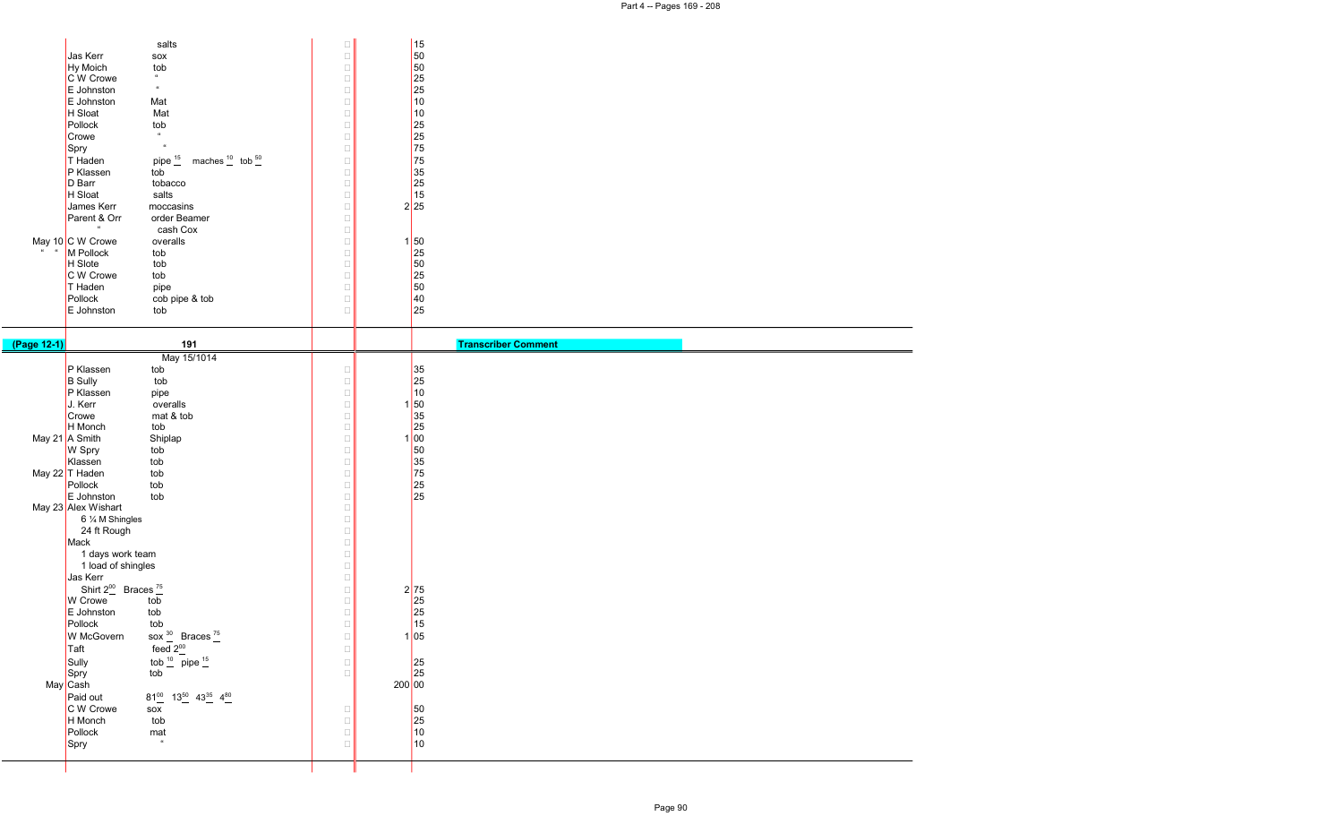|             |                               | salts                                                   | $\Box$                  |        | 15           |                            |  |  |
|-------------|-------------------------------|---------------------------------------------------------|-------------------------|--------|--------------|----------------------------|--|--|
|             | Jas Kerr                      | SOX                                                     | $\Box$                  |        | 50           |                            |  |  |
|             | <b>Hy Moich</b>               | tob                                                     | $\Box$                  |        | 50           |                            |  |  |
|             | C W Crowe                     | $\mathbf{u}$                                            | $\Box$                  |        | 25           |                            |  |  |
|             | E Johnston                    | $\boldsymbol{\mathfrak{u}}$                             | $\Box$                  |        | 25           |                            |  |  |
|             | E Johnston                    | Mat                                                     | $\Box$                  |        | $10$         |                            |  |  |
|             |                               |                                                         |                         |        |              |                            |  |  |
|             | H Sloat                       | Mat                                                     | $\Box$                  |        | 10           |                            |  |  |
|             | Pollock                       | tob                                                     | $\Box$                  |        | 25           |                            |  |  |
|             | Crowe                         | $\alpha$                                                | $\Box$                  |        | 25           |                            |  |  |
|             | Spry                          | $\alpha$                                                | $\Box$                  |        | 75           |                            |  |  |
|             | T Haden                       | pipe $15$<br>maches $\frac{10}{1}$ tob $\frac{50}{1}$   | $\Box$                  |        | 75           |                            |  |  |
|             | P Klassen                     | tob                                                     |                         |        | 35           |                            |  |  |
|             |                               |                                                         | $\Box$                  |        |              |                            |  |  |
|             | D Barr                        | tobacco                                                 | $\Box$                  |        | 25           |                            |  |  |
|             | H Sloat                       | salts                                                   | $\Box$                  |        | 15           |                            |  |  |
|             | James Kerr                    | moccasins                                               | $\Box$                  |        | 2 25         |                            |  |  |
|             | Parent & Orr                  | order Beamer                                            | $\Box$                  |        |              |                            |  |  |
|             |                               | cash Cox                                                | $\Box$                  |        |              |                            |  |  |
|             | May 10 C W Crowe              | overalls                                                | $\Box$                  |        | 1 50         |                            |  |  |
|             | M Pollock                     | tob                                                     | $\Box$                  |        | 25           |                            |  |  |
|             |                               |                                                         |                         |        |              |                            |  |  |
|             | H Slote                       | tob                                                     | $\Box$                  |        | 50           |                            |  |  |
|             | C W Crowe                     | tob                                                     | $\Box$                  |        | 25           |                            |  |  |
|             | T Haden                       | pipe                                                    | $\Box$                  |        | 50           |                            |  |  |
|             | Pollock                       | cob pipe & tob                                          | $\Box$                  |        | 40           |                            |  |  |
|             | E Johnston                    | tob                                                     | $\Box$                  |        | 25           |                            |  |  |
|             |                               |                                                         |                         |        |              |                            |  |  |
|             |                               |                                                         |                         |        |              |                            |  |  |
| (Page 12-1) |                               | 191                                                     |                         |        |              | <b>Transcriber Comment</b> |  |  |
|             |                               |                                                         |                         |        |              |                            |  |  |
|             |                               | May 15/1014                                             |                         |        |              |                            |  |  |
|             | P Klassen                     | tob                                                     | $\Box$                  |        | 35           |                            |  |  |
|             | <b>B</b> Sully                | tob                                                     | $\Box$                  |        | 25           |                            |  |  |
|             |                               |                                                         |                         |        |              |                            |  |  |
|             | P Klassen                     |                                                         |                         |        |              |                            |  |  |
|             |                               | pipe                                                    | $\Box$                  | 1      | 10           |                            |  |  |
|             | J. Kerr                       | overalls                                                | $\Box$                  |        | 50           |                            |  |  |
|             | Crowe                         | mat & tob                                               | $\Box$                  |        | 35           |                            |  |  |
|             | H Monch                       | tob                                                     | $\Box$                  |        | 25           |                            |  |  |
|             | May 21 A Smith                | Shiplap                                                 | $\Box$                  |        | 1 00         |                            |  |  |
|             | W Spry                        | tob                                                     | $\Box$                  |        | 50           |                            |  |  |
|             | Klassen                       | tob                                                     | $\Box$                  |        | 35           |                            |  |  |
|             |                               | tob                                                     |                         |        |              |                            |  |  |
|             | May 22 T Haden                | tob                                                     | $\Box$                  |        | 75           |                            |  |  |
|             | Pollock                       |                                                         | $\Box$                  |        | 25           |                            |  |  |
|             | E Johnston                    | tob                                                     | $\Box$                  |        | 25           |                            |  |  |
|             | May 23 Alex Wishart           |                                                         | $\Box$                  |        |              |                            |  |  |
|             | 6 % M Shingles                |                                                         | $\Box$                  |        |              |                            |  |  |
|             | 24 ft Rough                   |                                                         | $\Box$                  |        |              |                            |  |  |
|             | Mack                          |                                                         | $\Box$                  |        |              |                            |  |  |
|             | 1 days work team              |                                                         | $\Box$                  |        |              |                            |  |  |
|             | 1 load of shingles            |                                                         | $\Box$                  |        |              |                            |  |  |
|             | Jas Kerr                      |                                                         |                         |        |              |                            |  |  |
|             |                               |                                                         | $\Box$                  |        |              |                            |  |  |
|             | Shirt $2^{00}$ Braces $^{75}$ |                                                         | $\Box$                  |        | 2 75         |                            |  |  |
|             | W Crowe                       | tob                                                     | $\Box$                  |        | 25           |                            |  |  |
|             | E Johnston                    | tob                                                     | $\Box$                  |        | 25           |                            |  |  |
|             | Pollock                       | tob                                                     | $\Box$                  |        | 15           |                            |  |  |
|             | W McGovern                    |                                                         | $\Box$                  |        | 1 05         |                            |  |  |
|             | Taft                          | $s$ ox $\frac{30}{1}$ Braces $\frac{75}{1}$             |                         |        |              |                            |  |  |
|             |                               |                                                         | $\Box$                  |        |              |                            |  |  |
|             | Sully                         | feed $2^{00}$<br>tob $\frac{10}{ }$ pipe $\frac{15}{ }$ | $\Box$                  |        | 25           |                            |  |  |
|             | Spry                          | tob                                                     | $\Box$                  |        | 25           |                            |  |  |
|             | May Cash                      |                                                         |                         | 200 00 |              |                            |  |  |
|             | Paid out                      | $81^{00}_{-}$ $13^{50}_{-}$ $43^{35}_{-}$ $4^{80}_{-}$  |                         |        |              |                            |  |  |
|             | C W Crowe                     | sox                                                     | $\Box$                  |        | 50           |                            |  |  |
|             | H Monch                       | tob                                                     |                         |        |              |                            |  |  |
|             |                               |                                                         | $\Box$                  |        | 25           |                            |  |  |
|             | Pollock<br>Spry               | mat<br>$\epsilon\epsilon$                               | $\hfill \Box$<br>$\Box$ |        | 10<br>$10\,$ |                            |  |  |

 $\sim$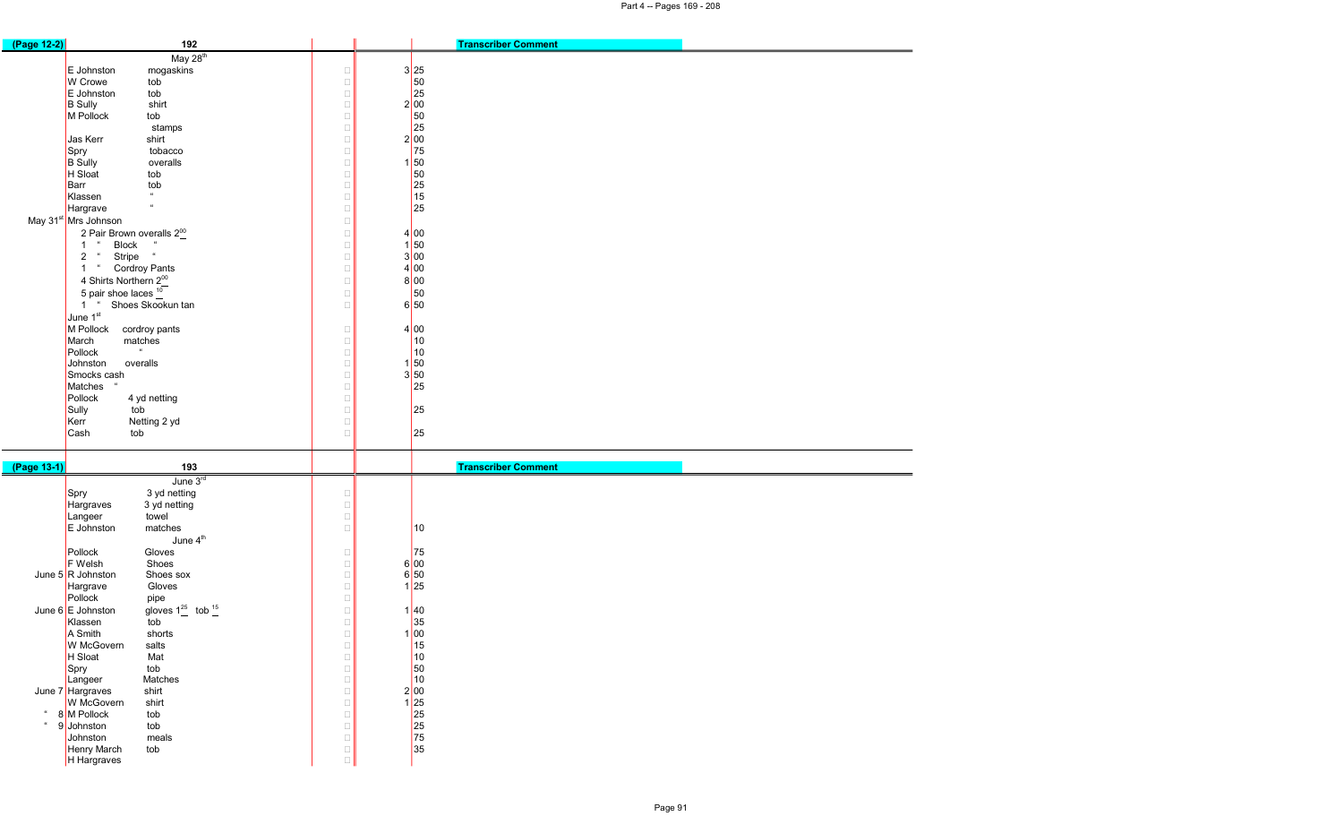| (Page 12-2)                 | 192                                                     |                                                   | <b>Transcriber Comment</b>                     |
|-----------------------------|---------------------------------------------------------|---------------------------------------------------|------------------------------------------------|
|                             | May 28th                                                |                                                   |                                                |
|                             | E Johnston<br>mogaskins                                 | $\Box$                                            | 3 25                                           |
|                             | W Crowe<br>tob                                          | $\Box$                                            | 50                                             |
|                             | E Johnston<br>tob                                       | $\Box$                                            | 25                                             |
|                             | <b>B</b> Sully<br>shirt                                 | $\Box$                                            | 2 00                                           |
|                             | M Pollock<br>tob                                        | $\Box$                                            | 50                                             |
|                             | stamps                                                  | $\Box$                                            | 25                                             |
|                             | Jas Kerr<br>shirt                                       | $\Box$                                            | 2 00                                           |
|                             | Spry<br>B Sully<br>tobacco                              | $\Box$                                            | 75                                             |
|                             | overalls                                                | $\Box$                                            | 1 50                                           |
|                             | H Sloat<br>tob                                          | $\Box$                                            | 50                                             |
|                             | tob<br>Barr<br>$\epsilon\epsilon$                       | $\begin{array}{c} \square \\ \square \end{array}$ | 25<br>15                                       |
|                             | Klassen<br>$\mathbf{u}$<br>Hargrave                     | $\Box$                                            | 25                                             |
|                             |                                                         | $\Box$                                            |                                                |
|                             | May 31 <sup>st</sup> Mrs Johnson                        |                                                   |                                                |
|                             | 2 Pair Brown overalls 2 <sup>00</sup><br>$\alpha$       | $\Box$                                            | 4 00                                           |
|                             | <b>Block</b><br>$\mathbf{1}$<br>$2^{\omega}$            | $\Box$<br>$\Box$                                  | 1 50                                           |
|                             | Stripe<br><b>Cordroy Pants</b><br>$1$ "                 | $\Box$                                            | 3 00<br>4 00                                   |
|                             | 4 Shirts Northern 2 <sup>00</sup>                       | $\Box$                                            | 8 00                                           |
|                             | 5 pair shoe laces $\frac{10}{6}$                        | $\Box$                                            | 50                                             |
|                             | Shoes Skookun tan<br>$1$ "                              | $\Box$                                            | 6 50                                           |
|                             | June 1 <sup>st</sup>                                    |                                                   |                                                |
|                             | M Pollock                                               |                                                   | 4 00                                           |
|                             | cordroy pants<br>March<br>matches                       | $\Box$<br>$\Box$                                  | 10                                             |
|                             | Pollock                                                 | $\Box$                                            | 10                                             |
|                             | Johnston<br>overalls                                    | $\Box$                                            | 1 50                                           |
|                             | Smocks cash                                             | $\Box$                                            | 3 50                                           |
|                             | Matches                                                 | $\Box$                                            | 25                                             |
|                             | Pollock<br>4 yd netting                                 | $\Box$                                            |                                                |
|                             | Sully<br>tob                                            | $\Box$                                            | 25                                             |
|                             | Netting 2 yd<br>Kerr                                    | $\Box$                                            |                                                |
|                             | Cash<br>tob                                             | $\Box$                                            | 25                                             |
|                             |                                                         |                                                   |                                                |
| (Page 13-1)                 | 193                                                     |                                                   | <b>Transcriber Comment</b>                     |
|                             | June 3rd                                                |                                                   |                                                |
|                             | Spry<br>3 yd netting                                    | $\Box$                                            |                                                |
|                             | Hargraves<br>3 yd netting                               | $\Box$                                            |                                                |
|                             | towel<br>Langeer                                        | $\Box$                                            |                                                |
|                             | E Johnston<br>matches                                   | $\Box$                                            | 10                                             |
|                             | June 4 <sup>th</sup><br>Gloves                          | $\Box$                                            |                                                |
|                             | Pollock<br>F Welsh<br>Shoes                             | $\Box$                                            | 75<br>6 00                                     |
|                             | June $5 R$ Johnston<br>Shoes sox                        | $\Box$                                            | 6 50                                           |
|                             | Gloves<br>Hargrave                                      | $\Box$                                            | 1 25                                           |
|                             | Pollock<br>pipe                                         | $\Box$                                            |                                                |
|                             | gloves $1^{25}$ tob $^{15}$<br>June $6 \times$ Johnston | $\Box$                                            | 1 40                                           |
|                             | Klassen<br>tob                                          | $\Box$                                            | 35                                             |
|                             | A Smith<br>shorts                                       | $\Box$                                            | 1 00                                           |
|                             | W McGovern<br>salts                                     | $\Box$                                            | 15                                             |
|                             | H Sloat<br>Mat                                          | $\Box$                                            | 10                                             |
|                             | Spry<br>tob                                             | $\Box$                                            | 50                                             |
|                             | Matches<br>Langeer                                      | $\Box$                                            | $10$                                           |
|                             | June 7 Hargraves<br>shirt                               | $\Box$                                            | 2 00                                           |
| $\boldsymbol{\mathfrak{u}}$ | W McGovern<br>shirt                                     | $\Box$                                            | 1 25                                           |
| $\mathfrak{c}\mathfrak{c}$  | 8 M Pollock<br>tob                                      | $\Box$                                            | 25                                             |
|                             | 9 Johnston<br>tob                                       |                                                   |                                                |
|                             | Johnston<br>meals<br>Henry March<br>tob                 |                                                   | $\begin{bmatrix} 25 \\ 75 \\ 35 \end{bmatrix}$ |
|                             | H Hargraves                                             |                                                   |                                                |
|                             |                                                         |                                                   |                                                |

÷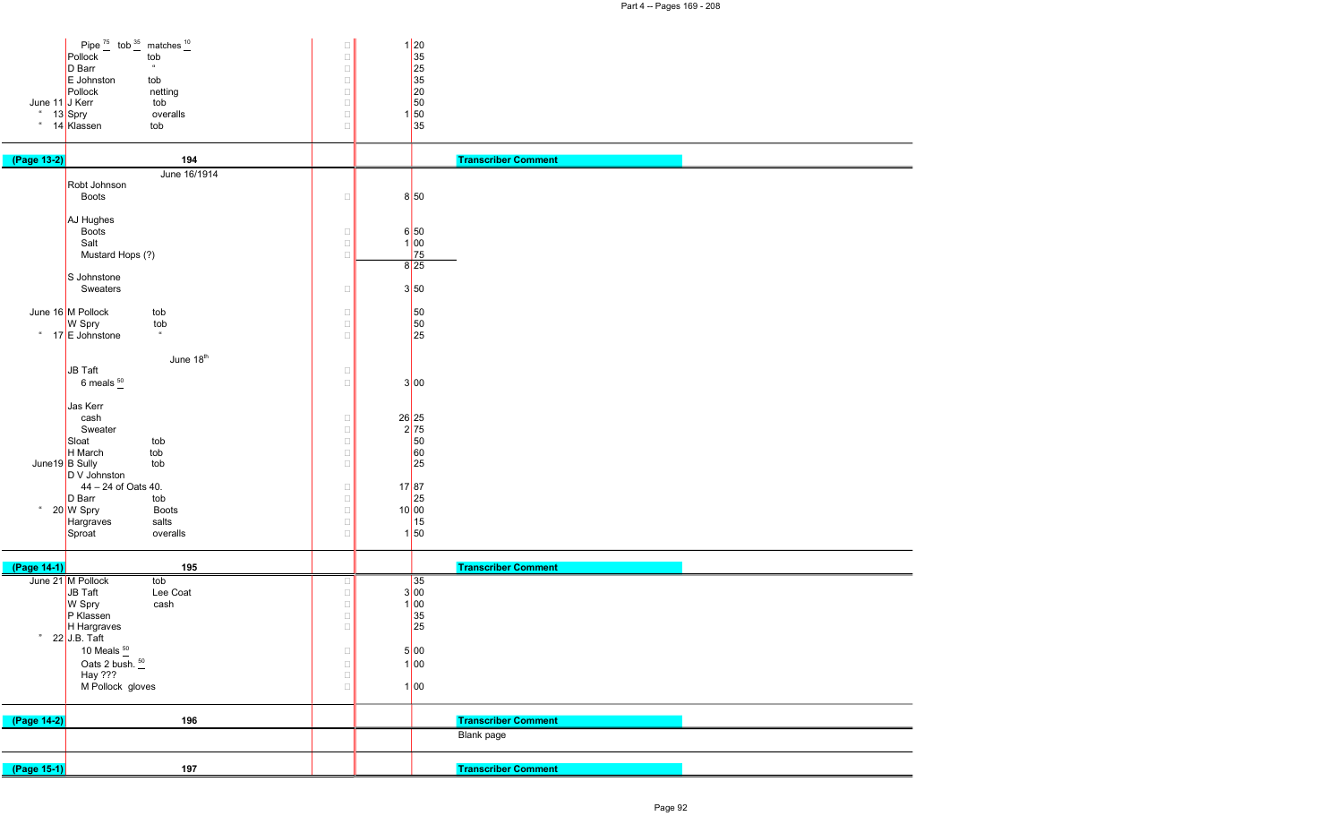| June 11 J Kerr            | Pipe $\frac{75}{ }$ tob $\frac{35}{ }$ matches $\frac{10}{ }$<br>Pollock<br>tob<br>D Barr<br>$\alpha$<br>E Johnston<br>tob<br>Pollock<br>netting<br>tob<br>13 Spry<br>overalls<br>" 14 Klassen<br>tob | $\begin{array}{c} \square \\ \square \end{array}$<br>$\Box$<br>$\Box$<br>$\Box$<br>$\Box$<br>$\Box$<br>$\Box$ |       | 1 20<br>35<br>25<br>35<br>20<br>50<br>1 50<br>35 |                            |
|---------------------------|-------------------------------------------------------------------------------------------------------------------------------------------------------------------------------------------------------|---------------------------------------------------------------------------------------------------------------|-------|--------------------------------------------------|----------------------------|
| (Page 13-2)               | 194                                                                                                                                                                                                   |                                                                                                               |       |                                                  | <b>Transcriber Comment</b> |
|                           | June 16/1914                                                                                                                                                                                          |                                                                                                               |       |                                                  |                            |
|                           | Robt Johnson<br><b>Boots</b>                                                                                                                                                                          | $\Box$                                                                                                        |       | 8 50                                             |                            |
|                           | AJ Hughes                                                                                                                                                                                             |                                                                                                               |       |                                                  |                            |
|                           | <b>Boots</b>                                                                                                                                                                                          | $\Box$                                                                                                        |       | 6 50                                             |                            |
|                           | Salt<br>Mustard Hops (?)                                                                                                                                                                              | $\Box$<br>$\Box$                                                                                              |       | 1 00<br>75                                       |                            |
|                           |                                                                                                                                                                                                       |                                                                                                               |       | 8 25                                             |                            |
|                           | S Johnstone                                                                                                                                                                                           |                                                                                                               |       |                                                  |                            |
|                           | Sweaters                                                                                                                                                                                              | $\Box$                                                                                                        |       | 3 50                                             |                            |
|                           |                                                                                                                                                                                                       |                                                                                                               |       |                                                  |                            |
|                           | June 16 M Pollock<br>tob                                                                                                                                                                              | $\Box$                                                                                                        |       | 50                                               |                            |
|                           | W Spry<br>tob<br>" 17 E Johnstone<br>$\boldsymbol{\mathfrak{u}}$                                                                                                                                      | $\Box$<br>$\Box$                                                                                              |       | 50<br>25                                         |                            |
|                           |                                                                                                                                                                                                       |                                                                                                               |       |                                                  |                            |
|                           | June 18th                                                                                                                                                                                             |                                                                                                               |       |                                                  |                            |
|                           | JB Taft                                                                                                                                                                                               | $\Box$                                                                                                        |       |                                                  |                            |
|                           | 6 meals $\frac{50}{6}$                                                                                                                                                                                | $\Box$                                                                                                        |       | 3 00                                             |                            |
|                           |                                                                                                                                                                                                       |                                                                                                               |       |                                                  |                            |
|                           | Jas Kerr                                                                                                                                                                                              |                                                                                                               |       |                                                  |                            |
|                           | cash                                                                                                                                                                                                  | $\Box$                                                                                                        | 26 25 |                                                  |                            |
|                           | Sweater<br>Sloat<br>tob                                                                                                                                                                               | $\Box$<br>$\Box$                                                                                              |       | 2 75<br>50                                       |                            |
|                           | H March<br>tob                                                                                                                                                                                        | $\Box$                                                                                                        |       | 60                                               |                            |
| June19 <sup>B</sup> Sully | tob                                                                                                                                                                                                   | $\Box$                                                                                                        |       | 25                                               |                            |
|                           | D V Johnston                                                                                                                                                                                          |                                                                                                               |       |                                                  |                            |
|                           | 44 - 24 of Oats 40.                                                                                                                                                                                   | $\Box$                                                                                                        | 17 87 |                                                  |                            |
|                           | D Barr<br>tob                                                                                                                                                                                         | $\Box$                                                                                                        |       | 25                                               |                            |
|                           | " $20$ W Spry<br><b>Boots</b>                                                                                                                                                                         | $\Box$                                                                                                        | 10 00 |                                                  |                            |
|                           | Hargraves<br>salts                                                                                                                                                                                    | $\Box$<br>$\Box$                                                                                              |       | 15<br>1 50                                       |                            |
|                           | Sproat<br>overalls                                                                                                                                                                                    |                                                                                                               |       |                                                  |                            |
|                           |                                                                                                                                                                                                       |                                                                                                               |       |                                                  |                            |
| (Page 14-1)               | 195                                                                                                                                                                                                   |                                                                                                               |       |                                                  | <b>Transcriber Comment</b> |
|                           | June 21 M Pollock<br>tob                                                                                                                                                                              | $\Box$                                                                                                        |       | $\sqrt{35}$                                      |                            |
|                           | JB Taft<br>Lee Coat<br>W Spry<br>cash                                                                                                                                                                 | $\Box$<br>$\Box$                                                                                              |       | 3 00<br>1 00                                     |                            |
|                           | P Klassen                                                                                                                                                                                             | $\Box$                                                                                                        |       | 35                                               |                            |
|                           | H Hargraves                                                                                                                                                                                           | $\Box$                                                                                                        |       | 25                                               |                            |
|                           | $22$ J.B. Taft                                                                                                                                                                                        |                                                                                                               |       |                                                  |                            |
|                           | 10 Meals $\frac{50}{6}$                                                                                                                                                                               | $\Box$                                                                                                        |       | 5 00                                             |                            |
|                           | Oats 2 bush. $\frac{50}{ }$                                                                                                                                                                           | $\Box$                                                                                                        |       | 1 00                                             |                            |
|                           | Hay ???                                                                                                                                                                                               | $\Box$                                                                                                        |       |                                                  |                            |
|                           | M Pollock gloves                                                                                                                                                                                      | $\Box$                                                                                                        |       | 1 00                                             |                            |
|                           |                                                                                                                                                                                                       |                                                                                                               |       |                                                  |                            |
| (Page 14-2)               | 196                                                                                                                                                                                                   |                                                                                                               |       |                                                  | <b>Transcriber Comment</b> |
|                           |                                                                                                                                                                                                       |                                                                                                               |       |                                                  | <b>Blank</b> page          |
|                           |                                                                                                                                                                                                       |                                                                                                               |       |                                                  |                            |
| (Page 15-1)               | 197                                                                                                                                                                                                   |                                                                                                               |       |                                                  | <b>Transcriber Comment</b> |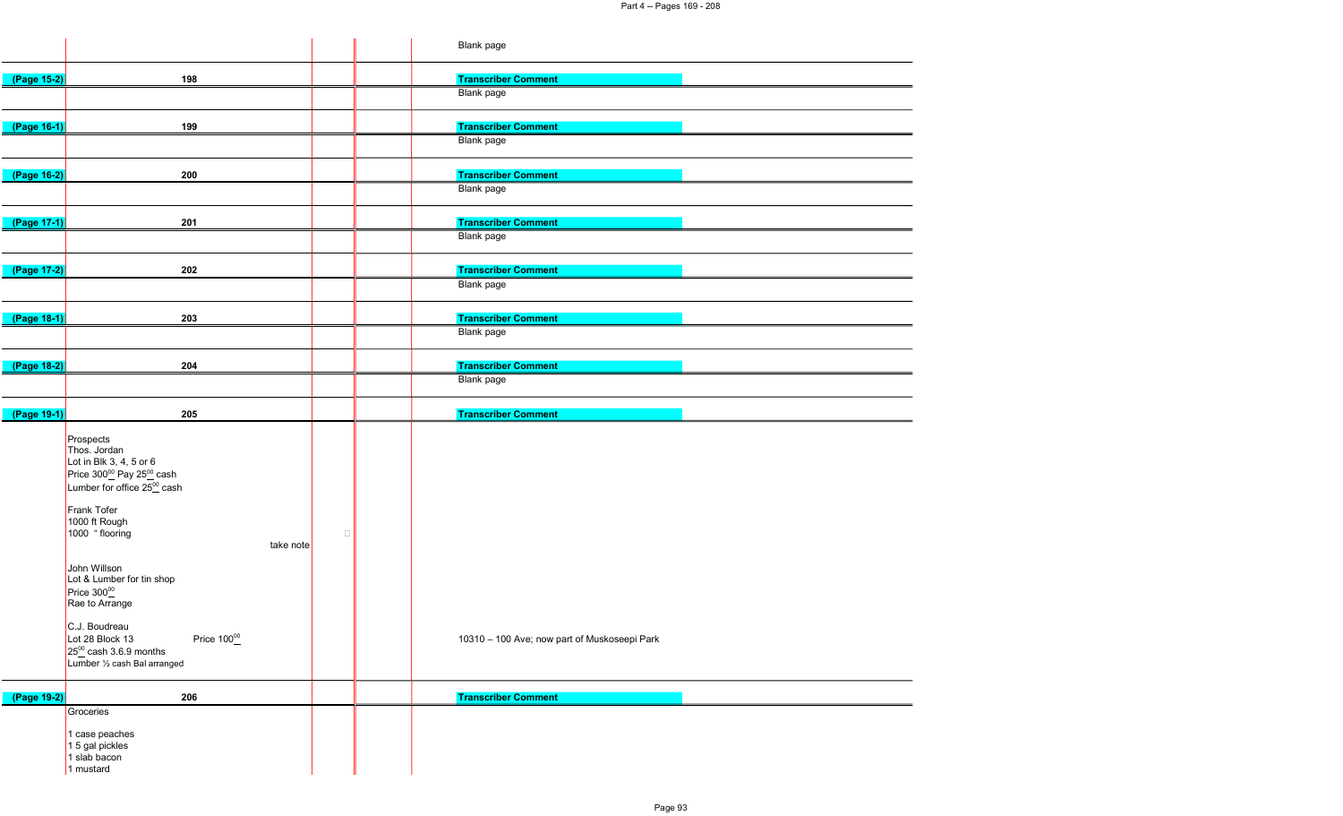|               |                                                                                                                                                                                                                                                                                                                                                                                                                                                         |        | <b>Blank</b> page                               |
|---------------|---------------------------------------------------------------------------------------------------------------------------------------------------------------------------------------------------------------------------------------------------------------------------------------------------------------------------------------------------------------------------------------------------------------------------------------------------------|--------|-------------------------------------------------|
|               |                                                                                                                                                                                                                                                                                                                                                                                                                                                         |        |                                                 |
| (Page 15-2)   | 198                                                                                                                                                                                                                                                                                                                                                                                                                                                     |        | <b>Transcriber Comment</b>                      |
|               |                                                                                                                                                                                                                                                                                                                                                                                                                                                         |        | <b>Blank page</b>                               |
| (Page 16-1)   | 199                                                                                                                                                                                                                                                                                                                                                                                                                                                     |        | <b>Transcriber Comment</b>                      |
|               |                                                                                                                                                                                                                                                                                                                                                                                                                                                         |        | <b>Blank</b> page                               |
|               |                                                                                                                                                                                                                                                                                                                                                                                                                                                         |        |                                                 |
| (Page 16-2)   | 200                                                                                                                                                                                                                                                                                                                                                                                                                                                     |        | <b>Transcriber Comment</b>                      |
|               |                                                                                                                                                                                                                                                                                                                                                                                                                                                         |        | <b>Blank</b> page                               |
|               |                                                                                                                                                                                                                                                                                                                                                                                                                                                         |        |                                                 |
| (Page 17-1)   | 201                                                                                                                                                                                                                                                                                                                                                                                                                                                     |        | <b>Transcriber Comment</b><br><b>Blank</b> page |
|               |                                                                                                                                                                                                                                                                                                                                                                                                                                                         |        |                                                 |
| (Page 17-2)   | 202                                                                                                                                                                                                                                                                                                                                                                                                                                                     |        | <b>Transcriber Comment</b>                      |
|               |                                                                                                                                                                                                                                                                                                                                                                                                                                                         |        | <b>Blank</b> page                               |
|               |                                                                                                                                                                                                                                                                                                                                                                                                                                                         |        |                                                 |
| (Page 18-1)   | 203                                                                                                                                                                                                                                                                                                                                                                                                                                                     |        | <b>Transcriber Comment</b>                      |
|               |                                                                                                                                                                                                                                                                                                                                                                                                                                                         |        | <b>Blank</b> page                               |
| (Page 18-2)   | 204                                                                                                                                                                                                                                                                                                                                                                                                                                                     |        | <b>Transcriber Comment</b>                      |
|               |                                                                                                                                                                                                                                                                                                                                                                                                                                                         |        | <b>Blank page</b>                               |
|               |                                                                                                                                                                                                                                                                                                                                                                                                                                                         |        |                                                 |
| (Page 19-1)   | 205                                                                                                                                                                                                                                                                                                                                                                                                                                                     |        | <b>Transcriber Comment</b>                      |
|               | Prospects<br>Thos. Jordan<br>Lot in Blk 3, 4, 5 or 6<br>Price $300^{\underline{00}}$ Pay $25^{\underline{00}}$ cash<br>Lumber for office $25^{\underline{00}}$ cash<br>Frank Tofer<br>1000 ft Rough<br>1000 "flooring<br>take note<br>John Willson<br>Lot & Lumber for tin shop<br>Price 300 <sup>00</sup><br>Rae to Arrange<br>C.J. Boudreau<br>Price 100 <sup>00</sup><br>Lot 28 Block 13<br>$2500$ cash 3.6.9 months<br>Lumber 1/2 cash Bal arranged | $\Box$ | 10310 - 100 Ave; now part of Muskoseepi Park    |
| $(Page 19-2)$ | 206                                                                                                                                                                                                                                                                                                                                                                                                                                                     |        | <b>Transcriber Comment</b>                      |
|               | Groceries                                                                                                                                                                                                                                                                                                                                                                                                                                               |        |                                                 |
|               | 1 case peaches<br>1 5 gal pickles<br>1 slab bacon<br>1 mustard                                                                                                                                                                                                                                                                                                                                                                                          |        |                                                 |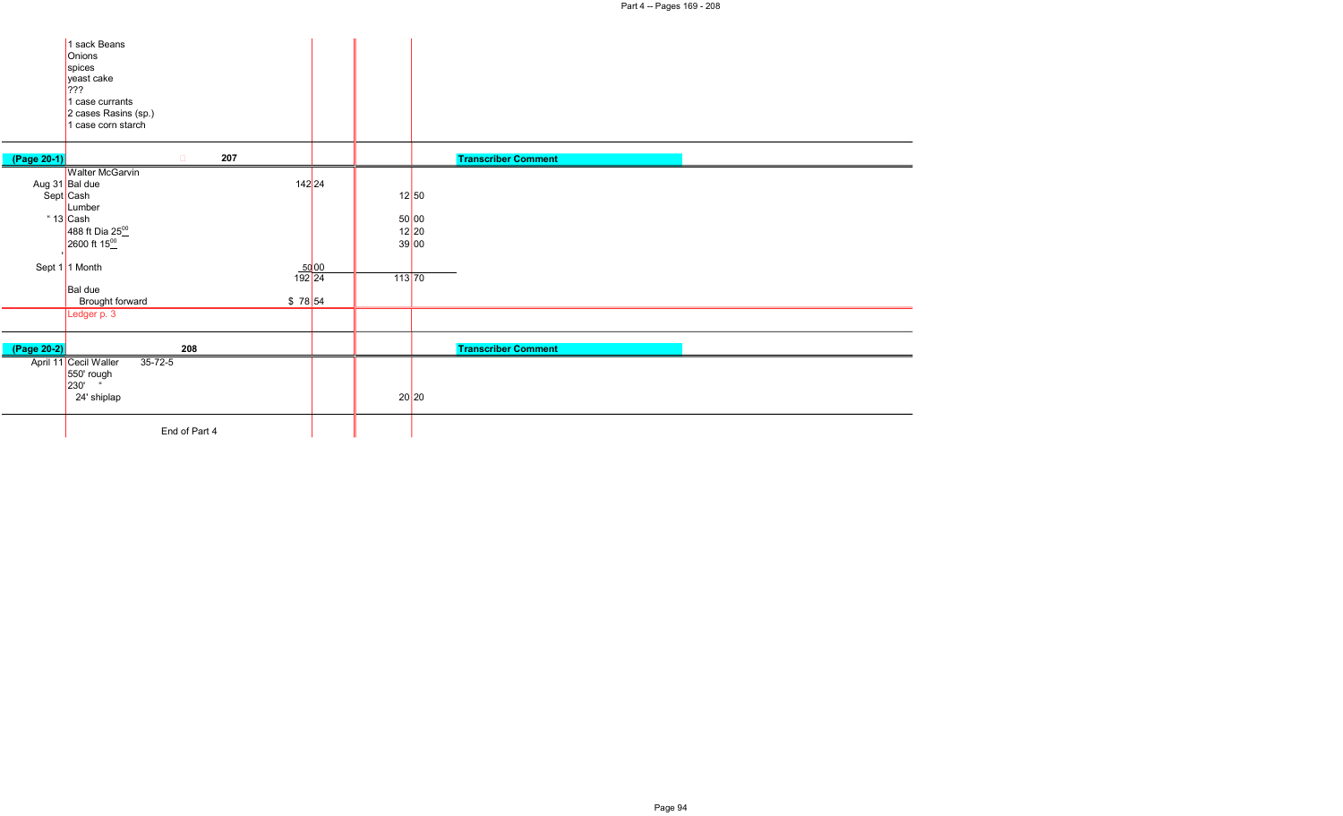# Part 4 -- Pages 169 - 208

|               | 1 sack Beans<br>Onions<br>spices<br>yeast cake<br>???<br>1 case currants<br>2 cases Rasins (sp.)<br>1 case corn starch                                    |                        |                                  |                            |
|---------------|-----------------------------------------------------------------------------------------------------------------------------------------------------------|------------------------|----------------------------------|----------------------------|
|               |                                                                                                                                                           |                        |                                  |                            |
| (Page 20-1)   | 207<br>$\Box$                                                                                                                                             |                        |                                  | <b>Transcriber Comment</b> |
|               | <b>Walter McGarvin</b><br>Aug 31 Bal due<br>Sept Cash<br>Lumber<br>" 13 Cash<br>488 ft Dia 25 <sup>00</sup><br>2600 ft 15 <sup>00</sup><br>Sept 1 1 Month | 14224                  | 12 50<br>50 00<br>12 20<br>39 00 |                            |
|               | <b>Bal due</b>                                                                                                                                            | <u>50 00</u><br>192 24 | 113 70                           |                            |
|               | <b>Brought forward</b><br>\$78 54<br>Ledger p. 3                                                                                                          |                        |                                  |                            |
| $(Page 20-2)$ | 208                                                                                                                                                       |                        |                                  | <b>Transcriber Comment</b> |
|               | April 11 Cecil Waller<br>35-72-5<br>550' rough<br>230'<br>$\epsilon$<br>24' shiplap                                                                       |                        | 20 20                            |                            |
|               | End of Part 4                                                                                                                                             |                        |                                  |                            |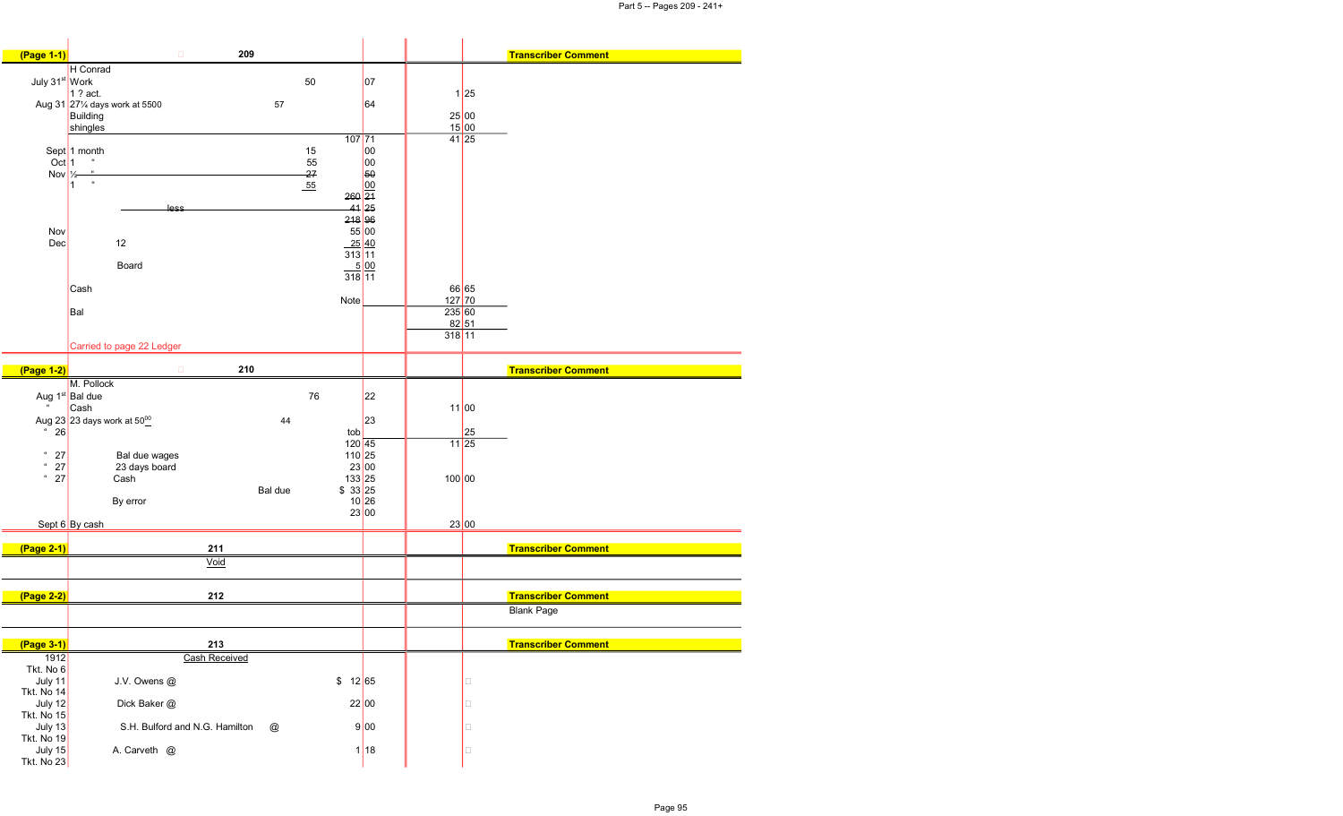|                                |                                                                             | 209                       |                                  |          |                 |        |                                                                                                                                              |
|--------------------------------|-----------------------------------------------------------------------------|---------------------------|----------------------------------|----------|-----------------|--------|----------------------------------------------------------------------------------------------------------------------------------------------|
| (Page 1-1)                     | $\Box$<br>H Conrad                                                          |                           |                                  |          |                 |        | <b>Transcriber Comment</b><br>and the state of the state of the state of the state of the state of the state of the state of the state of th |
| July 31 <sup>st</sup> Work     |                                                                             |                           | 50                               | 07       |                 |        |                                                                                                                                              |
|                                | 1 ? act.                                                                    |                           |                                  |          |                 | 1 25   |                                                                                                                                              |
|                                | Aug 31 27% days work at 5500                                                | 57                        |                                  | 64       |                 |        |                                                                                                                                              |
|                                | Building                                                                    |                           |                                  |          | 25 00           |        |                                                                                                                                              |
|                                | shingles                                                                    |                           | $107$ 71                         |          | 15 00<br>41 25  |        |                                                                                                                                              |
|                                | Sept 1 month                                                                |                           | 15                               | 00       |                 |        |                                                                                                                                              |
| Oct 1                          |                                                                             |                           | 55                               | 00       |                 |        |                                                                                                                                              |
| Nov $\frac{1}{2}$              | $\alpha$                                                                    |                           | $-27$                            | 50       |                 |        |                                                                                                                                              |
|                                | $\alpha$<br>$\mathbf{1}$                                                    |                           | 55                               | 00       |                 |        |                                                                                                                                              |
|                                | less                                                                        |                           | $260$ 21                         | $-41$ 25 |                 |        |                                                                                                                                              |
|                                |                                                                             |                           | 218 96                           |          |                 |        |                                                                                                                                              |
| Nov                            |                                                                             |                           |                                  | 55 00    |                 |        |                                                                                                                                              |
| Dec                            | 12                                                                          |                           | $\frac{25}{313}$ $\frac{40}{11}$ |          |                 |        |                                                                                                                                              |
|                                |                                                                             |                           |                                  |          |                 |        |                                                                                                                                              |
|                                | Board                                                                       |                           | $318\overline{11}$               | 500      |                 |        |                                                                                                                                              |
|                                | Cash                                                                        |                           |                                  |          | 66 65           |        |                                                                                                                                              |
|                                |                                                                             |                           | Note                             |          | $127$ 70        |        |                                                                                                                                              |
|                                | Bal                                                                         |                           |                                  |          | 235 60          |        |                                                                                                                                              |
|                                |                                                                             |                           |                                  |          | 82 51<br>318 11 |        |                                                                                                                                              |
|                                | Carried to page 22 Ledger                                                   |                           |                                  |          |                 |        |                                                                                                                                              |
|                                |                                                                             |                           |                                  |          |                 |        |                                                                                                                                              |
| (Page 1-2)                     | $\Box$                                                                      | 210                       |                                  |          |                 |        | <b>Transcriber Comment</b>                                                                                                                   |
|                                | M. Pollock                                                                  |                           |                                  |          |                 |        |                                                                                                                                              |
|                                | Aug 1 <sup>st</sup> Bal due<br>Cash                                         |                           | 76                               | 22       | 11 00           |        |                                                                                                                                              |
|                                |                                                                             | 44                        |                                  | 23       |                 |        |                                                                                                                                              |
|                                | Aug 23 $\left  \frac{23 \text{ days}}{26} \right $ work at 50 <sup>00</sup> |                           | tob                              |          |                 | 25     |                                                                                                                                              |
|                                |                                                                             |                           | $120\overline{45}$               |          | 11 25           |        |                                                                                                                                              |
| $\boldsymbol{\mu}$<br>27       | Bal due wages                                                               |                           | $110$  25                        |          |                 |        |                                                                                                                                              |
| 27<br>$\mathfrak{g}$           | 23 days board                                                               |                           |                                  | 23 00    |                 |        |                                                                                                                                              |
| " 27                           | Cash                                                                        | Bal due                   | 133 25<br>\$33 25                |          | 100 00          |        |                                                                                                                                              |
|                                | By error                                                                    |                           |                                  | 10 26    |                 |        |                                                                                                                                              |
|                                |                                                                             |                           |                                  | 23 00    |                 |        |                                                                                                                                              |
|                                | Sept 6 By cash                                                              |                           |                                  |          | 23 00           |        |                                                                                                                                              |
|                                |                                                                             |                           |                                  |          |                 |        |                                                                                                                                              |
| (Page 2-1)                     | 211                                                                         |                           |                                  |          |                 |        | <b>Transcriber Comment</b>                                                                                                                   |
|                                | Void                                                                        |                           |                                  |          |                 |        |                                                                                                                                              |
|                                |                                                                             |                           |                                  |          |                 |        |                                                                                                                                              |
| (Page 2-2)                     | 212                                                                         |                           |                                  |          |                 |        | <b>Transcriber Comment</b>                                                                                                                   |
|                                |                                                                             |                           |                                  |          |                 |        | <b>Blank Page</b>                                                                                                                            |
|                                |                                                                             |                           |                                  |          |                 |        |                                                                                                                                              |
| (Page 3-1)<br>1912             | 213<br><b>Cash Received</b>                                                 |                           |                                  |          |                 |        | <b>Transcriber Comment</b>                                                                                                                   |
| Tkt. No 6                      |                                                                             |                           |                                  |          |                 |        |                                                                                                                                              |
| July 11                        | J.V. Owens @                                                                |                           | \$12 65                          |          |                 | $\Box$ |                                                                                                                                              |
| <b>Tkt. No 14</b>              |                                                                             |                           |                                  |          |                 |        |                                                                                                                                              |
| July 12                        | Dick Baker @                                                                |                           |                                  | 22 00    |                 | $\Box$ |                                                                                                                                              |
| <b>Tkt. No 15</b>              |                                                                             |                           |                                  |          |                 |        |                                                                                                                                              |
| July 13                        | S.H. Bulford and N.G. Hamilton                                              | $^\text{\textregistered}$ |                                  | 9 00     |                 | $\Box$ |                                                                                                                                              |
|                                |                                                                             |                           |                                  |          |                 |        |                                                                                                                                              |
| <b>Tkt. No 19</b><br>July $15$ | A. Carveth @                                                                |                           |                                  | 1 18     |                 | $\Box$ |                                                                                                                                              |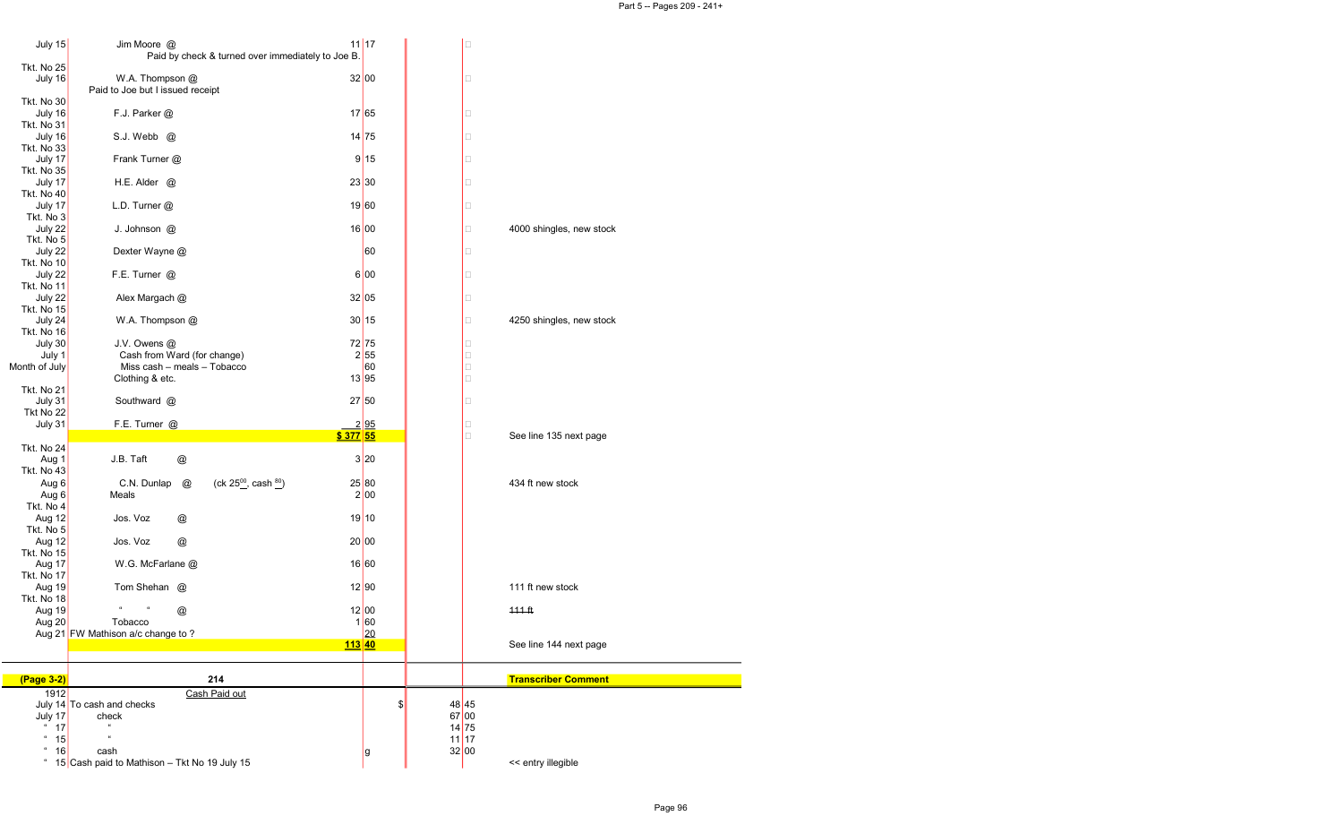| July 15                                    | Jim Moore @<br>Paid by check & turned over immediately to Joe B. | 11 17         | $\Box$                                            |                            |
|--------------------------------------------|------------------------------------------------------------------|---------------|---------------------------------------------------|----------------------------|
| <b>Tkt. No 25</b>                          |                                                                  |               |                                                   |                            |
| July 16                                    | W.A. Thompson @<br>Paid to Joe but I issued receipt              | 32 00         | $\Box$                                            |                            |
| <b>Tkt. No 30</b><br>July 16<br>Tkt. No 31 | F.J. Parker @                                                    | 17 65         | □                                                 |                            |
| July 16<br><b>Tkt. No 33</b>               | S.J. Webb @                                                      | 14 75         | $\Box$                                            |                            |
| July 17<br><b>Tkt. No 35</b>               | Frank Turner @                                                   | 9 15          | $\Box$                                            |                            |
| July 17<br><b>Tkt. No 40</b>               | H.E. Alder @                                                     | 23 30         | $\Box$                                            |                            |
| July 17<br>Tkt. No 3                       | L.D. Turner @                                                    | 19 60         | $\Box$                                            |                            |
| July 22<br>Tkt. No 5                       | J. Johnson @                                                     | 16 00         | $\Box$                                            | 4000 shingles, new stock   |
| July 22<br><b>Tkt. No 10</b>               | Dexter Wayne @                                                   | 60            | $\Box$                                            |                            |
| July 22<br>Tkt. No 11                      | F.E. Turner @                                                    | 6 00          | $\Box$                                            |                            |
| July 22<br><b>Tkt. No 15</b>               | Alex Margach @                                                   | 32 05         | $\Box$                                            |                            |
| July 24<br><b>Tkt. No 16</b>               | W.A. Thompson @                                                  | 30 15         | $\Box$                                            | 4250 shingles, new stock   |
| July 30                                    | J.V. Owens $@$                                                   | 72 75         | $\Box$                                            |                            |
| July 1                                     | Cash from Ward (for change)                                      | 2 55          | $\begin{array}{c} \square \\ \square \end{array}$ |                            |
| Month of July                              | Miss cash - meals - Tobacco                                      | 60            |                                                   |                            |
|                                            | Clothing & etc.                                                  | 13 95         | $\Box$                                            |                            |
| Tkt. No 21<br>July 31                      | Southward @                                                      | 27 50         | $\Box$                                            |                            |
| Tkt No 22                                  |                                                                  |               |                                                   |                            |
| July 31                                    | F.E. Turner @                                                    | <u> 295</u>   | $\Box$                                            |                            |
|                                            | <u>\$377 55</u>                                                  |               | $\Box$                                            | See line 135 next page     |
| <b>Tkt. No 24</b>                          | J.B. Taft                                                        | 3 20          |                                                   |                            |
| Aug 1<br><b>Tkt. No 43</b>                 | $^\copyright$                                                    |               |                                                   |                            |
|                                            | (ck $25^{00}$ , cash $^{80}$ )<br>C.N. Dunlap                    |               |                                                   |                            |
| Aug 6<br>Aug 6                             | $^{\textregistered}$<br>Meals                                    | 25 80<br>2 00 |                                                   | 434 ft new stock           |
| Tkt. No 4                                  |                                                                  |               |                                                   |                            |
| Aug 12                                     | Jos. Voz<br>@                                                    | 19 10         |                                                   |                            |
| Tkt. No 5                                  |                                                                  |               |                                                   |                            |
| Aug 12                                     | Jos. Voz<br>$^{\circledR}$                                       | 20 00         |                                                   |                            |
| <b>Tkt. No 15</b>                          |                                                                  |               |                                                   |                            |
| Aug 17                                     | W.G. McFarlane @                                                 | 16 60         |                                                   |                            |
| Tkt. No 17                                 |                                                                  |               |                                                   |                            |
| Aug 19<br>Tkt. No 18                       | Tom Shehan @                                                     | 12 90         |                                                   | 111 ft new stock           |
| Aug 19                                     | @                                                                | 12 00         |                                                   | $111$ ft                   |
| Aug 20                                     | Tobacco                                                          | 1 60          |                                                   |                            |
|                                            | Aug 21 FW Mathison a/c change to ?                               | 20            |                                                   |                            |
|                                            | 113/40                                                           |               |                                                   | See line 144 next page     |
|                                            |                                                                  |               |                                                   |                            |
| $(Page 3-2)$                               | 214                                                              |               |                                                   | <b>Transcriber Comment</b> |
| 1912                                       | Cash Paid out                                                    |               |                                                   |                            |
|                                            | July 14 To cash and checks                                       | \$            | 48 45                                             |                            |
| July 17                                    | check                                                            |               | 67 00                                             |                            |
| " $17$                                     | $\alpha$                                                         |               | 14 75                                             |                            |
| " $15$                                     |                                                                  |               | $11$ 17                                           |                            |
| " 16                                       | cash<br>" 15 Cash paid to Mathison - Tkt No 19 July 15           | lg.           | 32 00                                             | << entry illegible         |
|                                            |                                                                  |               |                                                   |                            |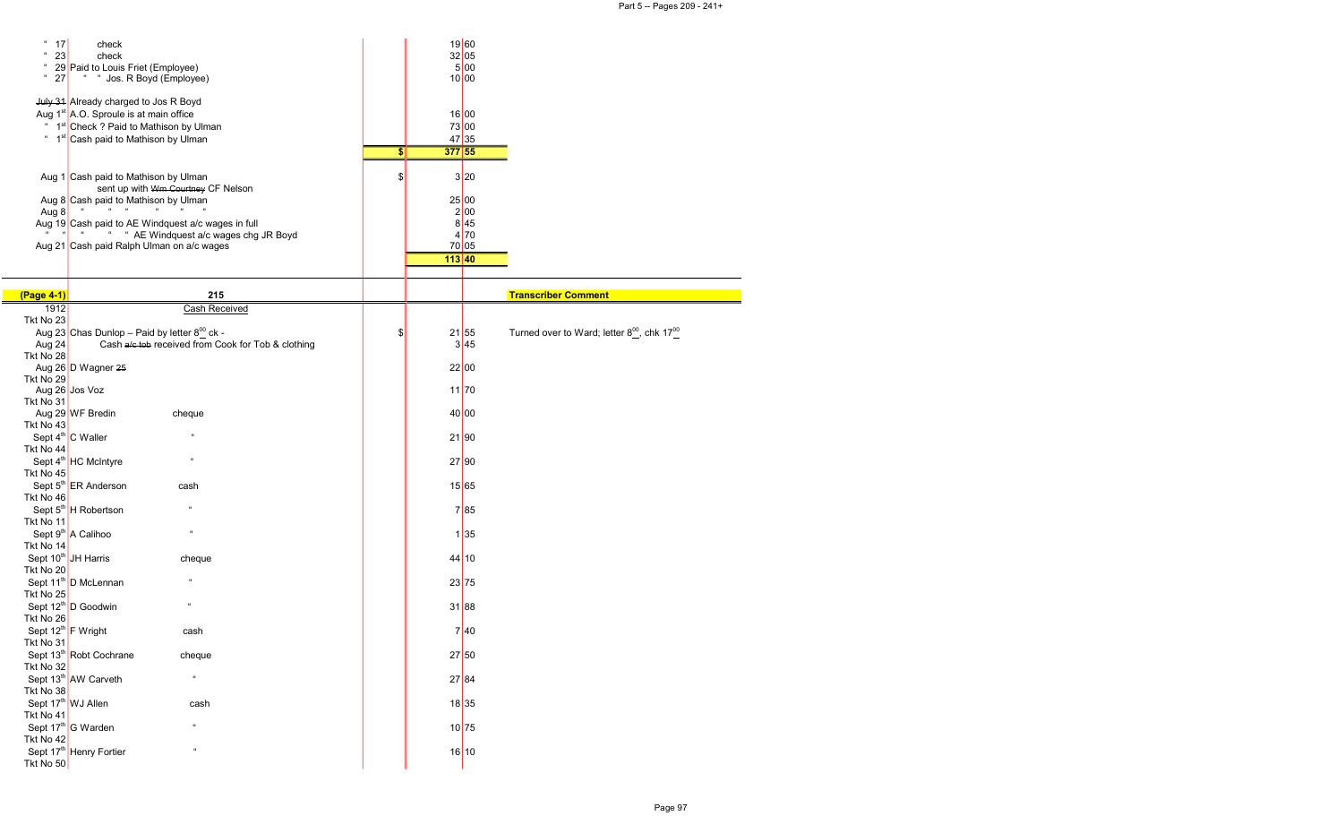| $\epsilon\epsilon$<br>17<br>$\mathfrak{c}\mathfrak{c}$<br>23<br>$\epsilon$<br>27 | check<br>check<br>29 Paid to Louis Friet (Employee)<br>" " Jos. R Boyd (Employee)                                                                                                                                                                             |    |                          | 19 60<br>32 05<br>5 00<br>10 00 |                                                                    |
|----------------------------------------------------------------------------------|---------------------------------------------------------------------------------------------------------------------------------------------------------------------------------------------------------------------------------------------------------------|----|--------------------------|---------------------------------|--------------------------------------------------------------------|
|                                                                                  | July 31 Already charged to Jos R Boyd<br>Aug 1 <sup>st</sup> A.O. Sproule is at main office<br>" 1 <sup>st</sup> Check ? Paid to Mathison by Ulman<br>" 1 <sup>st</sup> Cash paid to Mathison by Ulman                                                        | \$ | 377 55                   | 16 00<br>73 00<br>47 35         |                                                                    |
| Aug $8$                                                                          | Aug 1 Cash paid to Mathison by Ulman<br>sent up with Wm Courtney CF Nelson<br>Aug 8 Cash paid to Mathison by Ulman<br>Aug 19 Cash paid to AE Windquest a/c wages in full<br>" AE Windquest a/c wages chg JR Boyd<br>Aug 21 Cash paid Ralph Ulman on a/c wages | \$ | 25 00<br>70 05<br>113 40 | 3 20<br>2 00 <br>8 45<br>4 70   |                                                                    |
| (Page 4-1)                                                                       | 215                                                                                                                                                                                                                                                           |    |                          |                                 | <b>Transcriber Comment</b>                                         |
| 1912<br>Tkt No 23<br>Aug 24<br>Tkt No 28                                         | Cash Received<br>Aug 23 Chas Dunlop - Paid by letter $8^{00}$ ck -<br>Cash a/c tob received from Cook for Tob & clothing                                                                                                                                      | \$ |                          | 21 55<br>3 45                   | Turned over to Ward; letter 8 <sup>00</sup> , chk 17 <sup>00</sup> |
| Tkt No 29                                                                        | Aug 26 D Wagner 25<br>Aug 26 Jos Voz                                                                                                                                                                                                                          |    | 22 00<br>11 70           |                                 |                                                                    |
| Tkt No 31<br>Tkt No 43                                                           | Aug 29 WF Bredin<br>cheque                                                                                                                                                                                                                                    |    |                          | 40 00                           |                                                                    |
| Tkt No 44                                                                        | $\alpha$<br>Sept 4 <sup>th</sup> C Waller<br>$\mathfrak{c}\mathfrak{c}$                                                                                                                                                                                       |    | 21 90                    |                                 |                                                                    |
| Tkt No 45                                                                        | Sept 4 <sup>th</sup> HC McIntyre<br>Sept 5 <sup>th</sup> ER Anderson<br>cash                                                                                                                                                                                  |    |                          | 27 90<br>15 65                  |                                                                    |
| Tkt No 46                                                                        | Sept 5 <sup>th</sup> H Robertson<br>$\mathfrak{g}$                                                                                                                                                                                                            |    |                          | 7 85                            |                                                                    |
| Tkt No 11<br>Tkt No 14                                                           | $\alpha$<br>Sept 9 <sup>th</sup> A Calihoo                                                                                                                                                                                                                    |    |                          | 1 35                            |                                                                    |
| Tkt No 20                                                                        | Sept 10 <sup>th</sup> JH Harris<br>cheque                                                                                                                                                                                                                     |    | 44 10                    |                                 |                                                                    |
| Tkt No 25                                                                        | Sept 11 <sup>th</sup> D McLennan<br>Sept 12 <sup>th</sup> D Goodwin                                                                                                                                                                                           |    |                          | 23 75<br>31 88                  |                                                                    |
| Tkt No 26                                                                        | Sept 12 <sup>th</sup> F Wright<br>cash                                                                                                                                                                                                                        |    |                          | 7 40                            |                                                                    |
| Tkt No $31$<br>Tkt No 32                                                         | Sept 13 <sup>th</sup> Robt Cochrane<br>cheque                                                                                                                                                                                                                 |    |                          | 27 50                           |                                                                    |
| Tkt No 38                                                                        | Sept 13 <sup>th</sup> AW Carveth                                                                                                                                                                                                                              |    |                          | 27 84                           |                                                                    |
| Tkt No 41                                                                        | Sept 17 <sup>th</sup> WJ Allen<br>cash                                                                                                                                                                                                                        |    |                          | 18 35                           |                                                                    |
| Tkt No 42                                                                        | Sept 17 <sup>th</sup> G Warden<br>$\mathbf{u}$<br>Sept 17 <sup>th</sup> Henry Fortier<br>$\mathfrak{c}\mathfrak{c}$                                                                                                                                           |    |                          | 10 75<br>16 10                  |                                                                    |
| Tkt No 50                                                                        |                                                                                                                                                                                                                                                               |    |                          |                                 |                                                                    |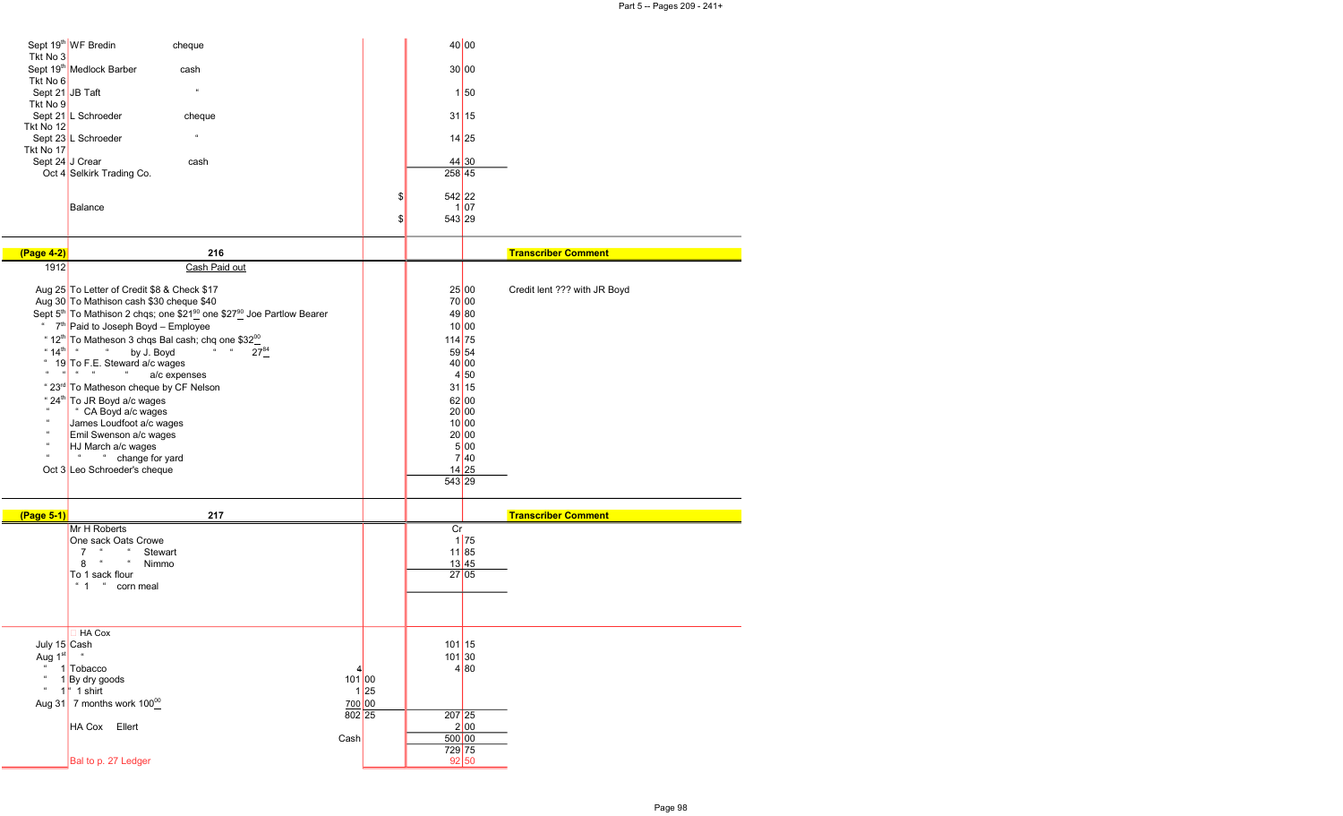|                             | Sept 19 <sup>th</sup> WF Bredin<br>cheque                                                                                                                   |                    |                  | 40 00             |                              |
|-----------------------------|-------------------------------------------------------------------------------------------------------------------------------------------------------------|--------------------|------------------|-------------------|------------------------------|
| Tkt No 3                    | Sept 19th Medlock Barber<br>cash                                                                                                                            |                    |                  | 30 00             |                              |
| Tkt No 6                    | $\alpha$                                                                                                                                                    |                    |                  |                   |                              |
| Tkt No 9                    | Sept 21 JB Taft                                                                                                                                             |                    |                  | 1 50              |                              |
|                             | Sept 21 L Schroeder<br>cheque                                                                                                                               |                    |                  | 31 15             |                              |
| Tkt No 12                   | Sept 23 L Schroeder                                                                                                                                         |                    |                  | 14 25             |                              |
| Tkt No 17                   |                                                                                                                                                             |                    |                  |                   |                              |
|                             | Sept 24 J Crear<br>cash<br>Oct 4 Selkirk Trading Co.                                                                                                        |                    | 258 45           | 44 30             |                              |
|                             |                                                                                                                                                             |                    |                  |                   |                              |
|                             | Balance                                                                                                                                                     | $\frac{1}{2}$      | 542 22           | 1 07              |                              |
|                             |                                                                                                                                                             | $\frac{1}{2}$      | 543 29           |                   |                              |
|                             |                                                                                                                                                             |                    |                  |                   |                              |
| (Page 4-2)                  | 216                                                                                                                                                         |                    |                  |                   | <b>Transcriber Comment</b>   |
| 1912                        | Cash Paid out                                                                                                                                               |                    |                  |                   |                              |
|                             | Aug 25 To Letter of Credit \$8 & Check \$17                                                                                                                 |                    |                  | 25 00             | Credit lent ??? with JR Boyd |
|                             | Aug 30 To Mathison cash \$30 cheque \$40                                                                                                                    |                    | 70 00            |                   |                              |
| $\alpha$                    | Sept 5 <sup>th</sup> To Mathison 2 chqs; one \$21 <sup>90</sup> one \$27 <sup>90</sup> Joe Partlow Bearer<br>7 <sup>th</sup> Paid to Joseph Boyd – Employee |                    |                  | 49 80<br>10 00    |                              |
|                             | " 12 <sup>th</sup> To Matheson 3 chqs Bal cash; chq one \$32 <sup>00</sup>                                                                                  |                    | $114$ 75         |                   |                              |
|                             | $\alpha$ . $\alpha$<br>" $14^{th}$ "<br>$\alpha$<br>by J. Boyd<br>$27^{84}_{-}$                                                                             |                    |                  | 59 54             |                              |
|                             | " 19 To F.E. Steward a/c wages                                                                                                                              |                    |                  | 40 00             |                              |
|                             | $\alpha$<br>$\mathbf{u} = \mathbf{u} \mathbf{u} = \mathbf{u}$<br>a/c expenses                                                                               |                    |                  | 4 50              |                              |
|                             | " 23 <sup>rd</sup> To Matheson cheque by CF Nelson<br>" 24 <sup>th</sup> To JR Boyd a/c wages                                                               |                    |                  | 31 15<br>62 00    |                              |
|                             | " CA Boyd a/c wages                                                                                                                                         |                    |                  | 20 00             |                              |
| $\mathfrak{c}$              | James Loudfoot a/c wages                                                                                                                                    |                    |                  | 10 00             |                              |
| $\mathfrak{u}$              | Emil Swenson a/c wages                                                                                                                                      |                    |                  | 20 00             |                              |
| $\alpha$<br>$\mathfrak{c}$  | HJ March a/c wages<br>" change for yard<br>$\alpha$                                                                                                         |                    |                  | 5 00<br>7 40      |                              |
|                             | Oct 3 Leo Schroeder's cheque                                                                                                                                |                    |                  | 14 25             |                              |
|                             |                                                                                                                                                             |                    | 543 29           |                   |                              |
|                             |                                                                                                                                                             |                    |                  |                   |                              |
| (Page 5-1)                  | 217<br>Mr H Roberts                                                                                                                                         |                    | Cr               |                   | <b>Transcriber Comment</b>   |
|                             | One sack Oats Crowe                                                                                                                                         |                    |                  | 1 75              |                              |
|                             | $\epsilon\epsilon$<br>$\overline{7}$<br>Stewart                                                                                                             |                    |                  | 11 85             |                              |
|                             | $\boldsymbol{\mu}$<br>$\boldsymbol{\mu}$<br>8<br>Nimmo                                                                                                      |                    |                  | 13 45             |                              |
|                             | To 1 sack flour<br>" 1 " corn meal                                                                                                                          |                    |                  | 27 05             |                              |
|                             |                                                                                                                                                             |                    |                  |                   |                              |
|                             |                                                                                                                                                             |                    |                  |                   |                              |
|                             | <b>HA Cox</b>                                                                                                                                               |                    |                  |                   |                              |
| July 15 Cash                |                                                                                                                                                             |                    | $101$ 15         |                   |                              |
| Aug $1st$ "                 |                                                                                                                                                             |                    | 101 30           |                   |                              |
|                             | 1 Tobacco<br>1 By dry goods                                                                                                                                 | 4<br>101 00        |                  | 4 80              |                              |
| $\boldsymbol{\mathfrak{u}}$ | $1^{\mu}$ 1 shirt                                                                                                                                           | 1 25               |                  |                   |                              |
|                             | Aug 31 7 months work 100 <sup>00</sup>                                                                                                                      | 700 00             |                  |                   |                              |
|                             |                                                                                                                                                             | $802\overline{25}$ | 207 25           |                   |                              |
|                             |                                                                                                                                                             |                    |                  |                   |                              |
|                             | HA Cox Ellert                                                                                                                                               |                    |                  | 2 00              |                              |
|                             | Cash                                                                                                                                                        |                    | 500 00<br>729 75 | $92\overline{50}$ |                              |

 $\overline{\phantom{a}}$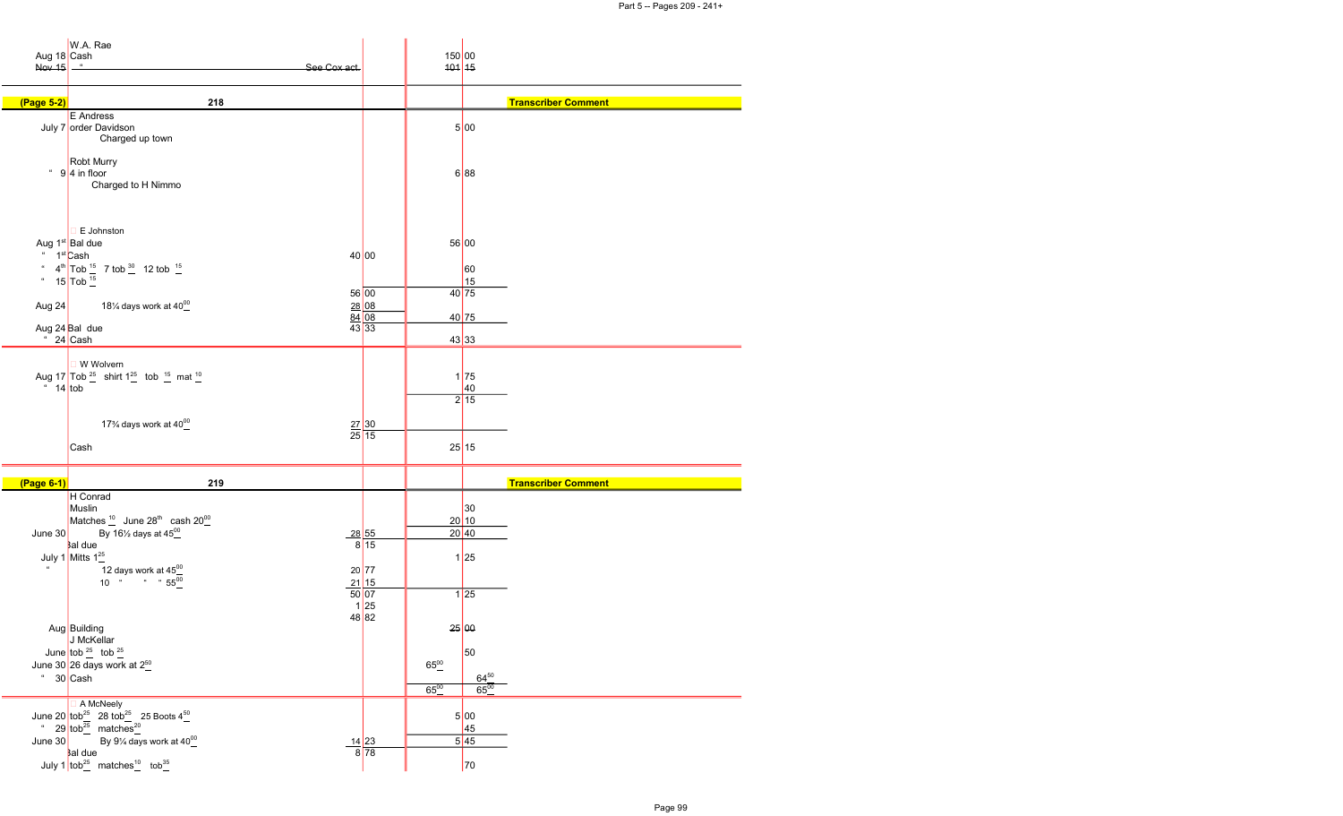|                             | W.A. Rae                                                                         |                                                                  |               |                  |                            |
|-----------------------------|----------------------------------------------------------------------------------|------------------------------------------------------------------|---------------|------------------|----------------------------|
| Aug 18 Cash                 |                                                                                  |                                                                  | 150 00        |                  |                            |
| Now 15                      |                                                                                  | See Cox act.                                                     | $404$ $15$    |                  |                            |
|                             |                                                                                  |                                                                  |               |                  |                            |
|                             |                                                                                  |                                                                  |               |                  |                            |
| (Page 5-2)                  | 218                                                                              |                                                                  |               |                  | <b>Transcriber Comment</b> |
|                             | E Andress                                                                        |                                                                  |               |                  |                            |
|                             | July 7 order Davidson                                                            |                                                                  |               | 5 00             |                            |
|                             | Charged up town                                                                  |                                                                  |               |                  |                            |
|                             |                                                                                  |                                                                  |               |                  |                            |
|                             | <b>Robt Murry</b><br>" $9 4$ in floor                                            |                                                                  |               | 6 88             |                            |
|                             | Charged to H Nimmo                                                               |                                                                  |               |                  |                            |
|                             |                                                                                  |                                                                  |               |                  |                            |
|                             |                                                                                  |                                                                  |               |                  |                            |
|                             |                                                                                  |                                                                  |               |                  |                            |
|                             | $\Box$ E Johnston                                                                |                                                                  |               |                  |                            |
|                             | Aug 1 <sup>st</sup> Bal due                                                      |                                                                  |               | 56 00            |                            |
| $\boldsymbol{\mathfrak{c}}$ | 1 <sup>st</sup> Cash                                                             | 40 00                                                            |               |                  |                            |
|                             |                                                                                  |                                                                  |               |                  |                            |
| a                           | $4^{th}$ Tob $\frac{15}{15}$ 7 tob $\frac{30}{12}$ 12 tob $\frac{15}{15}$        |                                                                  |               | 60               |                            |
|                             |                                                                                  |                                                                  |               | 15               |                            |
|                             |                                                                                  | 56 00                                                            | 40 75         |                  |                            |
| Aug 24                      | 181/4 days work at 40 <sup>00</sup>                                              | 28 08                                                            |               |                  |                            |
|                             |                                                                                  | 8408                                                             |               | 40 75            |                            |
|                             | Aug 24 Bal due<br>"24 Cash                                                       | $43\overline{)33}$                                               |               |                  |                            |
|                             |                                                                                  |                                                                  | 43 33         |                  |                            |
|                             |                                                                                  |                                                                  |               |                  |                            |
|                             | □ W Wolvern                                                                      |                                                                  |               |                  |                            |
|                             | Aug 17 Tob <sup>25</sup> shirt $1^{25}$ tob <sup>15</sup> mat <sup>10</sup>      |                                                                  |               | 1 75             |                            |
| " $14$ tob                  |                                                                                  |                                                                  |               | 40               |                            |
|                             |                                                                                  |                                                                  |               | 2 15             |                            |
|                             |                                                                                  |                                                                  |               |                  |                            |
|                             |                                                                                  |                                                                  |               |                  |                            |
|                             | 17% days work at $40^{00}_{-}$                                                   | 27 30                                                            |               |                  |                            |
|                             |                                                                                  | $25\overline{15}$                                                |               |                  |                            |
|                             | Cash                                                                             |                                                                  |               | 25 15            |                            |
|                             |                                                                                  |                                                                  |               |                  |                            |
|                             |                                                                                  |                                                                  |               |                  |                            |
| $(Page 6-1)$                | 219                                                                              |                                                                  |               |                  | <b>Transcriber Comment</b> |
|                             | H Conrad                                                                         |                                                                  |               |                  |                            |
|                             | Muslin                                                                           |                                                                  |               | 30               |                            |
|                             | Matches $^{10}$ June 28 <sup>th</sup> cash 20 <sup>00</sup>                      |                                                                  | 20 10         |                  |                            |
| June 30                     | By 161/2 days at 45 <sup>00</sup>                                                | 28 55                                                            | 20 40         |                  |                            |
|                             | Bal due                                                                          | $8\overline{15}$                                                 |               |                  |                            |
|                             | July 1 Mitts $1^{25}$                                                            |                                                                  |               | 1 25             |                            |
| $\boldsymbol{\mu}$          |                                                                                  | 20 77                                                            |               |                  |                            |
|                             | 12 days work at $45\frac{00}{0}$<br>10 " " " 55 <sup>00</sup>                    | $21 \overline{15}$                                               |               |                  |                            |
|                             |                                                                                  | $50$ 07                                                          |               | 1 25             |                            |
|                             |                                                                                  | 1 25                                                             |               |                  |                            |
|                             |                                                                                  | 48 82                                                            |               |                  |                            |
|                             | Aug Building                                                                     |                                                                  |               | 25 00            |                            |
|                             | J McKellar                                                                       |                                                                  |               |                  |                            |
|                             | June tob $\frac{25}{ }$ tob $\frac{25}{ }$                                       |                                                                  |               | 50               |                            |
|                             | June 30 26 days work at $2^{50}$                                                 |                                                                  | $65^{00}_{-}$ |                  |                            |
|                             | " $30$ Cash                                                                      |                                                                  |               | $64^{50}$        |                            |
|                             |                                                                                  |                                                                  | $65^{00}$     | $65^{00}$        |                            |
|                             | □ A McNeely                                                                      |                                                                  |               |                  |                            |
|                             | June 20 $\frac{\text{tob}^{25}}{28 \text{ to } b^{25}}$ 25 Boots 4 <sup>50</sup> |                                                                  |               | 5 00             |                            |
|                             | " $29$ tob <sup>25</sup> matches <sup>20</sup>                                   |                                                                  |               | 45               |                            |
| June $30$                   | By $9\%$ days work at $40^{00}_{-}$                                              |                                                                  |               | $5\overline{45}$ |                            |
|                             | Bal due<br>July 1 $\text{tob}^{25}$ matches <sup>10</sup> tob <sup>35</sup>      | $\begin{array}{r c}\n 14 & 23 \\  \hline\n 8 & 78\n \end{array}$ |               | 70               |                            |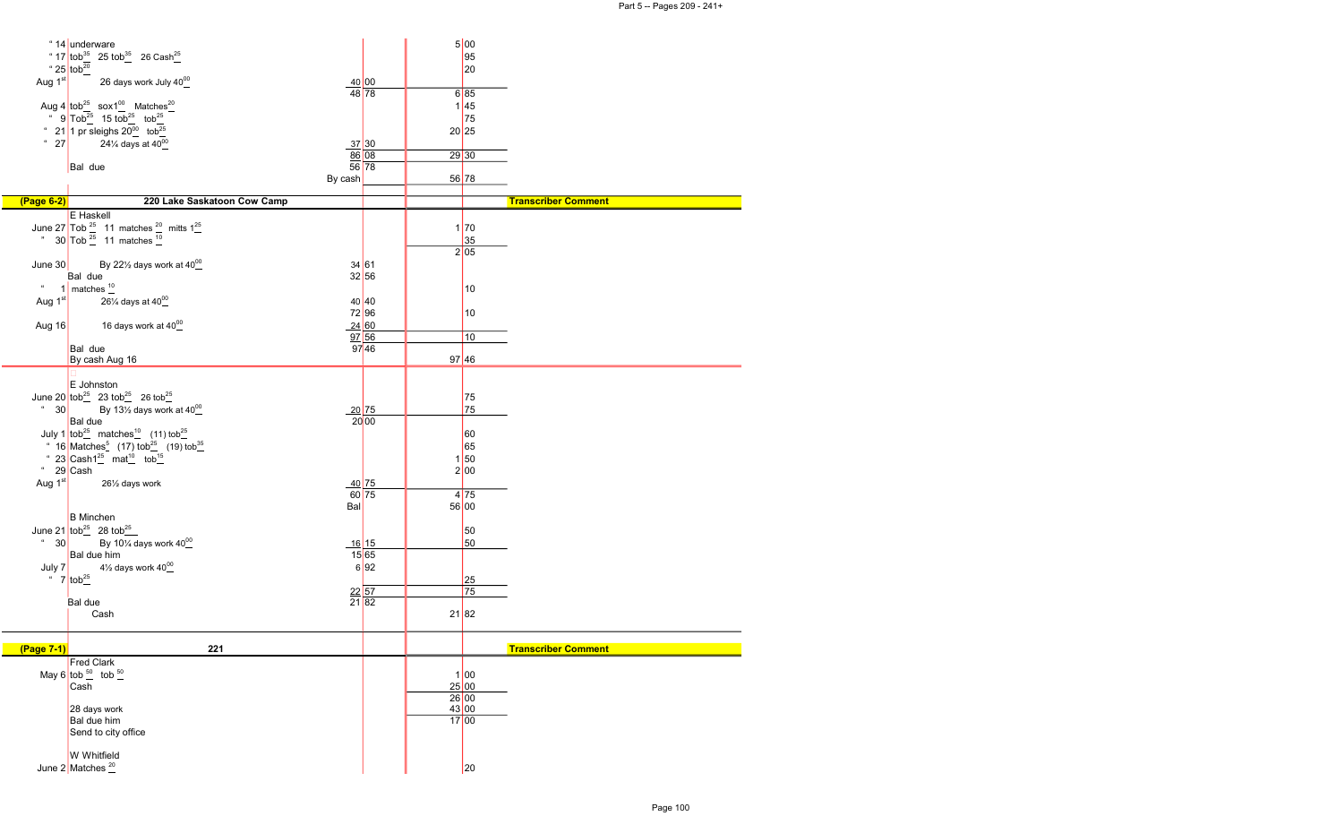|                     | " 14 underware                                                                                                                      |                   |                   |                | 5 00         |                            |
|---------------------|-------------------------------------------------------------------------------------------------------------------------------------|-------------------|-------------------|----------------|--------------|----------------------------|
|                     | " 17 tob <sup>35</sup> 25 tob <sup>35</sup> 26 Cash <sup>25</sup>                                                                   |                   |                   |                | 95           |                            |
|                     | " $25   \text{tob}^2$                                                                                                               |                   |                   |                | 20           |                            |
| Aug 1 <sup>st</sup> | 26 days work July $40^{00}_{-}$                                                                                                     | $-40$ 00          |                   |                |              |                            |
|                     |                                                                                                                                     | $48\overline{78}$ |                   |                | 6 85         |                            |
|                     | Aug $4  \text{tob}^{25} \text{ sox1}^{00}$ Matches <sup>20</sup>                                                                    |                   |                   |                | 1 45         |                            |
|                     | " 9 Tob <sup>25</sup> 15 tob <sup>25</sup> tob <sup>25</sup><br>" 21 1 pr sleighs $20^{00}$ tob <sup>25</sup>                       |                   |                   |                | 75           |                            |
|                     |                                                                                                                                     |                   |                   | 20 25          |              |                            |
| " 27                | 241/4 days at 40 <sup>00</sup>                                                                                                      | 37/30             |                   |                |              |                            |
|                     |                                                                                                                                     | 86 08             |                   | 29 30          |              |                            |
|                     | Bal due                                                                                                                             | $56\overline{78}$ |                   |                |              |                            |
|                     |                                                                                                                                     | By cash           |                   | 56 78          |              |                            |
|                     |                                                                                                                                     |                   |                   |                |              |                            |
| (Page 6-2)          | 220 Lake Saskatoon Cow Camp                                                                                                         |                   |                   |                |              | <b>Transcriber Comment</b> |
|                     | E Haskell                                                                                                                           |                   |                   |                |              |                            |
|                     | June 27 Tob $\frac{25}{25}$ 11 matches $\frac{20}{10}$ mitts 1 <sup>25</sup><br>" 30 Tob $\frac{25}{10}$ 11 matches $\frac{10}{10}$ |                   |                   |                | 1 70         |                            |
|                     |                                                                                                                                     |                   |                   |                | 35           |                            |
|                     |                                                                                                                                     |                   |                   |                | 2 05         |                            |
| June $30$           | By 22½ days work at 40 $^{\underline{00}}$                                                                                          | 32 56             | 34 61             |                |              |                            |
|                     | Bal due                                                                                                                             |                   |                   |                |              |                            |
| 1                   | $\frac{10}{2}$ matches $\frac{10}{2}$<br>261/4 days at 40 <sup>00</sup>                                                             |                   |                   |                | $ 10\rangle$ |                            |
| Aug 1 <sup>st</sup> |                                                                                                                                     | 40 40<br>72 96    |                   |                | 10           |                            |
|                     |                                                                                                                                     |                   |                   |                |              |                            |
| Aug 16              | 16 days work at 40 $^{00}_{-}$                                                                                                      | 24 60<br>9756     |                   |                | 10           |                            |
|                     | Bal due                                                                                                                             |                   | 9746              |                |              |                            |
|                     | By cash Aug 16                                                                                                                      |                   |                   | 97 46          |              |                            |
|                     | $\Box$                                                                                                                              |                   |                   |                |              |                            |
|                     | E Johnston                                                                                                                          |                   |                   |                |              |                            |
|                     | June 20 $\frac{\text{tob}^{25}}{23}$ 23 tob <sup>25</sup> 26 tob <sup>25</sup>                                                      |                   |                   |                | 75           |                            |
| " 30                | By 131/2 days work at $40^{00}_{-}$                                                                                                 | $20$ 75           |                   |                | 75           |                            |
|                     | <b>Bal due</b>                                                                                                                      |                   | $20\overline{00}$ |                |              |                            |
|                     | July 1 $\left  \text{tob}^{25} \right $ matches <sup>10</sup> (11) $\text{tob}^{25}$                                                |                   |                   |                | 60           |                            |
|                     | " $16 \text{ Matches}^5$ (17) $\text{tob}^{25}$ (19) $\text{tob}^{35}$                                                              |                   |                   |                | 65           |                            |
|                     | " 23 Cash1 <sup>25</sup> mat <sup>10</sup> tob <sup>15</sup>                                                                        |                   |                   |                | 1 50         |                            |
| " $29$ Cash         |                                                                                                                                     |                   |                   |                | 2 00         |                            |
| Aug 1st             | 261/2 days work                                                                                                                     | 40 75             |                   |                |              |                            |
|                     |                                                                                                                                     | 60 75             |                   |                | 4 75         |                            |
|                     |                                                                                                                                     | Bal               |                   | 56 00          |              |                            |
|                     | <b>B</b> Minchen                                                                                                                    |                   |                   |                |              |                            |
|                     | June 21 tob <sup>25</sup> 28 tob <sup>25</sup>                                                                                      |                   |                   |                | 50           |                            |
| " 30                | By 101/4 days work 40 <sup>00</sup>                                                                                                 | $16$ 15           |                   |                | 50           |                            |
|                     | Bal due him                                                                                                                         | 15 65             |                   |                |              |                            |
| July 7              | $4\frac{1}{2}$ days work $40^{00}_{-}$                                                                                              |                   | 6 92              |                |              |                            |
|                     | " $7$ tob <sup>25</sup>                                                                                                             |                   |                   |                | 25           |                            |
|                     |                                                                                                                                     | 22 57             |                   |                | 75           |                            |
|                     | Bal due                                                                                                                             | 21 82             |                   |                |              |                            |
|                     | Cash                                                                                                                                |                   |                   | 21 82          |              |                            |
|                     |                                                                                                                                     |                   |                   |                |              |                            |
|                     |                                                                                                                                     |                   |                   |                |              |                            |
| (Page 7-1)          | 221                                                                                                                                 |                   |                   |                |              | <b>Transcriber Comment</b> |
|                     | <b>Fred Clark</b>                                                                                                                   |                   |                   |                |              |                            |
|                     | May 6 tob $\frac{50}{ }$ tob $\frac{50}{ }$                                                                                         |                   |                   |                | 1 00         |                            |
|                     | Cash                                                                                                                                |                   |                   | 25 00          |              |                            |
|                     |                                                                                                                                     |                   |                   | 26 00          |              |                            |
|                     | 28 days work                                                                                                                        |                   |                   | 43 00<br>17 00 |              |                            |
|                     | Bal due him                                                                                                                         |                   |                   |                |              |                            |
|                     | Send to city office                                                                                                                 |                   |                   |                |              |                            |
|                     | W Whitfield                                                                                                                         |                   |                   |                |              |                            |
|                     | June $2$ Matches $^{20}_{-}$                                                                                                        |                   |                   |                | 20           |                            |
|                     |                                                                                                                                     |                   |                   |                |              |                            |

----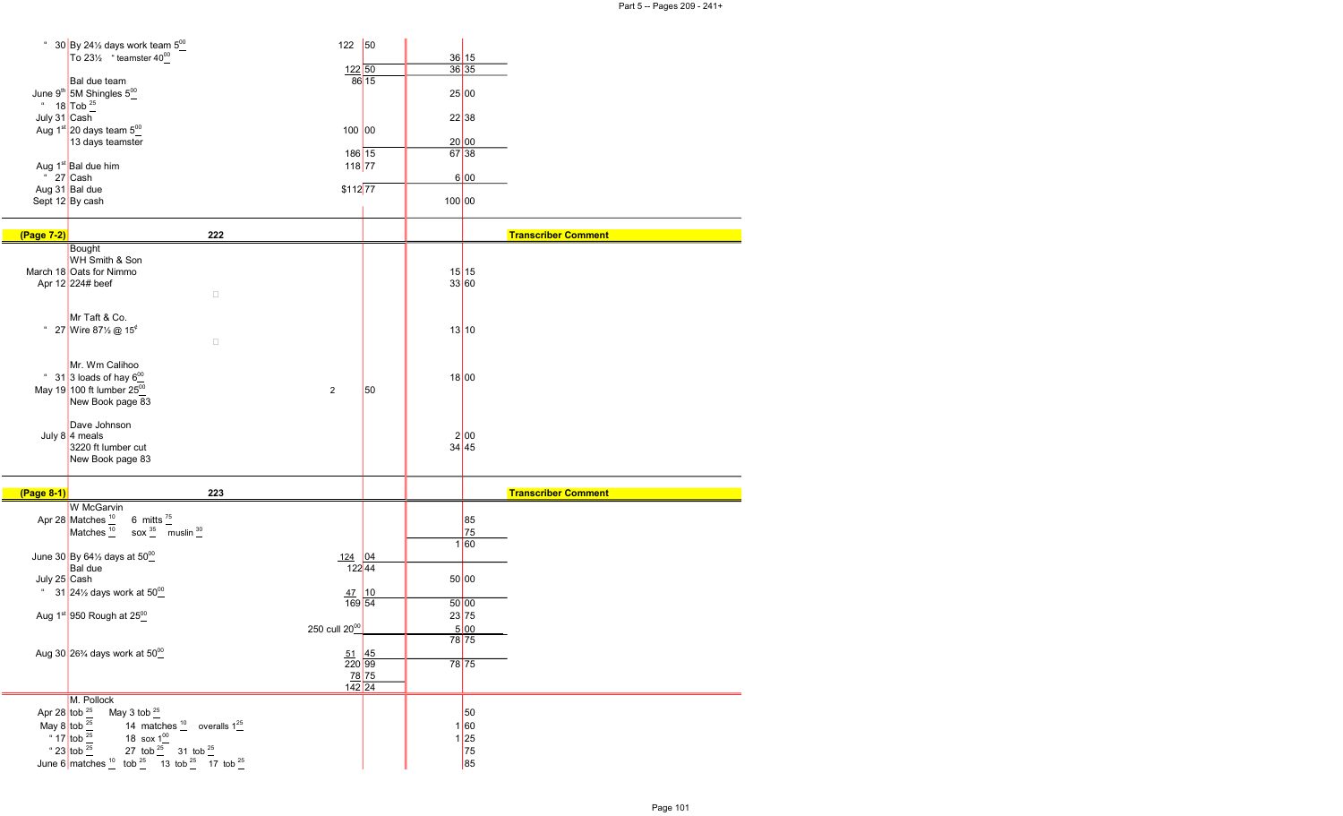| $\boldsymbol{\mu}$<br>July 31 Cash<br>Sept 12 By cash                                                         | 30 By 24 $\frac{1}{2}$ days work team $5^{\text{00}}$<br>122<br>To 231/ <sub>2</sub> " teamster 40 <sup>00</sup><br>Bal due team<br>June 9 <sup>th</sup> 5M Shingles 5 <sup>00</sup><br>$18$ Tob <sup>25</sup><br>Aug 1 <sup>st</sup> 20 days team 5 <sup>00</sup><br>13 days teamster<br>Aug 1 <sup>st</sup> Bal due him<br>27 Cash<br>Aug 31 Bal due | 50<br>$122\overline{50}$<br>86 15<br>100 00<br>$186\overline{15}$<br>118 77<br>$$112$ 77 |    | 36 15<br>36 35<br>25 00<br>22 38<br>20 00<br>67 38<br>100 00 | 6 00                           |                            |
|---------------------------------------------------------------------------------------------------------------|--------------------------------------------------------------------------------------------------------------------------------------------------------------------------------------------------------------------------------------------------------------------------------------------------------------------------------------------------------|------------------------------------------------------------------------------------------|----|--------------------------------------------------------------|--------------------------------|----------------------------|
| (Page 7-2)                                                                                                    | 222                                                                                                                                                                                                                                                                                                                                                    |                                                                                          |    |                                                              |                                | <b>Transcriber Comment</b> |
|                                                                                                               | Bought<br>WH Smith & Son<br>March 18 Oats for Nimmo<br>Apr 12 224# beef<br>$\Box$<br>Mr Taft & Co.<br>" 27 Wire $87\frac{1}{2}$ @ 15 <sup><math>\rlap{\scriptsize{\textdegree}}</math></sup>                                                                                                                                                           |                                                                                          |    | 15 15<br>33 60<br>13 10                                      |                                |                            |
|                                                                                                               | $\Box$<br>Mr. Wm Calihoo<br>" 31 3 loads of hay $6^{00}$<br>May 19 100 ft lumber 25 <sup>00</sup><br>$\sqrt{2}$<br>New Book page 83                                                                                                                                                                                                                    |                                                                                          | 50 | 18 00                                                        |                                |                            |
|                                                                                                               | Dave Johnson<br>July $8 \mid 4$ meals<br>3220 ft lumber cut<br>New Book page 83                                                                                                                                                                                                                                                                        |                                                                                          |    | 34 45                                                        | 2 00                           |                            |
| (Page 8-1)                                                                                                    | 223                                                                                                                                                                                                                                                                                                                                                    |                                                                                          |    |                                                              |                                | <b>Transcriber Comment</b> |
|                                                                                                               | W McGarvin<br>Apr 28 Matches $\frac{10}{10}$<br>Matches $\frac{10}{10}$<br>6 mitts $^{75}$<br>$s$ ox $\frac{35}{1}$ muslin $\frac{30}{1}$                                                                                                                                                                                                              |                                                                                          |    |                                                              | 85<br>75<br>1 60               |                            |
|                                                                                                               | June 30 By 641/2 days at 50 <sup>00</sup>                                                                                                                                                                                                                                                                                                              | $\frac{124}{122}\frac{04}{44}$                                                           |    |                                                              |                                |                            |
| July 25 Cash                                                                                                  | <b>Bal</b> due<br>31 24 $\frac{1}{2}$ days work at 50 $\frac{00}{1}$                                                                                                                                                                                                                                                                                   | 47 10<br>$169$ 54                                                                        |    | 50 00<br>50 00                                               |                                |                            |
|                                                                                                               | Aug 1 <sup>st</sup> 950 Rough at 25 <sup>00</sup><br>250 cull 2000                                                                                                                                                                                                                                                                                     |                                                                                          |    | 23 75<br>78 75                                               | 5 00                           |                            |
|                                                                                                               | Aug 30 $26\%$ days work at $50\frac{00}{0}$                                                                                                                                                                                                                                                                                                            | <u>51</u> 45<br>$220\overline{99}$<br><mark>78</mark> 75<br>142 24                       |    | 78 75                                                        |                                |                            |
|                                                                                                               | M. Pollock                                                                                                                                                                                                                                                                                                                                             |                                                                                          |    |                                                              |                                |                            |
| Apr 28 tob $\frac{25}{25}$<br>May 8 tob $\frac{25}{25}$<br>"17 tob $\frac{25}{25}$<br>"23 tob $\frac{25}{25}$ | May 3 tob $\frac{25}{1}$<br>14 matches $\frac{10}{1}$ overalls $1\frac{25}{1}$<br>$\frac{18}{27}$ sox $\frac{100}{2}$ $\frac{100}{31}$ tob $\frac{25}{2}$<br>June 6 matches $^{10}$ tob $^{25}$ 13 tob $^{25}$ 17 tob $^{25}$                                                                                                                          |                                                                                          |    |                                                              | 50<br>1 60<br>1 25<br>75<br>85 |                            |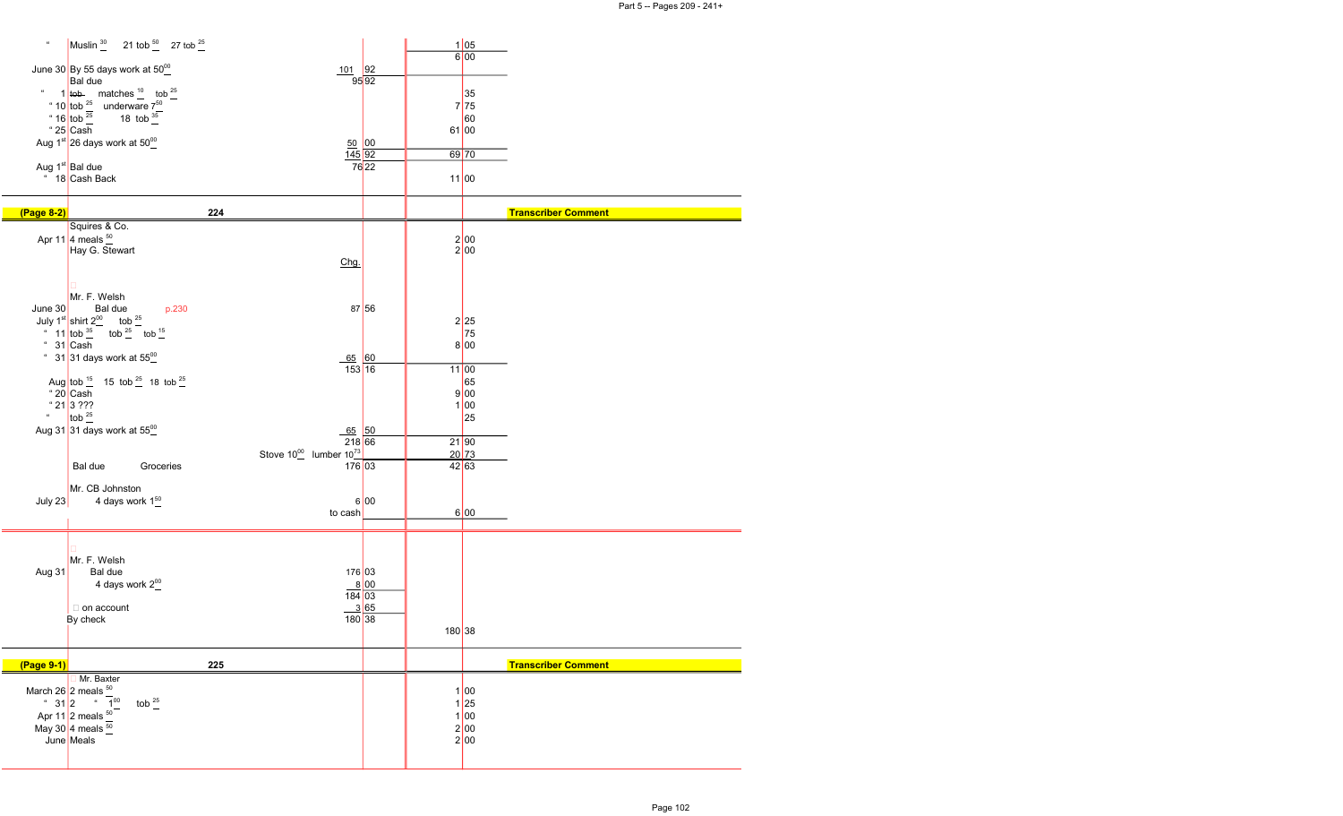| $\boldsymbol{\mu}$ | Muslin $\frac{30}{2}$ 21 tob $\frac{50}{2}$ 27 tob $\frac{25}{2}$<br>June 30 By 55 days work at $50^{\circ}$<br>$101$ 92<br>Bal due<br>" $1$ tob matches $\frac{10}{1}$ tob $\frac{25}{1}$<br>" 10 tob $\frac{25}{25}$ underware $7\frac{50}{35}$<br>" 16 tob $\frac{25}{25}$ 18 tob $\frac{35}{25}$<br>" $25$ Cash<br>Aug 1 <sup>st</sup> 26 days work at 50 <sup>00</sup><br><u>145</u> 92<br>Aug 1 <sup>st</sup> Bal due<br>" 18 Cash Back | $95\overline{92}$<br>$\frac{50}{20}$ 00<br>7622 | 61 00<br>69 70<br>11 00 | 1 05<br>6 00<br>35<br>7 75<br>60     |                            |
|--------------------|-----------------------------------------------------------------------------------------------------------------------------------------------------------------------------------------------------------------------------------------------------------------------------------------------------------------------------------------------------------------------------------------------------------------------------------------------|-------------------------------------------------|-------------------------|--------------------------------------|----------------------------|
| $(Page 8-2)$       | 224                                                                                                                                                                                                                                                                                                                                                                                                                                           |                                                 |                         |                                      | <b>Transcriber Comment</b> |
|                    | Squires & Co.<br>Apr 11 4 meals $\frac{50}{6}$<br>Hay G. Stewart<br>Chg.                                                                                                                                                                                                                                                                                                                                                                      |                                                 |                         | 2 00<br>2 00                         |                            |
| June $30$          | Mr. F. Welsh<br>Bal due<br>p.230<br>July 1 <sup>st</sup> shirt 2 <sup>00</sup> tob $\frac{25}{-}$ tob $\frac{15}{-}$ tob $\frac{15}{-}$<br>" $31$ Cash<br>" 31 31 days work at $55\frac{00}{10}$                                                                                                                                                                                                                                              | 87 56                                           |                         | 2 25<br>75<br>8 00                   |                            |
| $\boldsymbol{\mu}$ | $\frac{65}{153}$ 60<br>Aug tob $\frac{15}{6}$ 15 tob $\frac{25}{6}$ 18 tob $\frac{25}{6}$<br>" 20 $ $ Cash<br>$"21$ 3 ???<br>tob <sup>25</sup>                                                                                                                                                                                                                                                                                                |                                                 |                         | 11 00<br>65<br>9 00<br>1 00<br>25    |                            |
|                    | Aug 31 31 days work at $55\frac{00}{2}$<br>$65 \, 50$<br>218 66<br>Stove $10^{00}$ lumber $10^{73}$<br>176 03<br>Groceries<br>Bal due<br>Mr. CB Johnston                                                                                                                                                                                                                                                                                      |                                                 | 21 90<br>20 73<br>42 63 |                                      |                            |
| July 23            | 4 days work $1^{50}_{-}$<br>to cash                                                                                                                                                                                                                                                                                                                                                                                                           | 6 00                                            |                         | 6 00                                 |                            |
| Aug 31             | Mr. F. Welsh<br>Bal due<br>176 03<br>4 days work $2^{00}$<br>184 03<br>$\Box$ on account<br>$180\overline{38}$<br>By check                                                                                                                                                                                                                                                                                                                    | 8 00<br>3 65                                    | 180 38                  |                                      |                            |
| (Page 9-1)         | 225                                                                                                                                                                                                                                                                                                                                                                                                                                           |                                                 |                         |                                      | <b>Transcriber Comment</b> |
|                    | Mr. Baxter<br>March 26 $2$ meals $\frac{50}{6}$<br>" $31 \overline{)2}$ " $1 \overline{)00}$<br>tob $\frac{25}{1}$<br>Apr 11 2 meals $\frac{50}{ }$<br>May 30 $4$ meals $\frac{50}{4}$<br>June Meals                                                                                                                                                                                                                                          |                                                 |                         | 1 00<br>1 25<br>1 00<br>2 00<br>2 00 |                            |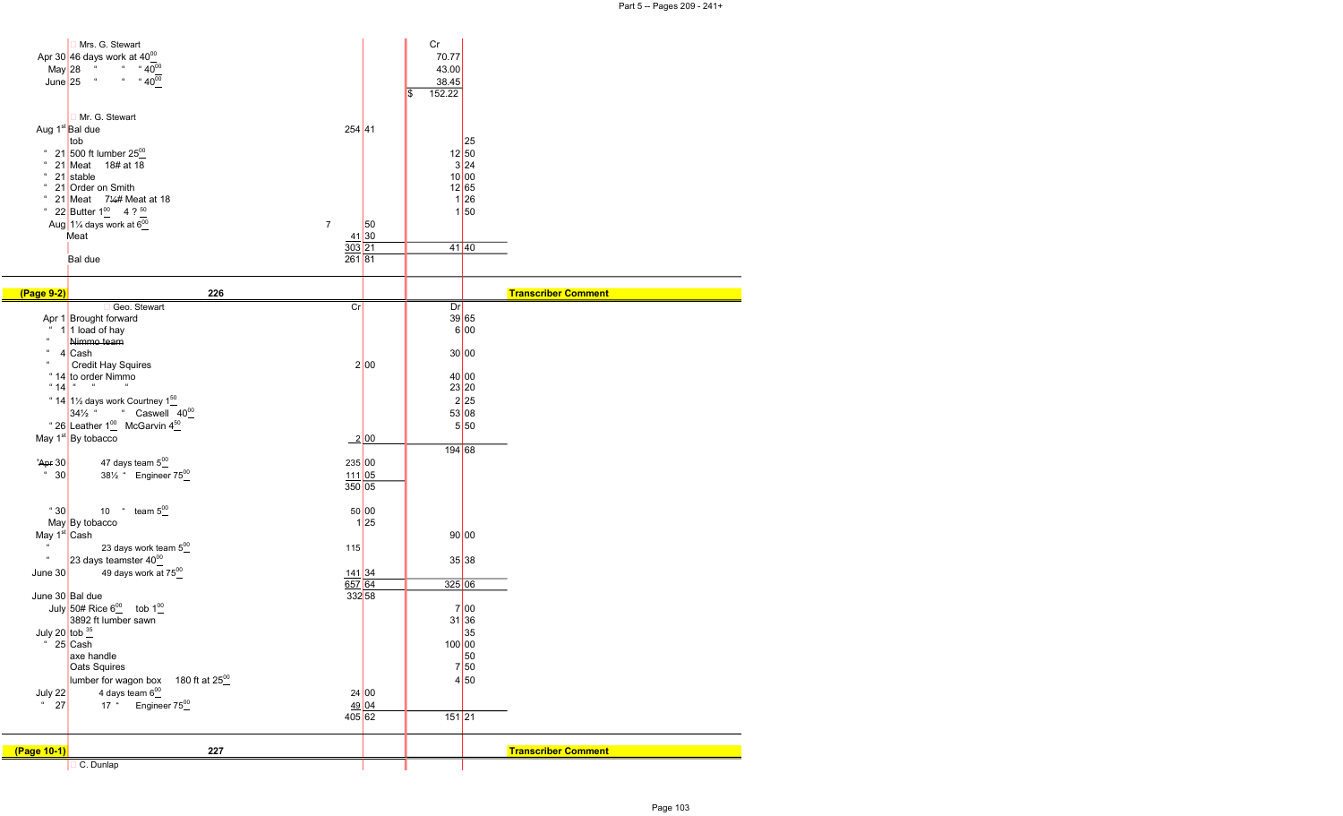| July 22<br>$\boldsymbol{\mathfrak{c}}$<br>27 | 4 days team $6^{00}$<br>Engineer 75 <sup>00</sup><br>$17$ "                         | 40562                             | 24 00<br>49 04 | $151$ 21                          |               |                            |
|----------------------------------------------|-------------------------------------------------------------------------------------|-----------------------------------|----------------|-----------------------------------|---------------|----------------------------|
|                                              |                                                                                     |                                   |                |                                   |               |                            |
|                                              |                                                                                     |                                   |                |                                   |               |                            |
|                                              |                                                                                     |                                   |                |                                   |               |                            |
|                                              | lumber for wagon box 180 ft at 25 <sup>00</sup>                                     |                                   |                |                                   | 4 50          |                            |
|                                              | axe handle<br>Oats Squires                                                          |                                   |                |                                   | 7 50          |                            |
|                                              |                                                                                     |                                   |                | 100 00                            | 50            |                            |
| July 20 tob $\frac{35}{10}$<br>" 25 Cash     |                                                                                     |                                   |                |                                   | 35            |                            |
|                                              | 3892 ft lumber sawn                                                                 |                                   |                |                                   | 31 36         |                            |
|                                              | July 50# Rice $6^{00}$ tob $1^{00}$                                                 |                                   |                |                                   | 7 00          |                            |
|                                              | June 30 Bal due                                                                     | 332 58                            |                |                                   |               |                            |
| June $30$                                    | 49 days work at 75 <sup>00</sup>                                                    | $141$ 34<br>657 64                |                | 325 06                            |               |                            |
| $\alpha$                                     | 23 days teamster 40 <sup>00</sup>                                                   |                                   |                |                                   | 35 38         |                            |
| $\boldsymbol{\mu}$                           | 23 days work team 5 <sup>00</sup>                                                   | 115                               |                |                                   |               |                            |
| May 1 <sup>st</sup> Cash                     |                                                                                     |                                   |                |                                   | 90 00         |                            |
|                                              | May By tobacco                                                                      |                                   | 1 25           |                                   |               |                            |
| "30"                                         | 10 " team $5^{00}$                                                                  |                                   | 50 00          |                                   |               |                            |
|                                              |                                                                                     |                                   |                |                                   |               |                            |
| $\mathfrak{g}$<br>30                         | 381/ <sub>2</sub> " Engineer 75 <sup>00</sup>                                       | $\frac{111}{350}$ 05              |                |                                   |               |                            |
| 'Apr 30                                      | 47 days team $5^{00}_{-}$                                                           | 235 00                            |                |                                   |               |                            |
|                                              |                                                                                     |                                   |                | 194 68                            |               |                            |
|                                              | May 1 <sup>st</sup> By tobacco                                                      |                                   | 2 00           |                                   |               |                            |
|                                              | $34\frac{1}{2}$ "<br>" Caswell $40^{00}$<br>" 26 Leather $1^{00}$ McGarvin $4^{50}$ |                                   |                |                                   | 53 08<br>5 50 |                            |
|                                              | " 14 1½ days work Courtney $1^{50}_{-}$                                             |                                   |                |                                   | 2 25          |                            |
| "14"                                         | $\mathbf{u}=-\mathbf{u}$ .                                                          |                                   |                |                                   | 23 20         |                            |
|                                              | " 14 to order Nimmo                                                                 |                                   |                |                                   | 40 00         |                            |
| $\boldsymbol{\mu}$                           | <b>Credit Hay Squires</b>                                                           |                                   | 2 00           |                                   |               |                            |
| $\alpha$                                     | Nimmo team<br>4 Cash                                                                |                                   |                |                                   | 30 00         |                            |
|                                              | 1 1 load of hay                                                                     |                                   |                |                                   | 6 00          |                            |
|                                              | Apr 1 Brought forward                                                               |                                   |                |                                   | 39 65         |                            |
|                                              | Geo. Stewart                                                                        | Cr                                |                | Dr                                |               |                            |
| (Page 9-2)                                   | 226                                                                                 |                                   |                |                                   |               | <b>Transcriber Comment</b> |
|                                              |                                                                                     |                                   |                |                                   |               |                            |
|                                              | Bal due                                                                             | $\frac{303}{261}$ $\frac{21}{81}$ |                |                                   |               |                            |
|                                              |                                                                                     |                                   |                |                                   | 41 40         |                            |
|                                              | Aug 11/4 days work at $6^{00}_{-}$<br>Meat                                          | $\overline{7}$<br>41 30           | 50             |                                   |               |                            |
|                                              | 22 Butter $1^{00}$ 4 ? $^{50}$                                                      |                                   |                |                                   | 1 50          |                            |
|                                              | 21 Meat $7\frac{1}{2}$ # Meat at 18                                                 |                                   |                |                                   | 1 26          |                            |
|                                              | 21 Order on Smith                                                                   |                                   |                |                                   | 12 65         |                            |
|                                              | " 21 stable                                                                         |                                   |                |                                   | 10 00         |                            |
|                                              | " 21 500 ft lumber $25^{00}$<br>" $21$ Meat 18# at 18                               |                                   |                |                                   | 12 50<br>3 24 |                            |
|                                              | tob                                                                                 |                                   |                |                                   | 25            |                            |
|                                              | Aug 1 <sup>st</sup> Bal due                                                         | 254 41                            |                |                                   |               |                            |
|                                              | Mr. G. Stewart                                                                      |                                   |                |                                   |               |                            |
|                                              |                                                                                     |                                   |                | $\overline{\mathbf{s}}$<br>152.22 |               |                            |
| June $25$                                    | " " $40\overline{00}$<br>$\sim$ 66                                                  |                                   |                | 38.45                             |               |                            |
|                                              | May $28$ "<br>" $40^{00}$<br>$\alpha$                                               |                                   |                | 43.00                             |               |                            |
|                                              | Mrs. G. Stewart<br>Apr 30 46 days work at $40^{\circ\circ}$                         |                                   |                | Cr<br>70.77                       |               |                            |
|                                              |                                                                                     |                                   |                |                                   |               |                            |

 $\overbrace{\hspace{15em}}$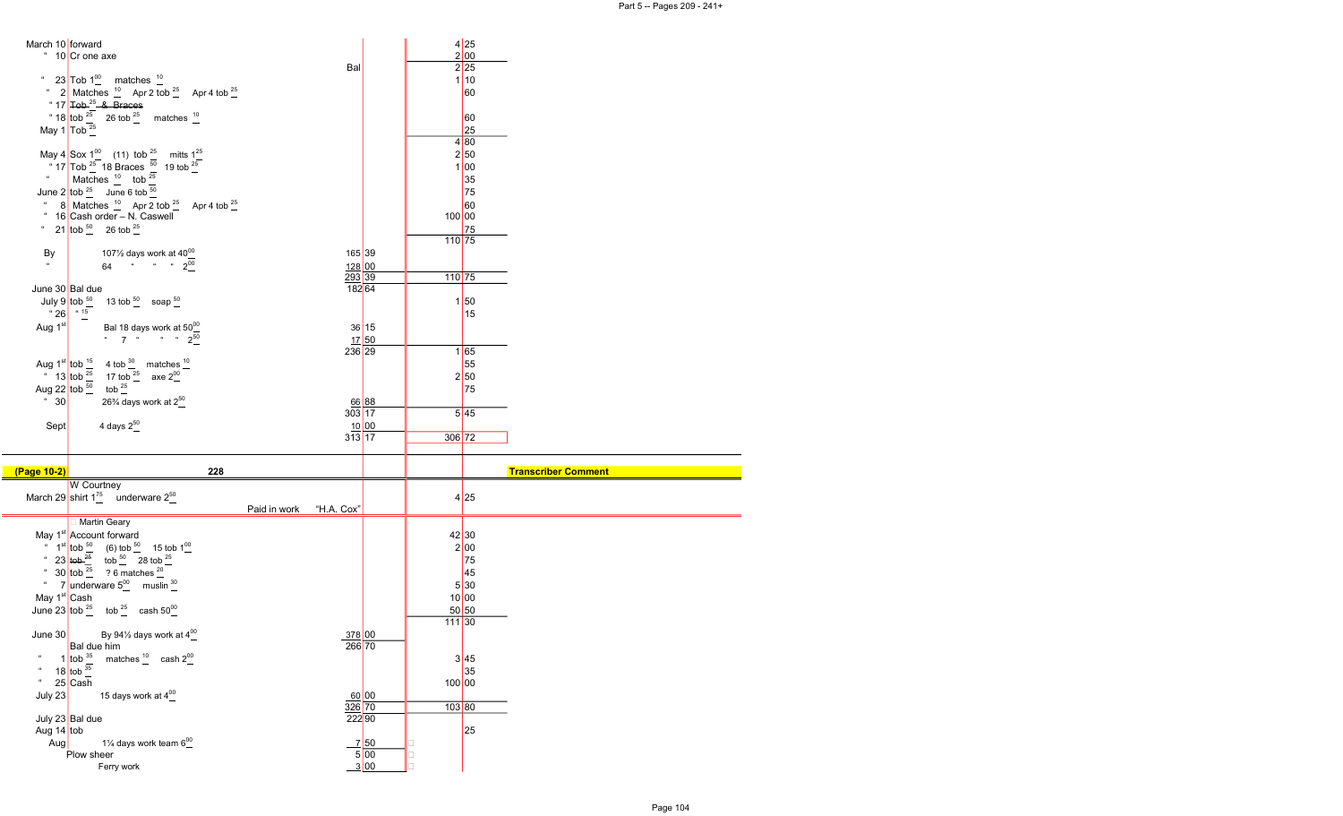| March 10 forward         |                                                                                                                                                |                               |                  | 4 25 |                            |
|--------------------------|------------------------------------------------------------------------------------------------------------------------------------------------|-------------------------------|------------------|------|----------------------------|
|                          | " $10$ Cr one axe                                                                                                                              |                               |                  | 2 00 |                            |
|                          | Bal                                                                                                                                            |                               |                  | 2 25 |                            |
|                          | " $23$ Tob 1 <sup>00</sup> matches $\frac{10}{1}$                                                                                              |                               |                  | 1 10 |                            |
|                          | " 2 Matches $\frac{10}{2}$ Apr 2 tob $\frac{25}{2}$ Apr 4 tob $\frac{25}{2}$                                                                   |                               |                  | 60   |                            |
|                          | " $17 \overline{\text{Bob}^{25} - 8}$ Braces                                                                                                   |                               |                  |      |                            |
|                          | " $18 \text{  to} 25$ 26 tob $\frac{25}{1}$<br>matches <sup>10</sup>                                                                           |                               |                  | 60   |                            |
|                          |                                                                                                                                                |                               |                  |      |                            |
|                          | May $1$ Tob <sup><math>\frac{25}{1}</math></sup>                                                                                               |                               |                  | 25   |                            |
|                          |                                                                                                                                                |                               |                  | 4 80 |                            |
|                          | May 4 Sox $1^{00}$ (11) tob $\frac{25}{1}$ mitts $1^{25}$                                                                                      |                               |                  | 2 50 |                            |
|                          | " $17$ Tob $\frac{25}{ }$ 18 Braces $\frac{50}{ }$ 19 tob $\frac{25}{ }$                                                                       |                               |                  | 1 00 |                            |
|                          | Matches $\frac{10}{10}$ tob $\frac{25}{10}$                                                                                                    |                               |                  | 35   |                            |
|                          | June $2 \times 2^{5}$ June 6 tob $\frac{50}{5}$                                                                                                |                               |                  | 75   |                            |
|                          | 8 Matches $\frac{10}{1}$ Apr 2 tob $\frac{25}{1}$ Apr 4 tob $\frac{25}{1}$                                                                     |                               |                  | 60   |                            |
|                          | " $16$ Cash order - N. Caswell                                                                                                                 |                               | 100 00           |      |                            |
|                          | " $21$ tob $\frac{50}{ }$ 26 tob $\frac{25}{ }$                                                                                                |                               |                  | 75   |                            |
|                          |                                                                                                                                                |                               | 110 75           |      |                            |
| By                       | 107 $\frac{1}{2}$ days work at 40 $\frac{00}{2}$                                                                                               | 165 39                        |                  |      |                            |
| $\alpha$                 | 64 " " " 200                                                                                                                                   | 128 00                        |                  |      |                            |
|                          |                                                                                                                                                | $293\overline{39}$            | $110$ 75         |      |                            |
|                          | June 30 Bal due                                                                                                                                | 18264                         |                  |      |                            |
|                          | July 9 tob $\frac{50}{ }$ 13 tob $\frac{50}{ }$ soap $\frac{50}{ }$                                                                            |                               |                  |      |                            |
|                          | " 15                                                                                                                                           |                               |                  | 1 50 |                            |
| "26"                     |                                                                                                                                                |                               |                  | 15   |                            |
| Aug 1 <sup>st</sup>      | Bal 18 days work at 50 <sup>00</sup>                                                                                                           | 36 15                         |                  |      |                            |
|                          | " 7 " " " $2^{50}$                                                                                                                             | 17 50                         |                  |      |                            |
|                          |                                                                                                                                                | 236 29                        |                  | 1 65 |                            |
|                          | Aug 1 <sup>st</sup> tob $\frac{15}{25}$ 4 tob $\frac{30}{25}$ matches $\frac{10}{25}$<br>Aug 22 tob $\frac{5}{25}$ tob $\frac{25}{25}$ axe 200 |                               |                  | 55   |                            |
|                          |                                                                                                                                                |                               |                  | 2 50 |                            |
|                          |                                                                                                                                                |                               |                  | 75   |                            |
|                          | 26% days work at $2^{50}$                                                                                                                      |                               |                  |      |                            |
|                          |                                                                                                                                                |                               |                  |      |                            |
| " $30$                   |                                                                                                                                                | 66 88                         |                  |      |                            |
|                          |                                                                                                                                                | 303 17                        |                  | 5 45 |                            |
| Sept                     | 4 days $2^{50}$                                                                                                                                | 10 00                         |                  |      |                            |
|                          |                                                                                                                                                | $3\overline{13}\overline{17}$ | 306 72           |      |                            |
|                          |                                                                                                                                                |                               |                  |      |                            |
| (Page 10-2)              | 228                                                                                                                                            |                               |                  |      | <b>Transcriber Comment</b> |
|                          | W Courtney                                                                                                                                     |                               |                  |      |                            |
|                          | March 29 shirt $1^{75}$ underware $2^{50}$                                                                                                     |                               |                  | 4 25 |                            |
|                          | "H.A. Cox"<br>Paid in work                                                                                                                     |                               |                  |      |                            |
|                          | □ Martin Geary                                                                                                                                 |                               |                  |      |                            |
|                          | May 1 <sup>st</sup> Account forward                                                                                                            |                               | 42 30            |      |                            |
|                          | " $1^{st}$ tob $\frac{50}{ }$ (6) tob $\frac{50}{ }$ 15 tob $1^{00}_{ }$                                                                       |                               |                  | 2 00 |                            |
|                          | " $23 \text{10b}^{25}$ tob $^{50}$ 28 tob $^{25}$                                                                                              |                               |                  | 75   |                            |
|                          | " 30 tob $\frac{25}{2}$ ? 6 matches $\frac{20}{2}$                                                                                             |                               |                  | 45   |                            |
|                          | " 7 underware $5^{00}$ muslin $30$                                                                                                             |                               |                  | 5 30 |                            |
| May 1 <sup>st</sup> Cash |                                                                                                                                                |                               | 10 00            |      |                            |
|                          |                                                                                                                                                |                               | 50 50            |      |                            |
|                          | June 23 tob $\frac{25}{ }$ tob $\frac{25}{ }$ cash 50 <sup>00</sup>                                                                            |                               | 111 30           |      |                            |
| June 30                  |                                                                                                                                                |                               |                  |      |                            |
|                          | By 94½ days work at $4^{00}_{-}$<br>Bal due him                                                                                                | 378 00<br>266 70              |                  |      |                            |
|                          |                                                                                                                                                |                               |                  |      |                            |
|                          | $1$ tob $\frac{35}{1}$<br>matches $\frac{10}{1}$ cash $2\frac{00}{1}$                                                                          |                               |                  | 3 45 |                            |
|                          | $18$ tob $\frac{35}{1}$                                                                                                                        |                               | 100 00           | 35   |                            |
|                          | 25 Cash                                                                                                                                        |                               |                  |      |                            |
| July 23                  | 15 days work at $4^{00}$                                                                                                                       | 60 00                         |                  |      |                            |
|                          |                                                                                                                                                | 326 70                        | 103 80           |      |                            |
|                          | July 23 Bal due                                                                                                                                | 222 90                        |                  |      |                            |
| Aug $14$ tob             |                                                                                                                                                |                               |                  | 25   |                            |
| Aug                      | 1% days work team 6 <sup>00</sup>                                                                                                              | $Z$ 50                        | □                |      |                            |
|                          | Plow sheer<br>Ferry work                                                                                                                       | 500<br>3 00                   | $\Box$<br>$\Box$ |      |                            |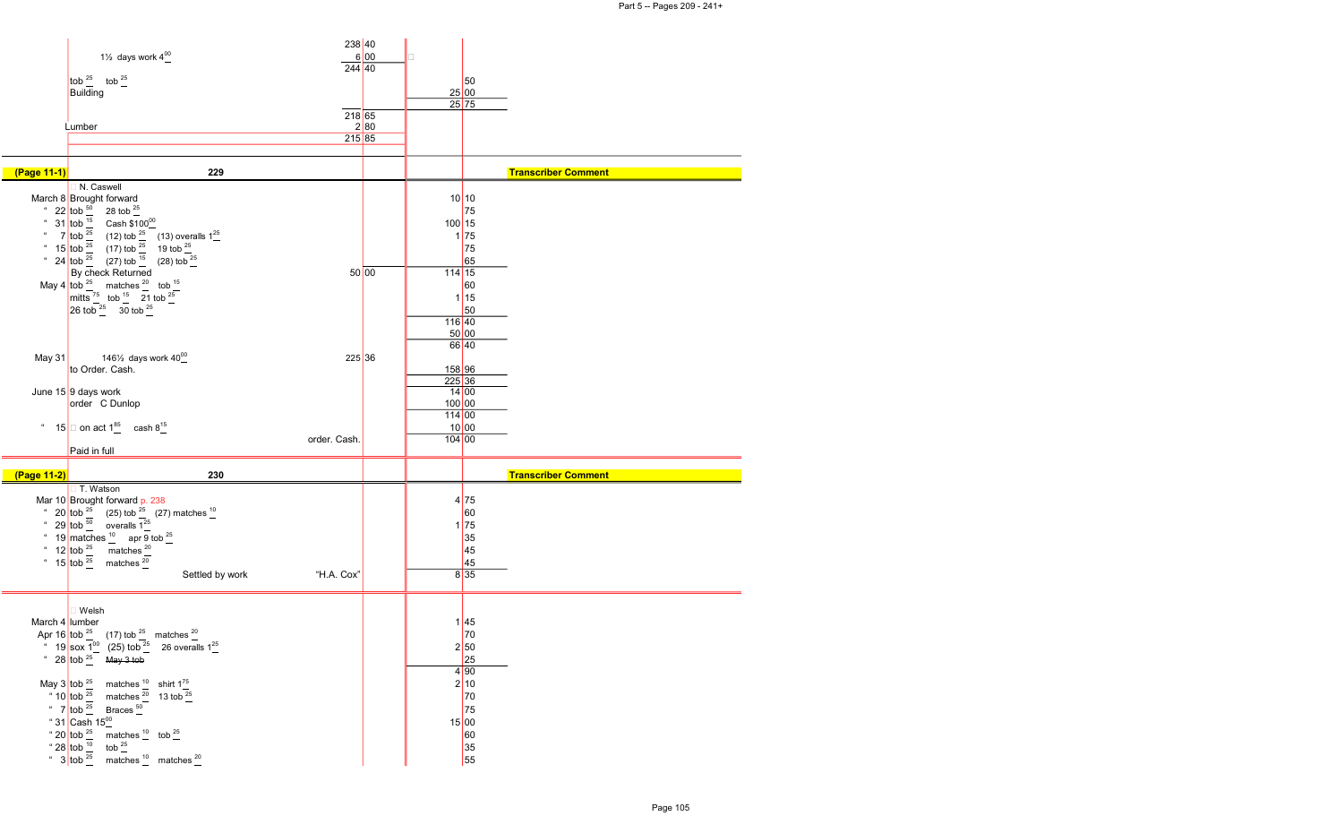|                | 1 $\frac{1}{2}$ days work $4^{00}_{-}$<br>tob $\frac{25}{ }$ tob $\frac{25}{ }$<br><b>Building</b><br>Lumber                                                                                                                                                                                                                                                                                                                                                                                                                                                                                          | 238 40<br>244 40<br>$218\overline{65}$<br>215 85 | 6 00<br>2 80 | П                                   | 50<br>25 00<br>25 75                                                      |                            |
|----------------|-------------------------------------------------------------------------------------------------------------------------------------------------------------------------------------------------------------------------------------------------------------------------------------------------------------------------------------------------------------------------------------------------------------------------------------------------------------------------------------------------------------------------------------------------------------------------------------------------------|--------------------------------------------------|--------------|-------------------------------------|---------------------------------------------------------------------------|----------------------------|
| (Page 11-1)    | 229                                                                                                                                                                                                                                                                                                                                                                                                                                                                                                                                                                                                   |                                                  |              |                                     |                                                                           | <b>Transcriber Comment</b> |
|                | □ N. Caswell<br>March 8 Brought forward<br>and to brought forward<br>"22 to b $\frac{28}{5}$ 28 to b $\frac{25}{5}$<br>"31 to b $\frac{25}{5}$ (12) to b $\frac{25}{25}$ (13) overalls 1 <sup>25</sup><br>"4 15 to b $\frac{25}{25}$ (17) to b $\frac{25}{5}$ 19 to b $\frac{25}{5}$<br>"24 to b $\frac{25}{5}$ (27) to b<br>By check Returned<br>May 4 $\left  \text{to } \frac{25}{\text{mits } \frac{75}{2}} \right $ matches $\frac{20}{2}$ to $\frac{15}{2}$ to $\frac{25}{2}$<br>$26$ tob $\frac{25}{6}$ 30 tob $\frac{25}{6}$                                                                  |                                                  | 50 00        | 100 15<br>$114$ 15<br>116 40        | 10 10<br>75<br>1 75<br>75<br>65<br>60<br>1 15<br>50<br>50 00              |                            |
| May 31         | 146 $\frac{1}{2}$ days work 40 $^{00}$<br>to Order. Cash.<br>June 15 9 days work                                                                                                                                                                                                                                                                                                                                                                                                                                                                                                                      | 225 36                                           |              | 158 96<br>225 36<br>14 00           | 66 40                                                                     |                            |
|                | order C Dunlop<br>" 15 □ on act $1^{85}$ cash $8^{15}$<br>order. Cash.<br>Paid in full                                                                                                                                                                                                                                                                                                                                                                                                                                                                                                                |                                                  |              | 100 00<br>114 00<br>10 00<br>104 00 |                                                                           |                            |
| (Page 11-2)    | 230                                                                                                                                                                                                                                                                                                                                                                                                                                                                                                                                                                                                   |                                                  |              |                                     |                                                                           | <b>Transcriber Comment</b> |
|                | $\Box$ T. Watson<br>Mar 10 Brought forward p. 238<br>" 20 tob $\frac{25}{50}$ (25) tob $\frac{25}{1}$ (27) matches $\frac{10}{1}$<br>" 29 tob $\frac{50}{50}$ overalls $1\frac{25}{1}$<br>" $19 \text{ matches } \frac{10}{2}$ apr 9 tob $\frac{25}{2}$<br>" $12 \text{ [tob } \frac{25}{25} \text{ matches } \frac{20}{25}$<br>" $15 \text{ [tob } \frac{25}{25} \text{ matches } \frac{20}{25}$<br>Settled by work<br>"H.A. Cox"                                                                                                                                                                    |                                                  |              |                                     | 4 75<br>60<br>1 75<br>35<br>45<br>45<br>8 35                              |                            |
| March 4 lumber | $\square$ Welsh<br>Apr 16 tob $\frac{25}{5}$ (17) tob $\frac{25}{5}$ matches $\frac{20}{5}$<br>" 19 sox $\frac{100}{5}$ (25) tob $\frac{25}{5}$ 26 overalls $1\frac{25}{5}$<br>" $28 \times 25$ May 3 tob<br>matches $\frac{10}{2}$ shirt $1\frac{75}{2}$<br>matches $\frac{20}{2}$ 13 tob $\frac{25}{2}$<br>May 3 tob $\frac{25}{25}$ m.<br>"10 tob $\frac{25}{25}$ m.<br>"17 tob $\frac{25}{25}$ Bra<br>"3 1 Cash 15 <sup>00</sup><br>"20 tob $\frac{25}{10}$ mat<br>"28 tob $\frac{25}{10}$ tob :<br>"3 tob $\frac{25}{10}$ mat<br>matches $\frac{10}{ }$ tob $\frac{25}{ }$<br>tob $\frac{25}{1}$ |                                                  |              |                                     | 1 45<br>70<br>2 50<br>25<br>4 90<br>2 10<br>70<br>75<br>15 00<br>60<br>35 |                            |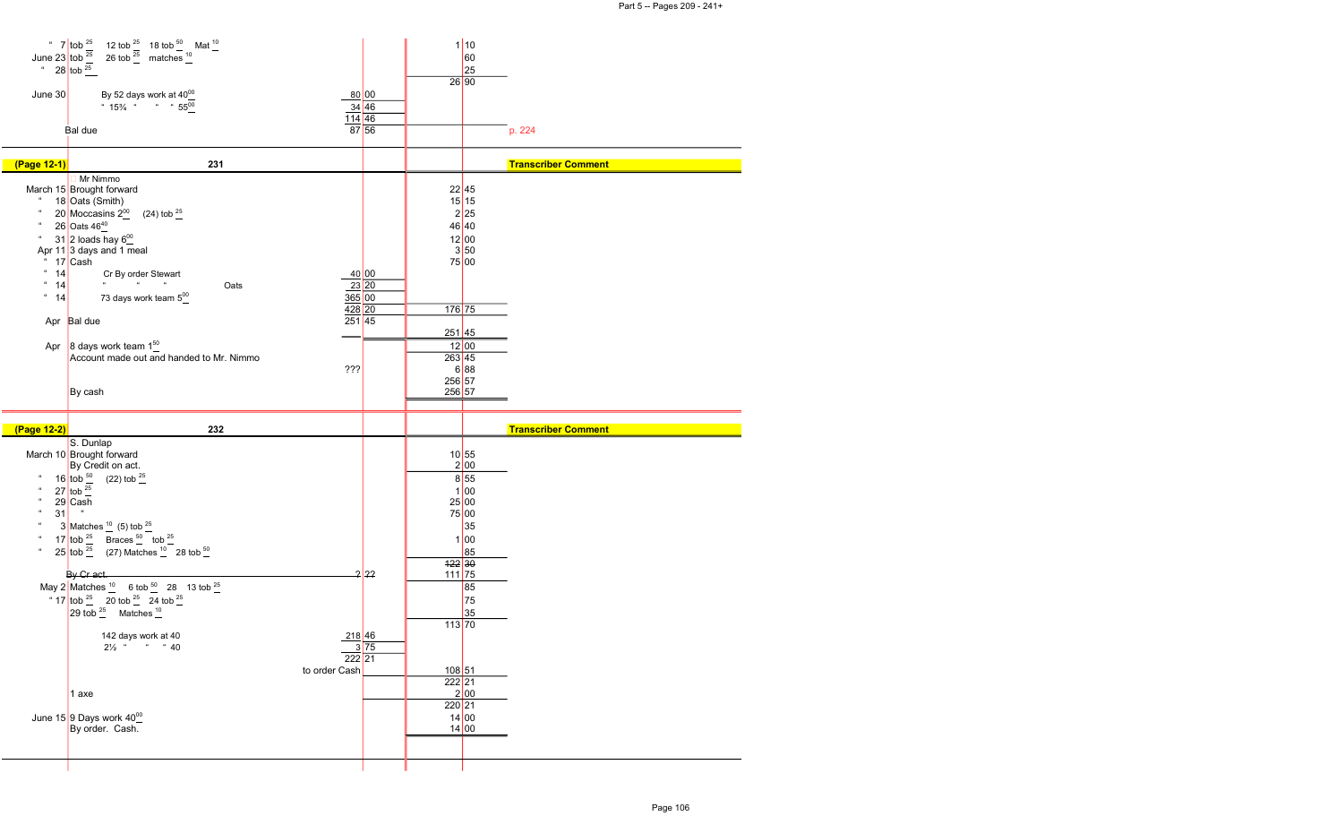| June $30$                                                                                                                                                    | " 7 tob $\frac{25}{25}$ 12 tob $\frac{25}{25}$ 18 tob $\frac{50}{25}$ Mat $\frac{10}{2}$<br>June 23 tob $\frac{25}{25}$ 26 tob $\frac{25}{25}$ matches $\frac{10}{2}$<br>By 52 days work at $40^{00}$<br>" 15 <sup>3</sup> / <sub>4</sub> " " " 55 <sup>00</sup><br>Bal due                                                                                                                                                                                                                                                                                                                             | 80 00<br>34 46<br>$114$ 46<br>$\frac{1}{87}$ 56                       | 1 10<br>60<br>25<br>26 90                                                                                                                           | p. 224                     |
|--------------------------------------------------------------------------------------------------------------------------------------------------------------|---------------------------------------------------------------------------------------------------------------------------------------------------------------------------------------------------------------------------------------------------------------------------------------------------------------------------------------------------------------------------------------------------------------------------------------------------------------------------------------------------------------------------------------------------------------------------------------------------------|-----------------------------------------------------------------------|-----------------------------------------------------------------------------------------------------------------------------------------------------|----------------------------|
| (Page 12-1)                                                                                                                                                  | 231                                                                                                                                                                                                                                                                                                                                                                                                                                                                                                                                                                                                     |                                                                       |                                                                                                                                                     | <b>Transcriber Comment</b> |
| $\epsilon\epsilon$<br>$\epsilon$<br>$\mathfrak{c}\mathfrak{c}$<br>$\mathfrak{c}\mathfrak{c}$<br>$\boldsymbol{\mu}$<br>14<br>$\epsilon\epsilon$<br>14<br>" 14 | $\Box$ Mr Nimmo<br>March 15 Brought forward<br>18 Oats (Smith)<br>20 Moccasins $2^{00}$ (24) tob $^{25}$<br>26 Oats 46 <sup>40</sup><br>$31$ 2 loads hay $6^{00}$<br>Apr 11 3 days and 1 meal<br>17 Cash<br>Cr By order Stewart<br>$\mathbf{u}$ and $\mathbf{u}$ and $\mathbf{u}$<br>Oats<br>73 days work team 5 <sup>00</sup><br>Apr Bal due<br>Apr 8 days work team $1\frac{50}{5}$<br>Account made out and handed to Mr. Nimmo<br>By cash                                                                                                                                                            | 40 00<br>$23\overline{20}$<br>365 00<br>$428$ 20<br>$251$ 45<br>???   | 22 45<br>15 15<br>2 25<br>46 40<br>12 00<br>3 50<br>75 00<br>176 75<br>251 45<br>12 00<br>263 45<br>6 88<br>256 57<br>256 57                        |                            |
|                                                                                                                                                              |                                                                                                                                                                                                                                                                                                                                                                                                                                                                                                                                                                                                         |                                                                       |                                                                                                                                                     |                            |
| (Page 12-2)                                                                                                                                                  | 232                                                                                                                                                                                                                                                                                                                                                                                                                                                                                                                                                                                                     |                                                                       |                                                                                                                                                     | <b>Transcriber Comment</b> |
| $\alpha$<br>$\alpha$<br>$\mathfrak{g}$<br>$\alpha$<br>31                                                                                                     | S. Dunlap<br>March 10 Brought forward<br>By Credit on act.<br>16 tob $\frac{50}{ }$ (22) tob $\frac{25}{ }$<br>$27$ tob $^{25}$<br>29 Cash<br>$3$ Matches $^{10}$ (5) tob $^{25}$<br>17 tob $\frac{25}{25}$ Braces $\frac{50}{25}$ tob $\frac{25}{25}$<br>25 tob $\frac{25}{25}$ (27) Matches $\frac{10}{25}$ 28 tob $\frac{50}{25}$<br>By Cr act.<br>May 2 Matches $^{10}_{-}$ 6 tob $^{50}_{-}$ 28 13 tob $^{25}_{-}$<br>" 17 tob $\frac{25}{ }$ 20 tob $\frac{25}{ }$ 24 tob $\frac{25}{ }$<br>29 tob $\frac{25}{1}$ Matches $\frac{10}{1}$<br>142 days work at 40<br>$2\frac{1}{2}$ " " 40<br>1 axe | 2 22<br>218 46<br>$3\overline{75}$<br>$222\sqrt{21}$<br>to order Cash | 10 55<br>2 00<br>8 55<br>1 00<br>25 00<br>75 00<br>35<br>1 00<br>85<br>$122$ 30<br>$111$ 75<br>85<br>75<br>35<br>113 70<br>108 51<br>222 21<br>2 00 |                            |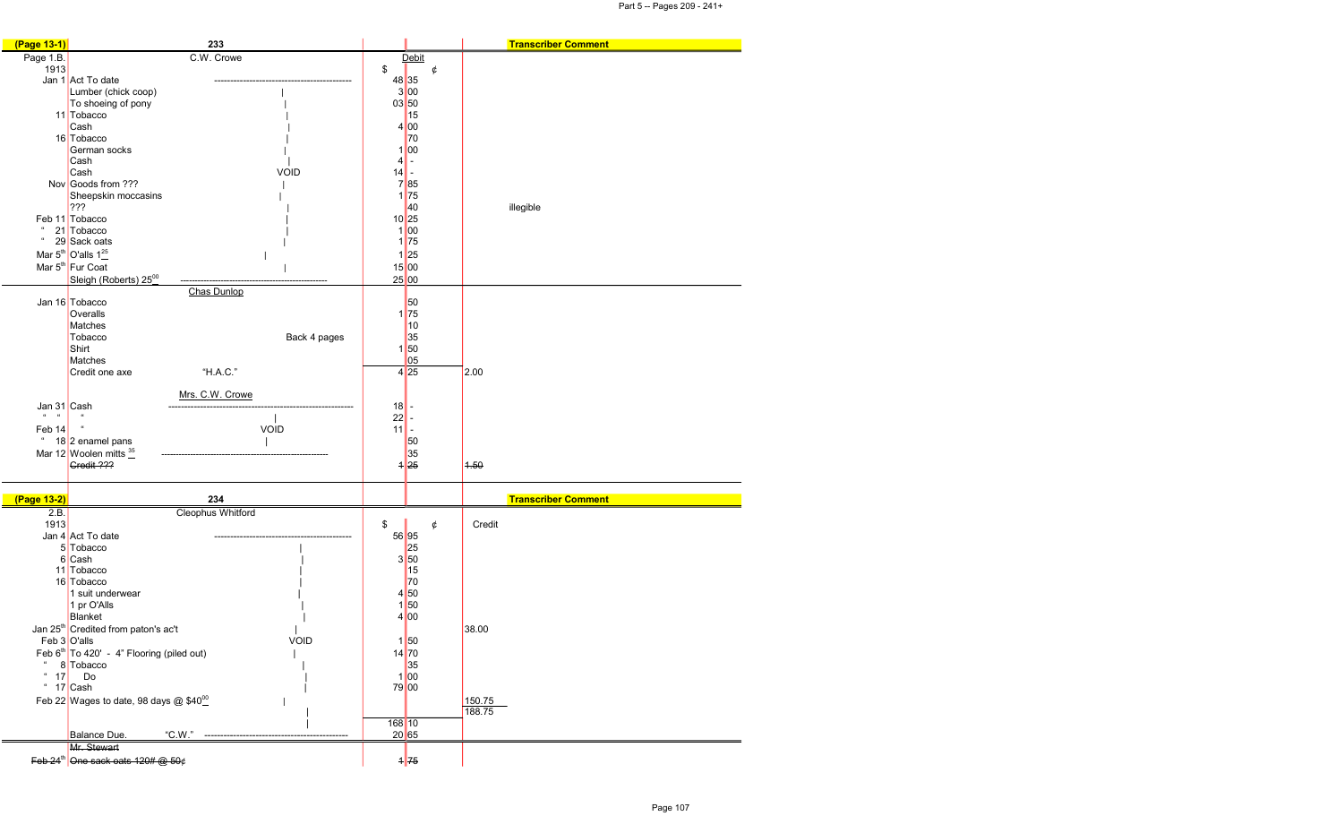| Page 1.B.                  | 233<br>(Page 13-1)                                    |                |                |   | <b>Transcriber Comment</b> |
|----------------------------|-------------------------------------------------------|----------------|----------------|---|----------------------------|
|                            | C.W. Crowe                                            |                | Debit          |   |                            |
| 1913                       |                                                       | \$             |                | ¢ |                            |
|                            | Jan 1 Act To date                                     |                | 48 35          |   |                            |
|                            | Lumber (chick coop)                                   |                | 3 00           |   |                            |
|                            | To shoeing of pony                                    |                | 03 50          |   |                            |
|                            | 11 Tobacco                                            |                | 15             |   |                            |
|                            |                                                       |                |                |   |                            |
|                            | Cash                                                  |                | 4 00           |   |                            |
|                            | 16 Tobacco                                            |                | 70             |   |                            |
|                            | German socks                                          |                | 1 00           |   |                            |
|                            | Cash                                                  | $\overline{4}$ | $\overline{a}$ |   |                            |
|                            | Cash<br><b>VOID</b>                                   | $14$ -         |                |   |                            |
|                            | Nov Goods from ???                                    |                | 7 85           |   |                            |
|                            | Sheepskin moccasins                                   |                | 1 75           |   |                            |
|                            | ???                                                   |                | 40             |   | illegible                  |
|                            | Feb 11 Tobacco                                        |                | 10 25          |   |                            |
|                            |                                                       |                |                |   |                            |
| $\mathfrak{c}\mathfrak{c}$ | 21 Tobacco                                            |                | 1 00           |   |                            |
|                            | 29 Sack oats                                          |                | 1 75           |   |                            |
|                            | Mar $5^{th}$ O'alls $1^{25}$                          |                | 1 25           |   |                            |
|                            | Mar 5 <sup>th</sup> Fur Coat                          |                | 15 00          |   |                            |
|                            | Sleigh (Roberts) 25 <sup>00</sup>                     |                | 25 00          |   |                            |
|                            | Chas Dunlop                                           |                |                |   |                            |
|                            |                                                       |                |                |   |                            |
|                            | Jan 16 Tobacco                                        |                | 50             |   |                            |
|                            | Overalls                                              |                | 1 75           |   |                            |
|                            | Matches                                               |                | 10             |   |                            |
|                            | Tobacco<br>Back 4 pages                               |                | 35             |   |                            |
|                            | Shirt                                                 |                | 1 50           |   |                            |
|                            | Matches                                               |                | 05             |   |                            |
|                            | "H.A.C."<br>Credit one axe                            |                | $4$ 25         |   | 2.00                       |
|                            |                                                       |                |                |   |                            |
|                            | Mrs. C.W. Crowe                                       |                |                |   |                            |
| Jan 31 Cash                |                                                       | $18$ .         |                |   |                            |
| $\epsilon$<br>$\alpha$     |                                                       |                |                |   |                            |
|                            |                                                       | 22             |                |   |                            |
| Feb $14$                   | $\epsilon\epsilon$<br><b>VOID</b>                     | $11$ –         |                |   |                            |
|                            | 18 <sup>2</sup> enamel pans                           |                |                |   |                            |
|                            |                                                       |                | 50             |   |                            |
|                            | Mar 12 Woolen mitts $\frac{35}{1}$                    |                | 35             |   |                            |
|                            | Gredit ???                                            |                | 4 25           |   | 4.50                       |
|                            |                                                       |                |                |   |                            |
|                            |                                                       |                |                |   |                            |
| (Page 13-2)                | 234                                                   |                |                |   | <b>Transcriber Comment</b> |
| 2.B.                       | <b>Cleophus Whitford</b>                              |                |                |   |                            |
| 1913                       |                                                       | \$             |                | ¢ | Credit                     |
|                            | Jan 4 Act To date                                     |                | 56 95          |   |                            |
|                            | 5 Tobacco                                             |                | 25             |   |                            |
|                            | 6 Cash                                                |                | 3 50           |   |                            |
|                            | 11 Tobacco                                            |                | 15             |   |                            |
|                            | 16 Tobacco                                            |                |                |   |                            |
|                            |                                                       |                | 70             |   |                            |
|                            | 1 suit underwear                                      |                | 4 50           |   |                            |
|                            | 1 pr O'Alls                                           |                | 1 50           |   |                            |
|                            | Blanket                                               |                | 4 00           |   |                            |
|                            | Jan 25 <sup>th</sup> Credited from paton's ac't       |                |                |   | 38.00                      |
|                            | VOID<br>Feb 3 O'alls                                  |                | 1 50           |   |                            |
|                            | Feb $6th$ To 420' - 4" Flooring (piled out)           |                | 14 70          |   |                            |
|                            | " 8 Tobacco                                           |                | 35             |   |                            |
|                            |                                                       |                | 1 00           |   |                            |
|                            | " $17$ Do                                             |                |                |   |                            |
|                            | " $17$ Cash                                           |                | 79 00          |   |                            |
|                            | Feb 22 Wages to date, 98 days @ $$40\text{°}$         |                |                |   | 150.75                     |
|                            |                                                       |                |                |   | 188.75                     |
|                            |                                                       | $168$  10      |                |   |                            |
|                            | "C.W."<br>Balance Due.                                |                | 20 65          |   |                            |
|                            | Mr. Stewart<br>Feb $24^{th}$ One sack oats 120# @ 50¢ |                | $4$ 75         |   |                            |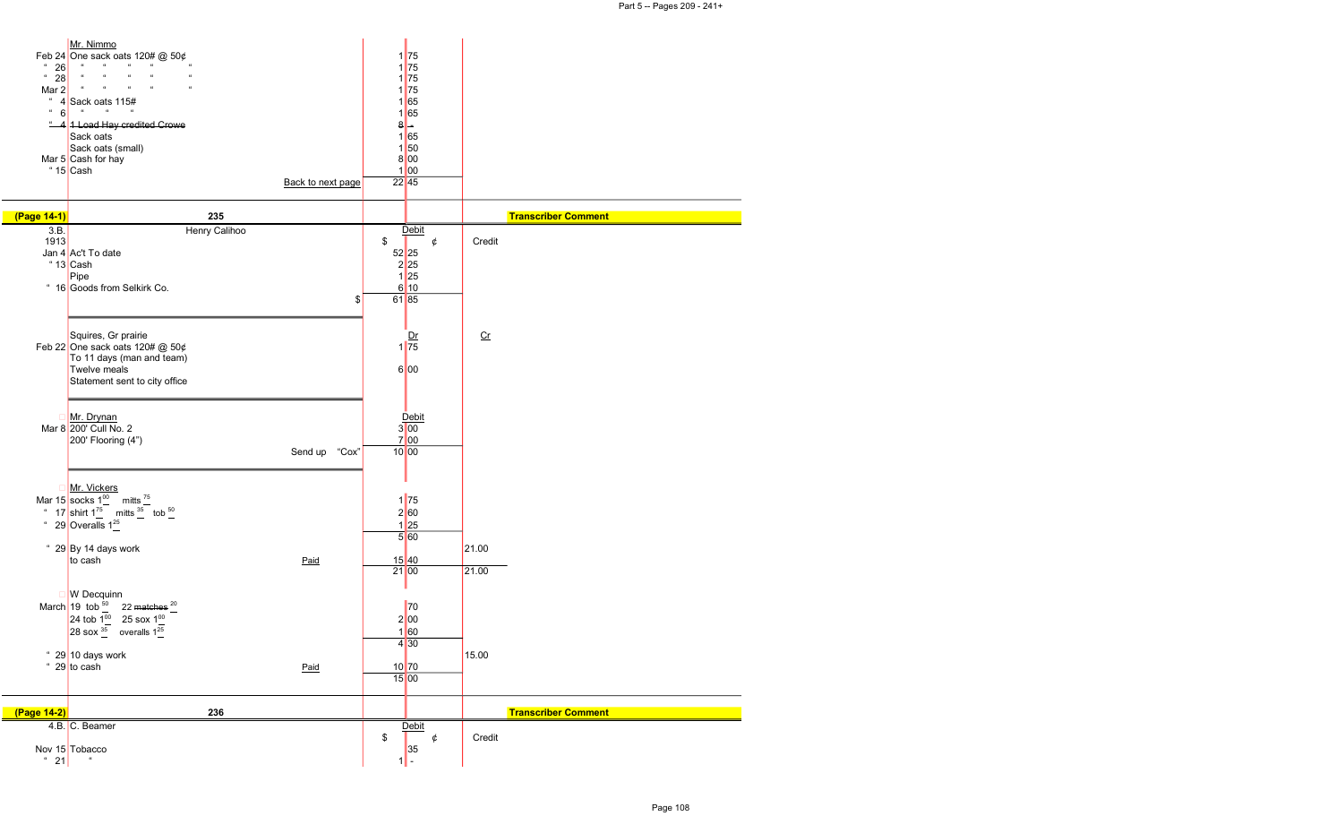| 26<br>$\alpha$<br>28<br>Mar 2<br>$\boldsymbol{\mathfrak{c}}$<br>$6\phantom{a}$<br>$\epsilon\epsilon$ | Mr. Nimmo<br>Feb 24 One sack oats 120# $@$ 50¢<br>$\alpha$<br>$\mathfrak{g}$<br>$\boldsymbol{\mathfrak{u}}$<br>$\mathfrak{g}$<br>$\alpha$<br>4 Sack oats 115#<br>$\epsilon\epsilon$<br>$\alpha$<br>"4 1 Load Hay credited Crowe<br>Sack oats<br>Sack oats (small)<br>Mar 5 Cash for hay<br>" $15$ Cash<br>Back to next page | 1 75<br>1 75<br>1 75<br>1 75<br>1 65<br>1 65<br>8∥–<br>1 65<br>1 50<br>8 00<br>1 00<br>22 45 |                            |
|------------------------------------------------------------------------------------------------------|-----------------------------------------------------------------------------------------------------------------------------------------------------------------------------------------------------------------------------------------------------------------------------------------------------------------------------|----------------------------------------------------------------------------------------------|----------------------------|
| (Page 14-1)                                                                                          | 235                                                                                                                                                                                                                                                                                                                         |                                                                                              | <b>Transcriber Comment</b> |
| 3.B.<br>1913                                                                                         | Henry Calihoo<br>Jan 4 Ac't To date<br>" $13$ Cash<br>Pipe<br>" 16 Goods from Selkirk Co.<br>s                                                                                                                                                                                                                              | \$<br>Debit<br>¢<br>52 25<br>$2$  25<br>1 25<br>6 10<br>61 85                                | Credit                     |
|                                                                                                      | Squires, Gr prairie<br>Feb 22 One sack oats 120# @ 50¢<br>To 11 days (man and team)<br>Twelve meals<br>Statement sent to city office                                                                                                                                                                                        | $p_{r}$<br>1 75<br>6 00                                                                      | Cr                         |
|                                                                                                      | Mr. Drynan<br>Mar 8 200' Cull No. 2<br>200' Flooring (4")<br>Send up "Cox"                                                                                                                                                                                                                                                  | Debit<br>3 00<br>7 00<br>10 00                                                               |                            |
|                                                                                                      | Mr. Vickers<br>Mar 15 socks $1^{00}$ mitts $^{75}$<br>" $17 \overline{\text{shift } 1^{75}}$ mitts $\frac{35}{1}$ tob $\frac{50}{1}$<br>" 29 Overalls $1^{25}$                                                                                                                                                              | 1 75<br>2 60 <br>$1$   25<br>5 60                                                            |                            |
|                                                                                                      | " 29 By 14 days work<br>to cash<br>Paid                                                                                                                                                                                                                                                                                     | 15 40<br>21 00                                                                               | 21.00<br>21.00             |
|                                                                                                      | □ W Decquinn<br>March 19 tob $\frac{50}{100}$ 22 matches<br>24 tob $\frac{100}{100}$ 25 sox 1 <sup>00</sup><br>22 matches $^{20}_{-}$<br>$28$ sox $\frac{35}{6}$ overalls $1^{25}$<br>" 29 10 days work                                                                                                                     | $\parallel$ 70<br>2 00<br>1 60<br>4 30                                                       | 15.00                      |
|                                                                                                      | " $29$ to cash<br>Paid                                                                                                                                                                                                                                                                                                      | $10$ 70<br>$\frac{1}{15}$ 00                                                                 |                            |
| (Page 14-2)                                                                                          | 236                                                                                                                                                                                                                                                                                                                         |                                                                                              | <b>Transcriber Comment</b> |
| " 21                                                                                                 | 4.B. C. Beamer<br>Nov 15 Tobacco<br>$\alpha$                                                                                                                                                                                                                                                                                | \$<br>Debit<br>¢<br>35<br>$1$ -                                                              | Credit                     |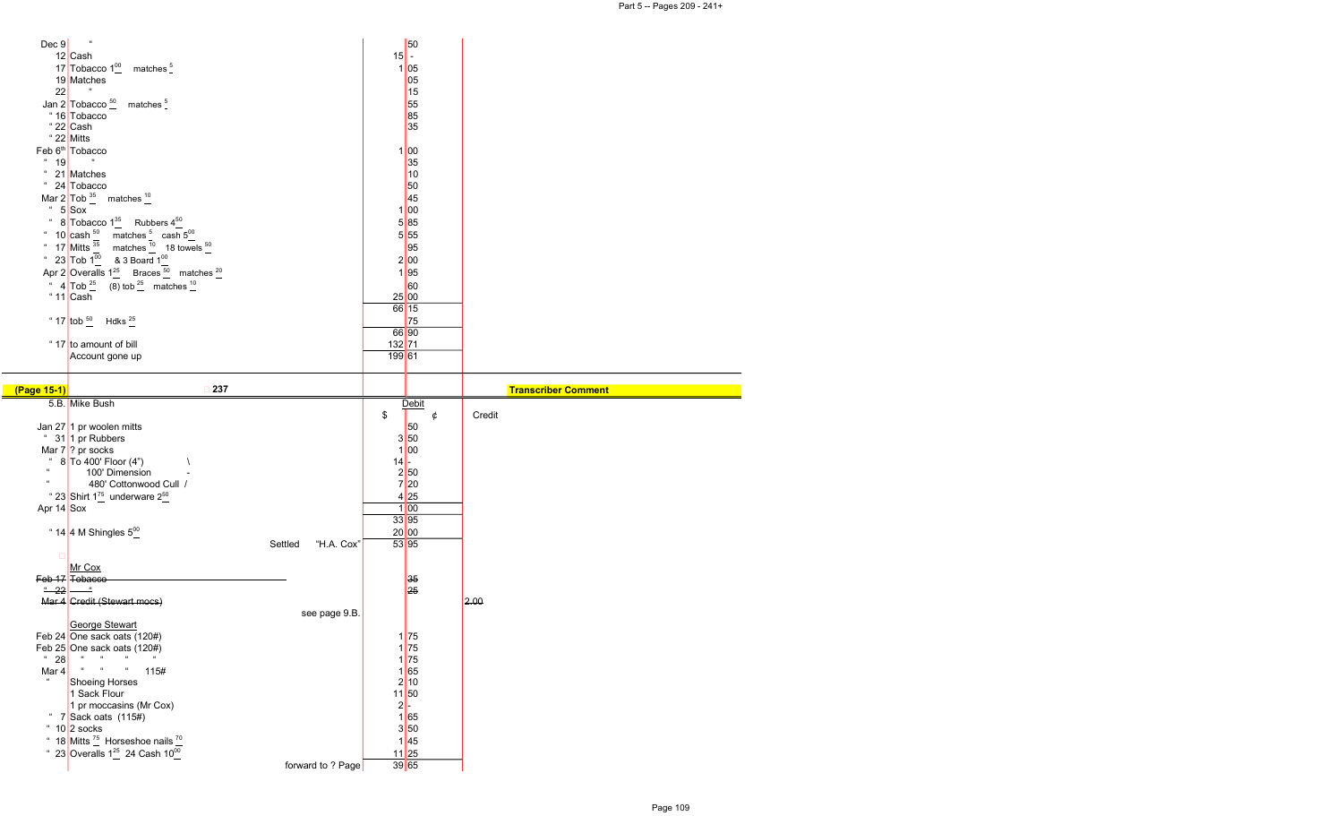| Dec 9                      | $\mathfrak{c}\mathfrak{c}$                                                                                                |           | $\parallel$ 50       |                            |
|----------------------------|---------------------------------------------------------------------------------------------------------------------------|-----------|----------------------|----------------------------|
|                            | 12 Cash                                                                                                                   | $15$    - |                      |                            |
|                            | 17 Tobacco 1 <sup>00</sup> matches <sup>5</sup>                                                                           |           | 1 05                 |                            |
|                            | 19 Matches                                                                                                                |           | 05                   |                            |
| 22                         | $\boldsymbol{\mathfrak{u}}$                                                                                               |           | 15                   |                            |
|                            | Jan 2 Tobacco $\frac{50}{6}$<br>matches <sup>5</sup>                                                                      |           | 55                   |                            |
|                            | " 16 Tobacco                                                                                                              |           | 85                   |                            |
|                            | " 22 Cash                                                                                                                 |           | 35                   |                            |
|                            | " 22 Mitts                                                                                                                |           |                      |                            |
|                            | Feb 6 <sup>th</sup> Tobacco                                                                                               |           | 1 00                 |                            |
| " $19$                     |                                                                                                                           |           | 35                   |                            |
| $\epsilon\epsilon$         | 21 Matches                                                                                                                |           | 10                   |                            |
|                            | 24 Tobacco                                                                                                                |           | 50                   |                            |
|                            | Mar $2$ Tob $\frac{35}{1}$ matches $\frac{10}{1}$                                                                         |           | 45                   |                            |
| $\alpha$                   | $5$ Sox                                                                                                                   |           | 1 00                 |                            |
|                            | " $8$ Tobacco $1^{35}$ Rubbers $4^{50}$                                                                                   |           | 5 85                 |                            |
|                            | " $10$ cash $\frac{50}{2}$ matches $\frac{5}{2}$ cash $5\frac{00}{2}$                                                     |           | 5 55                 |                            |
|                            | " $17$ Mitts $\frac{35}{1}$<br>matches $\frac{10}{1}$ 18 towels $\frac{50}{1}$                                            |           | 95                   |                            |
|                            | " 23 Tob $1^{00}$ & 3 Board $1^{00}$                                                                                      |           | 2 00                 |                            |
|                            | Apr 2 Overalls $1^{25}$ Braces $\frac{50}{2}$ matches $\frac{20}{2}$                                                      |           | 1 95                 |                            |
|                            | " $4 \overline{\smash{7}}$ Tob $\frac{25}{\phantom{0}}$ (8) tob $\frac{25}{\phantom{0}}$ matches $\frac{10}{\phantom{0}}$ |           | 60                   |                            |
|                            | $"11$ Cash                                                                                                                |           | 25 00                |                            |
|                            |                                                                                                                           |           | 66 15                |                            |
|                            | " $17$ tob $\frac{50}{ }$ Hdks $\frac{25}{ }$                                                                             |           | 75                   |                            |
|                            |                                                                                                                           |           | 66 90                |                            |
|                            | " 17 to amount of bill                                                                                                    | $132$ 71  |                      |                            |
|                            | Account gone up                                                                                                           | 199 61    |                      |                            |
|                            |                                                                                                                           |           |                      |                            |
|                            |                                                                                                                           |           |                      |                            |
| <mark>(Page 15-1</mark> )  | $\square$ 237                                                                                                             |           |                      | <b>Transcriber Comment</b> |
|                            |                                                                                                                           |           |                      |                            |
|                            | 5.B. Mike Bush                                                                                                            |           | Debit                |                            |
|                            |                                                                                                                           | \$        | ¢                    | Credit                     |
|                            | Jan 27 1 pr woolen mitts                                                                                                  |           | 50                   |                            |
| $\boldsymbol{\omega}$      | 31 1 pr Rubbers                                                                                                           |           | 3 50                 |                            |
|                            | Mar $7$ ? pr socks                                                                                                        |           | 1 00                 |                            |
|                            | " $8$ To 400' Floor (4")                                                                                                  | $14$ .    |                      |                            |
| $\mathfrak{c}\mathfrak{c}$ | 100' Dimension                                                                                                            |           | 2 50                 |                            |
|                            | 480' Cottonwood Cull /                                                                                                    |           | 7 20                 |                            |
|                            | " 23 Shirt $1^{75}$ underware $2^{50}$                                                                                    |           | 4 25                 |                            |
| Apr $14$ Sox               |                                                                                                                           |           | 1 00                 |                            |
|                            |                                                                                                                           |           | 33 95                |                            |
|                            | " 14 4 M Shingles $5^{00}$                                                                                                |           | 20 00                |                            |
|                            | Settled<br>"H.A. Cox"                                                                                                     |           | 53 95                |                            |
| $\Box$                     |                                                                                                                           |           |                      |                            |
|                            | Mr Cox                                                                                                                    |           |                      |                            |
|                            | Feb 17 Tobacco                                                                                                            |           | 35                   |                            |
| $-22$                      | $\sim$ $\sim$                                                                                                             |           | 25                   |                            |
|                            | Mar 4 Gredit (Stewart mocs)                                                                                               |           |                      | 2.00                       |
|                            | see page 9.B.                                                                                                             |           |                      |                            |
|                            | George Stewart                                                                                                            |           |                      |                            |
|                            | Feb 24 One sack oats (120#)                                                                                               |           | 1 75                 |                            |
| " $28$                     | Feb 25 One sack oats (120#)<br>$\epsilon\epsilon$<br>$\alpha$<br>$\mathfrak{c}\mathfrak{c}$                               |           | 1 75                 |                            |
| Mar 4                      | $\boldsymbol{\mu}$<br>115#                                                                                                |           | 1 75<br>1 65         |                            |
|                            | <b>Shoeing Horses</b>                                                                                                     |           | 2 10                 |                            |
|                            | 1 Sack Flour                                                                                                              |           |                      |                            |
|                            |                                                                                                                           |           | 11 50<br>$2$   -     |                            |
|                            | 1 pr moccasins (Mr Cox)<br>" $7$ Sack oats (115#)                                                                         |           | 1 65                 |                            |
|                            | " $10$ 2 socks                                                                                                            |           | 3 50                 |                            |
|                            | " 18 Mitts $\frac{75}{6}$ Horseshoe nails $\frac{70}{6}$                                                                  |           | 1 45                 |                            |
|                            | " 23 Overalls $1^{25}$ 24 Cash $10^{00}$<br>forward to ? Page                                                             |           | $11$   25<br>$39 65$ |                            |

 $\overline{\phantom{a}}$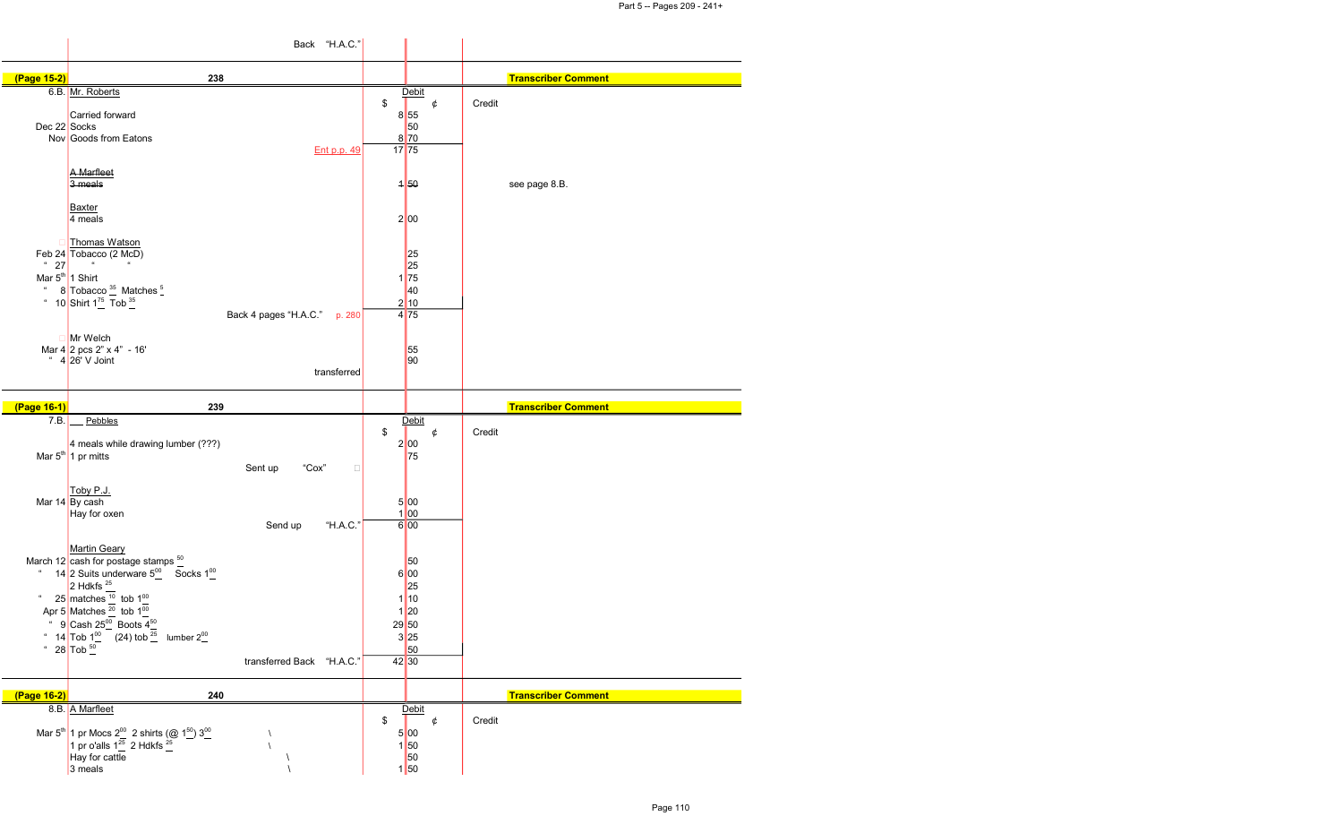|                    | Back "H.A.C."                                                                                                                                                      |       |                    |        |                            |
|--------------------|--------------------------------------------------------------------------------------------------------------------------------------------------------------------|-------|--------------------|--------|----------------------------|
| (Page 15-2)        | 238                                                                                                                                                                |       |                    |        | <b>Transcriber Comment</b> |
|                    | 6.B. Mr. Roberts                                                                                                                                                   |       | Debit              |        |                            |
|                    |                                                                                                                                                                    | \$    | ¢                  | Credit |                            |
| Dec 22 Socks       | Carried forward                                                                                                                                                    |       | 8 55<br>50         |        |                            |
|                    | Nov Goods from Eatons                                                                                                                                              |       | 8 70               |        |                            |
|                    | Ent p.p. 49                                                                                                                                                        |       | $17$ 75            |        |                            |
|                    | A Marfleet                                                                                                                                                         |       |                    |        |                            |
|                    | 3 meals                                                                                                                                                            |       | 4 50               |        | see page 8.B.              |
|                    |                                                                                                                                                                    |       |                    |        |                            |
|                    | Baxter<br>4 meals                                                                                                                                                  |       | 2 00               |        |                            |
|                    |                                                                                                                                                                    |       |                    |        |                            |
|                    | □ Thomas Watson                                                                                                                                                    |       |                    |        |                            |
| " $27$             | Feb 24 Tobacco (2 McD)<br>$\epsilon\epsilon$                                                                                                                       |       | 25<br>25           |        |                            |
| Mar $5th$ 1 Shirt  |                                                                                                                                                                    |       | $1$ 75             |        |                            |
|                    | 8 Tobacco <sup>35</sup> Matches <sup>5</sup>                                                                                                                       |       | 40                 |        |                            |
|                    | " $10$ Shirt $1^{75}$ Tob $35$                                                                                                                                     |       | 2 10               |        |                            |
|                    | Back 4 pages "H.A.C."<br>p. 280                                                                                                                                    |       | 4 75               |        |                            |
|                    | $\Box$ Mr Welch                                                                                                                                                    |       |                    |        |                            |
|                    | Mar 4 2 pcs $2" \times 4" - 16'$<br>" $4 26'$ V Joint                                                                                                              |       | 55<br>90           |        |                            |
|                    | transferred                                                                                                                                                        |       |                    |        |                            |
|                    |                                                                                                                                                                    |       |                    |        |                            |
|                    |                                                                                                                                                                    |       |                    |        |                            |
| (Page 16-1)        | 239                                                                                                                                                                |       |                    |        | <b>Transcriber Comment</b> |
| 7.B.               | Pebbles                                                                                                                                                            |       | Debit              |        |                            |
|                    |                                                                                                                                                                    | \$    | ¢                  | Credit |                            |
|                    | 4 meals while drawing lumber (???)                                                                                                                                 |       | 2 00 <br>75        |        |                            |
|                    | Mar $5th$ 1 pr mitts<br>Sent up<br>"Cox"<br>о                                                                                                                      |       |                    |        |                            |
|                    |                                                                                                                                                                    |       |                    |        |                            |
|                    | Toby P.J.<br>Mar $14$ By cash                                                                                                                                      |       | 5 00               |        |                            |
|                    | Hay for oxen                                                                                                                                                       |       | 1 00               |        |                            |
|                    | Send up<br>"H.A.C."                                                                                                                                                |       | 6 00               |        |                            |
|                    | <b>Martin Geary</b>                                                                                                                                                |       |                    |        |                            |
|                    | March 12 cash for postage stamps $\frac{50}{6}$                                                                                                                    |       | 50                 |        |                            |
| $\boldsymbol{\mu}$ | 14 2 Suits underware $5^{00}$ Socks $1^{00}$                                                                                                                       |       | 6 00               |        |                            |
| $\boldsymbol{\mu}$ |                                                                                                                                                                    |       | 25                 |        |                            |
|                    |                                                                                                                                                                    | 11    | 1 10<br>20         |        |                            |
|                    | $25 \frac{\text{2 Hdkfs}}{\text{499}} \times \frac{25}{100} \times 100 \times 100$<br>Apr 5 Matches $\frac{25}{100}$ to $100$<br>$9$ Cash $25^{00}$ Boots $4^{50}$ | 29 50 |                    |        |                            |
|                    | (24) tob $\frac{25}{6}$ lumber $2^{00}$                                                                                                                            |       | 3 25               |        |                            |
|                    | " $14$ Tob $1^{00}$<br>" $28$ Tob $\frac{50}{-}$                                                                                                                   |       | 50                 |        |                            |
|                    | transferred Back "H.A.C."                                                                                                                                          |       | $\overline{42}$ 30 |        |                            |
| (Page 16-2)        | 240                                                                                                                                                                |       |                    |        | <b>Transcriber Comment</b> |
|                    | 8.B. A Marfleet                                                                                                                                                    |       | Debit              |        |                            |
|                    |                                                                                                                                                                    | \$    | ¢                  | Credit |                            |
|                    | Mar 5 <sup>th</sup> 1 pr Mocs 2 <sup>00</sup> 2 shirts (@ 1 <sup>50</sup> ) 3 <sup>00</sup><br>$\lambda$                                                           |       | 5 00               |        |                            |
|                    | 1 pr o'alls $1^{\frac{25}{2}}$ 2 Hdkfs $^{\frac{25}{2}}$<br>$\lambda$<br>Hay for cattle                                                                            |       | 1 50<br>50         |        |                            |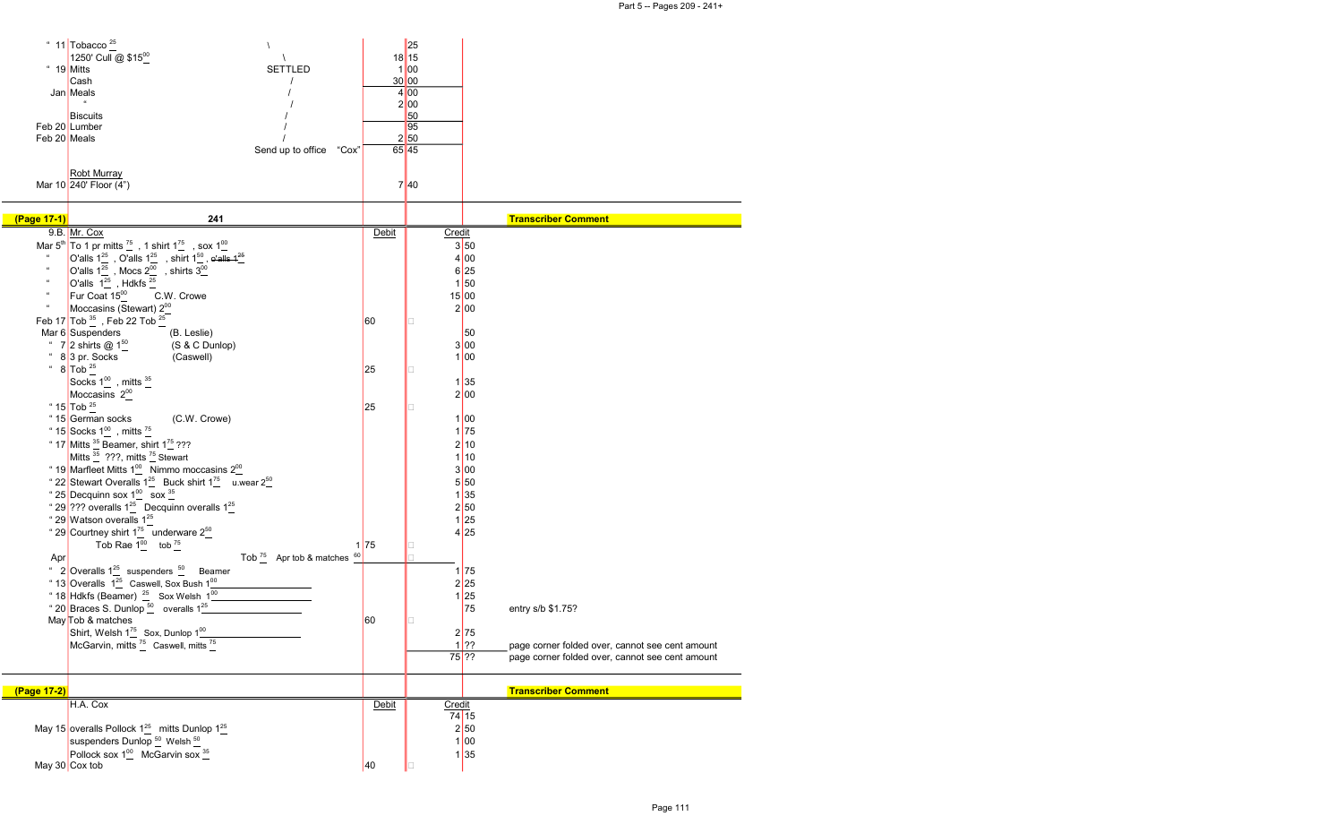|                | " 11 Tobacco $\frac{25}{1}$<br>$\lambda$                                                                                                                                                                                                                                                                                     |       | $\parallel$ 25 |        |                                                 |
|----------------|------------------------------------------------------------------------------------------------------------------------------------------------------------------------------------------------------------------------------------------------------------------------------------------------------------------------------|-------|----------------|--------|-------------------------------------------------|
|                | 1250' Cull @ \$15 <sup>00</sup><br>$\lambda$                                                                                                                                                                                                                                                                                 |       | $18$ 15        |        |                                                 |
|                | " $19$ Mitts<br>SETTLED                                                                                                                                                                                                                                                                                                      |       | 1 00           |        |                                                 |
|                | Cash                                                                                                                                                                                                                                                                                                                         |       | 30 00          |        |                                                 |
|                | Jan Meals                                                                                                                                                                                                                                                                                                                    |       | 4 00           |        |                                                 |
|                |                                                                                                                                                                                                                                                                                                                              |       | 2 00           |        |                                                 |
|                | <b>Biscuits</b>                                                                                                                                                                                                                                                                                                              |       | 50             |        |                                                 |
|                | Feb 20 Lumber                                                                                                                                                                                                                                                                                                                |       | 95             |        |                                                 |
| Feb 20 Meals   |                                                                                                                                                                                                                                                                                                                              |       | 2 50           |        |                                                 |
|                | Send up to office "Cox"                                                                                                                                                                                                                                                                                                      |       | 65 45          |        |                                                 |
|                |                                                                                                                                                                                                                                                                                                                              |       |                |        |                                                 |
|                | <b>Robt Murray</b>                                                                                                                                                                                                                                                                                                           |       |                |        |                                                 |
|                | Mar 10 240' Floor (4")                                                                                                                                                                                                                                                                                                       |       | 7 40           |        |                                                 |
|                |                                                                                                                                                                                                                                                                                                                              |       |                |        |                                                 |
|                |                                                                                                                                                                                                                                                                                                                              |       |                |        |                                                 |
| (Page 17-1)    | 241                                                                                                                                                                                                                                                                                                                          |       |                |        | <b>Transcriber Comment</b>                      |
|                | 9.B. Mr. Cox                                                                                                                                                                                                                                                                                                                 | Debit | Credit         |        |                                                 |
|                | Mar $5^{th}$ To 1 pr mitts $\frac{75}{2}$ , 1 shirt $1\frac{75}{2}$ , sox $1\frac{00}{2}$                                                                                                                                                                                                                                    |       |                | 3 50   |                                                 |
|                |                                                                                                                                                                                                                                                                                                                              |       |                |        |                                                 |
| $\alpha$       | O'alls $1^{25}$ , O'alls $1^{25}$ , shirt $1^{60}$ , $e^{\frac{1}{48}}$ , $e^{\frac{1}{48}}$ , $e^{\frac{1}{48}}$ , $e^{\frac{1}{48}}$ , $e^{\frac{1}{48}}$ , $e^{\frac{1}{48}}$ , $e^{\frac{1}{48}}$ , $e^{\frac{1}{48}}$ , $e^{\frac{1}{48}}$ , $e^{\frac{1}{48}}$ , $e^{\frac{1}{48}}$ , $e^{\frac{1}{48}}$ , $e^{\frac{$ |       |                | 4 00   |                                                 |
|                |                                                                                                                                                                                                                                                                                                                              |       |                | 6 25   |                                                 |
| $\mathfrak{a}$ |                                                                                                                                                                                                                                                                                                                              |       |                | 1 50   |                                                 |
| $\alpha$       | Fur Coat 1500<br>C.W. Crowe                                                                                                                                                                                                                                                                                                  |       |                | 15 00  |                                                 |
| $\alpha$       | Moccasins (Stewart) 2 <sup>00</sup>                                                                                                                                                                                                                                                                                          |       |                | 2 00   |                                                 |
|                | Feb 17 Tob $\frac{35}{1}$ , Feb 22 Tob $\frac{25}{1}$                                                                                                                                                                                                                                                                        | 60    |                |        |                                                 |
|                | Mar 6 Suspenders<br>(B. Leslie)                                                                                                                                                                                                                                                                                              |       |                | 50     |                                                 |
|                | " 7 2 shirts @ $1^{50}$<br>(S & C Dunlop)                                                                                                                                                                                                                                                                                    |       |                | 3 00   |                                                 |
|                | " $8 3$ pr. Socks<br>(Caswell)                                                                                                                                                                                                                                                                                               |       |                | 1 00   |                                                 |
|                | " $8$ Tob <sup>25</sup>                                                                                                                                                                                                                                                                                                      | 25    | □              |        |                                                 |
|                | Socks $1^{00}$ , mitts $^{35}$                                                                                                                                                                                                                                                                                               |       |                | 1 35   |                                                 |
|                | Moccasins 200                                                                                                                                                                                                                                                                                                                |       |                | 2 00   |                                                 |
|                | " $15$ Tob <sup>25</sup>                                                                                                                                                                                                                                                                                                     |       |                |        |                                                 |
|                |                                                                                                                                                                                                                                                                                                                              | 25    | O              |        |                                                 |
|                | " 15 German socks<br>(C.W. Crowe)                                                                                                                                                                                                                                                                                            |       |                | 1 00   |                                                 |
|                | " 15 Socks $1^{00}$ , mitts $^{75}$                                                                                                                                                                                                                                                                                          |       |                | 1 75   |                                                 |
|                | " 17 Mitts $\frac{35}{2}$ Beamer, shirt $1\frac{75}{2}$ ???                                                                                                                                                                                                                                                                  |       |                | 2 10   |                                                 |
|                | Mitts <sup>35</sup> ???, mitts <sup>75</sup> Stewart                                                                                                                                                                                                                                                                         |       |                | 1 10   |                                                 |
|                | " 19 Marfleet Mitts $1^{00}$ Nimmo moccasins $2^{00}$                                                                                                                                                                                                                                                                        |       |                | 3 00   |                                                 |
|                | " 22 Stewart Overalls $1^{25}$ Buck shirt $1^{75}$ u.wear $2^{50}$                                                                                                                                                                                                                                                           |       |                | 5 50   |                                                 |
|                | " 25 Decquinn sox $1^{00}$ sox $3^{5}$                                                                                                                                                                                                                                                                                       |       |                | 1 35   |                                                 |
|                | " 29 ??? overalls $1^{25}$ Decquinn overalls $1^{25}$                                                                                                                                                                                                                                                                        |       |                | 2 50   |                                                 |
|                | " 29 Watson overalls $1^{25}$                                                                                                                                                                                                                                                                                                |       |                | 1 25   |                                                 |
|                | " 29 Courtney shirt $1^{75}$ underware $2^{50}$                                                                                                                                                                                                                                                                              |       |                | 4 25   |                                                 |
|                |                                                                                                                                                                                                                                                                                                                              |       |                |        |                                                 |
|                | Tob Rae $1^{00}$ tob $^{75}$                                                                                                                                                                                                                                                                                                 | 1 75  | $\Box$         |        |                                                 |
| Apr            | Tob $\frac{75}{4}$ Apr tob & matches                                                                                                                                                                                                                                                                                         |       |                |        |                                                 |
|                | " $2$ Overalls $1^{25}$ suspenders $\frac{50}{6}$<br>Beamer                                                                                                                                                                                                                                                                  |       |                | 1 75   |                                                 |
|                | " 13 Overalls $1^{25}$ Caswell, Sox Bush $1^{00}$                                                                                                                                                                                                                                                                            |       |                | 2 25   |                                                 |
|                | " 18 Hdkfs (Beamer) $^{25}$ Sox Welsh $1^{00}$                                                                                                                                                                                                                                                                               |       |                | 1 25   |                                                 |
|                | " 20 Braces S. Dunlop $\frac{50}{2}$ overalls $1^{25}$                                                                                                                                                                                                                                                                       |       |                | 75     | entry s/b \$1.75?                               |
|                | May Tob & matches                                                                                                                                                                                                                                                                                                            | 60    | $\Box$         |        |                                                 |
|                | Shirt, Welsh 1 <sup>75</sup> Sox, Dunlop 1 <sup>00</sup>                                                                                                                                                                                                                                                                     |       |                | 2 75   |                                                 |
|                | McGarvin, mitts <sup>75</sup> Caswell, mitts <sup>75</sup>                                                                                                                                                                                                                                                                   |       |                | $1$ ?? | page corner folded over, cannot see cent amount |
|                |                                                                                                                                                                                                                                                                                                                              |       |                | 75 22  | page corner folded over, cannot see cent amount |
|                |                                                                                                                                                                                                                                                                                                                              |       |                |        |                                                 |
|                |                                                                                                                                                                                                                                                                                                                              |       |                |        |                                                 |
| (Page 17-2)    |                                                                                                                                                                                                                                                                                                                              |       |                |        | <b>Transcriber Comment</b>                      |
|                | H.A. Cox                                                                                                                                                                                                                                                                                                                     | Debit | Credit         |        |                                                 |
|                |                                                                                                                                                                                                                                                                                                                              |       |                | 74 15  |                                                 |
|                | May 15 overalls Pollock $1^{25}_{-}$ mitts Dunlop $1^{25}_{-}$<br>suspenders Dunlop $^{50}_{-}$ Welsh $^{50}_{-}$                                                                                                                                                                                                            |       |                | 2 50   |                                                 |
|                |                                                                                                                                                                                                                                                                                                                              |       |                | 1 00   |                                                 |
|                | Pollock sox $1^{00}$ McGarvin sox $35$                                                                                                                                                                                                                                                                                       |       |                | 1 35   |                                                 |
|                | May 30 $Cox$ tob                                                                                                                                                                                                                                                                                                             | 40    | ▯◻             |        |                                                 |
|                |                                                                                                                                                                                                                                                                                                                              |       |                |        |                                                 |